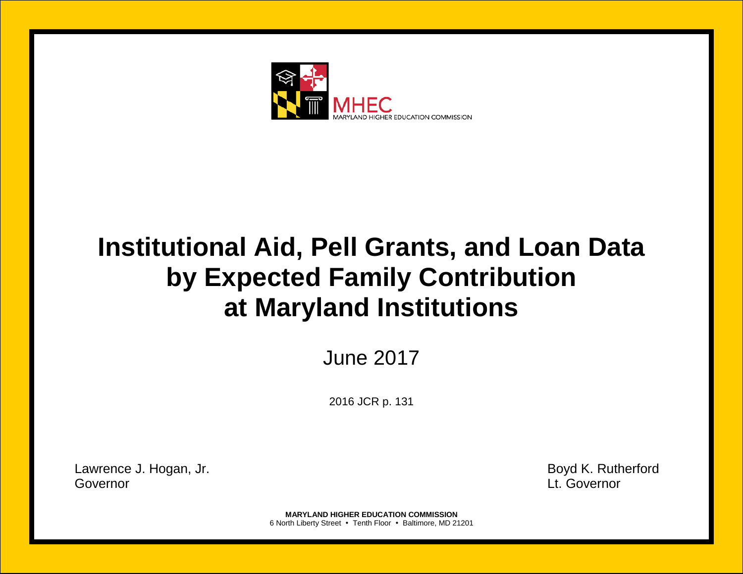

# **Institutional Aid, Pell Grants, and Loan Data by Expected Family Contribution at Maryland Institutions**

June 2017

2016 JCR p. 131

Lawrence J. Hogan, Jr. **Boyd K. Rutherford** Governor Lt. Governor

**MARYLAND HIGHER EDUCATION COMMISSION** 6 North Liberty Street • Tenth Floor • Baltimore, MD 21201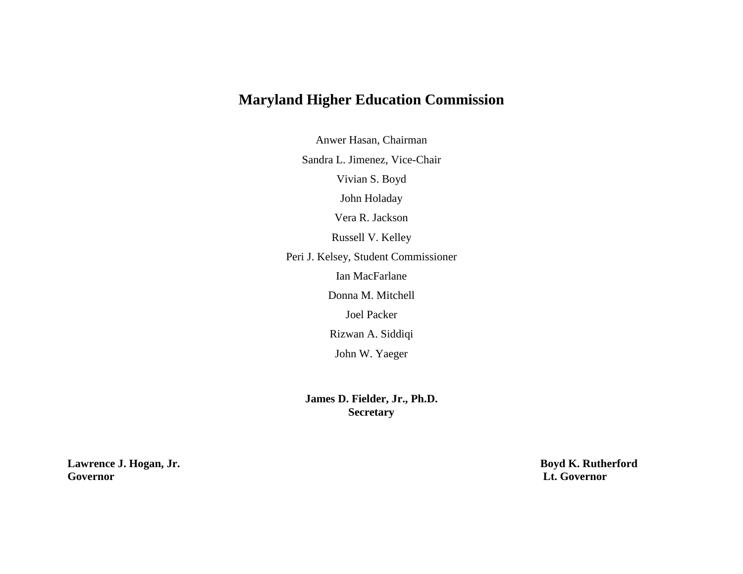## **Maryland Higher Education Commission**

Anwer Hasan, Chairman

Sandra L. Jimenez, Vice-Chair

Vivian S. Boyd

John Holaday

Vera R. Jackson

Russell V. Kelley

Peri J. Kelsey, Student Commissioner

Ian MacFarlane

Donna M. Mitchell

Joel Packer

Rizwan A. Siddiqi

John W. Yaeger

**James D. Fielder, Jr., Ph.D. Secretary**

**Lawrence J. Hogan, Jr. Boyd K. Rutherford**<br> **Boyd K. Rutherford**<br> **Lt. Governor Governor Lt. Governor**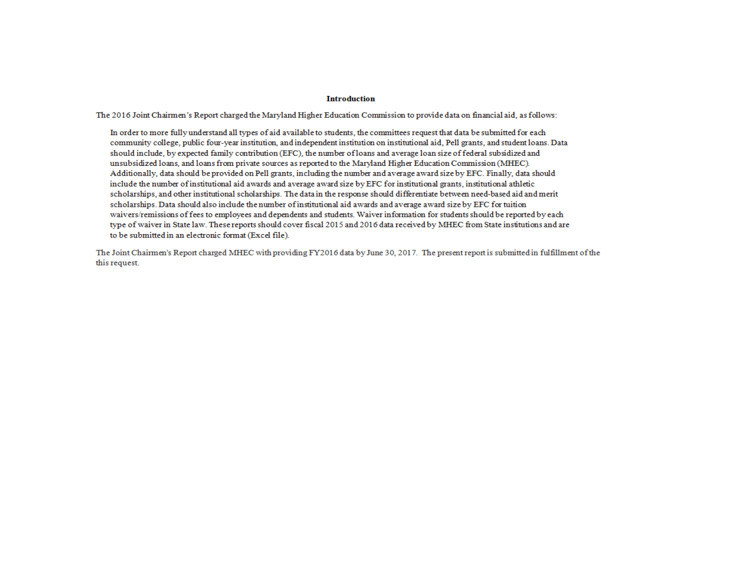#### **Introduction**

The 2016 Joint Chairmen's Report charged the Maryland Higher Education Commission to provide data on financial aid, as follows:

In order to more fully understand all types of aid available to students, the committees request that data be submitted for each community college, public four-year institution, and independent institution on institutional aid, Pell grants, and student loans. Data should include, by expected family contribution (EFC), the number of loans and average loan size of federal subsidized and unsubsidized loans, and loans from private sources as reported to the Maryland Higher Education Commission (MHEC). Additionally, data should be provided on Pell grants, including the number and average award size by EFC. Finally, data should include the number of institutional aid awards and average award size by EFC for institutional grants, institutional athletic scholarships, and other institutional scholarships. The data in the response should differentiate between need-based aid and merit scholarships. Data should also include the number of institutional aid awards and average award size by EFC for tuition waivers/remissions of fees to employees and dependents and students. Waiver information for students should be reported by each type of waiver in State law. These reports should cover fiscal 2015 and 2016 data received by MHEC from State institutions and are to be submitted in an electronic format (Excel file).

The Joint Chairmen's Report charged MHEC with providing FY2016 data by June 30, 2017. The present report is submitted in fulfillment of the this request.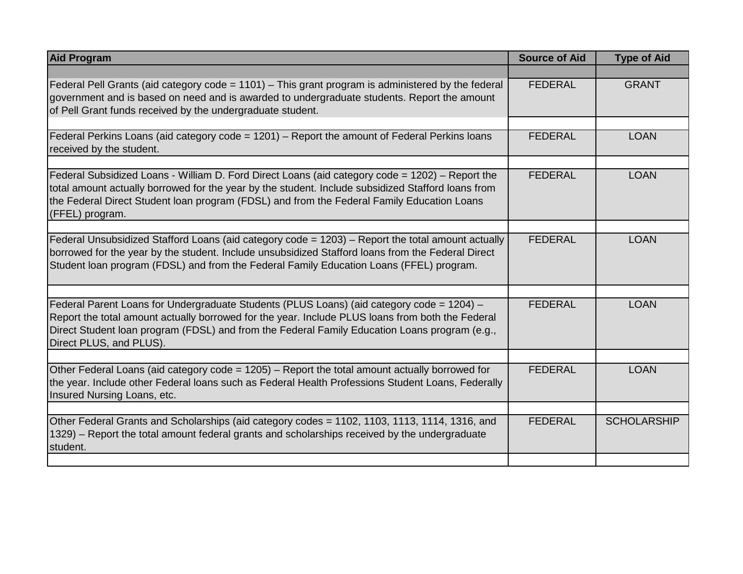| <b>Aid Program</b>                                                                                                                                                                                                                                                                                                        | <b>Source of Aid</b> | <b>Type of Aid</b> |
|---------------------------------------------------------------------------------------------------------------------------------------------------------------------------------------------------------------------------------------------------------------------------------------------------------------------------|----------------------|--------------------|
|                                                                                                                                                                                                                                                                                                                           |                      |                    |
| Federal Pell Grants (aid category code = $1101$ ) – This grant program is administered by the federal<br>government and is based on need and is awarded to undergraduate students. Report the amount<br>of Pell Grant funds received by the undergraduate student.                                                        | <b>FEDERAL</b>       | <b>GRANT</b>       |
|                                                                                                                                                                                                                                                                                                                           |                      |                    |
| Federal Perkins Loans (aid category code $= 1201$ ) – Report the amount of Federal Perkins loans<br>received by the student.                                                                                                                                                                                              | <b>FEDERAL</b>       | <b>LOAN</b>        |
|                                                                                                                                                                                                                                                                                                                           |                      |                    |
| Federal Subsidized Loans - William D. Ford Direct Loans (aid category code = 1202) - Report the<br>total amount actually borrowed for the year by the student. Include subsidized Stafford loans from<br>the Federal Direct Student loan program (FDSL) and from the Federal Family Education Loans<br>(FFEL) program.    | <b>FEDERAL</b>       | <b>LOAN</b>        |
|                                                                                                                                                                                                                                                                                                                           |                      |                    |
| Federal Unsubsidized Stafford Loans (aid category code = 1203) - Report the total amount actually<br>borrowed for the year by the student. Include unsubsidized Stafford loans from the Federal Direct<br>Student Ioan program (FDSL) and from the Federal Family Education Loans (FFEL) program.                         | <b>FEDERAL</b>       | <b>LOAN</b>        |
|                                                                                                                                                                                                                                                                                                                           |                      |                    |
| Federal Parent Loans for Undergraduate Students (PLUS Loans) (aid category code = 1204) -<br>Report the total amount actually borrowed for the year. Include PLUS loans from both the Federal<br>Direct Student Ioan program (FDSL) and from the Federal Family Education Loans program (e.g.,<br>Direct PLUS, and PLUS). | <b>FEDERAL</b>       | <b>LOAN</b>        |
|                                                                                                                                                                                                                                                                                                                           |                      |                    |
| Other Federal Loans (aid category code = 1205) - Report the total amount actually borrowed for<br>the year. Include other Federal loans such as Federal Health Professions Student Loans, Federally<br>Insured Nursing Loans, etc.                                                                                        | <b>FEDERAL</b>       | <b>LOAN</b>        |
|                                                                                                                                                                                                                                                                                                                           |                      |                    |
| Other Federal Grants and Scholarships (aid category codes = 1102, 1103, 1113, 1114, 1316, and<br>1329) - Report the total amount federal grants and scholarships received by the undergraduate<br>student.                                                                                                                | <b>FEDERAL</b>       | <b>SCHOLARSHIP</b> |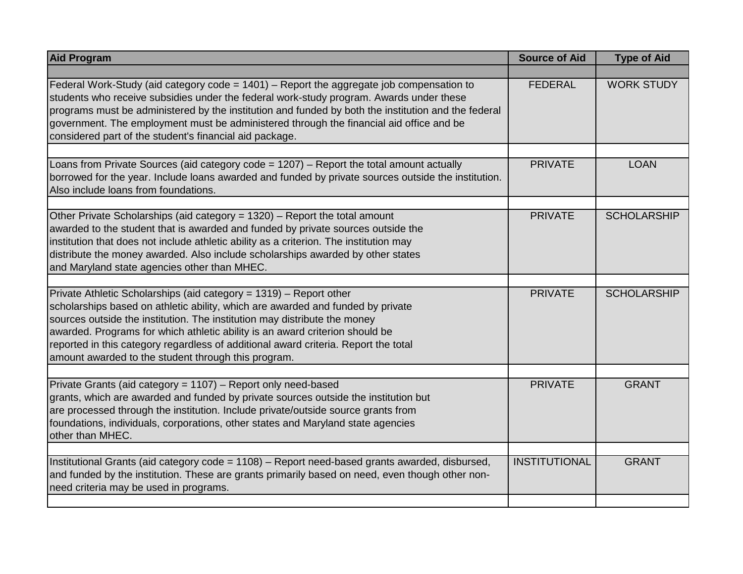| <b>Aid Program</b>                                                                                                                                                                                                                                                                                                                                                                                                                                               | <b>Source of Aid</b> | <b>Type of Aid</b> |
|------------------------------------------------------------------------------------------------------------------------------------------------------------------------------------------------------------------------------------------------------------------------------------------------------------------------------------------------------------------------------------------------------------------------------------------------------------------|----------------------|--------------------|
|                                                                                                                                                                                                                                                                                                                                                                                                                                                                  |                      |                    |
| Federal Work-Study (aid category code = 1401) – Report the aggregate job compensation to<br>students who receive subsidies under the federal work-study program. Awards under these<br>programs must be administered by the institution and funded by both the institution and the federal<br>government. The employment must be administered through the financial aid office and be<br>considered part of the student's financial aid package.                 | <b>FEDERAL</b>       | <b>WORK STUDY</b>  |
| Loans from Private Sources (aid category code = 1207) – Report the total amount actually<br>borrowed for the year. Include loans awarded and funded by private sources outside the institution.<br>Also include loans from foundations.                                                                                                                                                                                                                          | <b>PRIVATE</b>       | <b>LOAN</b>        |
| Other Private Scholarships (aid category = 1320) - Report the total amount<br>awarded to the student that is awarded and funded by private sources outside the<br>institution that does not include athletic ability as a criterion. The institution may<br>distribute the money awarded. Also include scholarships awarded by other states<br>and Maryland state agencies other than MHEC.                                                                      | <b>PRIVATE</b>       | <b>SCHOLARSHIP</b> |
| Private Athletic Scholarships (aid category = 1319) - Report other<br>scholarships based on athletic ability, which are awarded and funded by private<br>sources outside the institution. The institution may distribute the money<br>awarded. Programs for which athletic ability is an award criterion should be<br>reported in this category regardless of additional award criteria. Report the total<br>amount awarded to the student through this program. | <b>PRIVATE</b>       | <b>SCHOLARSHIP</b> |
| Private Grants (aid category = 1107) - Report only need-based<br>grants, which are awarded and funded by private sources outside the institution but<br>are processed through the institution. Include private/outside source grants from<br>foundations, individuals, corporations, other states and Maryland state agencies<br>other than MHEC.                                                                                                                | <b>PRIVATE</b>       | <b>GRANT</b>       |
| Institutional Grants (aid category code = 1108) - Report need-based grants awarded, disbursed,<br>and funded by the institution. These are grants primarily based on need, even though other non-<br>need criteria may be used in programs.                                                                                                                                                                                                                      | <b>INSTITUTIONAL</b> | <b>GRANT</b>       |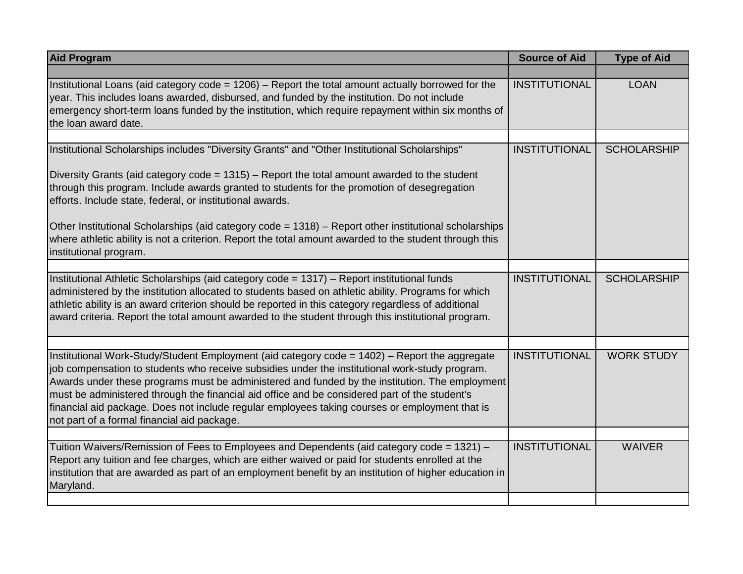| <b>Aid Program</b>                                                                                                                                                                                                                                                                                                                                                                                                                                                                                                                                  | <b>Source of Aid</b> | <b>Type of Aid</b> |
|-----------------------------------------------------------------------------------------------------------------------------------------------------------------------------------------------------------------------------------------------------------------------------------------------------------------------------------------------------------------------------------------------------------------------------------------------------------------------------------------------------------------------------------------------------|----------------------|--------------------|
|                                                                                                                                                                                                                                                                                                                                                                                                                                                                                                                                                     |                      |                    |
| Institutional Loans (aid category code = 1206) - Report the total amount actually borrowed for the<br>year. This includes loans awarded, disbursed, and funded by the institution. Do not include<br>emergency short-term loans funded by the institution, which require repayment within six months of<br>the loan award date.                                                                                                                                                                                                                     | <b>INSTITUTIONAL</b> | <b>LOAN</b>        |
|                                                                                                                                                                                                                                                                                                                                                                                                                                                                                                                                                     |                      |                    |
| Institutional Scholarships includes "Diversity Grants" and "Other Institutional Scholarships"                                                                                                                                                                                                                                                                                                                                                                                                                                                       | <b>INSTITUTIONAL</b> | <b>SCHOLARSHIP</b> |
| Diversity Grants (aid category code = 1315) - Report the total amount awarded to the student<br>through this program. Include awards granted to students for the promotion of desegregation<br>efforts. Include state, federal, or institutional awards.                                                                                                                                                                                                                                                                                            |                      |                    |
| Other Institutional Scholarships (aid category code = 1318) – Report other institutional scholarships<br>where athletic ability is not a criterion. Report the total amount awarded to the student through this<br>institutional program.                                                                                                                                                                                                                                                                                                           |                      |                    |
|                                                                                                                                                                                                                                                                                                                                                                                                                                                                                                                                                     |                      |                    |
| Institutional Athletic Scholarships (aid category code = 1317) - Report institutional funds<br>administered by the institution allocated to students based on athletic ability. Programs for which<br>athletic ability is an award criterion should be reported in this category regardless of additional<br>award criteria. Report the total amount awarded to the student through this institutional program.                                                                                                                                     | <b>INSTITUTIONAL</b> | <b>SCHOLARSHIP</b> |
|                                                                                                                                                                                                                                                                                                                                                                                                                                                                                                                                                     |                      |                    |
| Institutional Work-Study/Student Employment (aid category code = 1402) - Report the aggregate<br>job compensation to students who receive subsidies under the institutional work-study program.<br>Awards under these programs must be administered and funded by the institution. The employment<br>must be administered through the financial aid office and be considered part of the student's<br>financial aid package. Does not include regular employees taking courses or employment that is<br>not part of a formal financial aid package. | <b>INSTITUTIONAL</b> | <b>WORK STUDY</b>  |
|                                                                                                                                                                                                                                                                                                                                                                                                                                                                                                                                                     |                      |                    |
| Tuition Waivers/Remission of Fees to Employees and Dependents (aid category code = 1321) -<br>Report any tuition and fee charges, which are either waived or paid for students enrolled at the<br>institution that are awarded as part of an employment benefit by an institution of higher education in<br>Maryland.                                                                                                                                                                                                                               | <b>INSTITUTIONAL</b> | <b>WAIVER</b>      |
|                                                                                                                                                                                                                                                                                                                                                                                                                                                                                                                                                     |                      |                    |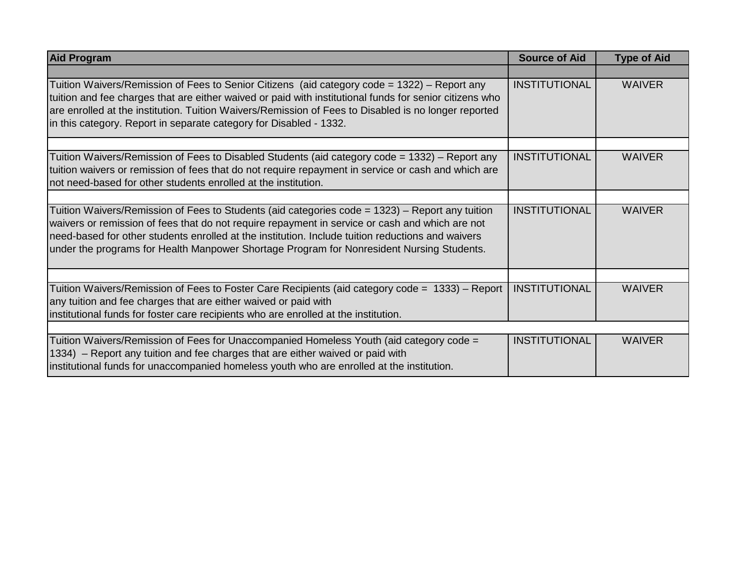| <b>Aid Program</b>                                                                                                                                                                                                                                                                                                                                                                                   | <b>Source of Aid</b> | <b>Type of Aid</b> |
|------------------------------------------------------------------------------------------------------------------------------------------------------------------------------------------------------------------------------------------------------------------------------------------------------------------------------------------------------------------------------------------------------|----------------------|--------------------|
|                                                                                                                                                                                                                                                                                                                                                                                                      |                      |                    |
| Tuition Waivers/Remission of Fees to Senior Citizens (aid category code = 1322) – Report any<br>tuition and fee charges that are either waived or paid with institutional funds for senior citizens who<br>are enrolled at the institution. Tuition Waivers/Remission of Fees to Disabled is no longer reported<br>in this category. Report in separate category for Disabled - 1332.                | <b>INSTITUTIONAL</b> | <b>WAIVER</b>      |
|                                                                                                                                                                                                                                                                                                                                                                                                      | <b>INSTITUTIONAL</b> | <b>WAIVER</b>      |
| Tuition Waivers/Remission of Fees to Disabled Students (aid category code = 1332) – Report any<br>tuition waivers or remission of fees that do not require repayment in service or cash and which are<br>not need-based for other students enrolled at the institution.                                                                                                                              |                      |                    |
|                                                                                                                                                                                                                                                                                                                                                                                                      |                      |                    |
| Tuition Waivers/Remission of Fees to Students (aid categories code = 1323) – Report any tuition<br>waivers or remission of fees that do not require repayment in service or cash and which are not<br>need-based for other students enrolled at the institution. Include tuition reductions and waivers<br>under the programs for Health Manpower Shortage Program for Nonresident Nursing Students. | <b>INSTITUTIONAL</b> | <b>WAIVER</b>      |
|                                                                                                                                                                                                                                                                                                                                                                                                      |                      |                    |
| Tuition Waivers/Remission of Fees to Foster Care Recipients (aid category code = 1333) – Report<br>any tuition and fee charges that are either waived or paid with<br>institutional funds for foster care recipients who are enrolled at the institution.                                                                                                                                            | <b>INSTITUTIONAL</b> | <b>WAIVER</b>      |
|                                                                                                                                                                                                                                                                                                                                                                                                      |                      |                    |
| Tuition Waivers/Remission of Fees for Unaccompanied Homeless Youth (aid category code =<br>1334) – Report any tuition and fee charges that are either waived or paid with<br>institutional funds for unaccompanied homeless youth who are enrolled at the institution.                                                                                                                               | <b>INSTITUTIONAL</b> | <b>WAIVER</b>      |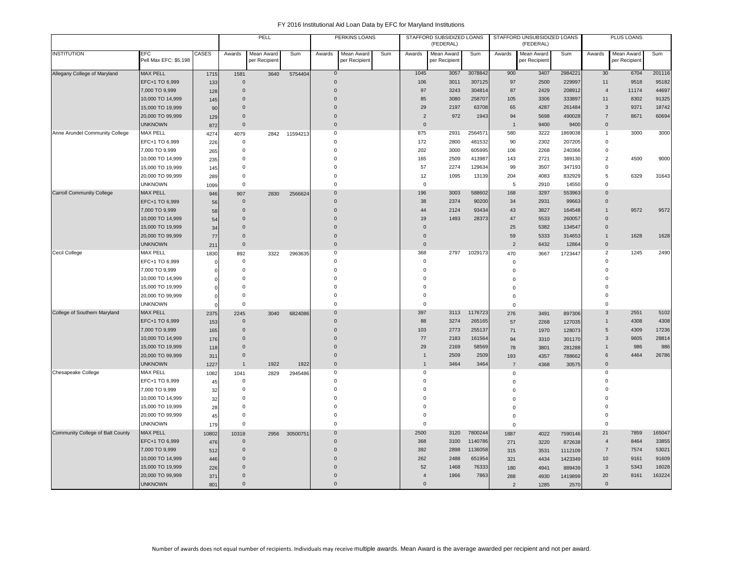|                                  |                                     |            |                            | PELL                        |          |               | PERKINS LOANS               |     |                            | STAFFORD SUBSIDIZED LOANS<br>(FEDERAL) |         |                | STAFFORD UNSUBSIDIZED LOANS<br>(FEDERAL) |                   |                                  | PLUS LOANS                  |                |
|----------------------------------|-------------------------------------|------------|----------------------------|-----------------------------|----------|---------------|-----------------------------|-----|----------------------------|----------------------------------------|---------|----------------|------------------------------------------|-------------------|----------------------------------|-----------------------------|----------------|
| <b>INSTITUTION</b>               | <b>EFC</b><br>Pell Max EFC: \$5,198 | CASES      | Awards                     | Mean Award<br>per Recipient | Sum      | Awards        | Mean Award<br>per Recipient | Sum | Awards                     | Mean Award<br>per Recipient            | Sum     | Awards         | Mean Award<br>per Recipient              | Sum               | Awards                           | Mean Award<br>per Recipient | Sum            |
| Allegany College of Maryland     | <b>MAX PELL</b>                     | 1715       | 1581                       | 3640                        | 5754404  | $\mathbf{0}$  |                             |     | 1045                       | 3057                                   | 3078842 | 900            | 3407                                     | 2984221           | 30                               | 6704                        | 201116         |
|                                  | EFC+1 TO 6,999                      | 133        | $\Omega$                   |                             |          | $\Omega$      |                             |     | 106                        | 3011                                   | 307125  | 97             | 2500                                     | 229997            | 11                               | 9518                        | 95182          |
|                                  | 7,000 TO 9,999                      | 128        | $\mathbf{0}$               |                             |          | $\Omega$      |                             |     | 97                         | 3243                                   | 304814  | 87             | 2429                                     | 208912            | $\overline{4}$                   | 11174                       | 44697          |
|                                  | 10,000 TO 14,999                    | 145        | $\Omega$                   |                             |          | $\Omega$      |                             |     | 85                         | 3080                                   | 258707  | 105            | 3306                                     | 333897            | 11                               | 8302                        | 91325          |
|                                  | 15,000 TO 19,999                    | 90         | $\Omega$                   |                             |          | $\Omega$      |                             |     | 29                         | 2197                                   | 63708   | 65             | 4287                                     | 261484            | 3                                | 9371                        | 18742          |
|                                  | 20,000 TO 99,999                    | 129        | $\mathbf 0$                |                             |          | $\mathbf 0$   |                             |     | $\overline{2}$             | 972                                    | 1943    | 94             | 5698                                     | 490028            | $\overline{7}$                   | 8671                        | 60694          |
|                                  | <b>UNKNOWN</b>                      | 872        | $\mathbf{0}$               |                             |          | $\Omega$      |                             |     | $\mathbf{0}$               |                                        |         | $\overline{1}$ | 9400                                     | 9400              | $\mathbf{0}$                     |                             |                |
| Anne Arundel Community College   | MAX PELL                            | 4274       | 4079                       | 2842                        | 11594213 | $\mathbf 0$   |                             |     | 875                        | 2931                                   | 2564571 | 580            | 3222                                     | 1869038           | $\mathbf{1}$                     | 3000                        | 3000           |
|                                  | EFC+1 TO 6,999                      | 226        | $\mathbf 0$                |                             |          | $\Omega$      |                             |     | 172                        | 2800                                   | 481532  | 90             | 2302                                     | 207205            | $\Omega$                         |                             |                |
|                                  | 7,000 TO 9,999                      | 265        | $\mathsf 0$                |                             |          | $\Omega$      |                             |     | 202                        | 3000                                   | 605995  | 106            | 2268                                     | 240366            | $\mathbf 0$                      |                             |                |
|                                  | 10,000 TO 14,999                    | 235        | $\mathsf 0$                |                             |          | $\Omega$      |                             |     | 165                        | 2509                                   | 413987  | 143            | 2721                                     | 389130            | $\overline{2}$                   | 4500                        | 9000           |
|                                  | 15,000 TO 19,999                    | 145        | $\Omega$                   |                             |          | $\Omega$      |                             |     | 57                         | 2274                                   | 129634  | 99             | 3507                                     | 347193            | 0                                |                             |                |
|                                  | 20,000 TO 99,999                    | 289        | 0                          |                             |          | $\Omega$      |                             |     | 12                         | 1095                                   | 13139   | 204            | 4083                                     | 832929            | 5                                | 6329                        | 31643          |
|                                  | <b>UNKNOWN</b>                      | 1099       | $\mathsf 0$                |                             |          | $\mathbf 0$   |                             |     | $\mathbf 0$                |                                        |         | 5              | 2910                                     | 14550             | $\mathbf 0$                      |                             |                |
| <b>Carroll Community College</b> | <b>MAX PELL</b>                     | 946        | 907                        | 2830                        | 2566624  | $\mathbf{0}$  |                             |     | 196                        | 3003                                   | 588602  | 168            | 3297                                     | 553963            | $\mathbf{0}$                     |                             |                |
|                                  | EFC+1 TO 6,999                      | 56         | $\mathbf 0$                |                             |          | $\Omega$      |                             |     | 38                         | 2374                                   | 90200   | 34             | 2931                                     | 99663             | $\Omega$                         |                             |                |
|                                  | 7,000 TO 9,999                      | 58         | $\mathbf{0}$               |                             |          | $\Omega$      |                             |     | 44                         | 2124                                   | 93434   | 43             | 3827                                     | 164548            | $\mathbf{1}$                     | 9572                        | 9572           |
|                                  | 10,000 TO 14,999                    | 54         | $\Omega$                   |                             |          | $\Omega$      |                             |     | 19                         | 1493                                   | 28373   | 47             | 5533                                     | 260057            | $\Omega$                         |                             |                |
|                                  | 15,000 TO 19,999                    | 34         | $\Omega$                   |                             |          | $\Omega$      |                             |     | $\overline{0}$             |                                        |         | 25             | 5382                                     | 134547            | $\mathbf{0}$                     |                             |                |
|                                  | 20,000 TO 99,999                    | 77         | $\mathbf 0$                |                             |          | $\mathbf{0}$  |                             |     | $\overline{0}$             |                                        |         | 59             | 5333                                     | 314653            | 1                                | 1628                        | 1628           |
|                                  | <b>UNKNOWN</b>                      | 211        | $\mathbf 0$                |                             |          | $\mathbf 0$   |                             |     | $\mathbf 0$                |                                        |         | $\overline{2}$ | 6432                                     | 12864             | $\mathbf 0$                      |                             |                |
| Cecil College                    | <b>MAX PELL</b>                     | 1830       | 892                        | 3322                        | 2963635  | 0             |                             |     | 368                        | 2797                                   | 1029173 | 470            | 3667                                     | 1723447           | $\overline{2}$                   | 1245                        | 2490           |
|                                  | EFC+1 TO 6,999                      | $\sqrt{ }$ | $\mathbf 0$                |                             |          | $\Omega$      |                             |     | $\mathbf 0$                |                                        |         | $\mathbf 0$    |                                          |                   | $\Omega$                         |                             |                |
|                                  | 7,000 TO 9,999                      | $\Omega$   | $\mathsf 0$                |                             |          | $\Omega$      |                             |     | $\mathbf 0$                |                                        |         | $\mathbf 0$    |                                          |                   | $\Omega$                         |                             |                |
|                                  | 10,000 TO 14,999                    |            | $\mathbf 0$                |                             |          | $\Omega$      |                             |     | $\Omega$                   |                                        |         | $\mathbf 0$    |                                          |                   | $\Omega$                         |                             |                |
|                                  | 15,000 TO 19,999                    | $\Omega$   | $\Omega$                   |                             |          |               |                             |     | $\Omega$                   |                                        |         | $\mathbf 0$    |                                          |                   | $\Omega$                         |                             |                |
|                                  | 20,000 TO 99,999                    | $\Omega$   | $\mathbf 0$                |                             |          | $\Omega$      |                             |     | $\mathbf 0$                |                                        |         | $\Omega$       |                                          |                   | $\Omega$                         |                             |                |
|                                  | <b>UNKNOWN</b>                      | $\Omega$   | $\Omega$                   |                             |          | $\Omega$      |                             |     | $\mathbf 0$                |                                        |         | $\Omega$       |                                          |                   | $\Omega$                         |                             |                |
| College of Southern Maryland     | <b>MAX PELL</b>                     | 2375       | 2245                       | 3040                        | 6824086  | $\Omega$      |                             |     | 397                        | 3113                                   | 1176723 | 276            | 3491                                     | 897306            | $\mathbf{3}$                     | 2551                        | 5102           |
|                                  | EFC+1 TO 6,999                      | 153        | $\mathbf{0}$               |                             |          | $\Omega$      |                             |     | 88                         | 3274                                   | 265165  | 57             | 2268                                     | 127035            | 1                                | 4308                        | 4308           |
|                                  | 7,000 TO 9,999                      | 165        | $\Omega$                   |                             |          | $\Omega$      |                             |     | 103                        | 2773                                   | 255137  | 71             | 1970                                     | 128073            | 5                                | 4309                        | 17236          |
|                                  | 10,000 TO 14,999                    | 176        | $\Omega$                   |                             |          | $\Omega$      |                             |     | $77\,$                     | 2183                                   | 161564  | 94             | 3310                                     | 301170            | $\mathbf{3}$                     | 9605                        | 28814          |
|                                  | 15,000 TO 19,999                    | 118        | $\Omega$                   |                             |          | $\Omega$      |                             |     | 29                         | 2169                                   | 58569   | 78             | 3801                                     | 281288            | $\mathbf{1}$                     | 986                         | 986            |
|                                  | 20,000 TO 99,999                    | 311        | $\Omega$                   |                             |          | $\mathbf 0$   |                             |     | $\overline{1}$             | 2509                                   | 2509    | 193            | 4357                                     | 788662            | 6                                | 4464                        | 26786          |
|                                  | <b>UNKNOWN</b>                      | 1227       | $\mathbf{1}$               | 1922                        | 1922     | $\mathbf 0$   |                             |     | $\mathbf{1}$               | 3464                                   | 3464    | $\overline{7}$ | 4368                                     | 30575             | $\mathbf{0}$                     |                             |                |
| Chesapeake College               | MAX PELL                            | 1082       | 1041                       | 2829                        | 2945486  | 0             |                             |     | $\mathbf 0$                |                                        |         | $\mathsf 0$    |                                          |                   | 0<br>$\Omega$                    |                             |                |
|                                  | EFC+1 TO 6,999                      | 45         | 0                          |                             |          | $\mathbf 0$   |                             |     | $\mathbf 0$                |                                        |         | $\mathsf 0$    |                                          |                   |                                  |                             |                |
|                                  | 7,000 TO 9,999                      | 32         | 0                          |                             |          | 0<br>$\Omega$ |                             |     | $\mathbf 0$<br>$\Omega$    |                                        |         | $\mathbf 0$    |                                          |                   | $\Omega$<br>$\Omega$             |                             |                |
|                                  | 10,000 TO 14,999                    | 32         | $\mathsf 0$<br>$\mathbf 0$ |                             |          | $\Omega$      |                             |     | $\mathbf 0$                |                                        |         | $\Omega$       |                                          |                   | $\Omega$                         |                             |                |
|                                  | 15,000 TO 19,999                    | 28         | $\mathbf 0$                |                             |          | $\Omega$      |                             |     |                            |                                        |         | $\mathbf 0$    |                                          |                   | $\Omega$                         |                             |                |
|                                  | 20,000 TO 99,999<br><b>UNKNOWN</b>  | 45         | $\mathsf 0$                |                             |          | $\mathbf 0$   |                             |     | $\mathbf 0$<br>$\mathbf 0$ |                                        |         | $\Omega$       |                                          |                   | $\mathbf 0$                      |                             |                |
|                                  | <b>MAX PELL</b>                     | 179        |                            |                             |          | $\mathbf 0$   |                             |     |                            |                                        | 7800244 | $\mathbf 0$    |                                          |                   |                                  |                             |                |
| Community College of Balt County |                                     | 10802      | 10318                      | 2956                        | 30500751 | $\Omega$      |                             |     | 2500                       | 3120                                   | 1140786 | 1887           | 4022                                     | 7590146           | 21                               | 7859                        | 165047         |
|                                  | EFC+1 TO 6,999<br>7,000 TO 9,999    | 476        | $\mathbf 0$<br>$\Omega$    |                             |          | $\Omega$      |                             |     | 368<br>392                 | 3100<br>2898                           | 1136058 | 271            | 3220                                     | 872638            | $\overline{4}$<br>$\overline{7}$ | 8464<br>7574                | 33855<br>53021 |
|                                  | 10,000 TO 14,999                    | 512        | $\Omega$                   |                             |          | O             |                             |     | 262                        | 2488                                   | 651954  | 315            | 3531                                     | 1112109           | 10                               | 9161                        | 91609          |
|                                  | 15,000 TO 19,999                    | 446<br>226 | $\Omega$                   |                             |          | O             |                             |     | 52                         | 1468                                   | 76333   | 321<br>180     | 4434<br>4941                             | 1423349<br>889439 | 3                                | 5343                        | 16028          |
|                                  | 20,000 TO 99,999                    | 371        | $\mathbf{0}$               |                             |          | $\Omega$      |                             |     | $\overline{4}$             | 1966                                   | 7863    | 288            | 4930                                     | 1419899           | 20                               | 8161                        | 163224         |
|                                  | <b>UNKNOWN</b>                      | 801        | $\Omega$                   |                             |          | $\Omega$      |                             |     | $\mathbf{0}$               |                                        |         | 2              | 1285                                     | 2570              | $\mathbf{0}$                     |                             |                |
|                                  |                                     |            |                            |                             |          |               |                             |     |                            |                                        |         |                |                                          |                   |                                  |                             |                |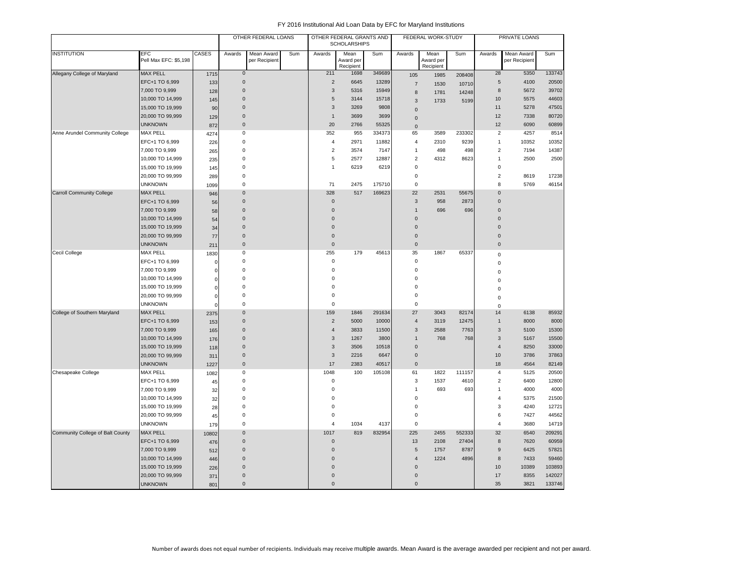|                                  |                                     |                | OTHER FEDERAL LOANS |                             |     | OTHER FEDERAL GRANTS AND<br><b>SCHOLARSHIPS</b> |                                |        | FEDERAL WORK-STUDY |                                |        | PRIVATE LOANS    |                             |        |
|----------------------------------|-------------------------------------|----------------|---------------------|-----------------------------|-----|-------------------------------------------------|--------------------------------|--------|--------------------|--------------------------------|--------|------------------|-----------------------------|--------|
| <b>INSTITUTION</b>               | <b>EFC</b><br>Pell Max EFC: \$5,198 | CASES          | Awards              | Mean Award<br>per Recipient | Sum | Awards                                          | Mean<br>Award per<br>Recipient | Sum    | Awards             | Mean<br>Award per<br>Recipient | Sum    | Awards           | Mean Award<br>per Recipient | Sum    |
| Allegany College of Maryland     | <b>MAX PELL</b>                     | 1715           | $\overline{0}$      |                             |     | 211                                             | 1698                           | 349689 | 105                | 1985                           | 208408 | 28               | 5350                        | 133743 |
|                                  | EFC+1 TO 6,999                      | 133            | $\mathsf{O}\xspace$ |                             |     | $\overline{2}$                                  | 6645                           | 13289  | $\overline{7}$     | 1530                           | 10710  | 5                | 4100                        | 20500  |
|                                  | 7,000 TO 9,999                      | 128            | $\mathbf{0}$        |                             |     | $\mathbf{3}$                                    | 5316                           | 15949  | $\bf 8$            | 1781                           | 14248  | 8                | 5672                        | 39702  |
|                                  | 10,000 TO 14,999                    | 145            | $\Omega$            |                             |     | $\overline{5}$                                  | 3144                           | 15718  | $\mathbf{3}$       | 1733                           | 5199   | 10               | 5575                        | 44603  |
|                                  | 15,000 TO 19,999                    | 90             | $\mathbf{0}$        |                             |     | $\mathbf{3}$                                    | 3269                           | 9808   | $\pmb{0}$          |                                |        | 11               | 5278                        | 47501  |
|                                  | 20,000 TO 99,999                    | 129            | $\mathbf 0$         |                             |     | $\mathbf{1}$                                    | 3699                           | 3699   | $\mathbf{0}$       |                                |        | 12               | 7338                        | 80720  |
|                                  | <b>UNKNOWN</b>                      | 872            | $\mathbf 0$         |                             |     | 20                                              | 2766                           | 55325  | $\mathsf 0$        |                                |        | 12               | 6090                        | 60899  |
| Anne Arundel Community College   | <b>MAX PELL</b>                     | 4274           | $\mathbf 0$         |                             |     | 352                                             | 955                            | 334373 | 65                 | 3589                           | 233302 | $\overline{2}$   | 4257                        | 8514   |
|                                  | EFC+1 TO 6,999                      | 226            | $\mathsf 0$         |                             |     | $\sqrt{4}$                                      | 2971                           | 11882  | $\overline{4}$     | 2310                           | 9239   | $\mathbf{1}$     | 10352                       | 10352  |
|                                  | 7,000 TO 9,999                      | 265            | $\mathbf 0$         |                             |     | $\sqrt{2}$                                      | 3574                           | 7147   | $\mathbf{1}$       | 498                            | 498    | $\sqrt{2}$       | 7194                        | 14387  |
|                                  | 10,000 TO 14,999                    | 235            | $\mathbf 0$         |                             |     | 5                                               | 2577                           | 12887  | $\boldsymbol{2}$   | 4312                           | 8623   | $\overline{1}$   | 2500                        | 2500   |
|                                  | 15,000 TO 19,999                    | 145            | $\mathbf 0$         |                             |     | $\mathbf{1}$                                    | 6219                           | 6219   | $\mathbf 0$        |                                |        | $\mathbf 0$      |                             |        |
|                                  | 20,000 TO 99,999                    | 289            | $\mathbf 0$         |                             |     |                                                 |                                |        | $\pmb{0}$          |                                |        | $\overline{2}$   | 8619                        | 17238  |
|                                  | <b>UNKNOWN</b>                      | 1099           | $\mathsf{O}\xspace$ |                             |     | 71                                              | 2475                           | 175710 | $\mathbf 0$        |                                |        | $\mathbf{8}$     | 5769                        | 46154  |
| <b>Carroll Community College</b> | <b>MAX PELL</b>                     | 946            | $\pmb{0}$           |                             |     | 328                                             | 517                            | 169623 | 22                 | 2531                           | 55675  | $\Omega$         |                             |        |
|                                  | EFC+1 TO 6,999                      | 56             | $\mathbf 0$         |                             |     | $\mathbf 0$                                     |                                |        | $\overline{3}$     | 958                            | 2873   | $\overline{0}$   |                             |        |
|                                  | 7,000 TO 9,999                      | 58             | $\mathbf 0$         |                             |     | $\mathbf 0$                                     |                                |        | $\mathbf{1}$       | 696                            | 696    | $\mathbf 0$      |                             |        |
|                                  | 10,000 TO 14,999                    | 54             | $\mathbf 0$         |                             |     | $\overline{0}$                                  |                                |        | $\overline{0}$     |                                |        | $\overline{0}$   |                             |        |
|                                  | 15,000 TO 19,999                    | 34             | $\mathbf 0$         |                             |     | $\Omega$                                        |                                |        | $\overline{0}$     |                                |        | $\Omega$         |                             |        |
|                                  | 20,000 TO 99,999                    | 77             | $\mathbf 0$         |                             |     | $\mathbf 0$                                     |                                |        | $\overline{0}$     |                                |        | $\mathbf 0$      |                             |        |
|                                  | <b>UNKNOWN</b>                      | 211            | $\mathbf 0$         |                             |     | $\pmb{0}$                                       |                                |        | $\pmb{0}$          |                                |        | $\pmb{0}$        |                             |        |
| Cecil College                    | <b>MAX PELL</b>                     | 1830           | $\mathbf 0$         |                             |     | 255                                             | 179                            | 45613  | 35                 | 1867                           | 65337  | $\mathbf 0$      |                             |        |
|                                  | EFC+1 TO 6,999                      | $\overline{0}$ | $\mathsf 0$         |                             |     | $\bf 0$                                         |                                |        | $\mathsf 0$        |                                |        | $\mathbf 0$      |                             |        |
|                                  | 7,000 TO 9,999                      | $\mathbf 0$    | $\mathbf 0$         |                             |     | $\mathbf 0$                                     |                                |        | $\mathbf 0$        |                                |        | $\Omega$         |                             |        |
|                                  | 10,000 TO 14,999                    | $\overline{0}$ | 0                   |                             |     | $\mathbf 0$                                     |                                |        | $\mathbf 0$        |                                |        | $\Omega$         |                             |        |
|                                  | 15,000 TO 19,999                    | $\mathbf 0$    | $\mathbf 0$         |                             |     | $\mathbf 0$                                     |                                |        | $\mathbf 0$        |                                |        | $\Omega$         |                             |        |
|                                  | 20,000 TO 99,999                    | $\mathbf 0$    | $\mathbf 0$         |                             |     | $\mathbf 0$                                     |                                |        | $\mathbf 0$        |                                |        | $\mathbf 0$      |                             |        |
|                                  | <b>UNKNOWN</b>                      | $\Omega$       | $\mathbf 0$         |                             |     | $\mathbf 0$                                     |                                |        | $\mathbf 0$        |                                |        | $\mathbf 0$      |                             |        |
| College of Southern Maryland     | <b>MAX PELL</b>                     | 2375           | $\mathbf{0}$        |                             |     | 159                                             | 1846                           | 291634 | 27                 | 3043                           | 82174  | 14               | 6138                        | 85932  |
|                                  | EFC+1 TO 6,999                      | 153            | $\mathbf 0$         |                             |     | $\overline{2}$                                  | 5000                           | 10000  | $\overline{4}$     | 3119                           | 12475  | $\mathbf{1}$     | 8000                        | 8000   |
|                                  | 7,000 TO 9,999                      | 165            | $\mathbf{0}$        |                             |     | $\overline{4}$                                  | 3833                           | 11500  | 3                  | 2588                           | 7763   | 3                | 5100                        | 15300  |
|                                  | 10,000 TO 14,999                    | 176            | $\overline{0}$      |                             |     | 3                                               | 1267                           | 3800   | $\mathbf{1}$       | 768                            | 768    | $\mathbf{3}$     | 5167                        | 15500  |
|                                  | 15,000 TO 19,999                    | 118            | $\Omega$            |                             |     | $\mathbf{3}$                                    | 3506                           | 10518  | $\mathsf 0$        |                                |        | $\overline{4}$   | 8250                        | 33000  |
|                                  | 20,000 TO 99,999                    | 311            | $\mathbf 0$         |                             |     | 3                                               | 2216                           | 6647   | $\mathsf 0$        |                                |        | 10               | 3786                        | 37863  |
|                                  | <b>UNKNOWN</b>                      | 1227           | $\mathsf{O}$        |                             |     | 17                                              | 2383                           | 40517  | $\pmb{0}$          |                                |        | 18               | 4564                        | 82149  |
| Chesapeake College               | <b>MAX PELL</b>                     | 1082           | $\mathbf 0$         |                             |     | 1048                                            | 100                            | 105108 | 61                 | 1822                           | 111157 | $\overline{4}$   | 5125                        | 20500  |
|                                  | EFC+1 TO 6,999                      | 45             | $\mathsf 0$         |                             |     | 0                                               |                                |        | 3                  | 1537                           | 4610   | $\overline{2}$   | 6400                        | 12800  |
|                                  | 7,000 TO 9,999                      | 32             | $\mathbf 0$         |                             |     | $\mathbf 0$                                     |                                |        | $\mathbf{1}$       | 693                            | 693    | $\mathbf{1}$     | 4000                        | 4000   |
|                                  | 10,000 TO 14,999                    | 32             | $\mathbf 0$         |                             |     | $\Omega$                                        |                                |        | $\Omega$           |                                |        | $\overline{4}$   | 5375                        | 21500  |
|                                  | 15,000 TO 19,999                    | 28             | $\mathsf 0$         |                             |     | $\mathbf 0$                                     |                                |        | $\mathbf 0$        |                                |        | $\mathbf{3}$     | 4240                        | 12721  |
|                                  | 20,000 TO 99,999                    | 45             | $\mathbf 0$         |                             |     | $\mathbf 0$                                     |                                |        | $\mathbf 0$        |                                |        | 6                | 7427                        | 44562  |
|                                  | <b>UNKNOWN</b>                      | 179            | $\mathsf 0$         |                             |     | $\overline{4}$                                  | 1034                           | 4137   | $\pmb{0}$          |                                |        | $\overline{4}$   | 3680                        | 14719  |
| Community College of Balt County | <b>MAX PELL</b>                     | 10802          | $\Omega$            |                             |     | 1017                                            | 819                            | 832954 | 225                | 2455                           | 552333 | 32               | 6540                        | 209291 |
|                                  | EFC+1 TO 6,999                      | 476            | $\mathbf{0}$        |                             |     | $\mathbf{0}$                                    |                                |        | 13                 | 2108                           | 27404  | 8                | 7620                        | 60959  |
|                                  | 7,000 TO 9,999                      | 512            | $\mathsf{O}\xspace$ |                             |     | $\Omega$                                        |                                |        | $\sqrt{5}$         | 1757                           | 8787   | $\boldsymbol{9}$ | 6425                        | 57821  |
|                                  | 10,000 TO 14,999                    | 446            | $\mathbf{0}$        |                             |     | $\Omega$                                        |                                |        | $\overline{4}$     | 1224                           | 4896   | 8                | 7433                        | 59460  |
|                                  | 15,000 TO 19,999                    | 226            | $\Omega$            |                             |     | $\Omega$                                        |                                |        | $\Omega$           |                                |        | 10               | 10389                       | 103893 |
|                                  | 20,000 TO 99,999                    | 371            | $\Omega$            |                             |     | $\mathbf 0$                                     |                                |        | $\pmb{0}$          |                                |        | 17               | 8355                        | 142027 |
|                                  | <b>UNKNOWN</b>                      | 801            | $\mathbf 0$         |                             |     | $\mathbf 0$                                     |                                |        | $\pmb{0}$          |                                |        | 35               | 3821                        | 133746 |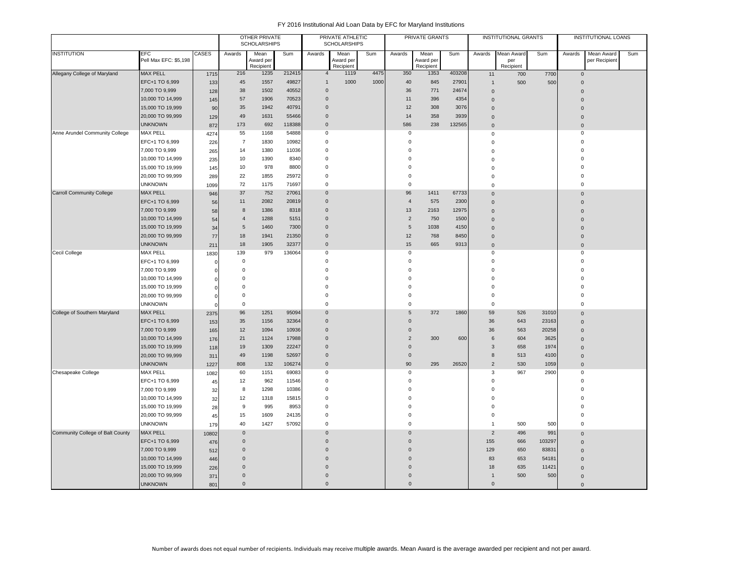|                                  |                                      |            |                                            | <b>OTHER PRIVATE</b><br><b>SCHOLARSHIPS</b> |        |                            | PRIVATE ATHLETIC<br><b>SCHOLARSHIPS</b> |      |                            | PRIVATE GRANTS         |        |                                | <b>INSTITUTIONAL GRANTS</b> |                 |                         | <b>INSTITUTIONAL LOANS</b> |     |
|----------------------------------|--------------------------------------|------------|--------------------------------------------|---------------------------------------------|--------|----------------------------|-----------------------------------------|------|----------------------------|------------------------|--------|--------------------------------|-----------------------------|-----------------|-------------------------|----------------------------|-----|
| <b>INSTITUTION</b>               | <b>EFC</b>                           | CASES      | Awards                                     | Mean                                        | Sum    | Awards                     | Mean                                    | Sum  | Awards                     | Mean                   | Sum    | Awards                         | Mean Award                  | Sum             | Awards                  | Mean Award                 | Sum |
|                                  | Pell Max EFC: \$5,198                |            |                                            | Award per<br>Recipient                      |        |                            | Award per<br>Recipient                  |      |                            | Award per<br>Recipient |        |                                | per<br>Recipient            |                 |                         | per Recipient              |     |
| Allegany College of Maryland     | <b>MAX PELL</b>                      | 1715       | 216                                        | 1235                                        | 212415 | $\overline{4}$             | 1119                                    | 4475 | 350                        | 1353                   | 403208 | 11                             | 700                         | 7700            | $\mathbf 0$             |                            |     |
|                                  | EFC+1 TO 6,999                       | 133        | 45                                         | 1557                                        | 49827  | $\overline{1}$             | 1000                                    | 1000 | 40                         | 845                    | 27901  | $\mathbf{1}$                   | 500                         | 500             | $\pmb{0}$               |                            |     |
|                                  | 7,000 TO 9,999                       | 128        | 38                                         | 1502                                        | 40552  | $\overline{0}$             |                                         |      | 36                         | 771                    | 24674  | $\Omega$                       |                             |                 | $\Omega$                |                            |     |
|                                  | 10,000 TO 14,999                     | 145        | 57                                         | 1906                                        | 70523  | $\mathbf 0$                |                                         |      | 11                         | 396                    | 4354   | $\mathbf 0$                    |                             |                 | $\Omega$                |                            |     |
|                                  | 15,000 TO 19,999                     | 90         | 35                                         | 1942                                        | 40791  | $\overline{0}$             |                                         |      | 12                         | 308                    | 3076   | $\mathbf 0$                    |                             |                 | $\Omega$                |                            |     |
|                                  | 20,000 TO 99,999                     | 129        | 49                                         | 1631                                        | 55466  | $\mathbf 0$                |                                         |      | 14                         | 358                    | 3939   | $\Omega$                       |                             |                 | $\mathbf 0$             |                            |     |
|                                  | <b>UNKNOWN</b>                       | 872        | 173                                        | 692                                         | 118388 | $\overline{0}$             |                                         |      | 586                        | 238                    | 132565 | $\pmb{0}$                      |                             |                 | $\pmb{0}$               |                            |     |
| Anne Arundel Community College   | MAX PELL                             | 4274       | 55                                         | 1168                                        | 54888  | $\mathbf 0$                |                                         |      | $\mathbf 0$                |                        |        | $\mathbf 0$                    |                             |                 | $\pmb{0}$               |                            |     |
|                                  | EFC+1 TO 6,999                       | 226        | $\overline{7}$                             | 1830                                        | 10982  | $\Omega$                   |                                         |      | $\mathbf 0$                |                        |        | $\mathbf 0$                    |                             |                 | $\mathbf 0$             |                            |     |
|                                  | 7,000 TO 9,999                       | 265        | 14                                         | 1380                                        | 11036  | 0                          |                                         |      | $\mathbf 0$                |                        |        | $\Omega$                       |                             |                 | $\Omega$                |                            |     |
|                                  | 10,000 TO 14,999                     | 235        | 10                                         | 1390                                        | 8340   | $\pmb{0}$                  |                                         |      | $\mathbf 0$                |                        |        | $\mathbf 0$                    |                             |                 | $\Omega$                |                            |     |
|                                  | 15,000 TO 19,999                     | 145        | 10                                         | 978                                         | 8800   | $\Omega$                   |                                         |      | $\mathbf 0$                |                        |        | $\mathbf 0$                    |                             |                 | $\Omega$                |                            |     |
|                                  | 20,000 TO 99,999                     | 289        | 22                                         | 1855                                        | 25972  | $\mathbf 0$                |                                         |      | $\pmb{0}$                  |                        |        | $\mathbf 0$                    |                             |                 | $\Omega$                |                            |     |
|                                  | <b>UNKNOWN</b>                       | 1099       | 72                                         | 1175                                        | 71697  | $\mathbf 0$                |                                         |      | $\mathsf 0$                |                        |        | 0                              |                             |                 | $\mathbf 0$             |                            |     |
| <b>Carroll Community College</b> | <b>MAX PELL</b>                      | 946        | 37                                         | 752                                         | 27061  | $\mathbf 0$                |                                         |      | 96                         | 1411                   | 67733  | $\Omega$                       |                             |                 | $\Omega$                |                            |     |
|                                  | EFC+1 TO 6,999                       | 56         | 11                                         | 2082                                        | 20819  | $\overline{0}$             |                                         |      | $\overline{4}$             | 575                    | 2300   | $\mathbf 0$                    |                             |                 | $\Omega$                |                            |     |
|                                  | 7,000 TO 9,999                       | 58         | 8                                          | 1386                                        | 8318   | $\mathbf 0$                |                                         |      | 13                         | 2163                   | 12975  | $\Omega$                       |                             |                 | $\Omega$                |                            |     |
|                                  | 10,000 TO 14,999                     | 54         | $\overline{4}$                             | 1288                                        | 5151   | $\overline{0}$             |                                         |      | $\overline{2}$             | 750                    | 1500   | $\mathbf 0$                    |                             |                 |                         |                            |     |
|                                  | 15,000 TO 19,999                     | 34         | 5                                          | 1460                                        | 7300   | $\overline{0}$             |                                         |      | 5                          | 1038                   | 4150   | $\mathbf 0$                    |                             |                 | $\Omega$                |                            |     |
|                                  | 20,000 TO 99,999                     | 77         | 18                                         | 1941                                        | 21350  | $\mathbf 0$                |                                         |      | 12                         | 768                    | 8450   | $\mathbf 0$                    |                             |                 | $\Omega$                |                            |     |
|                                  | <b>UNKNOWN</b>                       | 211        | 18                                         | 1905                                        | 32377  | $\overline{0}$             |                                         |      | 15                         | 665                    | 9313   | $\mathbf 0$                    |                             |                 | $\mathbf 0$             |                            |     |
| Cecil College                    | <b>MAX PELL</b>                      | 1830       | 139                                        | 979                                         | 136064 | $\mathbf 0$                |                                         |      | $\mathsf 0$                |                        |        | 0                              |                             |                 | $\mathbf 0$             |                            |     |
|                                  | EFC+1 TO 6,999                       | $\epsilon$ | $\mathbf 0$                                |                                             |        | $\overline{0}$             |                                         |      | $\mathsf 0$                |                        |        | $\Omega$                       |                             |                 | $\mathbf 0$             |                            |     |
|                                  | 7,000 TO 9,999                       |            | $\mathbf 0$                                |                                             |        | $\mathbf 0$                |                                         |      | $\mathsf 0$                |                        |        | $\mathbf 0$                    |                             |                 | $\Omega$                |                            |     |
|                                  | 10,000 TO 14,999                     |            | $\Omega$                                   |                                             |        | $\Omega$                   |                                         |      | $\mathbf 0$                |                        |        | $\Omega$                       |                             |                 | $\Omega$                |                            |     |
|                                  | 15,000 TO 19,999                     | ſ          | $\Omega$                                   |                                             |        | $\Omega$                   |                                         |      | $\mathsf 0$                |                        |        | $\Omega$                       |                             |                 | $\Omega$                |                            |     |
|                                  | 20,000 TO 99,999                     | ſ          | $\mathbf 0$                                |                                             |        | $\mathbf 0$                |                                         |      | $\mathbf 0$                |                        |        | $\mathbf 0$                    |                             |                 | $\Omega$                |                            |     |
|                                  | <b>UNKNOWN</b>                       |            | $\mathbf 0$                                |                                             |        | $\mathbf 0$                |                                         |      | $\mathsf 0$                |                        |        | $\Omega$                       |                             |                 | $\Omega$                |                            |     |
| College of Southern Maryland     | <b>MAX PELL</b>                      | 2375       | $96\,$                                     | 1251                                        | 95094  | $\overline{0}$             |                                         |      | $5\phantom{.0}$            | 372                    | 1860   | 59                             | 526                         | 31010           | $\mathbf 0$             |                            |     |
|                                  | EFC+1 TO 6,999                       | 153        | 35                                         | 1156                                        | 32364  | $\overline{0}$             |                                         |      | $\mathbf{0}$               |                        |        | 36                             | 643                         | 23163           | $\mathbf{0}$            |                            |     |
|                                  | 7,000 TO 9,999                       | 165        | 12                                         | 1094                                        | 10936  | $\overline{0}$             |                                         |      | $\mathbf 0$                |                        |        | 36                             | 563                         | 20258           | $\overline{0}$          |                            |     |
|                                  | 10,000 TO 14,999                     | 176        | 21                                         | 1124                                        | 17988  | $\Omega$                   |                                         |      | $\overline{2}$             | 300                    | 600    | 6                              | 604                         | 3625            | $\mathbf{0}$            |                            |     |
|                                  | 15,000 TO 19,999                     | 118        | 19                                         | 1309                                        | 22247  | $\overline{0}$             |                                         |      | $\pmb{0}$                  |                        |        | 3                              | 658                         | 1974            | $\Omega$                |                            |     |
|                                  | 20,000 TO 99,999                     | 311        | 49                                         | 1198                                        | 52697  | $\mathbf 0$                |                                         |      | $\mathsf{O}\xspace$        |                        |        | 8                              | 513                         | 4100            | $\mathbf 0$             |                            |     |
|                                  | <b>UNKNOWN</b>                       | 1227       | 808                                        | 132                                         | 106274 | $\overline{0}$             |                                         |      | 90                         | 295                    | 26520  | $\overline{2}$                 | 530                         | 1059            | $\mathbf 0$             |                            |     |
| Chesapeake College               | <b>MAX PELL</b>                      | 1082       | 60                                         | 1151                                        | 69083  | $\mathbf 0$<br>$\mathbf 0$ |                                         |      | 0                          |                        |        | 3<br>$\mathbf 0$               | 967                         | 2900            | 0                       |                            |     |
|                                  | EFC+1 TO 6,999                       | 45         | 12                                         | 962                                         | 11546  |                            |                                         |      | $\mathsf 0$                |                        |        |                                |                             |                 | $\mathbf 0$<br>$\Omega$ |                            |     |
|                                  | 7,000 TO 9,999                       | 32         | 8                                          | 1298                                        | 10386  | $^{\circ}$                 |                                         |      | $\mathsf 0$<br>$\mathbf 0$ |                        |        | $\mathbf 0$<br>$\Omega$        |                             |                 | $\Omega$                |                            |     |
|                                  | 10,000 TO 14,999                     | 32         | 12<br>9                                    | 1318                                        | 15815  | $\mathbf 0$<br>$^{\circ}$  |                                         |      | $\mathsf 0$                |                        |        | $\mathbf 0$                    |                             |                 | $\Omega$                |                            |     |
|                                  | 15,000 TO 19,999                     | 28         |                                            | 995                                         | 8953   |                            |                                         |      |                            |                        |        |                                |                             |                 | $\Omega$                |                            |     |
|                                  | 20,000 TO 99,999<br><b>UNKNOWN</b>   | 45         | 15<br>40                                   | 1609<br>1427                                | 24135  | $\mathbf 0$<br>$\mathbf 0$ |                                         |      | $\mathsf 0$<br>$\mathsf 0$ |                        |        | $\mathbf 0$                    | 500                         |                 | $\mathbf 0$             |                            |     |
|                                  |                                      | 179        |                                            |                                             | 57092  |                            |                                         |      | $\Omega$                   |                        |        | $\mathbf{1}$<br>$\overline{2}$ |                             | 500             |                         |                            |     |
| Community College of Balt County | <b>MAX PELL</b>                      | 10802      | $\mathsf{O}\xspace$<br>$\mathsf{O}\xspace$ |                                             |        | $\mathbf 0$<br>$\Omega$    |                                         |      | $\mathbf 0$                |                        |        |                                | 496                         | 991             | $\mathbf{0}$            |                            |     |
|                                  | EFC+1 TO 6,999                       | 476        | $\mathbf{0}$                               |                                             |        | $\Omega$                   |                                         |      | $\mathbf{0}$               |                        |        | 155<br>129                     | 666<br>650                  | 103297<br>83831 | $\Omega$                |                            |     |
|                                  | 7,000 TO 9,999                       | 512        | $\Omega$                                   |                                             |        | $\Omega$                   |                                         |      | $\mathbf{0}$               |                        |        |                                |                             | 54181           | $\Omega$                |                            |     |
|                                  | 10,000 TO 14,999<br>15,000 TO 19,999 | 446        | $\Omega$                                   |                                             |        | $\Omega$                   |                                         |      | $\mathbf{0}$               |                        |        | 83<br>18                       | 653<br>635                  |                 | $\Omega$                |                            |     |
|                                  | 20,000 TO 99,999                     | 226        | $\mathbf{0}$                               |                                             |        | $\overline{0}$             |                                         |      | $\mathbf 0$                |                        |        | $\overline{1}$                 | 500                         | 11421<br>500    | $\Omega$                |                            |     |
|                                  | <b>UNKNOWN</b>                       | 371        | $\mathbf{0}$                               |                                             |        | $\Omega$                   |                                         |      | $\mathbf{0}$               |                        |        | $\Omega$                       |                             |                 | $\mathbf{0}$            |                            |     |
|                                  |                                      | 801        |                                            |                                             |        |                            |                                         |      |                            |                        |        |                                |                             |                 | $\mathbf{0}$            |                            |     |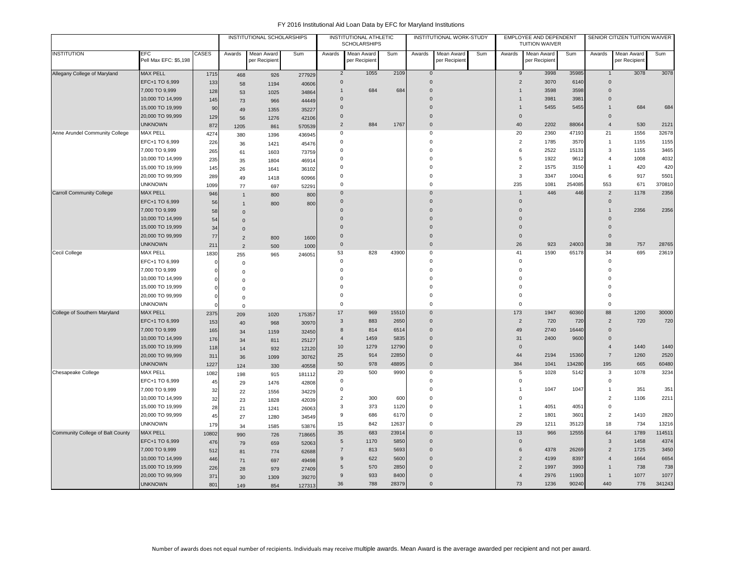|                                  |                                  |            | INSTITUTIONAL SCHOLARSHIPS |                             |                 | INSTITUTIONAL ATHLETIC<br><b>SCHOLARSHIPS</b> |                             |       | INSTITUTIONAL WORK-STUDY   |                             |     | EMPLOYEE AND DEPENDENT<br><b>TUITION WAIVER</b> |                             |        | SENIOR CITIZEN TUITION WAIVER |                             |        |
|----------------------------------|----------------------------------|------------|----------------------------|-----------------------------|-----------------|-----------------------------------------------|-----------------------------|-------|----------------------------|-----------------------------|-----|-------------------------------------------------|-----------------------------|--------|-------------------------------|-----------------------------|--------|
| <b>INSTITUTION</b>               | EFC<br>Pell Max EFC: \$5,198     | CASES      | Awards                     | Mean Award<br>per Recipient | Sum             | Awards                                        | Mean Award<br>per Recipient | Sum   | Awards                     | Mean Award<br>per Recipient | Sum | Awards                                          | Mean Award<br>per Recipient | Sum    | Awards                        | Mean Award<br>per Recipient | Sum    |
| Allegany College of Maryland     | <b>MAX PELL</b>                  | 1715       | 468                        | 926                         | 277929          | $\overline{2}$                                | 1055                        | 2109  | $\bf{0}$                   |                             |     | 9                                               | 3998                        | 35985  |                               | 3078                        | 3078   |
|                                  | EFC+1 TO 6,999                   | 133        | 58                         | 1194                        | 40606           | $\mathbf{0}$                                  |                             |       | $\mathsf 0$                |                             |     | $\overline{2}$                                  | 3070                        | 6140   | $\mathbf 0$                   |                             |        |
|                                  | 7,000 TO 9,999                   | 128        | 53                         | 1025                        | 34864           | 1                                             | 684                         | 684   | $\overline{0}$             |                             |     | $\mathbf{1}$                                    | 3598                        | 3598   | $\mathbf{0}$                  |                             |        |
|                                  | 10,000 TO 14,999                 | 145        | 73                         | 966                         | 44449           | $\mathbf{0}$                                  |                             |       | $\mathbf{0}$               |                             |     | $\mathbf{1}$                                    | 3981                        | 3981   | $\mathbf{0}$                  |                             |        |
|                                  | 15,000 TO 19,999                 | 90         | 49                         | 1355                        | 35227           | $\mathbf 0$                                   |                             |       | $\mathbf{0}$               |                             |     | $\mathbf{1}$                                    | 5455                        | 5455   | $\mathbf{1}$                  | 684                         | 684    |
|                                  | 20,000 TO 99,999                 | 129        | 56                         | 1276                        | 42106           | $\pmb{0}$                                     |                             |       | $\overline{0}$             |                             |     | $\mathbf 0$                                     |                             |        | $\mathbf 0$                   |                             |        |
|                                  | <b>UNKNOWN</b>                   | 872        | 1205                       | 861                         | 570539          | $\overline{2}$                                | 884                         | 1767  | $\mathsf{O}\xspace$        |                             |     | 40                                              | 2202                        | 88064  | $\boldsymbol{\Delta}$         | 530                         | 2121   |
| Anne Arundel Community College   | <b>MAX PELL</b>                  | 4274       | 380                        | 1396                        | 436945          | 0                                             |                             |       | 0                          |                             |     | 20                                              | 2360                        | 47193  | 21                            | 1556                        | 32678  |
|                                  | EFC+1 TO 6,999                   | 226        | 36                         | 1421                        | 45476           | $\Omega$                                      |                             |       | $\mathsf 0$                |                             |     | $\sqrt{2}$                                      | 1785                        | 3570   | $\mathbf{1}$                  | 1155                        | 1155   |
|                                  | 7,000 TO 9,999                   | 265        | 61                         | 1603                        | 73759           | $\mathbf 0$                                   |                             |       | $^{\circ}$                 |                             |     | 6                                               | 2522                        | 15131  | 3                             | 1155                        | 3465   |
|                                  | 10,000 TO 14,999                 | 235        | 35                         | 1804                        | 46914           | $\mathbf 0$                                   |                             |       | $\Omega$                   |                             |     | 5                                               | 1922                        | 9612   | $\overline{4}$                | 1008                        | 4032   |
|                                  | 15,000 TO 19,999                 | 145        | 26                         | 1641                        | 36102           | $\Omega$                                      |                             |       | $\Omega$                   |                             |     | $\overline{2}$                                  | 1575                        | 3150   | $\overline{1}$                | 420                         | 420    |
|                                  | 20,000 TO 99,999                 | 289        | 49                         | 1418                        | 60966           | $\Omega$                                      |                             |       | $\Omega$                   |                             |     | 3                                               | 3347                        | 10041  | 6                             | 917                         | 5501   |
|                                  | <b>UNKNOWN</b>                   | 1099       | 77                         | 697                         | 52291           | $\pmb{0}$                                     |                             |       | $\mathbf 0$                |                             |     | 235                                             | 1081                        | 254085 | 553                           | 671                         | 370810 |
| <b>Carroll Community College</b> | <b>MAX PELL</b>                  | 946        | $\mathbf{1}$               | 800                         | 800             | $\Omega$                                      |                             |       | $\Omega$                   |                             |     |                                                 | 446                         | 446    | $\overline{2}$                | 1178                        | 2356   |
|                                  | EFC+1 TO 6,999                   | 56         | $\mathbf{1}$               | 800                         | 800             | $\overline{0}$                                |                             |       | $\Omega$                   |                             |     | $\mathsf{O}\xspace$                             |                             |        | $\mathbf 0$                   |                             |        |
|                                  | 7,000 TO 9,999                   | 58         | $\mathbf{0}$               |                             |                 | $\Omega$                                      |                             |       | $\Omega$                   |                             |     | $\Omega$                                        |                             |        | $\overline{1}$                | 2356                        | 2356   |
|                                  | 10,000 TO 14,999                 | 54         | $\mathbf{0}$               |                             |                 | $\Omega$                                      |                             |       | $\Omega$                   |                             |     | $\Omega$                                        |                             |        | $\Omega$                      |                             |        |
|                                  | 15,000 TO 19,999                 | 34         | $\mathbf{0}$               |                             |                 | $\Omega$                                      |                             |       | $\Omega$                   |                             |     | $\Omega$                                        |                             |        | $\Omega$                      |                             |        |
|                                  | 20,000 TO 99,999                 | 77         | $\overline{2}$             | 800                         | 1600            | $\overline{0}$                                |                             |       | $\Omega$                   |                             |     | $\mathbf{0}$                                    |                             |        | $\overline{0}$                |                             |        |
|                                  | <b>UNKNOWN</b>                   | 211        | $\overline{2}$             | 500                         | 1000            | $\bf 0$                                       |                             |       | $\mathsf{O}\xspace$        |                             |     | 26                                              | 923                         | 24003  | 38                            | 757                         | 28765  |
| Cecil College                    | <b>MAX PELL</b>                  | 1830       | 255                        | 965                         | 246051          | 53                                            | 828                         | 43900 | $\mathbf 0$                |                             |     | 41                                              | 1590                        | 65178  | 34                            | 695                         | 23619  |
|                                  | EFC+1 TO 6,999                   |            | $\mathbf 0$                |                             |                 | $\mathbf 0$                                   |                             |       | $\mathbf 0$                |                             |     | $\mathsf 0$                                     |                             |        | $\mathbf 0$                   |                             |        |
|                                  | 7,000 TO 9,999                   |            | $\mathbf 0$                |                             |                 | $\Omega$                                      |                             |       | $\Omega$                   |                             |     | $\Omega$                                        |                             |        | $\Omega$                      |                             |        |
|                                  | 10,000 TO 14,999                 |            | $\mathbf 0$                |                             |                 | $\Omega$                                      |                             |       | $\Omega$                   |                             |     | $\Omega$                                        |                             |        | 0                             |                             |        |
|                                  | 15,000 TO 19,999                 |            | $\mathbf 0$                |                             |                 | $\Omega$                                      |                             |       | $\Omega$                   |                             |     | $\Omega$                                        |                             |        | $\Omega$                      |                             |        |
|                                  | 20,000 TO 99,999                 |            | $\mathbf 0$                |                             |                 | $\Omega$                                      |                             |       | $\Omega$                   |                             |     | $\Omega$                                        |                             |        | $\Omega$                      |                             |        |
|                                  | <b>UNKNOWN</b>                   |            | $\Omega$                   |                             |                 | $\mathsf 0$                                   |                             |       | $\mathbf 0$                |                             |     | $\mathbf 0$                                     |                             |        | $\mathbf 0$                   |                             |        |
| College of Southern Maryland     | <b>MAX PELL</b>                  | 2375       | 209                        | 1020                        | 175357          | 17                                            | 969                         | 15510 | $\Omega$                   |                             |     | 173                                             | 1947                        | 60360  | 88                            | 1200                        | 30000  |
|                                  | EFC+1 TO 6,999                   | 153        | 40                         | 968                         | 30970           | 3                                             | 883                         | 2650  | $\mathsf{O}\xspace$        |                             |     | $\overline{2}$                                  | 720                         | 720    | $\overline{2}$                | 720                         | 720    |
|                                  | 7,000 TO 9,999                   | 165        | 34                         | 1159                        | 32450           | 8                                             | 814                         | 6514  | $\mathsf 0$                |                             |     | 49                                              | 2740                        | 16440  | $\mathbf 0$                   |                             |        |
|                                  | 10,000 TO 14,999                 | 176        | 34                         | 811                         | 25127           | $\overline{4}$                                | 1459                        | 5835  | $\overline{0}$             |                             |     | 31                                              | 2400                        | 9600   | $\mathbf 0$                   |                             |        |
|                                  | 15,000 TO 19,999                 | 118        | 14                         | 932                         | 12120           | 10                                            | 1279                        | 12790 | $\overline{0}$             |                             |     | $\mathsf 0$                                     |                             |        | $\overline{4}$                | 1440                        | 1440   |
|                                  | 20,000 TO 99,999                 | 311        | $36\,$                     | 1099                        | 30762           | 25                                            | 914                         | 22850 | $\mathsf 0$                |                             |     | 44                                              | 2194                        | 15360  | $\overline{7}$                | 1260                        | 2520   |
|                                  | <b>UNKNOWN</b>                   | 1227       | 124                        | 330                         | 40558           | 50                                            | 978                         | 48895 | $\mathsf 0$                |                             |     | 384                                             | 1041                        | 134280 | 195                           | 665                         | 60480  |
| Chesapeake College               | <b>MAX PELL</b>                  | 1082       | 198                        | 915                         | 181112          | 20<br>$\mathbf 0$                             | 500                         | 9990  | $\mathsf 0$<br>$\mathsf 0$ |                             |     | 5<br>$\mathsf 0$                                | 1028                        | 5142   | 3<br>$\mathbf 0$              | 1078                        | 3234   |
|                                  | EFC+1 TO 6,999<br>7,000 TO 9,999 | 45         | 29                         | 1476                        | 42808           | $\mathbf 0$                                   |                             |       | $\mathsf 0$                |                             |     | $\overline{1}$                                  | 1047                        | 1047   | $\mathbf{1}$                  | 351                         | 351    |
|                                  | 10,000 TO 14,999                 | 32         | 22                         | 1556                        | 34229           | $\overline{2}$                                | 300                         | 600   | $\mathsf 0$                |                             |     | $\mathsf 0$                                     |                             |        | $\overline{2}$                | 1106                        | 2211   |
|                                  | 15,000 TO 19,999                 | 32         | 23                         | 1828                        | 42039           | 3                                             | 373                         | 1120  | $\mathbf 0$                |                             |     | 1                                               | 4051                        | 4051   | 0                             |                             |        |
|                                  | 20,000 TO 99,999                 | 28         | 21                         | 1241                        | 26063           | 9                                             | 686                         | 6170  | $\mathsf 0$                |                             |     | $\overline{2}$                                  | 1801                        | 3601   | $\overline{2}$                | 1410                        | 2820   |
|                                  | <b>UNKNOWN</b>                   | 45         | 27                         | 1280                        | 34549           | 15                                            | 842                         | 12637 | $\mathsf 0$                |                             |     | 29                                              | 1211                        | 35123  | 18                            | 734                         | 13216  |
| Community College of Balt County | <b>MAX PELL</b>                  | 179        | 34                         | 1585                        | 53876           |                                               | 683                         | 23914 | $\mathbf 0$                |                             |     | 13                                              | 966                         | 12555  | 64                            | 1789                        | 114511 |
|                                  | EFC+1 TO 6,999                   | 10802      | 990                        | 726                         | 718665          | 35<br>$\sqrt{5}$                              | 1170                        | 5850  | $\mathsf 0$                |                             |     | $\mathsf 0$                                     |                             |        | 3                             | 1458                        | 4374   |
|                                  | 7,000 TO 9,999                   | 476        | 79                         | 659                         | 52063           | $\overline{7}$                                | 813                         | 5693  | $\mathsf 0$                |                             |     | 6                                               | 4378                        | 26269  | $\overline{2}$                | 1725                        | 3450   |
|                                  | 10,000 TO 14,999                 | 512        | 81                         | 774                         | 62688           | $\mathsf g$                                   | 622                         | 5600  | $\mathsf 0$                |                             |     | $\overline{2}$                                  | 4199                        | 8397   | $\overline{4}$                | 1664                        | 6654   |
|                                  | 15,000 TO 19,999                 | 446        | 71                         | 697                         | 49498           | 5                                             | 570                         | 2850  | $\overline{0}$             |                             |     | 2                                               | 1997                        | 3993   | 1                             | 738                         | 738    |
|                                  | 20,000 TO 99,999                 | 226<br>371 | 28                         | 979                         | 27409           | 9                                             | 933                         | 8400  | $\overline{0}$             |                             |     | $\overline{4}$                                  | 2976                        | 11903  | $\mathbf{1}$                  | 1077                        | 1077   |
|                                  | <b>UNKNOWN</b>                   | 801        | 30<br>149                  | 1309<br>854                 | 39270<br>127313 | 36                                            | 788                         | 28379 | $\mathbf 0$                |                             |     | 73                                              | 1236                        | 90240  | 440                           | 776                         | 341243 |
|                                  |                                  |            |                            |                             |                 |                                               |                             |       |                            |                             |     |                                                 |                             |        |                               |                             |        |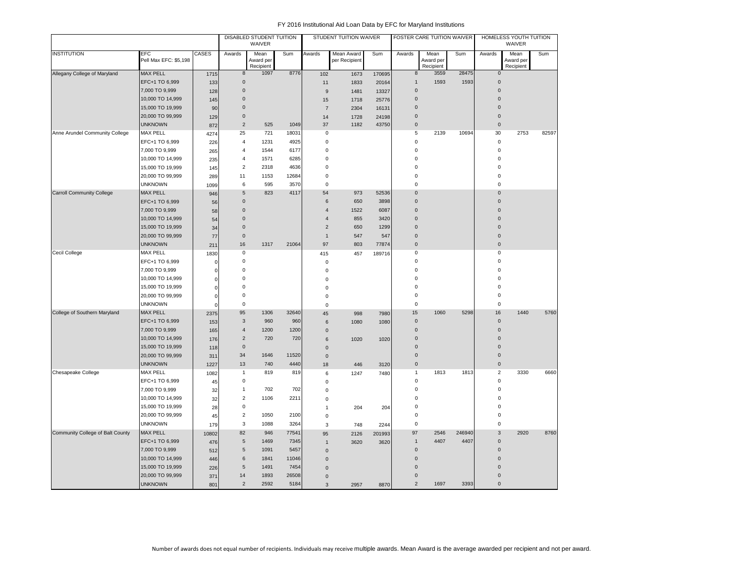|                                  |                                     |              |                      | DISABLED STUDENT TUITION<br>WAIVER |               |                  | STUDENT TUITION WAIVER      |        |                     | FOSTER CARE TUITION WAIVER     |        |                         | HOMELESS YOUTH TUITION<br>WAIVER |       |
|----------------------------------|-------------------------------------|--------------|----------------------|------------------------------------|---------------|------------------|-----------------------------|--------|---------------------|--------------------------------|--------|-------------------------|----------------------------------|-------|
| <b>INSTITUTION</b>               | <b>EFC</b><br>Pell Max EFC: \$5.198 | <b>CASES</b> | Awards               | Mean<br>Award per<br>Recipient     | Sum           | Awards           | Mean Award<br>per Recipient | Sum    | Awards              | Mean<br>Award per<br>Recipient | Sum    | Awards                  | Mean<br>Award per<br>Recipient   | Sum   |
| Allegany College of Maryland     | <b>MAX PELL</b>                     | 1715         | 8                    | 1097                               | 8776          | 102              | 1673                        | 170695 | 8                   | 3559                           | 28475  | $\mathbf{0}$            |                                  |       |
|                                  | EFC+1 TO 6,999                      | 133          | $\mathsf{O}\xspace$  |                                    |               | 11               | 1833                        | 20164  | $\overline{1}$      | 1593                           | 1593   | $\mathbf 0$             |                                  |       |
|                                  | 7,000 TO 9,999                      | 128          | $\mathbf 0$          |                                    |               | $\boldsymbol{9}$ | 1481                        | 13327  | 0                   |                                |        | $\mathbf 0$             |                                  |       |
|                                  | 10,000 TO 14,999                    | 145          | $\mathbf 0$          |                                    |               | 15               | 1718                        | 25776  | 0                   |                                |        | $\mathbf 0$             |                                  |       |
|                                  | 15,000 TO 19,999                    | 90           | $\mathbf 0$          |                                    |               | $\overline{7}$   | 2304                        | 16131  | $\overline{0}$      |                                |        | $\overline{0}$          |                                  |       |
|                                  | 20,000 TO 99,999                    | 129          | $\mathbf 0$          |                                    |               | 14               | 1728                        | 24198  | 0                   |                                |        | $\mathbf 0$             |                                  |       |
|                                  | <b>UNKNOWN</b>                      | 872          | $\overline{2}$       | 525                                | 1049          | 37               | 1182                        | 43750  | $\mathsf{O}\xspace$ |                                |        | $\mathsf{O}$            |                                  |       |
| Anne Arundel Community College   | <b>MAX PELL</b>                     | 4274         | 25                   | 721                                | 18031         | $\mathsf 0$      |                             |        | 5                   | 2139                           | 10694  | 30                      | 2753                             | 82597 |
|                                  | EFC+1 TO 6,999                      | 226          | $\overline{4}$       | 1231                               | 4925          | $\mathsf 0$      |                             |        | $\mathsf 0$         |                                |        | $\mathbf 0$             |                                  |       |
|                                  | 7,000 TO 9,999                      | 265          | $\overline{4}$       | 1544                               | 6177          | $\mathbf 0$      |                             |        | $\mathbf 0$         |                                |        | $\mathbf 0$             |                                  |       |
|                                  | 10,000 TO 14,999                    | 235          | $\overline{4}$       | 1571                               | 6285          | $\mathsf 0$      |                             |        | 0                   |                                |        | $\mathbf 0$             |                                  |       |
|                                  | 15,000 TO 19,999                    | 145          | $\overline{2}$       | 2318                               | 4636          | $\mathbf 0$      |                             |        | $\mathbf 0$         |                                |        | $\mathbf 0$             |                                  |       |
|                                  | 20,000 TO 99,999                    | 289          | 11                   | 1153                               | 12684         | $\mathsf 0$      |                             |        | 0                   |                                |        | $\mathbf 0$             |                                  |       |
|                                  | <b>UNKNOWN</b>                      | 1099         | 6                    | 595                                | 3570          | $\mathsf 0$      |                             |        | 0                   |                                |        | $\mathbf 0$             |                                  |       |
| <b>Carroll Community College</b> | <b>MAX PELL</b>                     | 946          | 5                    | 823                                | 4117          | 54               | 973                         | 52536  | $\overline{0}$      |                                |        | $\mathbf 0$             |                                  |       |
|                                  | EFC+1 TO 6,999                      | 56           | $\mathbf 0$          |                                    |               | 6                | 650                         | 3898   | 0                   |                                |        | $\mathbf 0$             |                                  |       |
|                                  | 7,000 TO 9,999                      | 58           | $\mathbf 0$          |                                    |               | $\overline{4}$   | 1522                        | 6087   | 0                   |                                |        | $\Omega$                |                                  |       |
|                                  | 10,000 TO 14,999                    | 54           | $\mathbf 0$          |                                    |               | $\overline{4}$   | 855                         | 3420   | 0                   |                                |        | $\overline{0}$          |                                  |       |
|                                  | 15,000 TO 19,999                    | 34           | $\pmb{0}$            |                                    |               | $\overline{2}$   | 650                         | 1299   | 0                   |                                |        | $\Omega$                |                                  |       |
|                                  | 20,000 TO 99,999                    | 77           | $\mathbf 0$          |                                    |               | $\mathbf{1}$     | 547                         | 547    | 0                   |                                |        | $\mathbf 0$             |                                  |       |
|                                  | <b>UNKNOWN</b>                      | 211          | $16\,$               | 1317                               | 21064         | 97               | 803                         | 77874  | $\pmb{0}$           |                                |        | $\pmb{0}$               |                                  |       |
| Cecil College                    | MAX PELL                            | 1830         | $\pmb{0}$            |                                    |               | 415              | 457                         | 189716 | $\mathsf 0$         |                                |        | $\mathbf 0$             |                                  |       |
|                                  | EFC+1 TO 6,999                      | 0            | $\pmb{0}$            |                                    |               | $\mathsf 0$      |                             |        | 0                   |                                |        | $\pmb{0}$               |                                  |       |
|                                  | 7,000 TO 9,999                      | $\mathbf 0$  | $\mathbf 0$          |                                    |               | $\mathsf 0$      |                             |        | $\mathbf 0$         |                                |        | $\mathbf 0$             |                                  |       |
|                                  | 10,000 TO 14,999                    | 0            | $\mathbf 0$          |                                    |               | 0                |                             |        | 0                   |                                |        | $\mathbf 0$             |                                  |       |
|                                  | 15,000 TO 19,999                    | $\mathbf 0$  | $\mathbf 0$          |                                    |               | 0                |                             |        | $\mathbf 0$         |                                |        | $\mathbf 0$             |                                  |       |
|                                  | 20,000 TO 99,999                    | $\pmb{0}$    | $\mathbf 0$          |                                    |               | 0                |                             |        | $\mathbf 0$         |                                |        | $\mathbf 0$             |                                  |       |
|                                  | <b>UNKNOWN</b>                      | $\Omega$     | $\mathsf 0$          |                                    |               | $\Omega$         |                             |        | 0                   |                                |        | $\mathsf 0$             |                                  |       |
| College of Southern Maryland     | <b>MAX PELL</b>                     | 2375         | 95                   | 1306                               | 32640         | 45               | 998                         | 7980   | 15                  | 1060                           | 5298   | 16                      | 1440                             | 5760  |
|                                  | EFC+1 TO 6,999                      | 153          | 3                    | 960                                | 960           | 6                | 1080                        | 1080   | $\mathsf{O}\xspace$ |                                |        | $\mathbf 0$             |                                  |       |
|                                  | 7,000 TO 9,999                      | 165          | $\overline{4}$       | 1200                               | 1200          | $\mathbf{0}$     |                             |        | $\mathsf{O}\xspace$ |                                |        | $\mathbf{0}$            |                                  |       |
|                                  | 10,000 TO 14,999                    | 176          | 2                    | 720                                | 720           | 6                | 1020                        | 1020   | $\mathbf{0}$        |                                |        | $\Omega$                |                                  |       |
|                                  | 15,000 TO 19,999                    | 118          | $\mathbf 0$          |                                    |               | $\mathbf{0}$     |                             |        | 0                   |                                |        | $\mathbf 0$             |                                  |       |
|                                  | 20,000 TO 99,999                    | 311          | 34                   | 1646                               | 11520         | $\mathsf 0$      |                             |        | $\mathsf{O}\xspace$ |                                |        | $\overline{0}$          |                                  |       |
|                                  | <b>UNKNOWN</b>                      | 1227         | 13                   | 740                                | 4440          | 18               | 446                         | 3120   | $\mathsf{O}\xspace$ |                                |        | $\mathbf 0$             |                                  |       |
| Chesapeake College               | MAX PELL                            | 1082         | $\mathbf{1}$         | 819                                | 819           | 6                | 1247                        | 7480   | $\mathbf{1}$        | 1813                           | 1813   | $\overline{2}$          | 3330                             | 6660  |
|                                  | EFC+1 TO 6,999                      | 45           | $\mathsf 0$          |                                    |               | $\mathsf 0$      |                             |        | 0                   |                                |        | $\mathbf 0$             |                                  |       |
|                                  | 7,000 TO 9,999                      | 32           | $\mathbf{1}$         | 702                                | 702           | $\mathbf 0$      |                             |        | 0                   |                                |        | $\mathbf 0$             |                                  |       |
|                                  | 10,000 TO 14,999                    | 32           | $\overline{2}$       | 1106                               | 2211          | $\mathbf 0$      |                             |        | $\mathbf 0$         |                                |        | $\overline{0}$          |                                  |       |
|                                  | 15,000 TO 19,999                    | 28           | $\pmb{0}$            |                                    |               | $\overline{1}$   | 204                         | 204    | 0                   |                                |        | $\mathbf 0$             |                                  |       |
|                                  | 20,000 TO 99,999                    | 45           | $\mathbf 2$          | 1050                               | 2100          | $\mathbf 0$      |                             |        | 0                   |                                |        | $\mathbf 0$             |                                  |       |
|                                  | <b>UNKNOWN</b>                      | 179          | 3                    | 1088                               | 3264          | 3                | 748                         | 2244   | $\mathsf 0$         |                                |        | $\mathsf 0$             |                                  |       |
| Community College of Balt County | <b>MAX PELL</b>                     | 10802        | 82                   | 946                                | 77541         | 95               | 2126                        | 201993 | 97                  | 2546                           | 246940 | 3                       | 2920                             | 8760  |
|                                  | EFC+1 TO 6,999                      | 476          | $\,$ 5 $\,$          | 1469                               | 7345          | $\mathbf{1}$     | 3620                        | 3620   | $\mathbf{1}$        | 4407                           | 4407   | $\mathbf 0$             |                                  |       |
|                                  | 7,000 TO 9,999                      | 512          | $\,$ 5 $\,$          | 1091                               | 5457          | $\mathbf 0$      |                             |        | $\mathsf{O}\xspace$ |                                |        | $\mathbf 0$             |                                  |       |
|                                  | 10,000 TO 14,999                    | 446          | $\,6\,$              | 1841                               | 11046         | $\mathbf{0}$     |                             |        | 0<br>$\Omega$       |                                |        | $\mathbf 0$<br>$\Omega$ |                                  |       |
|                                  | 15,000 TO 19,999                    | 226          | $\sqrt{5}$           | 1491                               | 7454          | $\overline{0}$   |                             |        | $\Omega$            |                                |        | $\Omega$                |                                  |       |
|                                  | 20,000 TO 99,999                    | 371          | 14<br>$\overline{2}$ | 1893<br>2592                       | 26508<br>5184 | $\Omega$         |                             |        | $\overline{2}$      | 1697                           | 3393   | $\mathbf{0}$            |                                  |       |
|                                  | <b>UNKNOWN</b>                      | 801          |                      |                                    |               | 3                | 2957                        | 8870   |                     |                                |        |                         |                                  |       |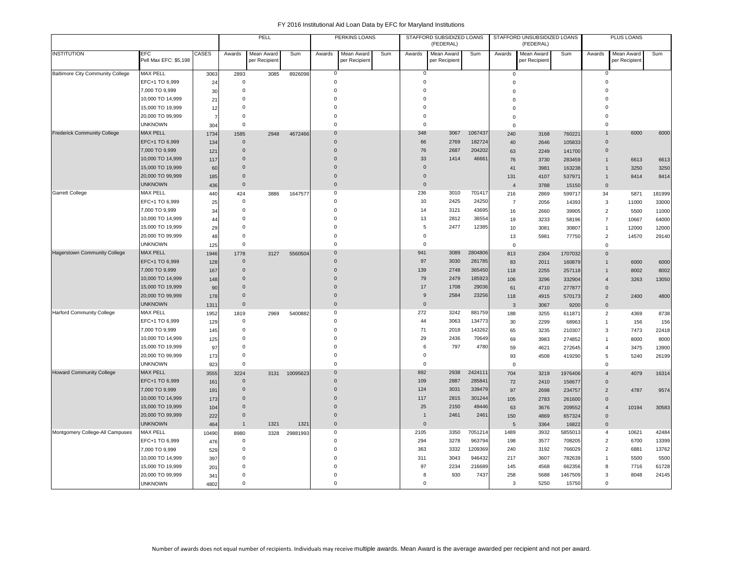|                                         |                                      |                |                      | PELL<br>PERKINS LOANS       |          |                      |                                    |     | STAFFORD SUBSIDIZED LOANS<br>(FEDERAL) |                                    |                | STAFFORD UNSUBSIDIZED LOANS<br>(FEDERAL) |                             |                   | <b>PLUS LOANS</b>              |                                    |        |
|-----------------------------------------|--------------------------------------|----------------|----------------------|-----------------------------|----------|----------------------|------------------------------------|-----|----------------------------------------|------------------------------------|----------------|------------------------------------------|-----------------------------|-------------------|--------------------------------|------------------------------------|--------|
| <b>INSTITUTION</b>                      | EFC<br>Pell Max EFC: \$5,198         | CASES          | Awards               | Mean Award<br>per Recipient | Sum      | Awards               | <b>Mean Award</b><br>per Recipient | Sum | Awards                                 | <b>Mean Award</b><br>per Recipient | Sum            | Awards                                   | Mean Award<br>per Recipient | Sum               | Awards                         | <b>Mean Award</b><br>per Recipient | Sum    |
| <b>Baltimore City Community College</b> | <b>MAX PELL</b>                      | 3063           | 2893                 | 3085                        | 8926098  | $\mathbf 0$          |                                    |     | 0                                      |                                    |                | $\mathbf 0$                              |                             |                   | 0                              |                                    |        |
|                                         | EFC+1 TO 6,999                       | 24             | $\Omega$             |                             |          | $\Omega$             |                                    |     | $\mathsf 0$                            |                                    |                | $\Omega$                                 |                             |                   | $\Omega$                       |                                    |        |
|                                         | 7,000 TO 9,999                       | 30             | $\Omega$             |                             |          | $\Omega$             |                                    |     | $\Omega$                               |                                    |                | $\Omega$                                 |                             |                   |                                |                                    |        |
|                                         | 10,000 TO 14,999                     | 21             | $\Omega$             |                             |          | $\Omega$             |                                    |     | $\Omega$                               |                                    |                | $\Omega$                                 |                             |                   | $\Omega$                       |                                    |        |
|                                         | 15,000 TO 19,999                     | 12             | $\Omega$             |                             |          | $\Omega$             |                                    |     | $\Omega$                               |                                    |                | $\Omega$                                 |                             |                   |                                |                                    |        |
|                                         | 20,000 TO 99,999                     | $\overline{7}$ | $\Omega$             |                             |          | $\Omega$             |                                    |     | $\mathbf 0$                            |                                    |                | $\Omega$                                 |                             |                   |                                |                                    |        |
|                                         | <b>UNKNOWN</b>                       | 304            | $\Omega$             |                             |          | $\Omega$             |                                    |     | $\mathbf 0$                            |                                    |                | $\Omega$                                 |                             |                   | $\Omega$                       |                                    |        |
| <b>Frederick Community College</b>      | <b>MAX PELL</b>                      | 1734           | 1585                 | 2948                        | 4672466  | $\Omega$             |                                    |     | 348                                    | 3067                               | 1067437        | 240                                      | 3168                        | 760221            |                                | 6000                               | 6000   |
|                                         | EFC+1 TO 6,999                       | 134            | $\Omega$             |                             |          | $\Omega$             |                                    |     | 66                                     | 2769                               | 182724         | 40                                       | 2646                        | 105833            | $\Omega$                       |                                    |        |
|                                         | 7,000 TO 9,999                       | 121            | $\Omega$             |                             |          | $\Omega$             |                                    |     | 76                                     | 2687                               | 204202         | 63                                       | 2249                        | 141700            | $\Omega$                       |                                    |        |
|                                         | 10,000 TO 14,999                     | 117            | $\Omega$             |                             |          | $\Omega$             |                                    |     | 33                                     | 1414                               | 46661          | 76                                       | 3730                        | 283459            |                                | 6613                               | 6613   |
|                                         | 15,000 TO 19,999                     | 60             | $\Omega$             |                             |          | $\Omega$             |                                    |     | $\mathbf{0}$                           |                                    |                | 41                                       | 3981                        | 163238            |                                | 3250                               | 3250   |
|                                         | 20,000 TO 99,999                     | 185            | $\Omega$             |                             |          | $\Omega$             |                                    |     | $\mathsf{O}\xspace$                    |                                    |                | 131                                      | 4107                        | 537971            | $\mathbf{1}$                   | 8414                               | 8414   |
|                                         | <b>UNKNOWN</b>                       | 436            | $\mathbf{0}$         |                             |          | $\Omega$             |                                    |     | $\mathbf{0}$                           |                                    |                | $\overline{4}$                           | 3788                        | 15150             | $\mathbf{0}$                   |                                    |        |
| <b>Garrett College</b>                  | <b>MAX PELL</b>                      | 440            | 424                  | 3886                        | 1647577  | $\Omega$             |                                    |     | 236                                    | 3010                               | 701417         | 216                                      | 2869                        | 599717            | 34                             | 5871                               | 181999 |
|                                         | EFC+1 TO 6,999                       | 25             | 0                    |                             |          | $\Omega$             |                                    |     | 10                                     | 2425                               | 24250          | $\overline{7}$                           | 2056                        | 14393             | 3                              | 11000                              | 33000  |
|                                         | 7,000 TO 9,999                       | 34             | $\Omega$             |                             |          | $\Omega$             |                                    |     | 14                                     | 3121                               | 43695          | 16                                       | 2660                        | 39905             | $\overline{2}$                 | 5500                               | 11000  |
|                                         | 10,000 TO 14,999                     | 44             | $\Omega$             |                             |          | $\Omega$             |                                    |     | 13                                     | 2812                               | 36554          | 19                                       | 3233                        | 58196             | $\overline{7}$                 | 10667                              | 64000  |
|                                         | 15,000 TO 19,999                     | 29             | $\Omega$             |                             |          | $\Omega$             |                                    |     | 5                                      | 2477                               | 12385          | 10                                       | 3081                        | 30807             | $\overline{1}$                 | 12000                              | 12000  |
|                                         | 20,000 TO 99,999                     | 48             | $\mathbf 0$          |                             |          | $\Omega$             |                                    |     | $\mathbf 0$                            |                                    |                | 13                                       | 5981                        | 77750             | $\overline{2}$                 | 14570                              | 29140  |
|                                         | <b>UNKNOWN</b>                       | 125            | $\mathbf 0$          |                             |          | $\Omega$             |                                    |     | $\mathbf 0$                            |                                    |                | $\mathsf 0$                              |                             |                   | $\Omega$                       |                                    |        |
| <b>Hagerstown Community College</b>     | <b>MAX PELL</b>                      | 1946           | 1778                 | 3127                        | 5560504  | $\Omega$             |                                    |     | 941                                    | 3089                               | 2804806        | 813                                      | 2304                        | 1707032           | $\mathbf{0}$                   |                                    |        |
|                                         | EFC+1 TO 6,999                       | 128            | $\mathbf 0$          |                             |          | $\Omega$             |                                    |     | 97                                     | 3030                               | 281785         | 83                                       | 2011                        | 160879            | $\overline{1}$                 | 6000                               | 6000   |
|                                         | 7,000 TO 9,999                       | 167            | $\mathbf{0}$         |                             |          | $\Omega$             |                                    |     | 139                                    | 2748                               | 365450         | 118                                      | 2255                        | 257118            |                                | 8002                               | 8002   |
|                                         | 10,000 TO 14,999                     | 148            | $\Omega$             |                             |          | $\Omega$             |                                    |     | 79                                     | 2479                               | 185923         | 106                                      | 3296                        | 332904            | $\overline{4}$                 | 3263                               | 13050  |
|                                         | 15,000 TO 19,999                     | 90             | $\Omega$             |                             |          | $\Omega$             |                                    |     | 17                                     | 1708                               | 29036          | 61                                       | 4710                        | 277877            | $\mathbf{0}$                   |                                    |        |
|                                         | 20,000 TO 99,999                     | 178            | $\mathbf{0}$         |                             |          | $\mathbf 0$          |                                    |     | 9                                      | 2584                               | 23256          | 118                                      | 4915                        | 570173            | 2                              | 2400                               | 4800   |
|                                         | <b>UNKNOWN</b>                       | 1311           | $\Omega$             |                             |          | $\Omega$             |                                    |     | $\mathsf{O}\xspace$                    |                                    |                | $\overline{3}$                           | 3067                        | 9200              | $\Omega$                       |                                    |        |
| <b>Harford Community College</b>        | <b>MAX PELL</b>                      | 1952           | 1819                 | 2969                        | 5400882  | $\mathbf 0$          |                                    |     | 272                                    | 3242                               | 881759         | 188                                      | 3255                        | 611871            | $\overline{2}$                 | 4369                               | 8738   |
|                                         | EFC+1 TO 6,999                       | 129            | $\mathbf 0$          |                             |          | $\Omega$             |                                    |     | 44                                     | 3063                               | 134773         | 30                                       | 2299                        | 68963             | $\overline{1}$                 | 156                                | 156    |
|                                         | 7,000 TO 9,999                       | 145            | $\mathbf 0$          |                             |          | $\Omega$             |                                    |     | 71                                     | 2018                               | 143262         | 65                                       | 3235                        | 210307            | 3                              | 7473                               | 22418  |
|                                         | 10,000 TO 14,999                     | 125            | $\Omega$             |                             |          | $\Omega$             |                                    |     | 29                                     | 2436                               | 70649          | 69                                       | 3983                        | 274852            | $\overline{1}$                 | 8000                               | 8000   |
|                                         | 15,000 TO 19,999                     | 97             | $\Omega$             |                             |          | $\Omega$             |                                    |     | 6                                      | 797                                | 4780           | 59                                       | 4621                        | 272645            | $\overline{4}$                 | 3475                               | 13900  |
|                                         | 20,000 TO 99,999                     | 173            | $\mathbf 0$          |                             |          | $\Omega$             |                                    |     | $\mathbf 0$                            |                                    |                | 93                                       | 4508                        | 419290            | 5                              | 5240                               | 26199  |
|                                         | <b>UNKNOWN</b>                       | 923            | $\Omega$             |                             |          | $\Omega$             |                                    |     | $\mathsf 0$                            |                                    |                | $\Omega$                                 |                             |                   | $\Omega$                       |                                    |        |
| <b>Howard Community College</b>         | <b>MAX PELL</b>                      | 3555           | 3224                 | 3131                        | 10095623 | $\Omega$             |                                    |     | 892                                    | 2938                               | 2424111        | 704                                      | 3219                        | 1976406           | $\overline{4}$                 | 4079                               | 16314  |
|                                         | EFC+1 TO 6,999                       | 161            | $\mathbf 0$          |                             |          | $\Omega$             |                                    |     | 109                                    | 2887                               | 285841         | 72                                       | 2410                        | 156677            | $\Omega$                       |                                    |        |
|                                         | 7,000 TO 9,999                       | 191            | $\Omega$             |                             |          | $\Omega$             |                                    |     | 124                                    | 3031                               | 339479         | 97                                       | 2698                        | 234757            | $\overline{2}$                 | 4787                               | 9574   |
|                                         | 10,000 TO 14,999                     | 173            | $\mathbf{0}$         |                             |          | $\Omega$             |                                    |     | 117                                    | 2815                               | 301244         | 105                                      | 2783                        | 261600            | $\Omega$                       |                                    |        |
|                                         | 15,000 TO 19,999                     | 104            | $\Omega$             |                             |          | $\Omega$             |                                    |     | 25                                     | 2150                               | 49446          | 63                                       | 3676                        | 209552            | $\overline{4}$                 | 10194                              | 30583  |
|                                         | 20,000 TO 99,999                     | 222            | $\mathbf{0}$         |                             |          | $\Omega$             |                                    |     | $\overline{1}$                         | 2461                               | 2461           | 150                                      | 4869                        | 657324            | $\Omega$                       |                                    |        |
|                                         | <b>UNKNOWN</b>                       | 464            | $\overline{1}$       | 1321                        | 1321     | $\Omega$             |                                    |     | $\mathsf{O}\xspace$                    |                                    |                | 5                                        | 3364                        | 16822             | $\mathbf{0}$                   |                                    |        |
| Montgomery College-All Campuses         | <b>MAX PELL</b>                      | 10490          | 8980                 | 3328                        | 29881993 | $\mathbf 0$          |                                    |     | 2105                                   | 3350                               | 7051214        | 1489                                     | 3932                        | 5855013           | 4                              | 10621                              | 42484  |
|                                         | EFC+1 TO 6,999                       | 476            | $\mathsf 0$          |                             |          | $\Omega$             |                                    |     | 294                                    | 3278                               | 963794         | 198                                      | 3577                        | 708205            | $\overline{2}$                 | 6700                               | 13399  |
|                                         | 7,000 TO 9,999                       | 529            | $\Omega$             |                             |          | $\Omega$<br>$\Omega$ |                                    |     | 363                                    | 3332                               | 1209369        | 240                                      | 3192                        | 766029            | $\overline{2}$                 | 6881                               | 13762  |
|                                         | 10,000 TO 14,999                     | 397            | $\Omega$             |                             |          |                      |                                    |     | 311                                    | 3043                               | 946432         | 217                                      | 3607                        | 782639            | $\overline{1}$<br>$\mathbf{R}$ | 5500                               | 5500   |
|                                         | 15,000 TO 19,999<br>20,000 TO 99,999 | 201            | $\Omega$<br>$\Omega$ |                             |          |                      |                                    |     | 97<br>8                                | 2234<br>930                        | 216689<br>7437 | 145<br>258                               | 4568<br>5688                | 662356<br>1467509 | 3                              | 7716<br>8048                       | 61728  |
|                                         | <b>UNKNOWN</b>                       | 341            | $\Omega$             |                             |          | $\Omega$             |                                    |     | $\mathbf 0$                            |                                    |                | 3                                        | 5250                        | 15750             | $\mathbf 0$                    |                                    | 24145  |
|                                         |                                      | 4802           |                      |                             |          |                      |                                    |     |                                        |                                    |                |                                          |                             |                   |                                |                                    |        |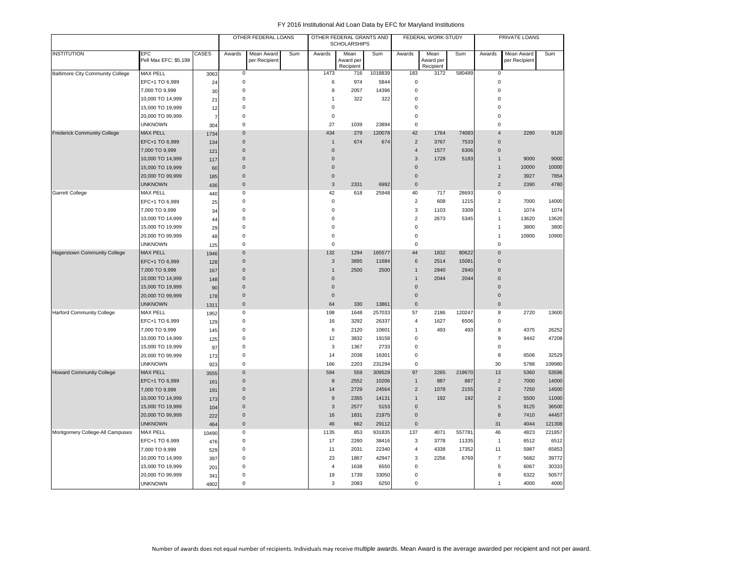|                                     |                                     |                |                     | OTHER FEDERAL LOANS         |     |                | OTHER FEDERAL GRANTS AND<br><b>SCHOLARSHIPS</b> |         |                     | FEDERAL WORK-STUDY             |        |                       | PRIVATE LOANS               |        |
|-------------------------------------|-------------------------------------|----------------|---------------------|-----------------------------|-----|----------------|-------------------------------------------------|---------|---------------------|--------------------------------|--------|-----------------------|-----------------------------|--------|
| <b>INSTITUTION</b>                  | <b>EFC</b><br>Pell Max EFC: \$5,198 | <b>CASES</b>   | Awards              | Mean Award<br>per Recipient | Sum | Awards         | Mean<br>Award per<br>Recipient                  | Sum     | Awards              | Mean<br>Award per<br>Recipient | Sum    | Awards                | Mean Award<br>per Recipient | Sum    |
| Baltimore City Community College    | <b>MAX PELL</b>                     | 3063           | $\mathbf 0$         |                             |     | 1473           | 716                                             | 1018839 | 183                 | 3172                           | 580489 | 0                     |                             |        |
|                                     | EFC+1 TO 6,999                      | 24             | $\mathsf 0$         |                             |     | 6              | 974                                             | 5844    | $\mathbf 0$         |                                |        | 0                     |                             |        |
|                                     | 7,000 TO 9,999                      | 30             | $\mathbf 0$         |                             |     | 8              | 2057                                            | 14396   | $\mathbf 0$         |                                |        | $\Omega$              |                             |        |
|                                     | 10,000 TO 14,999                    | 21             | $\mathbf 0$         |                             |     | $\mathbf{1}$   | 322                                             | 322     | $\mathbf 0$         |                                |        | $\Omega$              |                             |        |
|                                     | 15,000 TO 19,999                    | 12             | $\mathbf 0$         |                             |     | $\mathbf 0$    |                                                 |         | $\mathsf 0$         |                                |        | $\Omega$              |                             |        |
|                                     | 20,000 TO 99,999                    | $\overline{7}$ | $\mathbf 0$         |                             |     | $\mathbf 0$    |                                                 |         | $\mathbf 0$         |                                |        | $\Omega$              |                             |        |
|                                     | <b>UNKNOWN</b>                      | 304            | $\mathbf 0$         |                             |     | 27             | 1039                                            | 23894   | $\mathbf 0$         |                                |        | $\mathbf 0$           |                             |        |
| <b>Frederick Community College</b>  | <b>MAX PELL</b>                     | 1734           | $\mathbf{0}$        |                             |     | 434            | 279                                             | 120078  | 42                  | 1764                           | 74083  | $\boldsymbol{\Delta}$ | 2280                        | 9120   |
|                                     | EFC+1 TO 6,999                      | 134            | $\pmb{0}$           |                             |     | $\overline{1}$ | 674                                             | 674     | $\overline{2}$      | 3767                           | 7533   | $\mathbf{0}$          |                             |        |
|                                     | 7,000 TO 9,999                      | 121            | $\mathbf 0$         |                             |     | $\overline{0}$ |                                                 |         | $\overline{4}$      | 1577                           | 6306   | $\pmb{0}$             |                             |        |
|                                     | 10,000 TO 14,999                    | 117            | $\mathbf 0$         |                             |     | $\overline{0}$ |                                                 |         | 3                   | 1728                           | 5183   | $\mathbf{1}$          | 9000                        | 9000   |
|                                     | 15,000 TO 19,999                    | 60             | $\mathbf 0$         |                             |     | $\mathbf 0$    |                                                 |         | $\mathsf 0$         |                                |        | $\overline{1}$        | 10000                       | 10000  |
|                                     | 20,000 TO 99,999                    | 185            | $\mathbf 0$         |                             |     | $\mathbf 0$    |                                                 |         | $\mathsf{O}\xspace$ |                                |        | $\overline{2}$        | 3927                        | 7854   |
|                                     | <b>UNKNOWN</b>                      | 436            | $\mathsf{O}\xspace$ |                             |     | 3              | 2331                                            | 6992    | $\mathbf 0$         |                                |        | $\overline{2}$        | 2390                        | 4780   |
| Garrett College                     | <b>MAX PELL</b>                     | 440            | $\mathbf 0$         |                             |     | 42             | 618                                             | 25948   | 40                  | 717                            | 28693  | $\pmb{0}$             |                             |        |
|                                     | EFC+1 TO 6,999                      | 25             | $\mathbf 0$         |                             |     | $\mathbf 0$    |                                                 |         | $\overline{2}$      | 608                            | 1215   | $\overline{2}$        | 7000                        | 14000  |
|                                     | 7,000 TO 9,999                      | 34             | 0                   |                             |     | $\mathbf 0$    |                                                 |         | 3                   | 1103                           | 3309   | 1                     | 1074                        | 1074   |
|                                     | 10,000 TO 14,999                    | 44             | $\mathbf 0$         |                             |     | $\mathbf 0$    |                                                 |         | $\overline{2}$      | 2673                           | 5345   | 1                     | 13620                       | 13620  |
|                                     | 15,000 TO 19,999                    | 29             | $\mathbf 0$         |                             |     | $\mathbf 0$    |                                                 |         | $\mathsf 0$         |                                |        | 1                     | 3800                        | 3800   |
|                                     | 20,000 TO 99,999                    | 48             | $\mathbf 0$         |                             |     | $\pmb{0}$      |                                                 |         | $\mathsf 0$         |                                |        | 1                     | 10900                       | 10900  |
|                                     | <b>UNKNOWN</b>                      | 125            | $\mathbf 0$         |                             |     | $\mathbf 0$    |                                                 |         | $\mathsf 0$         |                                |        | $\Omega$              |                             |        |
| <b>Hagerstown Community College</b> | <b>MAX PELL</b>                     | 1946           | $\overline{0}$      |                             |     | 132            | 1294                                            | 165577  | 44                  | 1832                           | 80622  | $\mathbf 0$           |                             |        |
|                                     | EFC+1 TO 6,999                      | 128            | $\mathsf{O}\xspace$ |                             |     | $\mathbf{3}$   | 3895                                            | 11684   | 6                   | 2514                           | 15081  | $\mathbf{0}$          |                             |        |
|                                     | 7,000 TO 9,999                      | 167            | $\Omega$            |                             |     | $\mathbf{1}$   | 2500                                            | 2500    | $\mathbf{1}$        | 2940                           | 2940   | $\mathbf 0$           |                             |        |
|                                     | 10,000 TO 14,999                    | 148            | $\mathbf{0}$        |                             |     | $\overline{0}$ |                                                 |         | $\overline{1}$      | 2044                           | 2044   | $\mathbf{0}$          |                             |        |
|                                     | 15,000 TO 19,999                    | 90             | $\Omega$            |                             |     | $\overline{0}$ |                                                 |         | $\Omega$            |                                |        | $\Omega$              |                             |        |
|                                     | 20,000 TO 99,999                    | 178            | $\mathbf 0$         |                             |     | $\mathbf 0$    |                                                 |         | $\mathbf{0}$        |                                |        | $\mathbf{0}$          |                             |        |
|                                     | <b>UNKNOWN</b>                      | 1311           | $\mathbf{0}$        |                             |     | 64             | 330                                             | 13861   | $\mathbf{0}$        |                                |        | $\mathbf{0}$          |                             |        |
| <b>Harford Community College</b>    | <b>MAX PELL</b>                     | 1952           | 0                   |                             |     | 198            | 1648                                            | 257033  | 57                  | 2186                           | 120247 | 8                     | 2720                        | 13600  |
|                                     | EFC+1 TO 6,999                      | 129            | $\mathsf 0$         |                             |     | 16             | 3292                                            | 26337   | $\overline{4}$      | 1627                           | 6506   | 0                     |                             |        |
|                                     | 7,000 TO 9,999                      | 145            | $\mathbf 0$         |                             |     | 6              | 2120                                            | 10601   | $\overline{1}$      | 493                            | 493    | 8                     | 4375                        | 26252  |
|                                     | 10,000 TO 14,999                    | 125            | 0                   |                             |     | 12             | 3832                                            | 19158   | $\mathbf 0$         |                                |        | 9                     | 9442                        | 47208  |
|                                     | 15,000 TO 19,999                    | 97             | $\mathbf 0$         |                             |     | 3              | 1367                                            | 2733    | $\mathbf 0$         |                                |        | $\Omega$              |                             |        |
|                                     | 20,000 TO 99,999                    | 173            | $\mathbf 0$         |                             |     | 14             | 2038                                            | 16301   | $\mathsf 0$         |                                |        | 8                     | 6506                        | 32529  |
|                                     | <b>UNKNOWN</b>                      | 923            | $\mathbf 0$         |                             |     | 166            | 2203                                            | 231294  | $\mathbf 0$         |                                |        | 30                    | 5788                        | 109980 |
| <b>Howard Community College</b>     | <b>MAX PELL</b>                     | 3555           | $\overline{0}$      |                             |     | 594            | 559                                             | 309529  | 97                  | 2265                           | 219670 | 13                    | 5360                        | 53596  |
|                                     | EFC+1 TO 6,999                      | 161            | $\mathbf 0$         |                             |     | 8              | 2552                                            | 10206   | $\mathbf{1}$        | 887                            | 887    | $\overline{2}$        | 7000                        | 14000  |
|                                     | 7,000 TO 9,999                      | 191            | $\mathbf{0}$        |                             |     | 14             | 2729                                            | 24564   | 2                   | 1078                           | 2155   | $\overline{2}$        | 7250                        | 14500  |
|                                     | 10,000 TO 14,999                    | 173            | $\mathbf 0$         |                             |     | 9              | 2355                                            | 14131   | $\mathbf{1}$        | 192                            | 192    | $\overline{2}$        | 5500                        | 11000  |
|                                     | 15,000 TO 19,999                    | 104            | $\mathbf 0$         |                             |     | $\sqrt{3}$     | 2577                                            | 5153    | $\mathbf{0}$        |                                |        | 5                     | 9125                        | 36500  |
|                                     | 20,000 TO 99,999                    | 222            | $\mathbf 0$         |                             |     | 16             | 1831                                            | 21975   | $\mathbf 0$         |                                |        | 8                     | 7410                        | 44457  |
|                                     | <b>UNKNOWN</b>                      | 464            | $\mathsf{O}\xspace$ |                             |     | 46             | 662                                             | 29112   | $\mathsf{O}\xspace$ |                                |        | 31                    | 4044                        | 121308 |
| Montgomery College-All Campuses     | <b>MAX PELL</b>                     | 10490          | 0                   |                             |     | 1135           | 853                                             | 931835  | 137                 | 4071                           | 557781 | 46                    | 4823                        | 221857 |
|                                     | EFC+1 TO 6,999                      | 476            | 0                   |                             |     | 17             | 2260                                            | 38416   | 3                   | 3778                           | 11335  | $\mathbf{1}$          | 6512                        | 6512   |
|                                     | 7,000 TO 9,999                      | 529            | $\mathbf 0$         |                             |     | 11             | 2031                                            | 22340   | $\overline{4}$      | 4338                           | 17352  | 11                    | 5987                        | 65853  |
|                                     | 10,000 TO 14,999                    | 397            | 0                   |                             |     | 23             | 1867                                            | 42947   | 3                   | 2256                           | 6769   | $\overline{7}$        | 5682                        | 39772  |
|                                     | 15,000 TO 19,999                    | 201            | 0                   |                             |     | $\overline{4}$ | 1638                                            | 6550    | 0                   |                                |        | 5                     | 6067                        | 30333  |
|                                     | 20,000 TO 99,999                    | 341            | 0                   |                             |     | 19             | 1739                                            | 33050   | 0                   |                                |        | 8                     | 6322                        | 50577  |
|                                     | <b>UNKNOWN</b>                      | 4802           | $\mathbf 0$         |                             |     | 3              | 2083                                            | 6250    | $\mathbf 0$         |                                |        | 1                     | 4000                        | 4000   |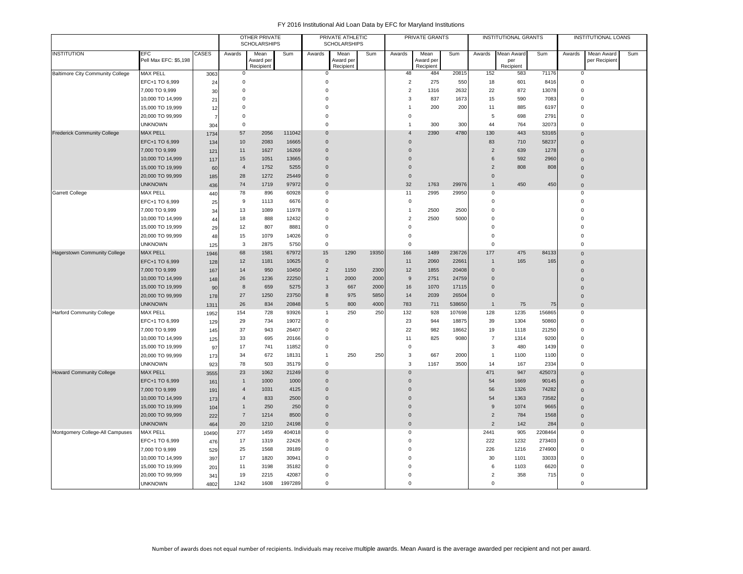|                                         |                       |              |                  | <b>OTHER PRIVATE</b><br><b>SCHOLARSHIPS</b> |         |                | PRIVATE ATHLETIC<br><b>SCHOLARSHIPS</b> |       |                | PRIVATE GRANTS         |        |                  | INSTITUTIONAL GRANTS |         |                | <b>INSTITUTIONAL LOANS</b> |     |
|-----------------------------------------|-----------------------|--------------|------------------|---------------------------------------------|---------|----------------|-----------------------------------------|-------|----------------|------------------------|--------|------------------|----------------------|---------|----------------|----------------------------|-----|
| <b>INSTITUTION</b>                      | <b>EFC</b>            | <b>CASES</b> | Awards           | Mean                                        | Sum     | Awards         | Mean                                    | Sum   | Awards         | Mean                   | Sum    | Awards           | Mean Award           | Sum     | Awards         | Mean Award                 | Sum |
|                                         | Pell Max EFC: \$5,198 |              |                  | Award per<br>Recipient                      |         |                | Award per<br>Recipient                  |       |                | Award per<br>Recipient |        |                  | per<br>Recipient     |         |                | per Recipient              |     |
| <b>Baltimore City Community College</b> | <b>MAX PELL</b>       | 3063         | 0                |                                             |         | 0              |                                         |       | 48             | 484                    | 20815  | 152              | 583                  | 71176   | 0              |                            |     |
|                                         | EFC+1 TO 6,999        | 24           | $\mathsf 0$      |                                             |         | $\mathbf 0$    |                                         |       | $\overline{2}$ | 275                    | 550    | 18               | 601                  | 8416    | $\pmb{0}$      |                            |     |
|                                         | 7,000 TO 9,999        | 30           | $\mathbf 0$      |                                             |         | $\overline{0}$ |                                         |       | $\overline{2}$ | 1316                   | 2632   | 22               | 872                  | 13078   | $\overline{0}$ |                            |     |
|                                         | 10,000 TO 14,999      | 21           | $\Omega$         |                                             |         | $\overline{0}$ |                                         |       | 3              | 837                    | 1673   | 15               | 590                  | 7083    | $\overline{0}$ |                            |     |
|                                         | 15,000 TO 19,999      | 12           | $\mathbf 0$      |                                             |         | $\mathbf 0$    |                                         |       | $\mathbf{1}$   | 200                    | 200    | 11               | 885                  | 6197    | $\overline{0}$ |                            |     |
|                                         | 20,000 TO 99,999      |              | 0                |                                             |         | $\mathbf 0$    |                                         |       | $\mathbf 0$    |                        |        | 5                | 698                  | 2791    | $\overline{0}$ |                            |     |
|                                         | <b>UNKNOWN</b>        | 304          | $\mathbf 0$      |                                             |         | $\mathbf 0$    |                                         |       | $\overline{1}$ | 300                    | 300    | 44               | 764                  | 32073   | $\mathbf 0$    |                            |     |
| <b>Frederick Community College</b>      | <b>MAX PELL</b>       | 1734         | 57               | 2056                                        | 111042  | $\overline{0}$ |                                         |       | $\overline{4}$ | 2390                   | 4780   | 130              | 443                  | 53165   | $\overline{0}$ |                            |     |
|                                         | EFC+1 TO 6,999        | 134          | 10               | 2083                                        | 16665   | $\Omega$       |                                         |       | $\mathbf 0$    |                        |        | 83               | 710                  | 58237   | $\overline{0}$ |                            |     |
|                                         | 7,000 TO 9,999        | 121          | 11               | 1627                                        | 16269   | $\overline{0}$ |                                         |       | $\mathbf 0$    |                        |        | $\overline{2}$   | 639                  | 1278    | $\Omega$       |                            |     |
|                                         | 10,000 TO 14,999      | 117          | 15               | 1051                                        | 13665   | $\mathbf 0$    |                                         |       | $\mathbf 0$    |                        |        | 6                | 592                  | 2960    | $\Omega$       |                            |     |
|                                         | 15,000 TO 19,999      | 60           | $\overline{4}$   | 1752                                        | 5255    | $\Omega$       |                                         |       | $\mathbf{0}$   |                        |        | $\overline{2}$   | 808                  | 808     | $\mathbf{0}$   |                            |     |
|                                         | 20,000 TO 99,999      | 185          | 28               | 1272                                        | 25449   | $\Omega$       |                                         |       | $\mathbf 0$    |                        |        | $\Omega$         |                      |         | $\overline{0}$ |                            |     |
|                                         | <b>UNKNOWN</b>        | 436          | 74               | 1719                                        | 97972   | $\Omega$       |                                         |       | 32             | 1763                   | 29976  | $\mathbf{1}$     | 450                  | 450     | $\overline{0}$ |                            |     |
| <b>Garrett College</b>                  | <b>MAX PELL</b>       | 440          | 78               | 896                                         | 60928   | $\mathbf 0$    |                                         |       | 11             | 2995                   | 29950  | 0                |                      |         | $\overline{0}$ |                            |     |
|                                         | EFC+1 TO 6,999        | 25           | $\boldsymbol{9}$ | 1113                                        | 6676    | $\overline{0}$ |                                         |       | $\mathbf 0$    |                        |        | 0                |                      |         | $\Omega$       |                            |     |
|                                         | 7,000 TO 9,999        | 34           | 13               | 1089                                        | 11978   | $\Omega$       |                                         |       | $\overline{1}$ | 2500                   | 2500   | $\Omega$         |                      |         | $\Omega$       |                            |     |
|                                         | 10,000 TO 14,999      | 44           | 18               | 888                                         | 12432   | $\mathbf 0$    |                                         |       | $\overline{2}$ | 2500                   | 5000   | $\mathbf 0$      |                      |         | $\Omega$       |                            |     |
|                                         | 15,000 TO 19,999      | 29           | 12               | 807                                         | 8881    | $\Omega$       |                                         |       | $\mathbf 0$    |                        |        | $\Omega$         |                      |         | $\Omega$       |                            |     |
|                                         | 20,000 TO 99,999      | 48           | 15               | 1079                                        | 14026   | $\mathbf 0$    |                                         |       | $\mathsf 0$    |                        |        | $\mathbf 0$      |                      |         | $\Omega$       |                            |     |
|                                         | <b>UNKNOWN</b>        | 125          | 3                | 2875                                        | 5750    | $\mathbf 0$    |                                         |       | $\mathsf 0$    |                        |        | $\Omega$         |                      |         | $\Omega$       |                            |     |
| <b>Hagerstown Community College</b>     | <b>MAX PELL</b>       | 1946         | 68               | 1581                                        | 67972   | 15             | 1290                                    | 19350 | 166            | 1489                   | 236726 | 177              | 475                  | 84133   | $\Omega$       |                            |     |
|                                         | EFC+1 TO 6,999        | 128          | 12               | 1181                                        | 10625   | $\mathbf 0$    |                                         |       | 11             | 2060                   | 22661  | $\mathbf{1}$     | 165                  | 165     | $\Omega$       |                            |     |
|                                         | 7,000 TO 9,999        | 167          | 14               | 950                                         | 10450   | $\overline{2}$ | 1150                                    | 2300  | 12             | 1855                   | 20408  | $\Omega$         |                      |         | $\Omega$       |                            |     |
|                                         | 10,000 TO 14,999      | 148          | 26               | 1236                                        | 22250   | $\overline{1}$ | 2000                                    | 2000  | 9              | 2751                   | 24759  | $\mathbf 0$      |                      |         | $\Omega$       |                            |     |
|                                         | 15,000 TO 19,999      | 90           | 8                | 659                                         | 5275    | $\mathbf{3}$   | 667                                     | 2000  | 16             | 1070                   | 17115  | $\mathbf 0$      |                      |         | $\Omega$       |                            |     |
|                                         | 20,000 TO 99,999      | 178          | 27               | 1250                                        | 23750   | 8              | 975                                     | 5850  | 14             | 2039                   | 26504  | $\mathbf 0$      |                      |         | $\Omega$       |                            |     |
|                                         | <b>UNKNOWN</b>        | 1311         | 26               | 834                                         | 20848   | $\sqrt{5}$     | 800                                     | 4000  | 783            | 711                    | 538650 | $\overline{1}$   | 75                   | 75      | $\Omega$       |                            |     |
| <b>Harford Community College</b>        | <b>MAX PELL</b>       | 1952         | 154              | 728                                         | 93926   | $\overline{1}$ | 250                                     | 250   | 132            | 928                    | 107698 | 128              | 1235                 | 156865  | $\mathbf 0$    |                            |     |
|                                         | EFC+1 TO 6,999        | 129          | 29               | 734                                         | 19072   | $\mathbf 0$    |                                         |       | 23             | 944                    | 18875  | 39               | 1304                 | 50860   | $\mathbf 0$    |                            |     |
|                                         | 7,000 TO 9,999        | 145          | 37               | 943                                         | 26407   | $\mathbf 0$    |                                         |       | 22             | 982                    | 18662  | 19               | 1118                 | 21250   | $\overline{0}$ |                            |     |
|                                         | 10,000 TO 14,999      | 125          | 33               | 695                                         | 20166   | $\overline{0}$ |                                         |       | 11             | 825                    | 9080   | $\overline{7}$   | 1314                 | 9200    | $\overline{0}$ |                            |     |
|                                         | 15,000 TO 19,999      | 97           | 17               | 741                                         | 11852   | $\mathbf 0$    |                                         |       | 0              |                        |        | 3                | 480                  | 1439    | $\mathbf 0$    |                            |     |
|                                         | 20,000 TO 99,999      | 173          | 34               | 672                                         | 18131   | $\overline{1}$ | 250                                     | 250   | 3              | 667                    | 2000   | $\mathbf{1}$     | 1100                 | 1100    | $\overline{0}$ |                            |     |
|                                         | <b>UNKNOWN</b>        | 923          | 78               | 503                                         | 35179   | $\mathbf 0$    |                                         |       | 3              | 1167                   | 3500   | 14               | 167                  | 2334    | $\overline{0}$ |                            |     |
| <b>Howard Community College</b>         | <b>MAX PELL</b>       | 3555         | 23               | 1062                                        | 21249   | $\overline{0}$ |                                         |       | $\Omega$       |                        |        | 471              | 947                  | 425073  | $\overline{0}$ |                            |     |
|                                         | EFC+1 TO 6,999        | 161          | $\mathbf{1}$     | 1000                                        | 1000    | $\overline{0}$ |                                         |       | $\mathbf 0$    |                        |        | 54               | 1669                 | 90145   | $\Omega$       |                            |     |
|                                         | 7,000 TO 9,999        | 191          | $\overline{4}$   | 1031                                        | 4125    | $\overline{0}$ |                                         |       | $\mathbf 0$    |                        |        | 56               | 1326                 | 74282   | $\Omega$       |                            |     |
|                                         | 10,000 TO 14,999      | 173          | $\overline{4}$   | 833                                         | 2500    | $\mathbf 0$    |                                         |       | $\mathbf 0$    |                        |        | 54               | 1363                 | 73582   | $\Omega$       |                            |     |
|                                         | 15,000 TO 19,999      | 104          | $\mathbf{1}$     | 250                                         | 250     | $\overline{0}$ |                                         |       | $\mathbf 0$    |                        |        | $\boldsymbol{9}$ | 1074                 | 9665    | $\Omega$       |                            |     |
|                                         | 20,000 TO 99,999      | 222          | $\overline{7}$   | 1214                                        | 8500    | $\overline{0}$ |                                         |       | $\mathbf 0$    |                        |        | $\overline{2}$   | 784                  | 1568    | $\overline{0}$ |                            |     |
|                                         | <b>UNKNOWN</b>        | 464          | 20               | 1210                                        | 24198   | $\overline{0}$ |                                         |       | $\mathbf 0$    |                        |        | $\overline{2}$   | 142                  | 284     | $\mathbf 0$    |                            |     |
| Montgomery College-All Campuses         | <b>MAX PELL</b>       | 10490        | 277              | 1459                                        | 404018  | 0              |                                         |       | $\mathbf 0$    |                        |        | 2441             | 905                  | 2208464 | $\mathbf 0$    |                            |     |
|                                         | EFC+1 TO 6,999        | 476          | 17               | 1319                                        | 22426   | $\mathbf 0$    |                                         |       | $\mathbf 0$    |                        |        | 222              | 1232                 | 273403  | $\overline{0}$ |                            |     |
|                                         | 7,000 TO 9,999        | 529          | 25               | 1568                                        | 39189   | $\overline{0}$ |                                         |       | $\mathbf 0$    |                        |        | 226              | 1216                 | 274900  | $\overline{0}$ |                            |     |
|                                         | 10,000 TO 14,999      | 397          | 17               | 1820                                        | 30941   | $\overline{0}$ |                                         |       | $\mathbf 0$    |                        |        | 30               | 1101                 | 33033   | $\mathbf 0$    |                            |     |
|                                         | 15,000 TO 19,999      | 201          | 11               | 3198                                        | 35182   | $\mathbf 0$    |                                         |       | $\mathbf 0$    |                        |        | 6                | 1103                 | 6620    | $\mathbf 0$    |                            |     |
|                                         | 20,000 TO 99,999      | 341          | 19               | 2215                                        | 42087   | $\mathbf 0$    |                                         |       | $\mathbf 0$    |                        |        | $\overline{2}$   | 358                  | 715     | $\mathbf 0$    |                            |     |
|                                         | <b>UNKNOWN</b>        | 4802         | 1242             | 1608                                        | 1997289 | $\Omega$       |                                         |       | $\Omega$       |                        |        | 0                |                      |         | $\mathbf 0$    |                            |     |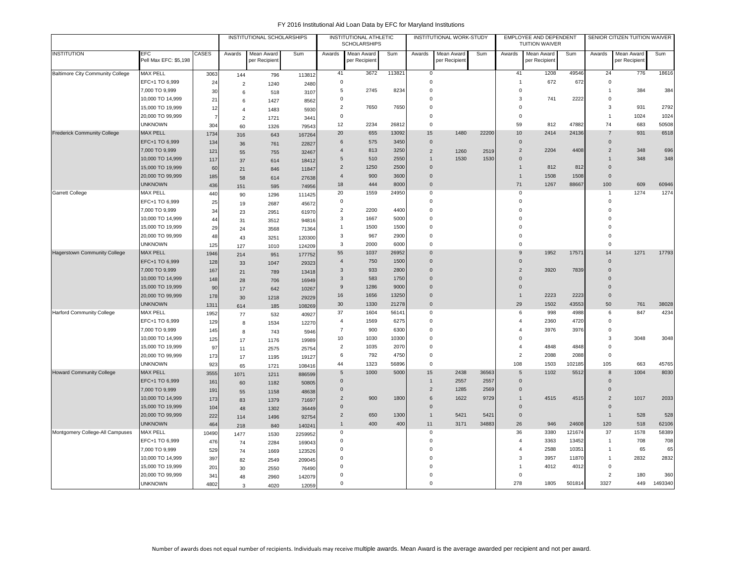|                                         | <b>EFC</b>            |                 |                | INSTITUTIONAL SCHOLARSHIPS  |         |                | INSTITUTIONAL ATHLETIC<br><b>SCHOLARSHIPS</b> |        |                | INSTITUTIONAL WORK-STUDY    |       |                  | <b>EMPLOYEE AND DEPENDENT</b><br><b>TUITION WAIVER</b> |        |                | SENIOR CITIZEN TUITION WAIVER |         |
|-----------------------------------------|-----------------------|-----------------|----------------|-----------------------------|---------|----------------|-----------------------------------------------|--------|----------------|-----------------------------|-------|------------------|--------------------------------------------------------|--------|----------------|-------------------------------|---------|
| <b>INSTITUTION</b>                      | Pell Max EFC: \$5,198 | CASES           | Awards         | Mean Award<br>per Recipient | Sum     | Awards         | Mean Award<br>per Recipient                   | Sum    | Awards         | Mean Award<br>per Recipient | Sum   | Awards           | Mean Award<br>per Recipient                            | Sum    | Awards         | Mean Award<br>per Recipient   | Sum     |
| <b>Baltimore City Community College</b> | <b>MAX PELL</b>       | 3063            | 144            | 796                         | 113812  | 41             | 3672                                          | 113821 | $\mathbf 0$    |                             |       | 41               | 1208                                                   | 49546  | 24             | 776                           | 18616   |
|                                         | EFC+1 TO 6,999        | 24              | $\overline{2}$ | 1240                        | 2480    | $\mathbf 0$    |                                               |        | $\mathbf 0$    |                             |       | $\overline{1}$   | 672                                                    | 672    | $\mathbf 0$    |                               |         |
|                                         | 7,000 TO 9,999        | 30              | 6              | 518                         | 3107    | 5              | 2745                                          | 8234   | $\mathbf 0$    |                             |       | $\mathbf 0$      |                                                        |        | 1              | 384                           | 384     |
|                                         | 10,000 TO 14,999      | 21              | 6              | 1427                        | 8562    | $\mathbf 0$    |                                               |        | $\mathbf 0$    |                             |       | 3                | 741                                                    | 2222   | 0              |                               |         |
|                                         | 15,000 TO 19,999      | 12              | $\overline{4}$ | 1483                        | 5930    | $\overline{2}$ | 7650                                          | 7650   | $\Omega$       |                             |       | $\Omega$         |                                                        |        | 3              | 931                           | 2792    |
|                                         | 20,000 TO 99,999      |                 | $\overline{2}$ | 1721                        | 3441    | $\mathsf 0$    |                                               |        | $\Omega$       |                             |       | $\Omega$         |                                                        |        | $\overline{1}$ | 1024                          | 1024    |
|                                         | <b>UNKNOWN</b>        | 304             | 60             | 1326                        | 79543   | 12             | 2234                                          | 26812  | $\Omega$       |                             |       | 59               | 812                                                    | 47882  | 74             | 683                           | 50508   |
| <b>Frederick Community College</b>      | <b>MAX PELL</b>       | 1734            | 316            | 643                         | 167264  | 20             | 655                                           | 13092  | 15             | 1480                        | 22200 | 10               | 2414                                                   | 24136  | $\overline{7}$ | 931                           | 6518    |
|                                         | EFC+1 TO 6,999        | 134             | 36             | 761                         | 22827   | 6              | 575                                           | 3450   | $\mathbf{0}$   |                             |       | $\mathbf{0}$     |                                                        |        | $\Omega$       |                               |         |
|                                         | 7,000 TO 9,999        | 121             | 55             | 755                         | 32467   | $\overline{4}$ | 813                                           | 3250   | $\sqrt{2}$     | 1260                        | 2519  | 2                | 2204                                                   | 4408   | $\overline{2}$ | 348                           | 696     |
|                                         | 10,000 TO 14,999      | 117             | 37             | 614                         | 18412   | 5              | 510                                           | 2550   | $\mathbf{1}$   | 1530                        | 1530  | $\mathbf 0$      |                                                        |        | $\overline{1}$ | 348                           | 348     |
|                                         | 15,000 TO 19,999      | 60              | 21             | 846                         | 11847   | $\overline{2}$ | 1250                                          | 2500   | $\Omega$       |                             |       | $\mathbf{1}$     | 812                                                    | 812    | $\Omega$       |                               |         |
|                                         | 20,000 TO 99,999      | 185             | 58             | 614                         | 27638   | $\overline{4}$ | 900                                           | 3600   | $\overline{0}$ |                             |       | $\overline{1}$   | 1508                                                   | 1508   | $\mathbf{0}$   |                               |         |
|                                         | <b>UNKNOWN</b>        | 436             | 151            | 595                         | 74956   | 18             | 444                                           | 8000   | $\mathbf 0$    |                             |       | 71               | 1267                                                   | 88667  | 100            | 609                           | 60946   |
| Garrett College                         | <b>MAX PELL</b>       | 440             | 90             | 1296                        | 111425  | 20             | 1559                                          | 24950  | $\mathbf 0$    |                             |       | $\mathsf 0$      |                                                        |        | $\mathbf{1}$   | 1274                          | 1274    |
|                                         | EFC+1 TO 6,999        | 25              | 19             | 2687                        | 45672   | $\mathbf 0$    |                                               |        | $\mathsf 0$    |                             |       | $\mathbf 0$      |                                                        |        | $\mathbf 0$    |                               |         |
|                                         | 7,000 TO 9,999        | 34              | 23             | 2951                        | 61970   | $\overline{2}$ | 2200                                          | 4400   | $\mathbf 0$    |                             |       | $\Omega$         |                                                        |        | $\Omega$       |                               |         |
|                                         | 10,000 TO 14,999      | 44              | 31             | 3512                        | 94816   | 3              | 1667                                          | 5000   | $\mathbf 0$    |                             |       | $\Omega$         |                                                        |        | $\Omega$       |                               |         |
|                                         | 15,000 TO 19,999      | 29              | 24             | 3568                        | 71364   | $\mathbf{1}$   | 1500                                          | 1500   | $\Omega$       |                             |       | $\Omega$         |                                                        |        | $\Omega$       |                               |         |
|                                         | 20,000 TO 99,999      | 48              | 43             | 3251                        | 120300  | 3              | 967                                           | 2900   | $\mathbf 0$    |                             |       | $\Omega$         |                                                        |        | $\Omega$       |                               |         |
|                                         | <b>UNKNOWN</b>        | 125             | 127            | 1010                        | 124209  | $\mathbf{3}$   | 2000                                          | 6000   | $\mathbf 0$    |                             |       | $\mathbf 0$      |                                                        |        | $\Omega$       |                               |         |
| <b>Hagerstown Community College</b>     | <b>MAX PELL</b>       | 1946            | 214            | 951                         | 177752  | 55             | 1037                                          | 26952  | $\Omega$       |                             |       | 9                | 1952                                                   | 17571  | 14             | 1271                          | 17793   |
|                                         | EFC+1 TO 6,999        | 128             | 33             | 1047                        | 29323   | $\overline{4}$ | 750                                           | 1500   | $\overline{0}$ |                             |       | $\mathbf 0$      |                                                        |        | $\mathbf 0$    |                               |         |
|                                         | 7,000 TO 9,999        | 167             | 21             | 789                         | 13418   | 3              | 933                                           | 2800   | $\overline{0}$ |                             |       | $\overline{2}$   | 3920                                                   | 7839   | $\mathbf{0}$   |                               |         |
|                                         | 10,000 TO 14,999      | 148             | 28             | 706                         | 16949   | 3              | 583                                           | 1750   | $\overline{0}$ |                             |       | $\mathbf 0$      |                                                        |        | $\mathbf{0}$   |                               |         |
|                                         | 15,000 TO 19,999      | 90              | 17             | 642                         | 10267   | $9$            | 1286                                          | 9000   | $\overline{0}$ |                             |       | $\mathbf 0$      |                                                        |        | $\mathbf{0}$   |                               |         |
|                                         | 20,000 TO 99,999      | 178             | 30             | 1218                        | 29229   | 16             | 1656                                          | 13250  | $\Omega$       |                             |       | $\mathbf{1}$     | 2223                                                   | 2223   | $\Omega$       |                               |         |
|                                         | <b>UNKNOWN</b>        | 1311            | 614            | 185                         | 108269  | 30             | 1330                                          | 21278  | $\mathbf 0$    |                             |       | 29               | 1502                                                   | 43553  | 50             | 761                           | 38028   |
| <b>Harford Community College</b>        | MAX PELL              | 1952            | 77             | 532                         | 40927   | 37             | 1604                                          | 56141  | $\mathsf 0$    |                             |       | 6                | 998                                                    | 4988   | 6              | 847                           | 4234    |
|                                         | EFC+1 TO 6,999        | 129             | 8              | 1534                        | 12270   | $\overline{4}$ | 1569                                          | 6275   | $\mathbf 0$    |                             |       | $\overline{4}$   | 2360                                                   | 4720   | $\Omega$       |                               |         |
|                                         | 7,000 TO 9,999        | 145             | 8              | 743                         | 5946    | $\overline{7}$ | 900                                           | 6300   | $\mathbf 0$    |                             |       |                  | 3976                                                   | 3976   | $\mathbf 0$    |                               |         |
|                                         | 10,000 TO 14,999      | 125             | 17             | 1176                        | 19989   | 10             | 1030                                          | 10300  | $\Omega$       |                             |       | $\Omega$         |                                                        |        | 3              | 3048                          | 3048    |
|                                         | 15,000 TO 19,999      | 97              | 11             | 2575                        | 25754   | $\overline{2}$ | 1035                                          | 2070   | $\Omega$       |                             |       | $\boldsymbol{A}$ | 4848                                                   | 4848   | $\Omega$       |                               |         |
|                                         | 20,000 TO 99,999      | 173             | 17             | 1195                        | 19127   | 6              | 792                                           | 4750   | $\mathbf 0$    |                             |       | $\overline{2}$   | 2088                                                   | 2088   | $\Omega$       |                               |         |
|                                         | <b>UNKNOWN</b>        | 923             | 65             | 1721                        | 108416  | 44             | 1323                                          | 56896  | $\Omega$       |                             |       | 108              | 1503                                                   | 102185 | 105            | 663                           | 45765   |
| <b>Howard Community College</b>         | <b>MAX PELL</b>       | 3555            | 1071           | 1211                        | 886599  | 5              | 1000                                          | 5000   | 15             | 2438                        | 36563 | 5                | 1102                                                   | 5512   | 8              | 1004                          | 8030    |
|                                         | EFC+1 TO 6,999        | 161             | 60             | 1182                        | 50805   | $\mathbf 0$    |                                               |        | $\overline{1}$ | 2557                        | 2557  | $\mathbf{0}$     |                                                        |        | $\mathbf{0}$   |                               |         |
|                                         | 7,000 TO 9,999        | 191             | 55             | 1158                        | 48638   | $\mathbf{0}$   |                                               |        | $\overline{2}$ | 1285                        | 2569  | $\mathbf 0$      |                                                        |        | $\mathbf{0}$   |                               |         |
|                                         | 10,000 TO 14,999      | 173             | 83             | 1379                        | 71697   | $\overline{2}$ | 900                                           | 1800   | 6              | 1622                        | 9729  | $\mathbf{1}$     | 4515                                                   | 4515   | 2              | 1017                          | 2033    |
|                                         | 15,000 TO 19,999      | 104             | 48             | 1302                        | 36449   | $\mathbf 0$    |                                               |        | $\overline{0}$ |                             |       | $\mathbf 0$      |                                                        |        | $\mathbf{0}$   |                               |         |
|                                         | 20,000 TO 99,999      | 222             | 114            | 1496                        | 92754   | $\overline{2}$ | 650                                           | 1300   | $\overline{1}$ | 5421                        | 5421  | $\mathsf 0$      |                                                        |        | $\mathbf{1}$   | 528                           | 528     |
|                                         | <b>UNKNOWN</b>        | 464             | 218            | 840                         | 140241  | $\mathbf{1}$   | 400                                           | 400    | 11             | 3171                        | 34883 | 26               | 946                                                    | 24608  | 120            | 518                           | 62106   |
| Montgomery College-All Campuses         | <b>MAX PELL</b>       | 10490           | 1477           | 1530                        | 2259952 | $\mathbf 0$    |                                               |        | $\mathbf 0$    |                             |       | 36               | 3380                                                   | 121674 | 37             | 1578                          | 58389   |
|                                         | EFC+1 TO 6,999        | 476             | 74             | 2284                        | 169043  | $\mathbf 0$    |                                               |        | $\mathbf 0$    |                             |       | $\overline{4}$   | 3363                                                   | 13452  | $\mathbf{1}$   | 708                           | 708     |
|                                         | 7,000 TO 9,999        | 529             | 74             | 1669                        | 123526  | 0              |                                               |        | $\mathbf 0$    |                             |       | $\overline{4}$   | 2588                                                   | 10351  | 1              | 65                            | 65      |
|                                         | 10,000 TO 14,999      | 397             | 82             | 2549                        | 209045  | $\mathbf 0$    |                                               |        | $\Omega$       |                             |       | 3                | 3957                                                   | 11870  | $\mathbf{1}$   | 2832                          | 2832    |
|                                         | 15,000 TO 19,999      | 20 <sup>2</sup> | 30             | 2550                        | 76490   | 0              |                                               |        | $\mathbf 0$    |                             |       |                  | 4012                                                   | 4012   | 0              |                               |         |
|                                         | 20,000 TO 99,999      | 341             | 48             | 2960                        | 142079  | $\mathbf 0$    |                                               |        | $\Omega$       |                             |       | 0                |                                                        |        | $\overline{2}$ | 180                           | 360     |
|                                         | <b>UNKNOWN</b>        | 4802            | 3              | 4020                        | 12059   | $\mathbf 0$    |                                               |        | $\mathbf 0$    |                             |       | 278              | 1805                                                   | 501814 | 3327           | 449                           | 1493340 |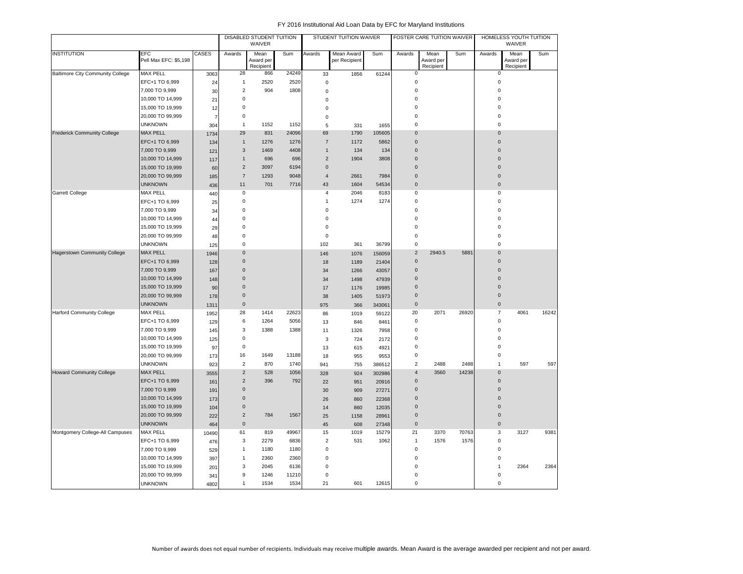|                                         |                                     |                |                | DISABLED STUDENT TUITION<br>WAIVER |       |                | STUDENT TUITION WAIVER      |        |                     | FOSTER CARE TUITION WAIVER     |       |                | HOMELESS YOUTH TUITION<br>WAIVER |       |
|-----------------------------------------|-------------------------------------|----------------|----------------|------------------------------------|-------|----------------|-----------------------------|--------|---------------------|--------------------------------|-------|----------------|----------------------------------|-------|
| <b>INSTITUTION</b>                      | <b>EFC</b><br>Pell Max EFC: \$5,198 | CASES          | Awards         | Mean<br>Award per<br>Recipient     | Sum   | Awards         | Mean Award<br>per Recipient | Sum    | Awards              | Mean<br>Award per<br>Recipient | Sum   | Awards         | Mean<br>Award per<br>Recipient   | Sum   |
| <b>Baltimore City Community College</b> | <b>MAX PELL</b>                     | 3063           | 28             | 866                                | 24249 | 33             | 1856                        | 61244  | $\mathbf 0$         |                                |       | $\mathbf 0$    |                                  |       |
|                                         | EFC+1 TO 6,999                      | 24             | $\mathbf{1}$   | 2520                               | 2520  | $\mathbf 0$    |                             |        | $\mathbf 0$         |                                |       | $\mathbf 0$    |                                  |       |
|                                         | 7,000 TO 9,999                      | 30             | $\overline{2}$ | 904                                | 1808  | $\mathbf 0$    |                             |        | $\bf 0$             |                                |       | $\Omega$       |                                  |       |
|                                         | 10,000 TO 14,999                    | 21             | $\pmb{0}$      |                                    |       | $\mathbf 0$    |                             |        | $\mathbf 0$         |                                |       | $\mathbf 0$    |                                  |       |
|                                         | 15,000 TO 19,999                    | 12             | $\mathbf 0$    |                                    |       | $\Omega$       |                             |        | $\mathbf 0$         |                                |       | $\mathbf 0$    |                                  |       |
|                                         | 20,000 TO 99,999                    | $\overline{7}$ | $\mathbf 0$    |                                    |       | $\mathbf 0$    |                             |        | $\mathbf 0$         |                                |       | $\mathbf 0$    |                                  |       |
|                                         | <b>UNKNOWN</b>                      | 304            | $\mathbf{1}$   | 1152                               | 1152  | 5              | 331                         | 1655   | $\mathbf 0$         |                                |       | $\mathbf 0$    |                                  |       |
| <b>Frederick Community College</b>      | <b>MAX PELL</b>                     | 1734           | 29             | 831                                | 24096 | 69             | 1790                        | 105605 | $\mathbf 0$         |                                |       | $\mathbf 0$    |                                  |       |
|                                         | EFC+1 TO 6,999                      | 134            | $\mathbf{1}$   | 1276                               | 1276  | $\overline{7}$ | 1172                        | 5862   | $\mathsf{O}\xspace$ |                                |       | $\mathbf 0$    |                                  |       |
|                                         | 7,000 TO 9,999                      | 121            | 3              | 1469                               | 4408  | $\overline{1}$ | 134                         | 134    | $\mathbf 0$         |                                |       | $\Omega$       |                                  |       |
|                                         | 10,000 TO 14,999                    | 117            | $\mathbf{1}$   | 696                                | 696   | $\overline{c}$ | 1904                        | 3808   | $\mathbf{0}$        |                                |       | $\Omega$       |                                  |       |
|                                         | 15,000 TO 19,999                    | 60             | $\overline{2}$ | 3097                               | 6194  | $\mathbf{0}$   |                             |        | $\Omega$            |                                |       | $\Omega$       |                                  |       |
|                                         | 20,000 TO 99,999                    | 185            | $\overline{7}$ | 1293                               | 9048  | $\overline{4}$ | 2661                        | 7984   | $\mathbf{0}$        |                                |       | $\mathbf 0$    |                                  |       |
|                                         | <b>UNKNOWN</b>                      | 436            | 11             | 701                                | 7716  | 43             | 1604                        | 54534  | $\mathsf{O}\xspace$ |                                |       | $\mathbf 0$    |                                  |       |
| <b>Garrett College</b>                  | <b>MAX PELL</b>                     | 440            | $\mathbf 0$    |                                    |       | $\overline{4}$ | 2046                        | 8183   | $\mathbf 0$         |                                |       | $\mathbf 0$    |                                  |       |
|                                         | EFC+1 TO 6,999                      | 25             | $\mathbf 0$    |                                    |       | $\mathbf{1}$   | 1274                        | 1274   | 0                   |                                |       | $\mathbf 0$    |                                  |       |
|                                         | 7,000 TO 9,999                      | 34             | $\mathbf 0$    |                                    |       | $\mathbf 0$    |                             |        | $\mathbf 0$         |                                |       | $\mathbf 0$    |                                  |       |
|                                         | 10,000 TO 14,999                    | 44             | $\mathbf 0$    |                                    |       | $\mathbf 0$    |                             |        | $\bf 0$             |                                |       | $\Omega$       |                                  |       |
|                                         | 15,000 TO 19,999                    | 29             | $\mathbf 0$    |                                    |       | $\bf 0$        |                             |        | $\bf 0$             |                                |       | $\Omega$       |                                  |       |
|                                         | 20,000 TO 99,999                    | 48             | $\mathbf 0$    |                                    |       | $\mathbf 0$    |                             |        | $\mathbf 0$         |                                |       | $\mathbf 0$    |                                  |       |
|                                         | <b>UNKNOWN</b>                      | 125            | $\mathbf 0$    |                                    |       | 102            | 361                         | 36799  | $\mathsf 0$         |                                |       | $\mathbf 0$    |                                  |       |
| <b>Hagerstown Community College</b>     | <b>MAX PELL</b>                     | 1946           | $\mathbf 0$    |                                    |       | 146            | 1076                        | 156059 | $\overline{2}$      | 2940.5                         | 5881  | $\Omega$       |                                  |       |
|                                         | EFC+1 TO 6,999                      | 128            | $\mathbf 0$    |                                    |       | 18             | 1189                        | 21404  | $\mathsf 0$         |                                |       | $\mathbf 0$    |                                  |       |
|                                         | 7,000 TO 9,999                      | 167            | $\overline{0}$ |                                    |       | 34             | 1266                        | 43057  | $\mathsf 0$         |                                |       | $\Omega$       |                                  |       |
|                                         | 10,000 TO 14,999                    | 148            | $\mathbf 0$    |                                    |       | 34             | 1498                        | 47939  | $\mathbf{0}$        |                                |       | $\Omega$       |                                  |       |
|                                         | 15,000 TO 19,999                    | 90             | $\mathbf 0$    |                                    |       | 17             | 1176                        | 19985  | $\mathbf{0}$        |                                |       | $\Omega$       |                                  |       |
|                                         | 20,000 TO 99,999                    | 178            | $\bf 0$        |                                    |       | 38             | 1405                        | 51973  | $\mathbf{0}$        |                                |       | $\mathbf{0}$   |                                  |       |
|                                         | <b>UNKNOWN</b>                      | 1311           | $\mathbf 0$    |                                    |       | 975            | 366                         | 343061 | $\mathsf{O}\xspace$ |                                |       | $\mathbf 0$    |                                  |       |
| <b>Harford Community College</b>        | <b>MAX PELL</b>                     | 1952           | 28             | 1414                               | 22623 | 86             | 1019                        | 59122  | 20                  | 2071                           | 26920 | $\overline{7}$ | 4061                             | 16242 |
|                                         | EFC+1 TO 6,999                      | 129            | 6              | 1264                               | 5056  | 13             | 846                         | 8461   | $\mathbf 0$         |                                |       | $\mathbf 0$    |                                  |       |
|                                         | 7,000 TO 9,999                      | 145            | 3              | 1388                               | 1388  | 11             | 1326                        | 7958   | $\mathsf 0$         |                                |       | $\bf 0$        |                                  |       |
|                                         | 10,000 TO 14,999                    | 125            | $\mathsf 0$    |                                    |       | 3              | 724                         | 2172   | $\mathsf 0$         |                                |       | $\mathbf 0$    |                                  |       |
|                                         | 15,000 TO 19,999                    | 97             | $\mathsf 0$    |                                    |       | 13             | 615                         | 4921   | $\mathbf 0$         |                                |       | 0              |                                  |       |
|                                         | 20,000 TO 99,999                    | 173            | 16             | 1649                               | 13188 | 18             | 955                         | 9553   | $\mathbf 0$         |                                |       | $\bf 0$        |                                  |       |
|                                         | <b>UNKNOWN</b>                      | 923            | $\sqrt{2}$     | 870                                | 1740  | 941            | 755                         | 386512 | $\overline{2}$      | 2488                           | 2488  | $\mathbf{1}$   | 597                              | 597   |
| <b>Howard Community College</b>         | <b>MAX PELL</b>                     | 3555           | $\sqrt{2}$     | 528                                | 1056  | 328            | 924                         | 302986 | $\overline{4}$      | 3560                           | 14238 | $\mathbf 0$    |                                  |       |
|                                         | EFC+1 TO 6,999                      | 161            | $\overline{2}$ | 396                                | 792   | 22             | 951                         | 20916  | $\mathbf{0}$        |                                |       | $\mathbf 0$    |                                  |       |
|                                         | 7,000 TO 9,999                      | 191            | $\mathbf{0}$   |                                    |       | 30             | 909                         | 27271  | $\mathbf{0}$        |                                |       | $\mathbf 0$    |                                  |       |
|                                         | 10,000 TO 14,999                    | 173            | $\pmb{0}$      |                                    |       | 26             | 860                         | 22368  | $\mathsf{O}\xspace$ |                                |       | $\mathbf 0$    |                                  |       |
|                                         | 15,000 TO 19,999                    | 104            | $\mathbf 0$    |                                    |       | 14             | 860                         | 12035  | $\mathbf{0}$        |                                |       | $\mathbf 0$    |                                  |       |
|                                         | 20,000 TO 99,999                    | 222            | $\overline{2}$ | 784                                | 1567  | 25             | 1158                        | 28961  | $\mathsf{O}\xspace$ |                                |       | $\mathbf 0$    |                                  |       |
|                                         | <b>UNKNOWN</b>                      | 464            | $\mathbf 0$    |                                    |       | 45             | 608                         | 27348  | $\mathsf{O}\xspace$ |                                |       | $\mathbf 0$    |                                  |       |
| Montgomery College-All Campuses         | <b>MAX PELL</b>                     | 10490          | 61             | 819                                | 49967 | 15             | 1019                        | 15279  | 21                  | 3370                           | 70763 | 3              | 3127                             | 9381  |
|                                         | EFC+1 TO 6,999                      | 476            | 3              | 2279                               | 6836  | $\overline{2}$ | 531                         | 1062   | $\mathbf{1}$        | 1576                           | 1576  | $\bf 0$        |                                  |       |
|                                         | 7,000 TO 9,999                      | 529            | $\mathbf{1}$   | 1180                               | 1180  | $\mathbf 0$    |                             |        | $\mathbf 0$         |                                |       | $\mathbf 0$    |                                  |       |
|                                         | 10,000 TO 14,999                    | 397            | $\mathbf{1}$   | 2360                               | 2360  | 0              |                             |        | $\mathsf 0$         |                                |       | $\bf 0$        |                                  |       |
|                                         | 15,000 TO 19,999                    | 201            | 3              | 2045                               | 6136  | $\Omega$       |                             |        | $\mathbf 0$         |                                |       | $\mathbf{1}$   | 2364                             | 2364  |
|                                         | 20,000 TO 99,999                    | 341            | 9              | 1246                               | 11210 | 0              |                             |        | $\Omega$            |                                |       | 0              |                                  |       |
|                                         | <b>UNKNOWN</b>                      | 4802           | $\mathbf{1}$   | 1534                               | 1534  | 21             | 601                         | 12615  | $\mathbf 0$         |                                |       | $\Omega$       |                                  |       |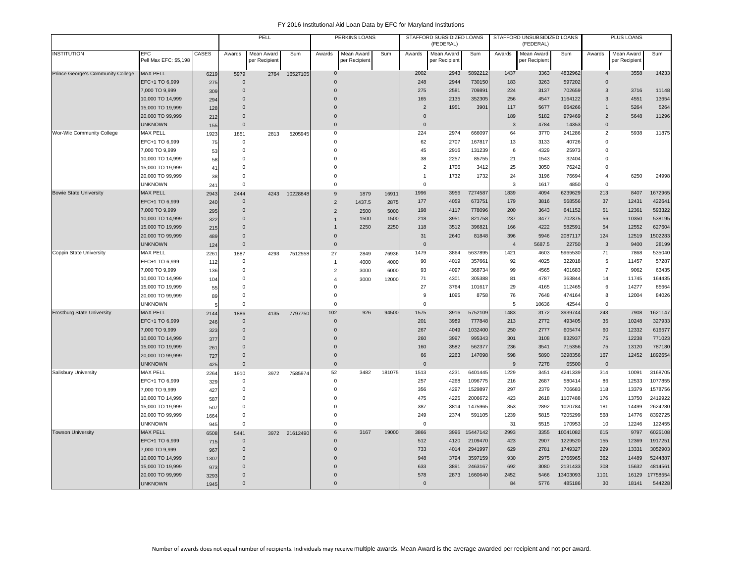|                                   |                                     |             |                      | PELL                        |               |                      | PERKINS LOANS               |        |                | STAFFORD SUBSIDIZED LOANS<br>(FEDERAL) |                    |                | STAFFORD UNSUBSIDIZED LOANS<br>(FEDERAL) |                   |                | PLUS LOANS                  |                    |
|-----------------------------------|-------------------------------------|-------------|----------------------|-----------------------------|---------------|----------------------|-----------------------------|--------|----------------|----------------------------------------|--------------------|----------------|------------------------------------------|-------------------|----------------|-----------------------------|--------------------|
| <b>INSTITUTION</b>                | <b>EFC</b><br>Pell Max EFC: \$5,198 | CASES       | Awards               | Mean Award<br>per Recipient | Sum           | Awards               | Mean Award<br>per Recipient | Sum    | Awards         | Mean Award<br>per Recipient            | Sum                | Awards         | Mean Award<br>per Recipient              | Sum               | Awards         | Mean Award<br>per Recipient | Sum                |
| Prince George's Community College | <b>MAX PELL</b>                     | 6219        | 5979                 | 2764                        | 16527105      | $\mathbf 0$          |                             |        | 2002           | 2943                                   | 5892212            | 1437           | 3363                                     | 4832962           | $\overline{4}$ | 3558                        | 14233              |
|                                   | EFC+1 TO 6,999                      | 275         | $\Omega$             |                             |               | $\Omega$             |                             |        | 248            | 2944                                   | 730150             | 183            | 3263                                     | 597202            | $\Omega$       |                             |                    |
|                                   | 7,000 TO 9,999                      | 309         | $\Omega$             |                             |               | $\Omega$             |                             |        | 275            | 2581                                   | 709891             | 224            | 3137                                     | 702659            | 3              | 3716                        | 11148              |
|                                   | 10,000 TO 14,999                    | 294         | $\Omega$             |                             |               | $\Omega$             |                             |        | 165            | 2135                                   | 352305             | 256            | 4547                                     | 1164122           | 3              | 4551                        | 13654              |
|                                   | 15,000 TO 19,999                    | 128         | $\Omega$             |                             |               | $\Omega$             |                             |        | $\overline{2}$ | 1951                                   | 3901               | 117            | 5677                                     | 664266            | $\mathbf{1}$   | 5264                        | 5264               |
|                                   | 20,000 TO 99,999                    | 212         | $\Omega$             |                             |               | $\Omega$             |                             |        | $\Omega$       |                                        |                    | 189            | 5182                                     | 979469            | 2              | 5648                        | 11296              |
|                                   | <b>UNKNOWN</b>                      | 155         | $\Omega$             |                             |               | $\Omega$             |                             |        | $\Omega$       |                                        |                    | 3              | 4784                                     | 14353             | $\Omega$       |                             |                    |
| Wor-Wic Community College         | <b>MAX PELL</b>                     | 1923        | 1851                 | 2813                        | 5205945       | $\Omega$             |                             |        | 224            | 2974                                   | 666097             | 64             | 3770                                     | 241286            | $\overline{2}$ | 5938                        | 11875              |
|                                   | EFC+1 TO 6,999                      | 75          | $\Omega$             |                             |               | $\Omega$             |                             |        | 62             | 2707                                   | 167817             | 13             | 3133                                     | 40726             | $\Omega$       |                             |                    |
|                                   | 7,000 TO 9,999                      | 53          | $\Omega$             |                             |               | $\Omega$             |                             |        | 45             | 2916                                   | 131239             | 6              | 4329                                     | 25973             | $\Omega$       |                             |                    |
|                                   | 10,000 TO 14,999                    | 58          | $\Omega$             |                             |               | $\Omega$             |                             |        | 38             | 2257                                   | 85755              | 21             | 1543                                     | 32404             | $\Omega$       |                             |                    |
|                                   | 15,000 TO 19,999                    | 41          | $\Omega$             |                             |               | $\Omega$             |                             |        | $\overline{2}$ | 1706                                   | 3412               | 25             | 3050                                     | 76242             | $\Omega$       |                             |                    |
|                                   | 20,000 TO 99,999                    | 38          | $\Omega$             |                             |               | $\Omega$             |                             |        | $\mathbf{1}$   | 1732                                   | 1732               | 24             | 3196                                     | 76694             | $\overline{4}$ | 6250                        | 24998              |
|                                   | <b>UNKNOWN</b>                      | 241         | $^{\circ}$           |                             |               | $\Omega$             |                             |        | $\mathbf 0$    |                                        |                    | 3              | 1617                                     | 4850              | $\mathbf 0$    |                             |                    |
| <b>Bowie State University</b>     | <b>MAX PELL</b>                     | 2943        | 2444                 | 4243                        | 10228848      | 9                    | 1879                        | 16911  | 1996           | 3956                                   | 7274587            | 1839           | 4094                                     | 6239629           | 213            | 8407                        | 1672965            |
|                                   | EFC+1 TO 6,999                      | 240         | $\Omega$             |                             |               | $\overline{2}$       | 1437.5                      | 2875   | 177            | 4059                                   | 673751             | 179            | 3816                                     | 568556            | 37             | 12431                       | 422641             |
|                                   | 7,000 TO 9,999                      | 295         | $\mathbf 0$          |                             |               | 2                    | 2500                        | 5000   | 198            | 4117                                   | 778096             | 200            | 3643                                     | 641152            | 51             | 12361                       | 593322             |
|                                   | 10,000 TO 14,999                    | 322         | $\Omega$             |                             |               | $\mathbf{1}$         | 1500                        | 1500   | 218            | 3951                                   | 821758             | 237            | 3477                                     | 702375            | 56             | 10350                       | 538195             |
|                                   | 15,000 TO 19,999                    | 215         | $\Omega$             |                             |               | $\mathbf{1}$         | 2250                        | 2250   | 118            | 3512                                   | 396821             | 166            | 4222                                     | 582591            | 54             | 12552                       | 627604             |
|                                   | 20,000 TO 99,999                    | 489         | $\Omega$             |                             |               | $\overline{0}$       |                             |        | 31             | 2640                                   | 81848              | 396            | 5946                                     | 2087117           | 124            | 12519                       | 1502283            |
|                                   | <b>UNKNOWN</b>                      | 124         | $\mathbf 0$          |                             |               | $\mathsf 0$          |                             |        | $\mathbf 0$    |                                        |                    | $\overline{4}$ | 5687.5                                   | 22750             | 3              | 9400                        | 28199              |
| Coppin State University           | <b>MAX PELL</b>                     | 2261        | 1887                 | 4293                        | 7512558       | 27                   | 2849                        | 76936  | 1479           | 3864                                   | 5637895            | 1421           | 4603                                     | 5965530           | 71             | 7868                        | 535040             |
|                                   | EFC+1 TO 6,999                      | 112         | $\mathbf 0$          |                             |               | $\overline{1}$       | 4000                        | 4000   | 90             | 4019                                   | 357661             | 92             | 4025                                     | 322018            | 5              | 11457                       | 57287              |
|                                   | 7,000 TO 9,999                      | 136         | $^{\circ}$           |                             |               | $\overline{2}$       | 3000                        | 6000   | 93             | 4097                                   | 368734             | 99             | 4565                                     | 401683            | $\overline{7}$ | 9062                        | 63435              |
|                                   | 10,000 TO 14,999                    | 104         | $\Omega$             |                             |               | $\overline{4}$       | 3000                        | 12000  | 71             | 4301                                   | 305388             | 81             | 4787                                     | 363844            | 14             | 11745                       | 164435             |
|                                   | 15,000 TO 19,999                    | 55          | $\Omega$             |                             |               | $\Omega$             |                             |        | 27             | 3764                                   | 101617             | 29             | 4165                                     | 112465            | 6              | 14277                       | 85664              |
|                                   | 20,000 TO 99,999                    | 89          | $\Omega$             |                             |               | $\Omega$             |                             |        | 9              | 1095                                   | 8758               | 76             | 7648                                     | 474164            | 8              | 12004                       | 84026              |
|                                   | <b>UNKNOWN</b>                      | 5           | $\Omega$             |                             |               | $\Omega$             |                             |        | $\Omega$       |                                        |                    | 5              | 10636                                    | 42544             | $\Omega$       |                             |                    |
| <b>Frostburg State University</b> | <b>MAX PELL</b>                     | 2144        | 1886                 | 4135                        | 7797750       | 102                  | 926                         | 94500  | 1575           | 3916                                   | 5752109            | 1483           | 3172                                     | 3939744           | 243            | 7908                        | 1621147            |
|                                   | EFC+1 TO 6,999                      | 246         | $\Omega$             |                             |               | $\Omega$             |                             |        | 201            | 3989                                   | 777848             | 213            | 2772                                     | 493405            | 35             | 10248                       | 327933             |
|                                   | 7,000 TO 9,999                      | 323         | $\Omega$             |                             |               | $\Omega$             |                             |        | 267            | 4049                                   | 1032400            | 250            | 2777                                     | 605474            | 60             | 12332                       | 616577             |
|                                   | 10,000 TO 14,999                    | 377         | $\Omega$             |                             |               | $\Omega$             |                             |        | 260            | 3997                                   | 995343             | 301            | 3108                                     | 832937            | 75             | 12238                       | 771023             |
|                                   | 15,000 TO 19,999                    | 261         | $\Omega$<br>$\Omega$ |                             |               | $\Omega$<br>$\Omega$ |                             |        | 160            | 3582                                   | 562377             | 236            | 3541                                     | 715356            | 75             | 13120                       | 787180             |
|                                   | 20,000 TO 99,999                    | 727         |                      |                             |               |                      |                             |        | 66             | 2263                                   | 147098             | 598            | 5890                                     | 3298356           | 167            | 12452                       | 1892654            |
|                                   | <b>UNKNOWN</b>                      | 425         | $\mathbf{0}$         |                             |               | $\mathbf{0}$         | 3482                        |        | $\mathbf{0}$   |                                        |                    | 9<br>1229      | 7278                                     | 65500             | $\overline{0}$ |                             |                    |
| Salisbury University              | <b>MAX PELL</b><br>EFC+1 TO 6,999   | 2264        | 1910<br>$^{\circ}$   | 3972                        | 7585974       | 52<br>$\mathbf 0$    |                             | 181075 | 1513<br>257    | 4231<br>4268                           | 6401445<br>1096775 | 216            | 3451<br>2687                             | 4241339<br>580414 | 314<br>86      | 10091<br>12533              | 3168705<br>1077855 |
|                                   | 7,000 TO 9,999                      | 329         | $^{\circ}$           |                             |               | $\Omega$             |                             |        | 356            | 4297                                   | 1529897            | 297            | 2379                                     | 706683            | 118            | 13379                       | 1578756            |
|                                   | 10,000 TO 14,999                    | 427         | $\Omega$             |                             |               | $\Omega$             |                             |        | 475            | 4225                                   | 2006672            | 423            | 2618                                     | 1107488           | 176            | 13750                       | 2419922            |
|                                   | 15,000 TO 19,999                    | 587         | $^{\circ}$           |                             |               | $\Omega$             |                             |        | 387            | 3814                                   | 1475965            | 353            | 2892                                     | 1020784           | 181            | 14499                       | 2624280            |
|                                   | 20,000 TO 99,999                    | 507<br>1664 | $\Omega$             |                             |               | $\Omega$             |                             |        | 249            | 2374                                   | 591105             | 1239           | 5815                                     | 7205299           | 568            | 14776                       | 8392725            |
|                                   | <b>UNKNOWN</b>                      | 945         | $\Omega$             |                             |               | $\Omega$             |                             |        | $\mathbf 0$    |                                        |                    | 31             | 5515                                     | 170953            | 10             | 12246                       | 122455             |
| <b>Towson University</b>          | <b>MAX PELL</b>                     | 6508        | 5441                 |                             | 3972 21612490 | 6                    | 3167                        | 19000  | 3866           | 3996                                   | 15447142           | 2993           | 3355                                     | 10041082          | 615            | 9797                        | 6025108            |
|                                   | EFC+1 TO 6,999                      | 715         | $\Omega$             |                             |               | $\Omega$             |                             |        | 512            | 4120                                   | 2109470            | 423            | 2907                                     | 1229520           | 155            | 12369                       | 1917251            |
|                                   | 7,000 TO 9,999                      | 967         | $\Omega$             |                             |               | $\Omega$             |                             |        | 733            | 4014                                   | 2941997            | 629            | 2781                                     | 1749327           | 229            | 13331                       | 3052903            |
|                                   | 10,000 TO 14,999                    | 1307        | $\Omega$             |                             |               | $\Omega$             |                             |        | 948            | 3794                                   | 3597159            | 930            | 2975                                     | 2766965           | 362            | 14489                       | 5244887            |
|                                   | 15,000 TO 19,999                    | 973         | $\Omega$             |                             |               |                      |                             |        | 633            | 3891                                   | 2463167            | 692            | 3080                                     | 2131433           | 308            | 15632                       | 4814561            |
|                                   | 20,000 TO 99,999                    | 3293        | $\Omega$             |                             |               | $\Omega$             |                             |        | 578            | 2873                                   | 1660640            | 2452           | 5466                                     | 13403093          | 1101           | 16129                       | 17758554           |
|                                   | <b>UNKNOWN</b>                      | 1945        | $\Omega$             |                             |               | $\Omega$             |                             |        | $\mathbf 0$    |                                        |                    | 84             | 5776                                     | 485186            | 30             | 18141                       | 544228             |
|                                   |                                     |             |                      |                             |               |                      |                             |        |                |                                        |                    |                |                                          |                   |                |                             |                    |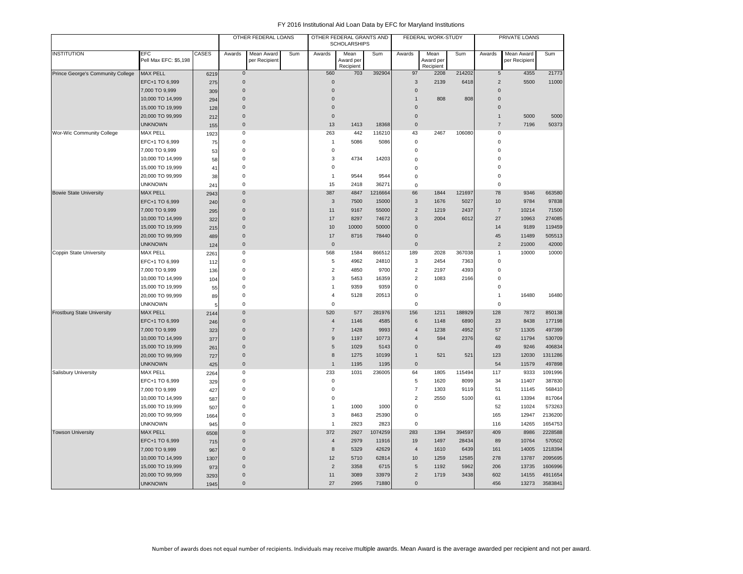|                                   |                              |       |                | OTHER FEDERAL LOANS         |     |                  | OTHER FEDERAL GRANTS AND<br><b>SCHOLARSHIPS</b> |         |                     | FEDERAL WORK-STUDY             |        |                | PRIVATE LOANS               |         |
|-----------------------------------|------------------------------|-------|----------------|-----------------------------|-----|------------------|-------------------------------------------------|---------|---------------------|--------------------------------|--------|----------------|-----------------------------|---------|
| <b>INSTITUTION</b>                | EFC<br>Pell Max EFC: \$5,198 | CASES | Awards         | Mean Award<br>per Recipient | Sum | Awards           | Mean<br>Award per<br>Recipient                  | Sum     | Awards              | Mean<br>Award per<br>Recipient | Sum    | Awards         | Mean Award<br>per Recipient | Sum     |
| Prince George's Community College | <b>MAX PELL</b>              | 6219  | $\mathbf 0$    |                             |     | 560              | 703                                             | 392904  | 97                  | 2208                           | 214202 | $\sqrt{5}$     | 4355                        | 21773   |
|                                   | EFC+1 TO 6,999               | 275   | 0              |                             |     | $\overline{0}$   |                                                 |         | 3                   | 2139                           | 6418   | $\overline{2}$ | 5500                        | 11000   |
|                                   | 7,000 TO 9,999               | 309   | 0              |                             |     | $\Omega$         |                                                 |         | $\mathbf 0$         |                                |        | $\mathbf 0$    |                             |         |
|                                   | 10,000 TO 14,999             | 294   | 0              |                             |     | $\Omega$         |                                                 |         | $\overline{1}$      | 808                            | 808    | $\Omega$       |                             |         |
|                                   | 15,000 TO 19,999             | 128   | 0              |                             |     | $\Omega$         |                                                 |         | $\mathsf 0$         |                                |        | $\mathbf 0$    |                             |         |
|                                   | 20,000 TO 99,999             | 212   | $\mathbf{0}$   |                             |     | $\mathbf{0}$     |                                                 |         | $\mathbf{0}$        |                                |        | $\mathbf{1}$   | 5000                        | 5000    |
|                                   | <b>UNKNOWN</b>               | 155   | $\mathbf{0}$   |                             |     | 13               | 1413                                            | 18368   | $\mathbf 0$         |                                |        | $\overline{7}$ | 7196                        | 50373   |
| Wor-Wic Community College         | MAX PELL                     | 1923  | 0              |                             |     | 263              | 442                                             | 116210  | 43                  | 2467                           | 106080 | 0              |                             |         |
|                                   | EFC+1 TO 6,999               | 75    | 0              |                             |     | $\overline{1}$   | 5086                                            | 5086    | $\mathbf 0$         |                                |        | 0              |                             |         |
|                                   | 7,000 TO 9,999               | 53    | 0              |                             |     | $\pmb{0}$        |                                                 |         | 0                   |                                |        | 0              |                             |         |
|                                   | 10,000 TO 14,999             | 58    | 0              |                             |     | 3                | 4734                                            | 14203   | 0                   |                                |        | $\Omega$       |                             |         |
|                                   | 15,000 TO 19,999             | 41    | 0              |                             |     | $\mathbf 0$      |                                                 |         | $\Omega$            |                                |        | $\Omega$       |                             |         |
|                                   | 20,000 TO 99,999             | 38    | 0              |                             |     | $\overline{1}$   | 9544                                            | 9544    | $\Omega$            |                                |        | 0              |                             |         |
|                                   | <b>UNKNOWN</b>               | 241   | 0              |                             |     | 15               | 2418                                            | 36271   | $\mathsf 0$         |                                |        | $\mathbf 0$    |                             |         |
| <b>Bowie State University</b>     | <b>MAX PELL</b>              | 2943  | $\mathbf{0}$   |                             |     | 387              | 4847                                            | 1216664 | 66                  | 1844                           | 121697 | 78             | 9346                        | 663580  |
|                                   | EFC+1 TO 6,999               | 240   | $\mathbf{0}$   |                             |     | $\mathbf{3}$     | 7500                                            | 15000   | $\overline{3}$      | 1676                           | 5027   | 10             | 9784                        | 97838   |
|                                   | 7,000 TO 9,999               | 295   | 0              |                             |     | 11               | 9167                                            | 55000   | $\overline{2}$      | 1219                           | 2437   | $\overline{7}$ | 10214                       | 71500   |
|                                   | 10,000 TO 14,999             | 322   | $\mathbf{0}$   |                             |     | 17               | 8297                                            | 74672   | 3                   | 2004                           | 6012   | 27             | 10963                       | 274085  |
|                                   | 15,000 TO 19,999             | 215   | $\Omega$       |                             |     | 10               | 10000                                           | 50000   | $\Omega$            |                                |        | 14             | 9189                        | 119459  |
|                                   | 20,000 TO 99,999             | 489   | $\pmb{0}$      |                             |     | 17               | 8716                                            | 78440   | $\mathsf 0$         |                                |        | 45             | 11489                       | 505513  |
|                                   | <b>UNKNOWN</b>               | 124   | $\pmb{0}$      |                             |     | $\mathbf 0$      |                                                 |         | $\mathsf{O}\xspace$ |                                |        | $\overline{2}$ | 21000                       | 42000   |
| Coppin State University           | <b>MAX PELL</b>              | 2261  | 0              |                             |     | 568              | 1584                                            | 866512  | 189                 | 2028                           | 367038 | $\mathbf{1}$   | 10000                       | 10000   |
|                                   | EFC+1 TO 6,999               | 112   | 0              |                             |     | 5                | 4962                                            | 24810   | 3                   | 2454                           | 7363   | 0              |                             |         |
|                                   | 7,000 TO 9,999               | 136   | 0              |                             |     | $\overline{2}$   | 4850                                            | 9700    | $\overline{2}$      | 2197                           | 4393   | 0              |                             |         |
|                                   | 10,000 TO 14,999             | 104   | 0              |                             |     | 3                | 5453                                            | 16359   | $\overline{2}$      | 1083                           | 2166   | $\Omega$       |                             |         |
|                                   | 15,000 TO 19,999             | 55    | $\Omega$       |                             |     | $\overline{1}$   | 9359                                            | 9359    | 0                   |                                |        | $\Omega$       |                             |         |
|                                   | 20,000 TO 99,999             | 89    | 0              |                             |     | $\overline{4}$   | 5128                                            | 20513   | 0                   |                                |        | 1              | 16480                       | 16480   |
|                                   | <b>UNKNOWN</b>               | ŧ     | 0              |                             |     | $\mathbf 0$      |                                                 |         | $\mathbf 0$         |                                |        | $\Omega$       |                             |         |
| <b>Frostburg State University</b> | <b>MAX PELL</b>              | 2144  | 0              |                             |     | 520              | 577                                             | 281976  | 156                 | 1211                           | 188929 | 128            | 7872                        | 850138  |
|                                   | EFC+1 TO 6,999               | 246   | $\pmb{0}$      |                             |     | $\overline{4}$   | 1146                                            | 4585    | 6                   | 1148                           | 6890   | 23             | 8438                        | 177198  |
|                                   | 7,000 TO 9,999               | 323   | 0              |                             |     | $\overline{7}$   | 1428                                            | 9993    | $\overline{4}$      | 1238                           | 4952   | 57             | 11305                       | 497399  |
|                                   | 10,000 TO 14,999             | 377   | 0              |                             |     | 9                | 1197                                            | 10773   | $\overline{4}$      | 594                            | 2376   | 62             | 11794                       | 530709  |
|                                   | 15,000 TO 19,999             | 261   | 0              |                             |     | 5                | 1029                                            | 5143    | $\mathbf 0$         |                                |        | 49             | 9246                        | 406834  |
|                                   | 20,000 TO 99,999             | 727   | 0              |                             |     | $\boldsymbol{8}$ | 1275                                            | 10199   | $\overline{1}$      | 521                            | 521    | 123            | 12030                       | 1311286 |
|                                   | <b>UNKNOWN</b>               | 425   | $\mathbf 0$    |                             |     | $\mathbf{1}$     | 1195                                            | 1195    | $\mathbf{0}$        |                                |        | 54             | 11579                       | 497898  |
| Salisbury University              | <b>MAX PELL</b>              | 2264  | 0              |                             |     | 233              | 1031                                            | 236005  | 64                  | 1805                           | 115494 | 117            | 9333                        | 1091996 |
|                                   | EFC+1 TO 6,999               | 329   | 0              |                             |     | $\mathsf 0$      |                                                 |         | 5                   | 1620                           | 8099   | 34             | 11407                       | 387830  |
|                                   | 7,000 TO 9,999               | 427   | 0              |                             |     | $\mathbf 0$      |                                                 |         | $\overline{7}$      | 1303                           | 9119   | 51             | 11145                       | 568410  |
|                                   | 10,000 TO 14,999             | 587   | 0              |                             |     | $\pmb{0}$        |                                                 |         | $\overline{2}$      | 2550                           | 5100   | 61             | 13394                       | 817064  |
|                                   | 15,000 TO 19,999             | 507   | 0              |                             |     | $\overline{1}$   | 1000                                            | 1000    | $\bf 0$             |                                |        | 52             | 11024                       | 573263  |
|                                   | 20,000 TO 99,999             | 1664  | 0              |                             |     | 3                | 8463                                            | 25390   | 0                   |                                |        | 165            | 12947                       | 2136200 |
|                                   | <b>UNKNOWN</b>               | 945   | 0              |                             |     | $\mathbf{1}$     | 2823                                            | 2823    | $\Omega$            |                                |        | 116            | 14265                       | 1654753 |
| <b>Towson University</b>          | <b>MAX PELL</b>              | 6508  | 0              |                             |     | 372              | 2927                                            | 1074259 | 283                 | 1394                           | 394597 | 409            | 8986                        | 2228588 |
|                                   | EFC+1 TO 6,999               | 715   | 0              |                             |     | $\overline{4}$   | 2979                                            | 11916   | 19                  | 1497                           | 28434  | 89             | 10764                       | 570502  |
|                                   | 7,000 TO 9,999               | 967   | $\mathbf{0}$   |                             |     | 8                | 5329                                            | 42629   | $\overline{4}$      | 1610                           | 6439   | 161            | 14005                       | 1218394 |
|                                   | 10,000 TO 14,999             | 1307  | $\Omega$       |                             |     | 12               | 5710                                            | 62814   | 10                  | 1259                           | 12585  | 278            | 13787                       | 2095695 |
|                                   | 15,000 TO 19,999             | 973   | $\mathbf{0}$   |                             |     | $\overline{2}$   | 3358                                            | 6715    | 5                   | 1192                           | 5962   | 206            | 13735                       | 1606996 |
|                                   | 20,000 TO 99,999             | 3293  | $\mathbf{0}$   |                             |     | 11               | 3089                                            | 33979   | $\overline{2}$      | 1719                           | 3438   | 602            | 14155                       | 4911654 |
|                                   | <b>UNKNOWN</b>               | 1945  | $\overline{0}$ |                             |     | 27               | 2995                                            | 71880   | $\mathbf{0}$        |                                |        | 456            | 13273                       | 3583841 |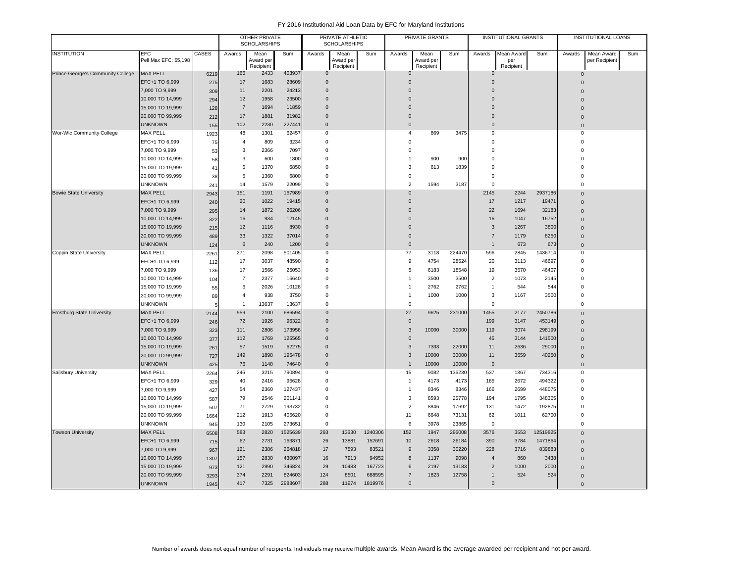| <b>INSTITUTION</b><br><b>CASES</b><br><b>EFC</b><br>Awards<br>Mean<br>Sum<br>Awards<br>Mean<br>Sum<br>Awards<br>Mean<br>Sum<br>Awards<br>Mean Award<br>Sum<br>Awards<br>Mean Award<br>Pell Max EFC: \$5,198<br>Award per<br>Award per<br>per Recipient<br>Award per<br>per<br>Recipient<br>Recipient<br>Recipient<br>Recipient<br>403937<br><b>MAX PELL</b><br>166<br>Prince George's Community College<br>2433<br>6219<br>$\mathbf{0}$<br>$\mathbf 0$<br>$\mathbf 0$<br>$\mathbf 0$ | Sum |
|--------------------------------------------------------------------------------------------------------------------------------------------------------------------------------------------------------------------------------------------------------------------------------------------------------------------------------------------------------------------------------------------------------------------------------------------------------------------------------------|-----|
|                                                                                                                                                                                                                                                                                                                                                                                                                                                                                      |     |
|                                                                                                                                                                                                                                                                                                                                                                                                                                                                                      |     |
|                                                                                                                                                                                                                                                                                                                                                                                                                                                                                      |     |
| EFC+1 TO 6,999<br>17<br>1683<br>28609<br>$\overline{0}$<br>$\Omega$<br>$\mathbf 0$<br>275<br>$\Omega$                                                                                                                                                                                                                                                                                                                                                                                |     |
| 24213<br>$\mathbf 0$<br>7,000 TO 9,999<br>11<br>2201<br>$\overline{0}$<br>$\mathbf 0$<br>309<br>$\Omega$                                                                                                                                                                                                                                                                                                                                                                             |     |
| 10,000 TO 14,999<br>12<br>1958<br>23500<br>$\overline{0}$<br>$\Omega$<br>$\mathbf 0$<br>294<br>$\Omega$                                                                                                                                                                                                                                                                                                                                                                              |     |
| 15,000 TO 19,999<br>$\overline{7}$<br>1694<br>11859<br>$\mathbf 0$<br>$\overline{0}$<br>$\mathbf 0$<br>128<br>$\Omega$                                                                                                                                                                                                                                                                                                                                                               |     |
| 17<br>1881<br>31982<br>$\overline{0}$<br>$\mathbf 0$<br>$\pmb{0}$<br>20,000 TO 99,999<br>212<br>$\mathbf 0$                                                                                                                                                                                                                                                                                                                                                                          |     |
| <b>UNKNOWN</b><br>102<br>2230<br>227441<br>$\overline{0}$<br>$\mathbf{0}$<br>$\Omega$<br>155<br>$\overline{0}$                                                                                                                                                                                                                                                                                                                                                                       |     |
| <b>MAX PELL</b><br>62457<br>3475<br>Wor-Wic Community College<br>48<br>1301<br>0<br>4<br>869<br>0<br>$\mathbf 0$<br>1923                                                                                                                                                                                                                                                                                                                                                             |     |
| $\overline{4}$<br>809<br>3234<br>$\Omega$<br>$\mathbf 0$<br>$\Omega$<br>$\mathbf 0$<br>EFC+1 TO 6,999<br>75                                                                                                                                                                                                                                                                                                                                                                          |     |
| 7,000 TO 9,999<br>3<br>2366<br>7097<br>$\overline{0}$<br>$\mathbf 0$<br>$\mathbf 0$<br>53<br>$\mathbf 0$                                                                                                                                                                                                                                                                                                                                                                             |     |
| 10,000 TO 14,999<br>3<br>600<br>1800<br>$\mathbf 0$<br>900<br>900<br>$\mathbf 0$<br>$\overline{0}$<br>$\mathbf{1}$<br>58                                                                                                                                                                                                                                                                                                                                                             |     |
| 5<br>1370<br>6850<br>$\overline{0}$<br>3<br>613<br>1839<br>$\mathbf 0$<br>$\overline{0}$<br>15,000 TO 19,999<br>41                                                                                                                                                                                                                                                                                                                                                                   |     |
| 20,000 TO 99,999<br>5<br>$\overline{0}$<br>$\mathbf 0$<br>$\mathbf 0$<br>38<br>1360<br>6800<br>$\mathbf 0$                                                                                                                                                                                                                                                                                                                                                                           |     |
| <b>UNKNOWN</b><br>14<br>1579<br>22099<br>$\overline{0}$<br>$\overline{2}$<br>1594<br>3187<br>$\Omega$<br>$\mathbf 0$<br>241                                                                                                                                                                                                                                                                                                                                                          |     |
| 151<br>1191<br>167989<br>2145<br>2244<br>2937186<br><b>Bowie State University</b><br><b>MAX PELL</b><br>$\overline{0}$<br>$\mathbf 0$<br>2943<br>$\Omega$                                                                                                                                                                                                                                                                                                                            |     |
| EFC+1 TO 6,999<br>1022<br>19415<br>$\overline{0}$<br>$\mathbf 0$<br>17<br>1217<br>19471<br>20<br>240<br>$\overline{0}$                                                                                                                                                                                                                                                                                                                                                               |     |
| 7,000 TO 9,999<br>14<br>1872<br>26206<br>$\mathbf 0$<br>22<br>1694<br>32183<br>$\overline{0}$<br>$\Omega$<br>295                                                                                                                                                                                                                                                                                                                                                                     |     |
| 16<br>16752<br>934<br>12145<br>$\overline{0}$<br>$\mathbf 0$<br>16<br>1047<br>10,000 TO 14,999<br>322<br>$\Omega$                                                                                                                                                                                                                                                                                                                                                                    |     |
| 15,000 TO 19,999<br>12<br>1116<br>8930<br>$\mathbf{3}$<br>1267<br>3800<br>$\Omega$<br>$\Omega$<br>215<br>$\mathbf{0}$                                                                                                                                                                                                                                                                                                                                                                |     |
| 33<br>20,000 TO 99,999<br>1322<br>37014<br>$\overline{0}$<br>$\mathbf 0$<br>$\overline{7}$<br>1179<br>8250<br>489<br>$\mathbf 0$                                                                                                                                                                                                                                                                                                                                                     |     |
| $\,6\,$<br>240<br>1200<br>$\overline{0}$<br>$\mathbf 0$<br>673<br>673<br><b>UNKNOWN</b><br>$\mathbf{1}$<br>124<br>$\overline{0}$                                                                                                                                                                                                                                                                                                                                                     |     |
| <b>MAX PELL</b><br>271<br>2098<br>501405<br>77<br>224470<br>596<br>2845<br>1436714<br>Coppin State University<br>2261<br>$^{\circ}$<br>3118<br>$\mathbf 0$                                                                                                                                                                                                                                                                                                                           |     |
| EFC+1 TO 6,999<br>17<br>3037<br>48590<br>$\mathbf 0$<br>9<br>4754<br>28524<br>46697<br>$\mathbf 0$<br>20<br>3113<br>112                                                                                                                                                                                                                                                                                                                                                              |     |
| 7,000 TO 9,999<br>17<br>25053<br>5<br>46407<br>$\overline{0}$<br>1566<br>$\mathbf 0$<br>6183<br>18548<br>19<br>3570<br>136                                                                                                                                                                                                                                                                                                                                                           |     |
| $\overline{7}$<br>2377<br>$\mathbf 0$<br>3500<br>3500<br>$\overline{2}$<br>1073<br>2145<br>$\overline{0}$<br>16640<br>$\mathbf{1}$<br>10,000 TO 14,999<br>104                                                                                                                                                                                                                                                                                                                        |     |
| 15,000 TO 19,999<br>6<br>2026<br>10128<br>$\overline{0}$<br>2762<br>2762<br>544<br>544<br>$\overline{0}$<br>55<br>$\overline{1}$<br>$\mathbf{1}$                                                                                                                                                                                                                                                                                                                                     |     |
| 3<br>$\overline{0}$<br>20,000 TO 99,999<br>$\overline{4}$<br>938<br>3750<br>$^{\circ}$<br>$\overline{1}$<br>1000<br>1000<br>1167<br>3500<br>89                                                                                                                                                                                                                                                                                                                                       |     |
| <b>UNKNOWN</b><br>13637<br>13637<br>$\mathbf 0$<br>$\mathbf 0$<br>$\mathbf 0$<br>$\mathbf 0$<br>$\mathbf{1}$                                                                                                                                                                                                                                                                                                                                                                         |     |
| <b>Frostburg State University</b><br><b>MAX PELL</b><br>559<br>2100<br>686594<br>27<br>9625<br>231000<br>1455<br>2177<br>2450786<br>$\mathbf 0$<br>2144<br>$\Omega$                                                                                                                                                                                                                                                                                                                  |     |
| EFC+1 TO 6,999<br>72<br>96322<br>$\overline{0}$<br>$\mathbf 0$<br>1926<br>199<br>3147<br>453149<br>246<br>$\Omega$                                                                                                                                                                                                                                                                                                                                                                   |     |
| 173958<br>$\mathbf{3}$<br>10000<br>30000<br>119<br>3074<br>298199<br>7,000 TO 9,999<br>111<br>2806<br>$\Omega$<br>323<br>$\overline{0}$                                                                                                                                                                                                                                                                                                                                              |     |
| $\mathbf 0$<br>10,000 TO 14,999<br>112<br>1769<br>125565<br>$\mathbf 0$<br>45<br>3144<br>141500<br>377<br>$\overline{0}$                                                                                                                                                                                                                                                                                                                                                             |     |
| 15,000 TO 19,999<br>57<br>1519<br>62275<br>$\mathbf{3}$<br>7333<br>22000<br>2636<br>29000<br>$\overline{0}$<br>11<br>261<br>$\overline{0}$                                                                                                                                                                                                                                                                                                                                           |     |
| 3<br>20,000 TO 99,999<br>149<br>1898<br>195478<br>$\Omega$<br>10000<br>30000<br>11<br>3659<br>40250<br>727<br>$\mathbf 0$                                                                                                                                                                                                                                                                                                                                                            |     |
| <b>UNKNOWN</b><br>74640<br>$\mathbf 0$<br>10000<br>10000<br>76<br>1148<br>$\mathbf 0$<br>425<br>$\mathbf{1}$<br>$\overline{0}$<br><b>MAX PELL</b><br>790894<br>136230<br>537<br>1367<br>734316                                                                                                                                                                                                                                                                                       |     |
| Salisbury University<br>246<br>3215<br>$\overline{0}$<br>15<br>9082<br>$\mathbf 0$<br>2264<br>2672<br>$\Omega$<br>$\Omega$                                                                                                                                                                                                                                                                                                                                                           |     |
| 40<br>2416<br>96628<br>$\mathbf{1}$<br>4173<br>4173<br>185<br>494322<br>EFC+1 TO 6,999<br>329<br>7,000 TO 9,999<br>54<br>2360<br>127437<br>8346<br>166<br>2699<br>448075<br>$\Omega$<br>$\Omega$<br>8346<br>$\mathbf{1}$                                                                                                                                                                                                                                                             |     |
| 427<br>79<br>$\mathbf 3$<br>10,000 TO 14,999<br>2546<br>201141<br>0<br>8593<br>25778<br>194<br>1795<br>348305<br>$\Omega$                                                                                                                                                                                                                                                                                                                                                            |     |
| 587<br>71<br>2729<br>193732<br>$\pmb{0}$<br>$\overline{2}$<br>8846<br>17692<br>131<br>1472<br>192875<br>$\mathbf 0$                                                                                                                                                                                                                                                                                                                                                                  |     |
| 15,000 TO 19,999<br>507<br>20,000 TO 99,999<br>212<br>1913<br>405620<br>$\overline{0}$<br>11<br>73131<br>62<br>1011<br>62700<br>$\Omega$<br>6648                                                                                                                                                                                                                                                                                                                                     |     |
| 1664<br><b>UNKNOWN</b><br>273651<br>$\mathbf 0$<br>6<br>3978<br>$\Omega$<br>130<br>2105<br>23865<br>$\mathbf 0$<br>945                                                                                                                                                                                                                                                                                                                                                               |     |
| 583<br>2820<br>1525639<br>293<br>13630<br>1240306<br>152<br>1947<br>296008<br>3576<br>3553<br>12519825<br><b>Towson University</b><br><b>MAX PELL</b>                                                                                                                                                                                                                                                                                                                                |     |
| 6508<br>$\mathbf{0}$<br>EFC+1 TO 6,999<br>62<br>2731<br>163871<br>26<br>13881<br>152691<br>10<br>2618<br>26184<br>390<br>3784<br>1471864<br>715<br>$\overline{0}$                                                                                                                                                                                                                                                                                                                    |     |
| 7,000 TO 9,999<br>121<br>2386<br>264818<br>17<br>7593<br>83521<br>$\boldsymbol{9}$<br>3358<br>30220<br>228<br>3716<br>839883<br>967<br>$\mathbf{0}$                                                                                                                                                                                                                                                                                                                                  |     |
| 10,000 TO 14,999<br>157<br>2830<br>430097<br>16<br>7913<br>94952<br>8<br>1137<br>9098<br>$\overline{4}$<br>860<br>3438<br>1307<br>$\mathbf{0}$                                                                                                                                                                                                                                                                                                                                       |     |
| 15,000 TO 19,999<br>121<br>2990<br>346824<br>29<br>10483<br>167723<br>6<br>2197<br>13183<br>$\overline{2}$<br>1000<br>2000<br>973<br>$\mathbf{0}$                                                                                                                                                                                                                                                                                                                                    |     |
| 20,000 TO 99,999<br>124<br>8501<br>688595<br>374<br>2291<br>824603<br>$\overline{7}$<br>1823<br>12758<br>524<br>524<br>3293<br>$\mathbf{1}$<br>$\overline{0}$                                                                                                                                                                                                                                                                                                                        |     |
| <b>UNKNOWN</b><br>417<br>2988607<br>288<br>1819976<br>$\mathbf{0}$<br>7325<br>11974<br>$\mathsf{O}\xspace$<br>1945<br>$\mathbf{0}$                                                                                                                                                                                                                                                                                                                                                   |     |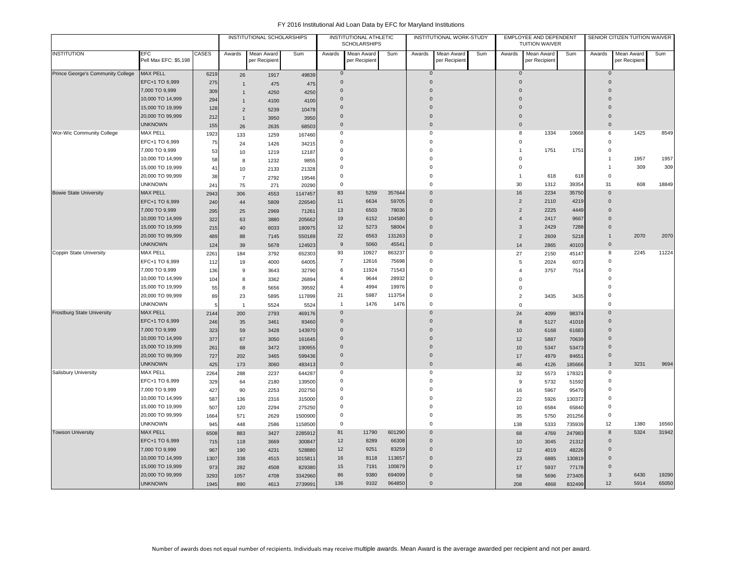|                                   | <b>EFC</b>            |              |                | INSTITUTIONAL SCHOLARSHIPS  |         |                | INSTITUTIONAL ATHLETIC<br><b>SCHOLARSHIPS</b> |        |              | INSTITUTIONAL WORK-STUDY    |     |                | EMPLOYEE AND DEPENDENT<br><b>TUITION WAIVER</b> |        |                | SENIOR CITIZEN TUITION WAIVER |       |
|-----------------------------------|-----------------------|--------------|----------------|-----------------------------|---------|----------------|-----------------------------------------------|--------|--------------|-----------------------------|-----|----------------|-------------------------------------------------|--------|----------------|-------------------------------|-------|
| <b>INSTITUTION</b>                | Pell Max EFC: \$5,198 | <b>CASES</b> | Awards         | Mean Award<br>per Recipient | Sum     | Awards         | Mean Award<br>per Recipient                   | Sum    | Awards       | Mean Award<br>per Recipient | Sum | Awards         | Mean Award<br>per Recipient                     | Sum    | Awards         | Mean Award<br>per Recipient   | Sum   |
| Prince George's Community College | <b>MAX PELL</b>       | 6219         | 26             | 1917                        | 49839   | $\overline{0}$ |                                               |        | $\mathbf 0$  |                             |     | $\mathbf 0$    |                                                 |        | $\overline{0}$ |                               |       |
|                                   | EFC+1 TO 6,999        | 275          | $\overline{1}$ | 475                         | 475     | $\mathbf 0$    |                                               |        | $\Omega$     |                             |     | $\Omega$       |                                                 |        | $\overline{0}$ |                               |       |
|                                   | 7,000 TO 9,999        | 309          | $\overline{1}$ | 4250                        | 4250    | $\mathbf 0$    |                                               |        | $\Omega$     |                             |     | $\mathbf 0$    |                                                 |        | $\Omega$       |                               |       |
|                                   | 10,000 TO 14,999      | 294          | $\mathbf{1}$   | 4100                        | 4100    | $\mathbf 0$    |                                               |        | $\Omega$     |                             |     | $\Omega$       |                                                 |        | $\Omega$       |                               |       |
|                                   | 15,000 TO 19,999      | 128          | $\overline{2}$ | 5239                        | 10478   | $\mathbf 0$    |                                               |        | $\Omega$     |                             |     | $\mathbf{0}$   |                                                 |        | $\Omega$       |                               |       |
|                                   | 20,000 TO 99,999      | 212          | $\mathbf{1}$   | 3950                        | 3950    | $\mathbf 0$    |                                               |        | $\mathbf 0$  |                             |     | $\mathbf 0$    |                                                 |        | $\overline{0}$ |                               |       |
|                                   | <b>UNKNOWN</b>        | 155          | 26             | 2635                        | 68503   | $\mathbf{0}$   |                                               |        | $\Omega$     |                             |     | $\mathbf{0}$   |                                                 |        | $\Omega$       |                               |       |
| Wor-Wic Community College         | <b>MAX PELL</b>       | 1923         | 133            | 1259                        | 167460  | 0              |                                               |        | $\mathbf 0$  |                             |     | 8              | 1334                                            | 10668  | 6              | 1425                          | 8549  |
|                                   | EFC+1 TO 6,999        | 75           | 24             | 1426                        | 34215   | $\mathbf 0$    |                                               |        | $\mathbf 0$  |                             |     | $\mathbf 0$    |                                                 |        | $\Omega$       |                               |       |
|                                   | 7,000 TO 9,999        | 53           | 10             | 1219                        | 12187   | $\mathbf 0$    |                                               |        | $\mathbf 0$  |                             |     | $\mathbf{1}$   | 1751                                            | 1751   | $\mathbf 0$    |                               |       |
|                                   | 10,000 TO 14,999      | 58           | 8              | 1232                        | 9855    | $\mathbf 0$    |                                               |        | $\mathbf 0$  |                             |     | $\mathbf 0$    |                                                 |        | $\mathbf{1}$   | 1957                          | 1957  |
|                                   | 15,000 TO 19,999      | 41           | 10             | 2133                        | 21328   | $\mathbf 0$    |                                               |        | $\mathbf 0$  |                             |     | $\mathbf 0$    |                                                 |        | $\overline{1}$ | 309                           | 309   |
|                                   | 20,000 TO 99,999      | 38           | $\overline{7}$ | 2792                        | 19546   | $\mathbf 0$    |                                               |        | $\mathbf 0$  |                             |     | $\mathbf{1}$   | 618                                             | 618    | $^{\circ}$     |                               |       |
|                                   | <b>UNKNOWN</b>        | 241          | 75             | 271                         | 20290   | $\mathbf 0$    |                                               |        | $\mathbf 0$  |                             |     | 30             | 1312                                            | 39354  | 31             | 608                           | 18849 |
| <b>Bowie State University</b>     | <b>MAX PELL</b>       | 2943         | 306            | 4553                        | 1147457 | 83             | 5259                                          | 357644 | $\mathbf{0}$ |                             |     | 16             | 2234                                            | 35750  | $\overline{0}$ |                               |       |
|                                   | EFC+1 TO 6,999        | 240          | 44             | 5809                        | 226540  | 11             | 6634                                          | 59705  | $\mathbf 0$  |                             |     | $\overline{2}$ | 2110                                            | 4219   | $\mathbf 0$    |                               |       |
|                                   | 7,000 TO 9,999        | 295          | 25             | 2969                        | 71261   | 13             | 6503                                          | 78036  | $\mathbf{0}$ |                             |     | $\overline{2}$ | 2225                                            | 4449   | $\overline{0}$ |                               |       |
|                                   | 10,000 TO 14,999      | 322          | 63             | 3880                        | 205662  | 19             | 6152                                          | 104580 | $\mathbf{0}$ |                             |     | $\overline{4}$ | 2417                                            | 9667   | $\overline{0}$ |                               |       |
|                                   | 15,000 TO 19,999      | 215          | 40             | 6033                        | 180975  | 12             | 5273                                          | 58004  | $\Omega$     |                             |     | $\mathbf{3}$   | 2429                                            | 7288   | $\Omega$       |                               |       |
|                                   | 20,000 TO 99,999      | 489          | 88             | 7145                        | 550189  | 22             | 6563                                          | 131263 | $\mathbf{0}$ |                             |     | $\overline{c}$ | 2609                                            | 5218   | $\mathbf{1}$   | 2070                          | 2070  |
|                                   | <b>UNKNOWN</b>        | 124          | 39             | 5678                        | 124923  | 9              | 5060                                          | 45541  | $\mathbf 0$  |                             |     | 14             | 2865                                            | 40103  | $\mathbf 0$    |                               |       |
| Coppin State University           | <b>MAX PELL</b>       | 226'         | 184            | 3792                        | 652303  | 93             | 10927                                         | 863237 | $\mathbf 0$  |                             |     | 27             | 2150                                            | 45147  | 8              | 2245                          | 11224 |
|                                   | EFC+1 TO 6,999        | 112          | 19             | 4000                        | 64005   | $\overline{7}$ | 12616                                         | 75698  | $\mathbf 0$  |                             |     | 5              | 2024                                            | 6073   | $\mathsf 0$    |                               |       |
|                                   | 7,000 TO 9,999        | 136          | 9              | 3643                        | 32790   | 6              | 11924                                         | 71543  | $\mathbf 0$  |                             |     | $\overline{4}$ | 3757                                            | 7514   | $\mathbf 0$    |                               |       |
|                                   | 10,000 TO 14,999      | 104          | 8              | 3362                        | 26894   | $\overline{4}$ | 9644                                          | 28932  | $\mathbf 0$  |                             |     | $\Omega$       |                                                 |        | $\mathbf 0$    |                               |       |
|                                   | 15,000 TO 19,999      | 55           | 8              | 5656                        | 39592   | $\overline{4}$ | 4994                                          | 19976  | $\mathbf 0$  |                             |     | 0              |                                                 |        | $\Omega$       |                               |       |
|                                   | 20,000 TO 99,999      | 89           | 23             | 5895                        | 117899  | 21             | 5987                                          | 113754 | $\mathbf 0$  |                             |     | $\overline{2}$ | 3435                                            | 3435   | $\mathbf 0$    |                               |       |
|                                   | <b>UNKNOWN</b>        |              | $\overline{1}$ | 5524                        | 5524    | $\overline{1}$ | 1476                                          | 1476   | $\mathbf 0$  |                             |     | $\mathbf 0$    |                                                 |        | $\mathbf 0$    |                               |       |
| <b>Frostburg State University</b> | <b>MAX PELL</b>       | 2144         | 200            | 2793                        | 469176  | $\mathbf 0$    |                                               |        | $\mathbf{0}$ |                             |     | 24             | 4099                                            | 98374  | $\overline{0}$ |                               |       |
|                                   | EFC+1 TO 6,999        | 246          | 35             | 3461                        | 93460   | $\mathbf 0$    |                                               |        | $\mathbf{0}$ |                             |     | 8              | 5127                                            | 41018  | $\mathbf{0}$   |                               |       |
|                                   | 7,000 TO 9,999        | 323          | 59             | 3428                        | 143970  | $\Omega$       |                                               |        | $\Omega$     |                             |     | 10             | 6168                                            | 61683  | $\Omega$       |                               |       |
|                                   | 10,000 TO 14,999      | 377          | 67             | 3050                        | 161645  | $\mathbf 0$    |                                               |        | $\mathbf{0}$ |                             |     | 12             | 5887                                            | 70639  | $\overline{0}$ |                               |       |
|                                   | 15,000 TO 19,999      | 261          | 68             | 3472                        | 190955  | $\mathbf 0$    |                                               |        | $\Omega$     |                             |     | 10             | 5347                                            | 53473  | $\overline{0}$ |                               |       |
|                                   | 20,000 TO 99,999      | 727          | 202            | 3465                        | 599436  | $\mathbf{0}$   |                                               |        | $\Omega$     |                             |     | 17             | 4979                                            | 84651  | 0              |                               |       |
|                                   | <b>UNKNOWN</b>        | 425          | 173            | 3060                        | 483413  | $\overline{0}$ |                                               |        | $\mathbf 0$  |                             |     | 46             | 4126                                            | 185666 | $\mathbf{3}$   | 3231                          | 9694  |
| <b>Salisbury University</b>       | <b>MAX PELL</b>       | 2264         | 288            | 2237                        | 644287  | $\Omega$       |                                               |        | $\Omega$     |                             |     | 32             | 5573                                            | 178321 | $\Omega$       |                               |       |
|                                   | EFC+1 TO 6,999        | 329          | 64             | 2180                        | 139500  | $\Omega$       |                                               |        | $\Omega$     |                             |     | 9              | 5732                                            | 51592  | $\Omega$       |                               |       |
|                                   | 7,000 TO 9,999        | 427          | 90             | 2253                        | 202750  | $\Omega$       |                                               |        | $\Omega$     |                             |     | 16             | 5967                                            | 95470  | $\Omega$       |                               |       |
|                                   | 10,000 TO 14,999      | 587          | 136            | 2316                        | 315000  | $\Omega$       |                                               |        | $\Omega$     |                             |     | 22             | 5926                                            | 130372 | $\Omega$       |                               |       |
|                                   | 15,000 TO 19,999      | 507          | 120            | 2294                        | 275250  | $\mathbf 0$    |                                               |        | $\Omega$     |                             |     | 10             | 6584                                            | 65840  | $\Omega$       |                               |       |
|                                   | 20,000 TO 99,999      | 1664         | 571            | 2629                        | 1500900 | $\Omega$       |                                               |        | $\Omega$     |                             |     | 35             | 5750                                            | 201256 | $\Omega$       |                               |       |
|                                   | <b>UNKNOWN</b>        | 945          | 448            | 2586                        | 1158500 | $\mathbf 0$    |                                               |        | $\Omega$     |                             |     | 138            | 5333                                            | 735939 | 12             | 1380                          | 16560 |
| <b>Towson University</b>          | <b>MAX PELL</b>       | 6508         | 883            | 3427                        | 2285912 | 81             | 11790                                         | 601290 | $\Omega$     |                             |     | 68             | 4769                                            | 247983 | 8              | 5324                          | 31942 |
|                                   | EFC+1 TO 6,999        | 715          | 118            | 3669                        | 300847  | 12             | 8289                                          | 66308  | $\Omega$     |                             |     | 10             | 3045                                            | 21312  | $\Omega$       |                               |       |
|                                   | 7,000 TO 9,999        | 967          | 190            | 4231                        | 528880  | 12             | 9251                                          | 83259  | $\Omega$     |                             |     | 12             | 4019                                            | 48226  | $\Omega$       |                               |       |
|                                   | 10,000 TO 14,999      | 1307         | 338            | 4515                        | 1015811 | 16             | 8118                                          | 113657 | $\Omega$     |                             |     | 23             | 6885                                            | 130819 | $\Omega$       |                               |       |
|                                   | 15,000 TO 19,999      | 973          | 282            | 4508                        | 829380  | 15             | 7191                                          | 100679 | $\Omega$     |                             |     | 17             | 5937                                            | 77178  | $\Omega$       |                               |       |
|                                   | 20,000 TO 99,999      | 3293         | 1057           | 4708                        | 3342960 | 86             | 9380                                          | 694099 | $\Omega$     |                             |     | 58             | 5696                                            | 273405 | 3              | 6430                          | 19290 |
|                                   | <b>UNKNOWN</b>        | 1945         | 890            | 4613                        | 2739991 | 136            | 9102                                          | 964850 | $\Omega$     |                             |     | 208            | 4868                                            | 832499 | 12             | 5914                          | 65050 |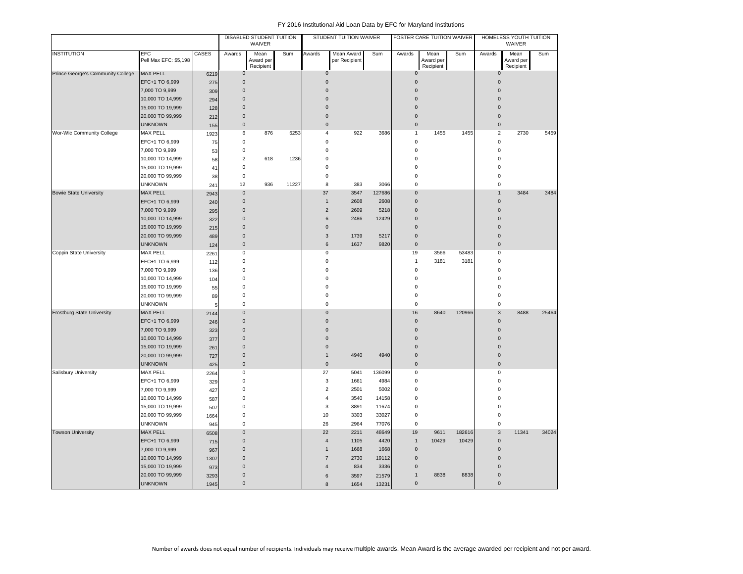|                                   |                              |       | DISABLED STUDENT TUITION<br>WAIVER |                                |       | STUDENT TUITION WAIVER |                             |        | FOSTER CARE TUITION WAIVER |                                |        | HOMELESS YOUTH TUITION<br>WAIVER |                                |       |
|-----------------------------------|------------------------------|-------|------------------------------------|--------------------------------|-------|------------------------|-----------------------------|--------|----------------------------|--------------------------------|--------|----------------------------------|--------------------------------|-------|
| <b>INSTITUTION</b>                | EFC<br>Pell Max EFC: \$5,198 | CASES | Awards                             | Mean<br>Award per<br>Recipient | Sum   | Awards                 | Mean Award<br>per Recipient | Sum    | Awards                     | Mean<br>Award per<br>Recipient | Sum    | Awards                           | Mean<br>Award per<br>Recipient | Sum   |
| Prince George's Community College | <b>MAX PELL</b>              | 6219  | $\mathsf{O}\xspace$                |                                |       | $\mathbf{0}$           |                             |        | $\mathbf{0}$               |                                |        | $\mathbf{0}$                     |                                |       |
|                                   | EFC+1 TO 6,999               | 275   | $\bf 0$                            |                                |       | $\mathbf{0}$           |                             |        | $\pmb{0}$                  |                                |        | $\mathbf 0$                      |                                |       |
|                                   | 7,000 TO 9,999               | 309   | $\mathbf{0}$                       |                                |       | $\mathbf{0}$           |                             |        | $\mathbf{0}$               |                                |        | $\Omega$                         |                                |       |
|                                   | 10,000 TO 14,999             | 294   | $\mathbf 0$                        |                                |       | $\Omega$               |                             |        | $\mathbf{0}$               |                                |        | $\Omega$                         |                                |       |
|                                   | 15,000 TO 19,999             | 128   | $\mathbf 0$                        |                                |       | $\mathbf{0}$           |                             |        | $\mathbf{0}$               |                                |        | $\Omega$                         |                                |       |
|                                   | 20,000 TO 99,999             | 212   | $\mathbf 0$                        |                                |       | $\mathbf 0$            |                             |        | $\pmb{0}$                  |                                |        | $\Omega$                         |                                |       |
|                                   | <b>UNKNOWN</b>               | 155   | $\mathbf 0$                        |                                |       | $\mathsf 0$            |                             |        | $\pmb{0}$                  |                                |        | $\mathbf 0$                      |                                |       |
| Wor-Wic Community College         | <b>MAX PELL</b>              | 1923  | 6                                  | 876                            | 5253  | $\overline{4}$         | 922                         | 3686   | $\mathbf{1}$               | 1455                           | 1455   | $\overline{2}$                   | 2730                           | 5459  |
|                                   | EFC+1 TO 6,999               | 75    | $\pmb{0}$                          |                                |       | $\bf 0$                |                             |        | 0                          |                                |        | $\mathbf 0$                      |                                |       |
|                                   | 7,000 TO 9,999               | 53    | $\pmb{0}$                          |                                |       | $\mathbf 0$            |                             |        | 0                          |                                |        | $\mathbf 0$                      |                                |       |
|                                   | 10,000 TO 14,999             | 58    | $\overline{2}$                     | 618                            | 1236  | $\bf 0$                |                             |        | 0                          |                                |        | $\Omega$                         |                                |       |
|                                   | 15,000 TO 19,999             | 41    | $\pmb{0}$                          |                                |       | $\mathbf 0$            |                             |        | 0                          |                                |        | $\Omega$                         |                                |       |
|                                   | 20,000 TO 99,999             | 38    | $\mathbf 0$                        |                                |       | $\mathbf 0$            |                             |        | 0                          |                                |        | $\Omega$                         |                                |       |
|                                   | <b>UNKNOWN</b>               | 241   | 12                                 | 936                            | 11227 | 8                      | 383                         | 3066   | 0                          |                                |        | $\mathsf 0$                      |                                |       |
| <b>Bowie State University</b>     | MAX PELL                     | 2943  | $\mathbf 0$                        |                                |       | 37                     | 3547                        | 127686 | $\pmb{0}$                  |                                |        | $\mathbf{1}$                     | 3484                           | 3484  |
|                                   | EFC+1 TO 6,999               | 240   | $\mathbf 0$                        |                                |       | $\mathbf{1}$           | 2608                        | 2608   | $\pmb{0}$                  |                                |        | $\mathbf 0$                      |                                |       |
|                                   | 7,000 TO 9,999               | 295   | $\mathbf 0$                        |                                |       | $\overline{c}$         | 2609                        | 5218   | $\pmb{0}$                  |                                |        | $\Omega$                         |                                |       |
|                                   | 10,000 TO 14,999             | 322   | $\mathbf 0$                        |                                |       | 6                      | 2486                        | 12429  | $\pmb{0}$                  |                                |        | $\Omega$                         |                                |       |
|                                   | 15,000 TO 19,999             | 215   | $\mathbf 0$                        |                                |       | $\mathbf 0$            |                             |        | $\pmb{0}$                  |                                |        | 0                                |                                |       |
|                                   | 20,000 TO 99,999             | 489   | $\pmb{0}$                          |                                |       | $\mathbf{3}$           | 1739                        | 5217   | $\pmb{0}$                  |                                |        | $\mathbf 0$                      |                                |       |
|                                   | <b>UNKNOWN</b>               | 124   | $\pmb{0}$                          |                                |       | $\,6$                  | 1637                        | 9820   | $\pmb{0}$                  |                                |        | $\mathbf 0$                      |                                |       |
| Coppin State University           | MAX PELL                     | 2261  | 0                                  |                                |       | 0                      |                             |        | 19                         | 3566                           | 53483  | 0                                |                                |       |
|                                   | EFC+1 TO 6,999               | 112   | $\mathbf 0$                        |                                |       | $\mathbf 0$            |                             |        | $\mathbf{1}$               | 3181                           | 3181   | $\mathbf 0$                      |                                |       |
|                                   | 7,000 TO 9,999               | 136   | $\pmb{0}$                          |                                |       | $\mathbf 0$            |                             |        | $\pmb{0}$                  |                                |        | $\mathbf 0$                      |                                |       |
|                                   | 10,000 TO 14,999             | 104   | $\mathbf 0$                        |                                |       | $\mathbf 0$            |                             |        | 0                          |                                |        | $\Omega$                         |                                |       |
|                                   | 15,000 TO 19,999             | 55    | $\mathbf 0$                        |                                |       | $\mathbf 0$            |                             |        | 0                          |                                |        | $\Omega$                         |                                |       |
|                                   | 20,000 TO 99,999             | 89    | $\mathbf 0$                        |                                |       | $\mathbf 0$            |                             |        | 0                          |                                |        | $\Omega$                         |                                |       |
|                                   | <b>UNKNOWN</b>               | 5     | $\mathbf 0$                        |                                |       | $\mathbf 0$            |                             |        | 0                          |                                |        | $\mathbf 0$                      |                                |       |
| <b>Frostburg State University</b> | <b>MAX PELL</b>              | 2144  | $\mathbf 0$                        |                                |       | $\mathbf 0$            |                             |        | 16                         | 8640                           | 120966 | 3                                | 8488                           | 25464 |
|                                   | EFC+1 TO 6,999               | 246   | $\mathbf 0$                        |                                |       | $\mathbf{0}$           |                             |        | $\mathbf{0}$               |                                |        | $\mathbf{0}$                     |                                |       |
|                                   | 7,000 TO 9,999               | 323   | $\mathbf 0$                        |                                |       | $\mathbf 0$            |                             |        | $\pmb{0}$                  |                                |        | $\mathbf 0$                      |                                |       |
|                                   | 10,000 TO 14,999             | 377   | $\mathbf{0}$                       |                                |       | $\mathbf{0}$           |                             |        | $\mathbf{0}$               |                                |        | $\Omega$                         |                                |       |
|                                   | 15,000 TO 19,999             | 261   | $\mathbf 0$                        |                                |       | $\mathbf 0$            |                             |        | $\pmb{0}$                  |                                |        | $\Omega$                         |                                |       |
|                                   | 20,000 TO 99,999             | 727   | $\pmb{0}$                          |                                |       | $\mathbf{1}$           | 4940                        | 4940   | $\pmb{0}$                  |                                |        | $\mathbf 0$                      |                                |       |
|                                   | <b>UNKNOWN</b>               | 425   | $\mathbf 0$                        |                                |       | $\mathbf{0}$           |                             |        | $\mathbf{0}$               |                                |        | $\mathbf{0}$                     |                                |       |
| Salisbury University              | MAX PELL                     | 2264  | $\mathbf 0$                        |                                |       | 27                     | 5041                        | 136099 | 0                          |                                |        | 0                                |                                |       |
|                                   | EFC+1 TO 6,999               | 329   | $\mathbf 0$                        |                                |       | 3                      | 1661                        | 4984   | 0                          |                                |        | $\mathbf 0$                      |                                |       |
|                                   | 7,000 TO 9,999               | 427   | $\mathbf 0$                        |                                |       | $\overline{2}$         | 2501                        | 5002   | 0                          |                                |        | $\Omega$                         |                                |       |
|                                   | 10,000 TO 14,999             | 587   | $\mathbf 0$                        |                                |       | $\overline{4}$         | 3540                        | 14158  | 0                          |                                |        | $\Omega$                         |                                |       |
|                                   | 15,000 TO 19,999             | 507   | $\mathbf 0$                        |                                |       | 3                      | 3891                        | 11674  | 0                          |                                |        | $\Omega$                         |                                |       |
|                                   | 20,000 TO 99,999             | 1664  | $\mathbf 0$                        |                                |       | 10                     | 3303                        | 33027  | 0                          |                                |        | 0                                |                                |       |
|                                   | <b>UNKNOWN</b>               | 945   | $\mathbf 0$                        |                                |       | 26                     | 2964                        | 77076  | 0                          |                                |        | $\mathbf 0$                      |                                |       |
| <b>Towson University</b>          | <b>MAX PELL</b>              | 6508  | $\pmb{0}$                          |                                |       | 22                     | 2211                        | 48649  | 19                         | 9611                           | 182616 | 3                                | 11341                          | 34024 |
|                                   | EFC+1 TO 6,999               | 715   | $\pmb{0}$                          |                                |       | $\overline{4}$         | 1105                        | 4420   | $\mathbf{1}$               | 10429                          | 10429  | $\mathbf 0$                      |                                |       |
|                                   | 7,000 TO 9,999               | 967   | $\mathbf 0$                        |                                |       | $\mathbf{1}$           | 1668                        | 1668   | $\pmb{0}$                  |                                |        | $\mathbf 0$                      |                                |       |
|                                   | 10,000 TO 14,999             | 1307  | $\mathbf 0$                        |                                |       | $\overline{7}$         | 2730                        | 19112  | $\pmb{0}$                  |                                |        | $\Omega$                         |                                |       |
|                                   | 15,000 TO 19,999             | 973   | $\mathbf 0$                        |                                |       | $\boldsymbol{\Delta}$  | 834                         | 3336   | $\pmb{0}$                  |                                |        | $\Omega$                         |                                |       |
|                                   | 20,000 TO 99,999             | 3293  | $\pmb{0}$                          |                                |       | 6                      | 3597                        | 21579  | $\mathbf{1}$               | 8838                           | 8838   | $\Omega$                         |                                |       |
|                                   | <b>UNKNOWN</b>               | 1945  | $\mathbf 0$                        |                                |       | 8                      | 1654                        | 13231  | $\pmb{0}$                  |                                |        | $\mathbf{0}$                     |                                |       |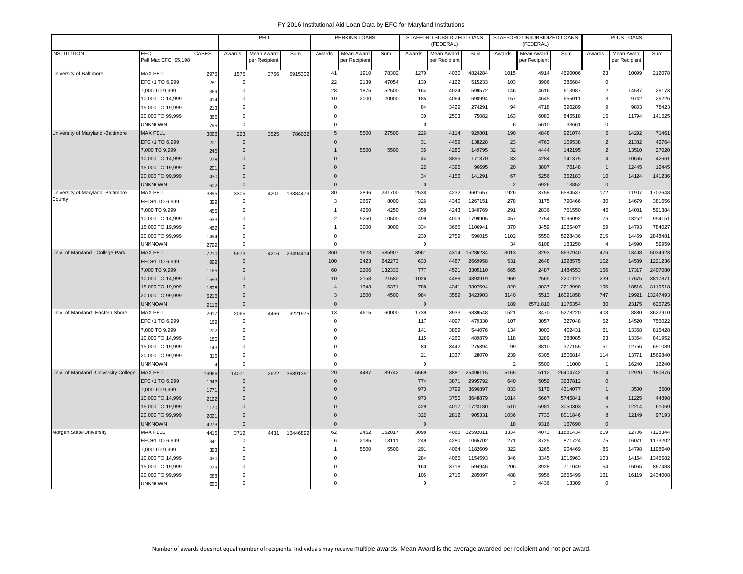|                                       |                                     |       | PELL<br>Awards<br>Mean Award<br>Sum |               |               | PERKINS LOANS  |                             |        | STAFFORD SUBSIDIZED LOANS<br>(FEDERAL) |                             |          | STAFFORD UNSUBSIDIZED LOANS<br>(FEDERAL) |                             |          | PLUS LOANS     |                            |          |
|---------------------------------------|-------------------------------------|-------|-------------------------------------|---------------|---------------|----------------|-----------------------------|--------|----------------------------------------|-----------------------------|----------|------------------------------------------|-----------------------------|----------|----------------|----------------------------|----------|
| <b>INSTITUTION</b>                    | <b>EFC</b><br>Pell Max EFC: \$5,198 | CASES |                                     | per Recipient |               | Awards         | Mean Award<br>per Recipient | Sum    | Awards                                 | Mean Award<br>per Recipient | Sum      | Awards                                   | Mean Award<br>per Recipient | Sum      | Awards         | Mean Award<br>per Recipien | Sum      |
| University of Baltimore               | <b>MAX PELL</b>                     | 2976  | 1575                                | 3756          | 5915302       | 41             | 1910                        | 78302  | 1270                                   | 4030                        | 4824284  | 1015                                     | 4914                        | 4590006  | 23             | 10099                      | 212078   |
|                                       | EFC+1 TO 6,999                      | 281   | $\mathbf 0$                         |               |               | 22             | 2139                        | 47054  | 130                                    | 4122                        | 515233   | 103                                      | 3906                        | 386684   | $\mathbf 0$    |                            |          |
|                                       | 7,000 TO 9,999                      | 369   | 0                                   |               |               | 28             | 1875                        | 52500  | 164                                    | 4024                        | 599572   | 146                                      | 4616                        | 613987   | $\overline{2}$ | 14587                      | 29173    |
|                                       | 10,000 TO 14,999                    | 414   | $\Omega$                            |               |               | 10             | 2000                        | 20000  | 185                                    | 4064                        | 698994   | 157                                      | 4645                        | 655011   | 3              | 9742                       | 29226    |
|                                       | 15,000 TO 19,999                    | 213   | $\Omega$                            |               |               | $\mathsf 0$    |                             |        | 84                                     | 3429                        | 274291   | 94                                       | 4718                        | 396289   | 9              | 9803                       | 78423    |
|                                       | 20,000 TO 99,999                    | 365   | $\mathbf 0$                         |               |               | $\mathsf 0$    |                             |        | 30                                     | 2503                        | 75082    | 163                                      | 6083                        | 845518   | 15             | 11794                      | 141525   |
|                                       | <b>UNKNOWN</b>                      | 795   | $\mathbf 0$                         |               |               | $\mathbf 0$    |                             |        | $\Omega$                               |                             |          | 6                                        | 5610                        | 33661    | $\mathbf 0$    |                            |          |
| University of Maryland -Baltimore     | <b>MAX PELL</b>                     | 3066  | 223                                 | 3525          | 786032        | 5              | 5500                        | 27500  | 226                                    | 4114                        | 929801   | 190                                      | 4848                        | 921074   | 5              | 14292                      | 71461    |
|                                       | EFC+1 TO 6,999                      | 201   | $\mathbf{0}$                        |               |               | $\mathbf{0}$   |                             |        | 31                                     | 4459                        | 138228   | 23                                       | 4763                        | 109538   | 2              | 21382                      | 42764    |
|                                       | 7,000 TO 9,999                      | 245   | $\mathbf{0}$                        |               |               | $\mathbf{1}$   | 5500                        | 5500   | 35                                     | 4280                        | 149795   | 32                                       | 4444                        | 142195   | $\overline{2}$ | 13510                      | 27020    |
|                                       | 10,000 TO 14,999                    | 278   | $\Omega$                            |               |               | $\Omega$       |                             |        | 44                                     | 3895                        | 171370   | 33                                       | 4284                        | 141375   | $\overline{4}$ | 10665                      | 42661    |
|                                       | 15,000 TO 19,999                    | 201   | $\Omega$                            |               |               | $\Omega$       |                             |        | 22                                     | 4395                        | 96695    | 20                                       | 3807                        | 76148    | $\mathbf{1}$   | 12445                      | 12445    |
|                                       | 20,000 TO 99,999                    | 430   | $\Omega$                            |               |               | $\Omega$       |                             |        | 34                                     | 4156                        | 141291   | 67                                       | 5256                        | 352183   | 10             | 14124                      | 141236   |
|                                       | <b>UNKNOWN</b>                      | 602   | $\mathbf{0}$                        |               |               | $\mathbf{0}$   |                             |        | $\Omega$                               |                             |          | $\overline{2}$                           | 6926                        | 13852    | $\mathbf{0}$   |                            |          |
| University of Maryland -Baltimore     | <b>MAX PELL</b>                     | 3895  | 3305                                | 4201          | 13884479      | 80             | 2896                        | 231700 | 2538                                   | 4232                        | 9601657  | 1926                                     | 3758                        | 6584537  | 172            | 11907                      | 1702648  |
| County                                | EFC+1 TO 6,999                      | 399   | $\mathbf 0$                         |               |               | 3              | 2667                        | 8000   | 326                                    | 4340                        | 1267151  | 278                                      | 3175                        | 790466   | 30             | 14679                      | 381656   |
|                                       | 7,000 TO 9,999                      | 455   | $\Omega$                            |               |               | $\overline{1}$ | 4250                        | 4250   | 358                                    | 4243                        | 1340769  | 291                                      | 2836                        | 751550   | 46             | 14081                      | 591384   |
|                                       | 10,000 TO 14,999                    | 633   | $\Omega$                            |               |               | $\overline{c}$ | 5250                        | 10500  | 499                                    | 4009                        | 1799905  | 457                                      | 2754                        | 1096092  | 76             | 13252                      | 954151   |
|                                       | 15,000 TO 19,999                    | 462   | $\Omega$                            |               |               | $\overline{1}$ | 3000                        | 3000   | 334                                    | 3665                        | 1106941  | 370                                      | 3459                        | 1065407  | 59             | 14793                      | 784027   |
|                                       | 20,000 TO 99,999                    | 1494  | $\Omega$                            |               |               | $\mathsf 0$    |                             |        | 230                                    | 2759                        | 596015   | 1102                                     | 5550                        | 5228436  | 215            | 14459                      | 2848481  |
|                                       | <b>UNKNOWN</b>                      | 2799  | $\mathbf 0$                         |               |               | $\mathbf 0$    |                             |        | $\Omega$                               |                             |          | 34                                       | 6108                        | 183250   | $\overline{4}$ | 14990                      | 59959    |
| Univ. of Maryland - College Park      | <b>MAX PELL</b>                     | 7210  | 5573                                |               | 4216 23494414 | 360            | 1628                        | 585907 | 3961                                   | 4314                        | 15286234 | 3013                                     | 3293                        | 8637940  | 476            | 13498                      | 5034923  |
|                                       | EFC+1 TO 6,999                      | 999   | $\mathbf{0}$                        |               |               | 100            | 2423                        | 242273 | 633                                    | 4487                        | 2669958  | 531                                      | 2648                        | 1228575  | 102            | 14539                      | 1221236  |
|                                       | 7,000 TO 9,999                      | 1165  | $\Omega$                            |               |               | 60             | 2206                        | 132333 | 777                                    | 4521                        | 3305110  | 665                                      | 2487                        | 1484553  | 166            | 17317                      | 2407080  |
|                                       | 10,000 TO 14,999                    | 1553  | $\Omega$                            |               |               | 10             | 2158                        | 21580  | 1026                                   | 4488                        | 4393919  | 969                                      | 2565                        | 2201127  | 239            | 17675                      | 3817871  |
|                                       | 15,000 TO 19,999                    | 1308  | $\Omega$                            |               |               | $\overline{4}$ | 1343                        | 5371   | 788                                    | 4341                        | 3307594  | 820                                      | 3037                        | 2213990  | 195            | 18516                      | 3110618  |
|                                       | 20,000 TO 99,999                    | 5216  | $\Omega$                            |               |               | 3              | 1500                        | 4500   | 984                                    | 3589                        | 3423903  | 3140                                     | 5513                        | 16091858 | 747            | 19921                      | 13247493 |
|                                       | <b>UNKNOWN</b>                      | 9116  | $\Omega$                            |               |               | $\mathbf{0}$   |                             |        | $\Omega$                               |                             |          | 189                                      | 6571.810                    | 1176354  | 30             | 23175                      | 625725   |
| Univ. of Maryland -Eastern Shore      | <b>MAX PELL</b>                     | 2917  | 2065                                | 4466          | 9221975       | 13             | 4615                        | 60000  | 1739                                   | 3933                        | 6839548  | 1521                                     | 3470                        | 5278220  | 408            | 8880                       | 3622910  |
|                                       | EFC+1 TO 6,999                      | 169   | $\mathsf 0$                         |               |               | $\mathsf 0$    |                             |        | 117                                    | 4097                        | 479330   | 107                                      | 3057                        | 327048   | 52             | 14520                      | 755022   |
|                                       | 7,000 TO 9,999                      | 202   | $\Omega$                            |               |               | $\mathbf 0$    |                             |        | 141                                    | 3859                        | 544076   | 134                                      | 3003                        | 402431   | 61             | 13368                      | 815428   |
|                                       | 10,000 TO 14,999                    | 180   | $\Omega$                            |               |               | $\Omega$       |                             |        | 115                                    | 4260                        | 489879   | 118                                      | 3289                        | 388085   | 63             | 13364                      | 841952   |
|                                       | 15,000 TO 19,999                    | 143   | $\Omega$                            |               |               | $\mathbf 0$    |                             |        | 80                                     | 3442                        | 275394   | 99                                       | 3810                        | 377155   | 51             | 12766                      | 651089   |
|                                       | 20,000 TO 99,999                    | 315   | $\Omega$                            |               |               | $\mathsf 0$    |                             |        | 21                                     | 1337                        | 28070    | 239                                      | 6305                        | 1506814  | 114            | 13771                      | 1569840  |
|                                       | <b>UNKNOWN</b>                      |       | $\Omega$                            |               |               | $\mathbf 0$    |                             |        | $\Omega$                               |                             |          | $\overline{2}$                           | 5500                        | 11000    | $\overline{1}$ | 16240                      | 16240    |
| Univ. of Maryland -University College | <b>MAX PELL</b>                     | 19966 | 14071                               | 2622          | 36891351      | 20             | 4487                        | 89742  | 6569                                   | 3881                        | 25496115 | 5165                                     | 5112                        | 26404742 | 14             | 12920                      | 180876   |
|                                       | EFC+1 TO 6,999                      | 1347  | $\Omega$                            |               |               | $\mathbf{0}$   |                             |        | 774                                    | 3871                        | 2995792  | 640                                      | 5059                        | 3237812  | $\mathbf{0}$   |                            |          |
|                                       | 7,000 TO 9,999                      | 1771  | $\Omega$                            |               |               | $\Omega$       |                             |        | 973                                    | 3799                        | 3696897  | 833                                      | 5179                        | 4314077  | $\mathbf{1}$   | 3500                       | 3500     |
|                                       | 10,000 TO 14,999                    | 2122  | $\Omega$                            |               |               | $\Omega$       |                             |        | 973                                    | 3750                        | 3648879  | 1014                                     | 5667                        | 5746841  | $\overline{4}$ | 11225                      | 44898    |
|                                       | 15,000 TO 19,999                    | 1170  | $\Omega$                            |               |               | $\Omega$       |                             |        | 429                                    | 4017                        | 1723180  | 510                                      | 5981                        | 3050303  | 5              | 12214                      | 61069    |
|                                       | 20,000 TO 99,999                    | 2021  | $\Omega$                            |               |               | $\Omega$       |                             |        | 322                                    | 2812                        | 905331   | 1036                                     | 7733                        | 8011846  | 8              | 12149                      | 97193    |
|                                       | <b>UNKNOWN</b>                      | 4273  | $\mathbf{0}$                        |               |               | $\mathbf{0}$   |                             |        | $\Omega$                               |                             |          | 18                                       | 9316                        | 167690   | $\mathbf{0}$   |                            |          |
| Morgan State University               | MAX PELL                            | 4415  | 3712                                | 4431          | 16446892      | 62             | 2452                        | 152017 | 3098                                   | 4065                        | 1259201  | 3334                                     | 4073                        | 11881434 | 619            | 12706                      | 7128344  |
|                                       | EFC+1 TO 6,999                      | 341   | $\mathbf 0$                         |               |               | 6              | 2185                        | 13111  | 249                                    | 4280                        | 1065702  | 271                                      | 3725                        | 871724   | 75             | 16071                      | 1173202  |
|                                       | 7,000 TO 9,999                      | 393   | $\Omega$                            |               |               | $\overline{1}$ | 5500                        | 5500   | 291                                    | 4064                        | 1182609  | 322                                      | 3265                        | 904469   | 86             | 14798                      | 1198640  |
|                                       | 10,000 TO 14,999                    | 430   | $\Omega$                            |               |               | $\Omega$       |                             |        | 284                                    | 4065                        | 1154593  | 346                                      | 3345                        | 1016963  | 103            | 14164                      | 1345582  |
|                                       | 15,000 TO 19,999                    | 273   | $\Omega$                            |               |               | $\Omega$       |                             |        | 160                                    | 3718                        | 594946   | 206                                      | 3928                        | 711049   | 54             | 16065                      | 867483   |
|                                       | 20,000 TO 99,999                    | 588   | $\Omega$                            |               |               | $\Omega$       |                             |        | 105                                    | 2715                        | 285097   | 488                                      | 5956                        | 2656499  | 161            | 16119                      | 2434008  |
|                                       | <b>UNKNOWN</b>                      | 650   | $\mathbf 0$                         |               |               | $\Omega$       |                             |        | $\mathbf 0$                            |                             |          | 3                                        | 4436                        | 13309    | $\mathbf 0$    |                            |          |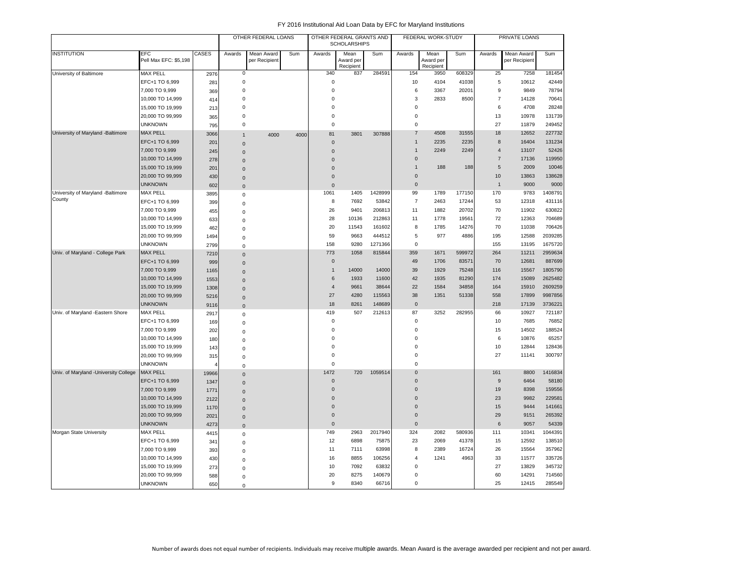|                                        |                                     |              |                | OTHER FEDERAL LOANS         |      |                | OTHER FEDERAL GRANTS AND<br><b>SCHOLARSHIPS</b> |         |                     | FEDERAL WORK-STUDY             |        |                | PRIVATE LOANS               |         |
|----------------------------------------|-------------------------------------|--------------|----------------|-----------------------------|------|----------------|-------------------------------------------------|---------|---------------------|--------------------------------|--------|----------------|-----------------------------|---------|
| <b>INSTITUTION</b>                     | <b>EFC</b><br>Pell Max EFC: \$5,198 | <b>CASES</b> | Awards         | Mean Award<br>per Recipient | Sum  | Awards         | Mean<br>Award per<br>Recipient                  | Sum     | Awards              | Mean<br>Award per<br>Recipient | Sum    | Awards         | Mean Award<br>per Recipient | Sum     |
| University of Baltimore                | <b>MAX PELL</b>                     | 2976         | $\mathbf 0$    |                             |      | 340            | 837                                             | 284591  | 154                 | 3950                           | 608329 | 25             | 7258                        | 181454  |
|                                        | EFC+1 TO 6,999                      | 281          | $\mathbf 0$    |                             |      | $\mathbf 0$    |                                                 |         | 10                  | 4104                           | 41038  | 5              | 10612                       | 42449   |
|                                        | 7,000 TO 9,999                      | 369          | $\mathbf 0$    |                             |      | $\mathbf 0$    |                                                 |         | 6                   | 3367                           | 20201  | 9              | 9849                        | 78794   |
|                                        | 10,000 TO 14,999                    | 414          | $\mathbf 0$    |                             |      | $\mathbf 0$    |                                                 |         | 3                   | 2833                           | 8500   | $\overline{7}$ | 14128                       | 70641   |
|                                        | 15,000 TO 19,999                    | 213          | 0              |                             |      | $\mathbf 0$    |                                                 |         | $\mathsf 0$         |                                |        | 6              | 4708                        | 28248   |
|                                        | 20,000 TO 99,999                    | 365          | $\mathbf 0$    |                             |      | $\mathbf 0$    |                                                 |         | $\mathbf 0$         |                                |        | 13             | 10978                       | 131739  |
|                                        | <b>UNKNOWN</b>                      | 795          | 0              |                             |      | $\mathbf 0$    |                                                 |         | $\mathbf 0$         |                                |        | 27             | 11879                       | 249452  |
| University of Maryland -Baltimore      | <b>MAX PELL</b>                     | 3066         | $\mathbf{1}$   | 4000                        | 4000 | 81             | 3801                                            | 307888  | $\overline{7}$      | 4508                           | 31555  | 18             | 12652                       | 227732  |
|                                        | EFC+1 TO 6,999                      | 201          | $\mathbf{0}$   |                             |      | $\mathbf 0$    |                                                 |         | $\mathbf{1}$        | 2235                           | 2235   | 8              | 16404                       | 131234  |
|                                        | 7,000 TO 9,999                      | 245          | $\Omega$       |                             |      | $\mathbf{0}$   |                                                 |         | $\overline{1}$      | 2249                           | 2249   | $\overline{4}$ | 13107                       | 52426   |
|                                        | 10,000 TO 14,999                    | 278          | $\Omega$       |                             |      | $\Omega$       |                                                 |         | $\overline{0}$      |                                |        | $\overline{7}$ | 17136                       | 119950  |
|                                        | 15,000 TO 19,999                    | 201          | $\Omega$       |                             |      | $\overline{0}$ |                                                 |         | $\mathbf{1}$        | 188                            | 188    | 5              | 2009                        | 10046   |
|                                        | 20,000 TO 99,999                    | 430          | $\mathsf 0$    |                             |      | $\mathbf 0$    |                                                 |         | $\mathbf 0$         |                                |        | 10             | 13863                       | 138628  |
|                                        | <b>UNKNOWN</b>                      | 602          | $\mathbf{0}$   |                             |      | $\mathbf 0$    |                                                 |         | $\mathbf 0$         |                                |        | $\mathbf{1}$   | 9000                        | 9000    |
| University of Maryland -Baltimore      | <b>MAX PELL</b>                     | 3895         | 0              |                             |      | 1061           | 1405                                            | 1428999 | 99                  | 1789                           | 177150 | 170            | 9783                        | 1408791 |
| County                                 | EFC+1 TO 6,999                      | 399          | $\mathbf 0$    |                             |      | 8              | 7692                                            | 53842   | $\overline{7}$      | 2463                           | 17244  | 53             | 12318                       | 431116  |
|                                        | 7,000 TO 9,999                      | 455          | 0              |                             |      | 26             | 9401                                            | 206813  | 11                  | 1882                           | 20702  | 70             | 11902                       | 630822  |
|                                        | 10,000 TO 14,999                    | 633          | 0              |                             |      | 28             | 10136                                           | 212863  | 11                  | 1778                           | 19561  | 72             | 12363                       | 704689  |
|                                        | 15,000 TO 19,999                    | 462          | $\Omega$       |                             |      | 20             | 11543                                           | 161602  | 8                   | 1785                           | 14276  | 70             | 11038                       | 706426  |
|                                        | 20,000 TO 99,999                    | 1494         | 0              |                             |      | 59             | 9663                                            | 444512  | $\,$ 5 $\,$         | 977                            | 4886   | 195            | 12588                       | 2039285 |
|                                        | <b>UNKNOWN</b>                      | 2799         | $\Omega$       |                             |      | 158            | 9280                                            | 1271366 | $\mathbf 0$         |                                |        | 155            | 13195                       | 1675720 |
| Univ. of Maryland - College Park       | <b>MAX PELL</b>                     | 7210         | 0              |                             |      | 773            | 1058                                            | 815844  | 359                 | 1671                           | 599972 | 264            | 11211                       | 2959634 |
|                                        | EFC+1 TO 6,999                      | 999          | $\mathbf 0$    |                             |      | $\mathbf 0$    |                                                 |         | 49                  | 1706                           | 83571  | 70             | 12681                       | 887699  |
|                                        | 7,000 TO 9,999                      | 1165         | $\Omega$       |                             |      | $\overline{1}$ | 14000                                           | 14000   | 39                  | 1929                           | 75248  | 116            | 15567                       | 1805790 |
|                                        | 10,000 TO 14,999                    | 1553         | 0              |                             |      | 6              | 1933                                            | 11600   | 42                  | 1935                           | 81290  | 174            | 15089                       | 2625482 |
|                                        | 15,000 TO 19,999                    | 1308         | $\Omega$       |                             |      | $\overline{4}$ | 9661                                            | 38644   | 22                  | 1584                           | 34858  | 164            | 15910                       | 2609259 |
|                                        | 20,000 TO 99,999                    | 5216         | $\overline{0}$ |                             |      | 27             | 4280                                            | 115563  | 38                  | 1351                           | 51338  | 558            | 17899                       | 9987856 |
|                                        | <b>UNKNOWN</b>                      | 9116         | $\bf 0$        |                             |      | 18             | 8261                                            | 148689  | $\mathsf{O}\xspace$ |                                |        | 218            | 17139                       | 3736221 |
| Univ. of Maryland -Eastern Shore       | <b>MAX PELL</b>                     | 2917         | 0              |                             |      | 419            | 507                                             | 212613  | 87                  | 3252                           | 282955 | 66             | 10927                       | 721187  |
|                                        | EFC+1 TO 6,999                      | 169          | 0              |                             |      | $\mathbf 0$    |                                                 |         | $\mathbf 0$         |                                |        | 10             | 7685                        | 76852   |
|                                        | 7,000 TO 9,999                      | 202          | 0              |                             |      | $\mathbf 0$    |                                                 |         | $\mathsf 0$         |                                |        | 15             | 14502                       | 188524  |
|                                        | 10,000 TO 14,999                    | 180          | 0              |                             |      | $\mathbf 0$    |                                                 |         | $\mathbf 0$         |                                |        | 6              | 10876                       | 65257   |
|                                        | 15,000 TO 19,999                    | 143          | $\mathbf 0$    |                             |      | $\mathbf 0$    |                                                 |         | $\mathbf 0$         |                                |        | 10             | 12844                       | 128436  |
|                                        | 20,000 TO 99,999                    | 315          | 0              |                             |      | $\mathbf 0$    |                                                 |         | $\mathbf 0$         |                                |        | 27             | 11141                       | 300797  |
|                                        | <b>UNKNOWN</b>                      | 4            | $\mathbf 0$    |                             |      | $\mathbf 0$    |                                                 |         | $\Omega$            |                                |        |                |                             |         |
| Univ. of Maryland - University College | <b>MAX PELL</b>                     | 19966        | $\overline{0}$ |                             |      | 1472           | 720                                             | 1059514 | $\Omega$            |                                |        | 161            | 8800                        | 1416834 |
|                                        | EFC+1 TO 6,999                      | 1347         | $\mathsf 0$    |                             |      | $\mathbf{0}$   |                                                 |         | $\mathbf{0}$        |                                |        | $\overline{9}$ | 6464                        | 58180   |
|                                        | 7,000 TO 9,999                      | 1771         | $\mathbf 0$    |                             |      | $\mathbf 0$    |                                                 |         | $\Omega$            |                                |        | 19             | 8398                        | 159556  |
|                                        | 10,000 TO 14,999                    | 2122         | $\mathbf 0$    |                             |      | $\overline{0}$ |                                                 |         | $\mathbf{0}$        |                                |        | 23             | 9982                        | 229581  |
|                                        | 15,000 TO 19,999                    | 1170         | $\Omega$       |                             |      | $\mathbf 0$    |                                                 |         | $\Omega$            |                                |        | 15             | 9444                        | 141661  |
|                                        | 20,000 TO 99,999                    | 2021         | $\mathbf 0$    |                             |      | $\mathbf 0$    |                                                 |         | $\mathsf 0$         |                                |        | 29             | 9151                        | 265392  |
|                                        | <b>UNKNOWN</b>                      | 4273         | $\mathbf 0$    |                             |      | $\mathbf{0}$   |                                                 |         | $\mathbf{0}$        |                                |        | 6              | 9057                        | 54339   |
| Morgan State University                | <b>MAX PELL</b>                     | 4415         | 0              |                             |      | 749            | 2963                                            | 2017940 | 324                 | 2082                           | 580936 | 111            | 10341                       | 1044391 |
|                                        | EFC+1 TO 6,999                      | 341          | 0              |                             |      | 12             | 6898                                            | 75875   | 23                  | 2069                           | 41378  | 15             | 12592                       | 138510  |
|                                        | 7,000 TO 9,999                      | 393          | $\mathbf 0$    |                             |      | 11             | 7111                                            | 63998   | 8                   | 2389                           | 16724  | 26             | 15564                       | 357962  |
|                                        | 10,000 TO 14,999                    | 430          | 0              |                             |      | 16             | 8855                                            | 106256  | $\overline{4}$      | 1241                           | 4963   | 33             | 11577                       | 335726  |
|                                        | 15,000 TO 19,999                    | 273          | $\Omega$       |                             |      | 10             | 7092                                            | 63832   | $\mathbf 0$         |                                |        | 27             | 13829                       | 345732  |
|                                        | 20,000 TO 99,999                    | 588          | $\mathbf 0$    |                             |      | 20             | 8275                                            | 140679  | $\mathsf 0$         |                                |        | 60             | 14291                       | 714560  |
|                                        | <b>UNKNOWN</b>                      | 650          | $\mathsf 0$    |                             |      | 9              | 8340                                            | 66716   | $\mathbf 0$         |                                |        | 25             | 12415                       | 285549  |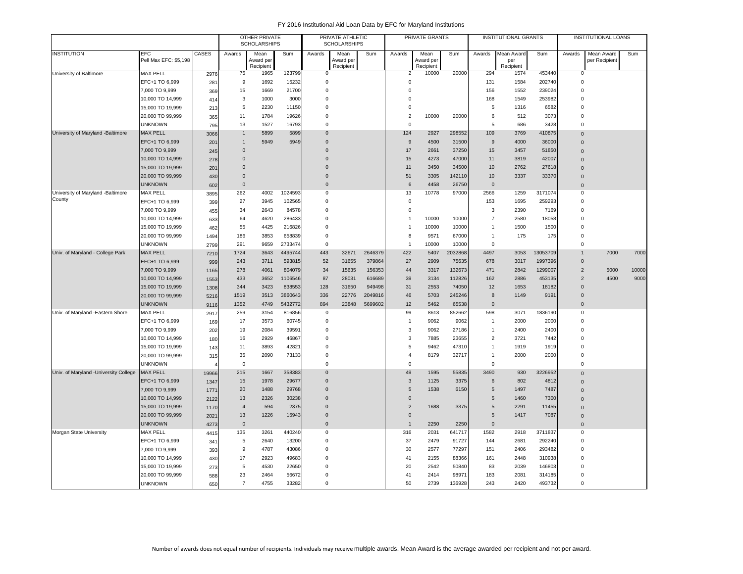|                                       |                                     |             |                     | OTHER PRIVATE<br><b>SCHOLARSHIPS</b> |         |                | PRIVATE ATHLETIC<br><b>SCHOLARSHIPS</b> |         |                | PRIVATE GRANTS     |         |                     | INSTITUTIONAL GRANTS |          |                                  | <b>INSTITUTIONAL LOANS</b>  |       |
|---------------------------------------|-------------------------------------|-------------|---------------------|--------------------------------------|---------|----------------|-----------------------------------------|---------|----------------|--------------------|---------|---------------------|----------------------|----------|----------------------------------|-----------------------------|-------|
| <b>INSTITUTION</b>                    | <b>EFC</b><br>Pell Max EFC: \$5,198 | CASES       | Awards              | Mean<br>Award per                    | Sum     | Awards         | Mean<br>Award per                       | Sum     | Awards         | Mean<br>Award per  | Sum     | Awards              | Mean Award<br>per    | Sum      | Awards                           | Mean Award<br>per Recipient | Sum   |
| University of Baltimore               | <b>MAX PELL</b>                     | 2976        | 75                  | Recipient<br>1965                    | 123799  | 0              | Recipient                               |         | $\overline{2}$ | Recipient<br>10000 | 20000   | 294                 | Recipient<br>1574    | 453440   | 0                                |                             |       |
|                                       | EFC+1 TO 6,999                      | 281         | 9                   | 1692                                 | 15232   | $\mathbf 0$    |                                         |         | $\mathbf 0$    |                    |         | 131                 | 1584                 | 202740   | $\overline{0}$                   |                             |       |
|                                       | 7,000 TO 9,999                      | 369         | 15                  | 1669                                 | 21700   | $\mathbf 0$    |                                         |         | $\mathbf 0$    |                    |         | 156                 | 1552                 | 239024   | $\overline{0}$                   |                             |       |
|                                       | 10,000 TO 14,999                    | 414         | 3                   | 1000                                 | 3000    | $\mathbf 0$    |                                         |         | $\mathbf 0$    |                    |         | 168                 | 1549                 | 253982   | $\overline{0}$                   |                             |       |
|                                       | 15,000 TO 19,999                    | 213         | 5                   | 2230                                 | 11150   | $\mathbf 0$    |                                         |         | $\mathbf 0$    |                    |         | 5                   | 1316                 | 6582     | $\overline{0}$                   |                             |       |
|                                       | 20,000 TO 99,999                    | 365         | 11                  | 1784                                 | 19626   | $\Omega$       |                                         |         | $\sqrt{2}$     | 10000              | 20000   | 6                   | 512                  | 3073     | $\mathbf 0$                      |                             |       |
|                                       | <b>UNKNOWN</b>                      | 795         | 13                  | 1527                                 | 16793   | $\Omega$       |                                         |         | $\Omega$       |                    |         | 5                   | 686                  | 3428     | $\Omega$                         |                             |       |
| University of Maryland -Baltimore     | <b>MAX PELL</b>                     | 3066        | $\mathbf{1}$        | 5899                                 | 5899    | $\Omega$       |                                         |         | 124            | 2927               | 298552  | 109                 | 3769                 | 410875   | $\overline{0}$                   |                             |       |
|                                       | EFC+1 TO 6,999                      | 201         | $\mathbf{1}$        | 5949                                 | 5949    | $\Omega$       |                                         |         | 9              | 4500               | 31500   | 9                   | 4000                 | 36000    | $\overline{0}$                   |                             |       |
|                                       | 7,000 TO 9,999                      | 245         | $\mathbf 0$         |                                      |         | $\Omega$       |                                         |         | 17             | 2661               | 37250   | 15                  | 3457                 | 51850    | $\Omega$                         |                             |       |
|                                       | 10,000 TO 14,999                    | 278         | $\mathsf{O}\xspace$ |                                      |         | $\Omega$       |                                         |         | 15             | 4273               | 47000   | 11                  | 3819                 | 42007    | $\mathbf{0}$                     |                             |       |
|                                       | 15,000 TO 19,999                    |             | $\Omega$            |                                      |         | $\Omega$       |                                         |         | 11             | 3450               | 34500   | 10                  | 2762                 | 27618    | $\overline{0}$                   |                             |       |
|                                       | 20,000 TO 99,999                    | 201         | $\mathbf 0$         |                                      |         | $\mathbf 0$    |                                         |         | 51             | 3305               | 142110  | 10                  | 3337                 | 33370    | $\overline{0}$                   |                             |       |
|                                       | <b>UNKNOWN</b>                      | 430         | $\mathbf{0}$        |                                      |         | $\overline{0}$ |                                         |         | 6              | 4458               | 26750   | $\Omega$            |                      |          |                                  |                             |       |
| University of Maryland -Baltimore     | <b>MAX PELL</b>                     | 602         | 262                 | 4002                                 | 1024593 | $\mathbf 0$    |                                         |         | 13             | 10778              | 97000   | 2566                | 1259                 | 3171074  | $\overline{0}$<br>$\overline{0}$ |                             |       |
| County                                | EFC+1 TO 6,999                      | 3895<br>399 | 27                  | 3945                                 | 102565  | $\mathbf 0$    |                                         |         | $\mathbf 0$    |                    |         | 153                 | 1695                 | 259293   | $\mathbf 0$                      |                             |       |
|                                       | 7,000 TO 9,999                      | 455         | 34                  | 2643                                 | 84578   | $\mathbf 0$    |                                         |         | $\mathbf 0$    |                    |         | 3                   | 2390                 | 7169     | $\Omega$                         |                             |       |
|                                       | 10,000 TO 14,999                    | 633         | 64                  | 4620                                 | 286433  | $\mathbf 0$    |                                         |         | $\mathbf{1}$   | 10000              | 10000   | $\overline{7}$      | 2580                 | 18058    | $\Omega$                         |                             |       |
|                                       | 15,000 TO 19,999                    | 462         | 55                  | 4425                                 | 216826  | $\Omega$       |                                         |         | $\overline{1}$ | 10000              | 10000   | $\overline{1}$      | 1500                 | 1500     | $\Omega$                         |                             |       |
|                                       | 20,000 TO 99,999                    | 1494        | 186                 | 3853                                 | 658839  | $\mathbf 0$    |                                         |         | 8              | 9571               | 67000   | $\overline{1}$      | 175                  | 175      | $\overline{0}$                   |                             |       |
|                                       | <b>UNKNOWN</b>                      | 2799        | 291                 | 9659                                 | 2733474 | $\mathbf 0$    |                                         |         | $\mathbf{1}$   | 10000              | 10000   | $\mathbf 0$         |                      |          | $\mathbf 0$                      |                             |       |
| Univ. of Maryland - College Park      | <b>MAX PELL</b>                     | 7210        | 1724                | 3643                                 | 4495744 | 443            | 32671                                   | 2646379 | 422            | 5407               | 2032868 | 4497                | 3053                 | 13053709 | $\overline{1}$                   | 7000                        | 7000  |
|                                       | EFC+1 TO 6,999                      | 999         | 243                 | 3711                                 | 593815  | 52             | 31655                                   | 379864  | 27             | 2909               | 75635   | 678                 | 3017                 | 1997396  | $\mathbf 0$                      |                             |       |
|                                       | 7,000 TO 9,999                      | 1165        | 278                 | 4061                                 | 804079  | 34             | 15635                                   | 156353  | 44             | 3317               | 132673  | 471                 | 2842                 | 1299007  | $\overline{2}$                   | 5000                        | 10000 |
|                                       | 10,000 TO 14,999                    | 1553        | 433                 | 3652                                 | 1106546 | 87             | 28031                                   | 616689  | 39             | 3134               | 112826  | 162                 | 2886                 | 453135   | $\overline{2}$                   | 4500                        | 9000  |
|                                       | 15,000 TO 19,999                    | 1308        | 344                 | 3423                                 | 838553  | 128            | 31650                                   | 949498  | 31             | 2553               | 74050   | 12                  | 1653                 | 18182    | $\Omega$                         |                             |       |
|                                       | 20,000 TO 99,999                    | 5216        | 1519                | 3513                                 | 3860643 | 336            | 22776                                   | 2049816 | 46             | 5703               | 245246  | 8                   | 1149                 | 9191     | $\overline{0}$                   |                             |       |
|                                       | <b>UNKNOWN</b>                      | 9116        | 1352                | 4749                                 | 5432772 | 894            | 23848                                   | 5699602 | 12             | 5462               | 65538   | $\mathbf{0}$        |                      |          | $\Omega$                         |                             |       |
| Univ. of Maryland -Eastern Shore      | <b>MAX PELL</b>                     | 2917        | 259                 | 3154                                 | 816856  | $\mathbf 0$    |                                         |         | 99             | 8613               | 852662  | 598                 | 3071                 | 1836190  | $\overline{0}$                   |                             |       |
|                                       | EFC+1 TO 6,999                      | 169         | 17                  | 3573                                 | 60745   | $\pmb{0}$      |                                         |         | $\mathbf{1}$   | 9062               | 9062    | $\overline{1}$      | 2000                 | 2000     | $\mathbf 0$                      |                             |       |
|                                       | 7,000 TO 9,999                      | 202         | 19                  | 2084                                 | 39591   | $\mathbf 0$    |                                         |         | 3              | 9062               | 27186   | $\overline{1}$      | 2400                 | 2400     | $\overline{0}$                   |                             |       |
|                                       | 10,000 TO 14,999                    | 180         | 16                  | 2929                                 | 46867   | $\mathbf 0$    |                                         |         | $\mathbf{3}$   | 7885               | 23655   | $\overline{2}$      | 3721                 | 7442     | $\overline{0}$                   |                             |       |
|                                       | 15,000 TO 19,999                    | 143         | 11                  | 3893                                 | 42821   | $\mathbf 0$    |                                         |         | 5              | 9462               | 47310   | $\mathbf{1}$        | 1919                 | 1919     | $\overline{0}$                   |                             |       |
|                                       | 20,000 TO 99,999                    | 315         | 35                  | 2090                                 | 73133   | $\mathbf 0$    |                                         |         | $\overline{4}$ | 8179               | 32717   | $\mathbf{1}$        | 2000                 | 2000     | $\overline{0}$                   |                             |       |
|                                       | <b>UNKNOWN</b>                      |             | $\mathsf 0$         |                                      |         | $\mathbf 0$    |                                         |         | $\mathbf 0$    |                    |         | $\mathsf 0$         |                      |          | $\mathbf 0$                      |                             |       |
| Univ. of Maryland -University College | <b>MAX PELL</b>                     | 19966       | 215                 | 1667                                 | 358383  | $\mathbf 0$    |                                         |         | 49             | 1595               | 55835   | 3490                | 930                  | 3226952  | $\overline{0}$                   |                             |       |
|                                       | EFC+1 TO 6,999                      | 1347        | 15                  | 1978                                 | 29677   | $\overline{0}$ |                                         |         | $\sqrt{3}$     | 1125               | 3375    | 6                   | 802                  | 4812     | $\Omega$                         |                             |       |
|                                       | 7,000 TO 9,999                      | 1771        | 20                  | 1488                                 | 29768   | $\overline{0}$ |                                         |         | $\sqrt{5}$     | 1538               | 6150    | $5\phantom{.0}$     | 1497                 | 7487     | $\overline{0}$                   |                             |       |
|                                       | 10,000 TO 14,999                    | 2122        | 13                  | 2326                                 | 30238   | $\mathbf 0$    |                                         |         | $\mathbf 0$    |                    |         | 5                   | 1460                 | 7300     | $\Omega$                         |                             |       |
|                                       | 15,000 TO 19,999                    | 1170        | $\overline{4}$      | 594                                  | 2375    | $\overline{0}$ |                                         |         | $\overline{2}$ | 1688               | 3375    | 5                   | 2291                 | 11455    | $\overline{0}$                   |                             |       |
|                                       | 20,000 TO 99,999                    | 2021        | 13                  | 1226                                 | 15943   | $\overline{0}$ |                                         |         | $\mathbf 0$    |                    |         | 5                   | 1417                 | 7087     | $\overline{0}$                   |                             |       |
|                                       | <b>UNKNOWN</b>                      | 4273        | $\mathbf 0$         |                                      |         | $\overline{0}$ |                                         |         | $\mathbf{1}$   | 2250               | 2250    | $\mathsf{O}\xspace$ |                      |          | $\overline{0}$                   |                             |       |
| Morgan State University               | <b>MAX PELL</b>                     | 4415        | 135                 | 3261                                 | 440240  | $^{\circ}$     |                                         |         | 316            | 2031               | 641717  | 1582                | 2918                 | 3711837  | $\mathbf 0$                      |                             |       |
|                                       | EFC+1 TO 6,999                      | 341         | 5                   | 2640                                 | 13200   | $^{\circ}$     |                                         |         | 37             | 2479               | 91727   | 144                 | 2681                 | 292240   | $\mathbf 0$                      |                             |       |
|                                       | 7,000 TO 9,999                      | 393         | 9                   | 4787                                 | 43086   | $\mathbf 0$    |                                         |         | 30             | 2577               | 77297   | 151                 | 2406                 | 293482   | $\Omega$                         |                             |       |
|                                       | 10,000 TO 14,999                    | 430         | 17                  | 2923                                 | 49683   | $\Omega$       |                                         |         | 41             | 2155               | 88366   | 161                 | 2448                 | 310938   | $\Omega$                         |                             |       |
|                                       | 15,000 TO 19,999                    | 273         | 5                   | 4530                                 | 22650   | $\Omega$       |                                         |         | 20             | 2542               | 50840   | 83                  | 2039                 | 146803   | $\Omega$                         |                             |       |
|                                       | 20,000 TO 99,999                    | 588         | 23                  | 2464                                 | 56672   | $\Omega$       |                                         |         | 41             | 2414               | 98971   | 183                 | 2081                 | 314185   | $\Omega$                         |                             |       |
|                                       | <b>UNKNOWN</b>                      | 650         | $\overline{7}$      | 4755                                 | 33282   | $\Omega$       |                                         |         | 50             | 2739               | 136928  | 243                 | 2420                 | 493732   | $\mathbf 0$                      |                             |       |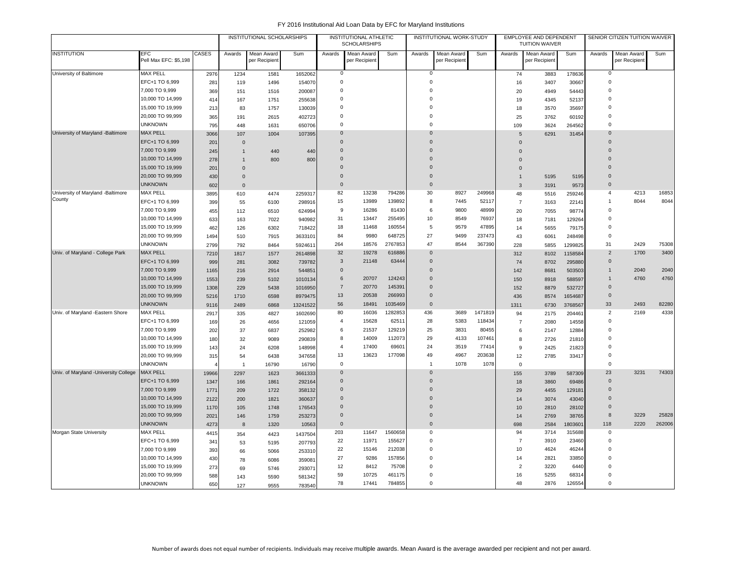|                                       |                                     |       |                | INSTITUTIONAL SCHOLARSHIPS  |          |                | INSTITUTIONAL ATHLETIC<br><b>SCHOLARSHIPS</b> |         |                | INSTITUTIONAL WORK-STUDY    |         |                | EMPLOYEE AND DEPENDENT<br><b>TUITION WAIVER</b> |         |                | SENIOR CITIZEN TUITION WAIVER |        |
|---------------------------------------|-------------------------------------|-------|----------------|-----------------------------|----------|----------------|-----------------------------------------------|---------|----------------|-----------------------------|---------|----------------|-------------------------------------------------|---------|----------------|-------------------------------|--------|
| <b>INSTITUTION</b>                    | <b>EFC</b><br>Pell Max EFC: \$5,198 | CASES | Awards         | Mean Award<br>per Recipient | Sum      | Awards         | Mean Award<br>per Recipient                   | Sum     | Awards         | Mean Award<br>per Recipient | Sum     | Awards         | Mean Award<br>per Recipient                     | Sum     | Awards         | Mean Award<br>per Recipient   | Sum    |
| University of Baltimore               | <b>MAX PELL</b>                     | 2976  | 1234           | 1581                        | 1652062  | $\mathbf 0$    |                                               |         | 0              |                             |         | 74             | 3883                                            | 178636  | $\mathbf 0$    |                               |        |
|                                       | EFC+1 TO 6,999                      | 281   | 119            | 1496                        | 154070   | $\mathbf 0$    |                                               |         | $\overline{0}$ |                             |         | 16             | 3407                                            | 30667   | 0              |                               |        |
|                                       | 7,000 TO 9,999                      | 369   | 151            | 1516                        | 200087   | $\mathsf 0$    |                                               |         | $\mathbf 0$    |                             |         | 20             | 4949                                            | 54443   | $\Omega$       |                               |        |
|                                       | 10,000 TO 14,999                    | 414   | 167            | 1751                        | 255638   | $\Omega$       |                                               |         | $\mathbf 0$    |                             |         | 19             | 4345                                            | 52137   | $\Omega$       |                               |        |
|                                       | 15,000 TO 19,999                    | 213   | 83             | 1757                        | 130039   | $\mathbf 0$    |                                               |         | $\mathbf 0$    |                             |         | 18             | 3570                                            | 35697   | 0              |                               |        |
|                                       | 20,000 TO 99,999                    | 365   | 191            | 2615                        | 402723   | $\mathbf 0$    |                                               |         | $\mathbf 0$    |                             |         | 25             | 3762                                            | 60192   | $\Omega$       |                               |        |
|                                       | <b>UNKNOWN</b>                      | 795   | 448            | 1631                        | 650706   | $\mathbf 0$    |                                               |         | $\mathbf 0$    |                             |         | 109            | 3624                                            | 264562  | $\Omega$       |                               |        |
| University of Maryland -Baltimore     | <b>MAX PELL</b>                     | 3066  | 107            | 1004                        | 107395   | $\mathbf{0}$   |                                               |         | $\overline{0}$ |                             |         | 5              | 6291                                            | 31454   | $\mathbf{0}$   |                               |        |
|                                       | EFC+1 TO 6,999                      | 201   | $\mathbf 0$    |                             |          | $\overline{0}$ |                                               |         | $\overline{0}$ |                             |         | $\mathbf 0$    |                                                 |         | $\overline{0}$ |                               |        |
|                                       | 7,000 TO 9,999                      | 245   | $\mathbf{1}$   | 440                         | 440      | $\mathbf 0$    |                                               |         | $\overline{0}$ |                             |         | $\Omega$       |                                                 |         | $\mathbf{0}$   |                               |        |
|                                       | 10,000 TO 14,999                    | 278   | $\mathbf 1$    | 800                         | 800      | $\mathbf 0$    |                                               |         | $\Omega$       |                             |         | $\Omega$       |                                                 |         | $\Omega$       |                               |        |
|                                       | 15,000 TO 19,999                    | 201   | $\mathbf 0$    |                             |          | $\Omega$       |                                               |         | $\Omega$       |                             |         | $\mathbf 0$    |                                                 |         | $\Omega$       |                               |        |
|                                       | 20,000 TO 99,999                    | 430   | $\mathbf 0$    |                             |          | $\Omega$       |                                               |         | $\Omega$       |                             |         | $\mathbf{1}$   | 5195                                            | 5195    | $\Omega$       |                               |        |
|                                       | <b>UNKNOWN</b>                      | 602   | $\mathbf 0$    |                             |          | $\Omega$       |                                               |         | $\Omega$       |                             |         | 3              | 3191                                            | 9573    | $\Omega$       |                               |        |
| University of Maryland -Baltimore     | <b>MAX PELL</b>                     | 3895  | 610            | 4474                        | 2259317  | 82             | 13238                                         | 794286  | 30             | 8927                        | 249968  | 48             | 5516                                            | 259246  | $\overline{4}$ | 4213                          | 16853  |
| County                                | EFC+1 TO 6,999                      | 399   | 55             | 6100                        | 298916   | 15             | 13989                                         | 139892  | 8              | 7445                        | 52117   | $\overline{7}$ | 3163                                            | 22141   | $\mathbf{1}$   | 8044                          | 8044   |
|                                       | 7,000 TO 9,999                      | 455   | 112            | 6510                        | 624994   | 9              | 16286                                         | 81430   | 6              | 9800                        | 48999   | 20             | 7055                                            | 98774   | $\mathbf 0$    |                               |        |
|                                       | 10,000 TO 14,999                    | 633   | 163            | 7022                        | 940982   | 31             | 13447                                         | 255495  | 10             | 8549                        | 76937   | 18             | 7181                                            | 129264  | $\mathbf 0$    |                               |        |
|                                       | 15,000 TO 19,999                    | 462   | 126            | 6302                        | 718422   | 18             | 11468                                         | 160554  | 5              | 9579                        | 47895   | 14             | 5655                                            | 79175   | $\Omega$       |                               |        |
|                                       | 20,000 TO 99,999                    | 1494  | 510            | 7915                        | 3633101  | 84             | 9980                                          | 648725  | 27             | 9499                        | 237473  | 43             | 6061                                            | 248498  | $\mathbf 0$    |                               |        |
|                                       | <b>UNKNOWN</b>                      | 2799  | 792            | 8464                        | 5924611  | 264            | 18576                                         | 2767853 | 47             | 8544                        | 367390  | 228            | 5855                                            | 1299825 | 31             | 2429                          | 75308  |
| Univ. of Maryland - College Park      | <b>MAX PELL</b>                     | 7210  | 1817           | 1577                        | 2614898  | 32             | 19278                                         | 616886  | $\overline{0}$ |                             |         | 312            | 8102                                            | 1158584 | $\overline{2}$ | 1700                          | 3400   |
|                                       | EFC+1 TO 6,999                      | 999   | 281            | 3082                        | 739782   | $\mathbf{3}$   | 21148                                         | 63444   | $\mathbf 0$    |                             |         | 74             | 8702                                            | 295880  | $\mathbf 0$    |                               |        |
|                                       | 7,000 TO 9,999                      | 1165  | 216            | 2914                        | 544851   | $\Omega$       |                                               |         | $\Omega$       |                             |         | 142            | 8681                                            | 503503  | $\mathbf{1}$   | 2040                          | 2040   |
|                                       | 10,000 TO 14,999                    | 1553  | 239            | 5102                        | 1010134  | 6              | 20707                                         | 124243  | $\Omega$       |                             |         | 150            | 8918                                            | 588597  | $\mathbf{1}$   | 4760                          | 4760   |
|                                       | 15,000 TO 19,999                    | 1308  | 229            | 5438                        | 1016950  | $\overline{7}$ | 20770                                         | 145391  | $\Omega$       |                             |         | 152            | 8879                                            | 532727  | $\mathbf{0}$   |                               |        |
|                                       | 20,000 TO 99,999                    | 5216  | 1710           | 6598                        | 8979475  | 13             | 20538                                         | 266993  | $\Omega$       |                             |         | 436            | 8574                                            | 1654687 | $\Omega$       |                               |        |
|                                       | <b>UNKNOWN</b>                      | 9116  | 2489           | 6868                        | 13241522 | 56             | 18491                                         | 1035469 | $\overline{0}$ |                             |         | 1311           | 6730                                            | 3768567 | 33             | 2493                          | 82280  |
| Univ. of Maryland -Eastern Shore      | <b>MAX PELL</b>                     | 2917  | 335            | 4827                        | 1602690  | 80             | 16036                                         | 1282853 | 436            | 3689                        | 1471819 | 94             | 2175                                            | 204461  | $\overline{2}$ | 2169                          | 4338   |
|                                       | EFC+1 TO 6,999                      | 169   | 26             | 4656                        | 121059   | $\overline{4}$ | 15628                                         | 62511   | 28             | 5383                        | 118434  | $\overline{7}$ | 2080                                            | 14558   | $\mathbf 0$    |                               |        |
|                                       | 7,000 TO 9,999                      | 202   | 37             | 6837                        | 252982   | 6              | 21537                                         | 129219  | 25             | 3831                        | 80455   | 6              | 2147                                            | 12884   | $\mathbf 0$    |                               |        |
|                                       | 10,000 TO 14,999                    | 180   | 32             | 9089                        | 290839   | 8              | 14009                                         | 112073  | 29             | 4133                        | 107461  | 8              | 2726                                            | 21810   | 0              |                               |        |
|                                       | 15,000 TO 19,999                    | 143   | 24             | 6208                        | 148998   | $\overline{4}$ | 17400                                         | 69601   | 24             | 3519                        | 77414   | 9              | 2425                                            | 21823   | $\Omega$       |                               |        |
|                                       | 20,000 TO 99,999                    | 315   | 54             | 6438                        | 347658   | 13             | 13623                                         | 177098  | 49             | 4967                        | 203638  | 12             | 2785                                            | 33417   | 0              |                               |        |
|                                       | <b>UNKNOWN</b>                      |       | $\overline{1}$ | 16790                       | 16790    | $\overline{0}$ |                                               |         | $\overline{1}$ | 1078                        | 1078    | $\mathbf 0$    |                                                 |         | 0              |                               |        |
| Univ. of Maryland -University College | <b>MAX PELL</b>                     | 19966 | 2297           | 1623                        | 3661333  | $\mathbf 0$    |                                               |         | $\overline{0}$ |                             |         | 155            | 3789                                            | 587309  | 23             | 3231                          | 74303  |
|                                       | EFC+1 TO 6,999                      | 1347  | 166            | 1861                        | 292164   | $\Omega$       |                                               |         | $\Omega$       |                             |         | 18             | 3860                                            | 69486   | $\Omega$       |                               |        |
|                                       | 7,000 TO 9,999                      | 1771  | 209            | 1722                        | 358132   | $\Omega$       |                                               |         | $\Omega$       |                             |         | 29             | 4455                                            | 129181  | $\Omega$       |                               |        |
|                                       | 10,000 TO 14,999                    | 2122  | 200            | 1821                        | 360637   | $\Omega$       |                                               |         | $\Omega$       |                             |         | 14             | 3074                                            | 43040   | $\Omega$       |                               |        |
|                                       | 15,000 TO 19,999                    | 1170  | 105            | 1748                        | 176543   | $\overline{0}$ |                                               |         | $\overline{0}$ |                             |         | 10             | 2810                                            | 28102   | $\mathbf{0}$   |                               |        |
|                                       | 20,000 TO 99,999                    | 2021  | 146            | 1759                        | 253273   | $\mathbf 0$    |                                               |         | $\overline{0}$ |                             |         | 14             | 2769                                            | 38765   | 8              | 3229                          | 25828  |
|                                       | <b>UNKNOWN</b>                      | 4273  | 8              | 1320                        | 10563    | $\mathbf 0$    |                                               |         | $\overline{0}$ |                             |         | 698            | 2584                                            | 1803601 | 118            | 2220                          | 262006 |
| Morgan State University               | <b>MAX PELL</b>                     | 4415  | 354            | 4423                        | 1437504  | 203            | 11647                                         | 1560658 | $\mathbf 0$    |                             |         | 94             | 3714                                            | 315688  | $\mathbf 0$    |                               |        |
|                                       | EFC+1 TO 6,999                      | 341   | 53             | 5195                        | 207793   | 22             | 11971                                         | 155627  | $\mathbf 0$    |                             |         | $\overline{7}$ | 3910                                            | 23460   | $\Omega$       |                               |        |
|                                       | 7,000 TO 9,999                      | 393   | 66             | 5066                        | 253310   | 22             | 15146                                         | 212038  | $\mathbf 0$    |                             |         | 10             | 4624                                            | 46244   | 0              |                               |        |
|                                       | 10,000 TO 14,999                    | 430   | 78             | 6086                        | 359081   | 27             | 9286                                          | 157856  | $\mathbf 0$    |                             |         | 14             | 2821                                            | 33850   | $\mathbf 0$    |                               |        |
|                                       | 15,000 TO 19,999                    | 273   | 69             | 5746                        | 29307    | 12             | 8412                                          | 75708   | $\mathbf 0$    |                             |         | $\overline{2}$ | 3220                                            | 6440    | 0              |                               |        |
|                                       | 20,000 TO 99,999                    | 588   | 143            | 5590                        | 581342   | 59             | 10725                                         | 461175  | $\mathbf 0$    |                             |         | 16             | 5255                                            | 68314   | $\mathbf 0$    |                               |        |
|                                       | <b>UNKNOWN</b>                      | 650   | 127            | 9555                        | 783540   | 78             | 17441                                         | 784855  | $\mathbf 0$    |                             |         | 48             | 2876                                            | 126554  | $\Omega$       |                               |        |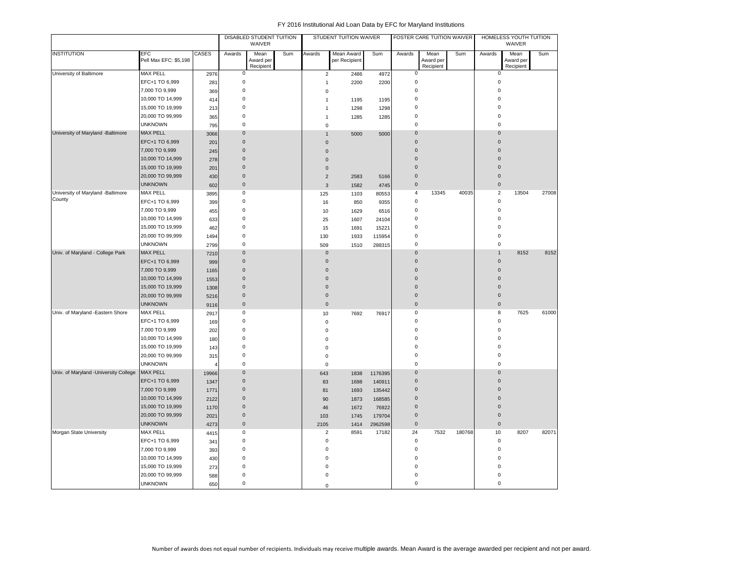|                                        |                              |                |              | DISABLED STUDENT TUITION<br>WAIVER |     |                | STUDENT TUITION WAIVER      |         |                     | FOSTER CARE TUITION WAIVER     |        |                | HOMELESS YOUTH TUITION<br>WAIVER |       |
|----------------------------------------|------------------------------|----------------|--------------|------------------------------------|-----|----------------|-----------------------------|---------|---------------------|--------------------------------|--------|----------------|----------------------------------|-------|
| <b>INSTITUTION</b>                     | EFC<br>Pell Max EFC: \$5,198 | <b>CASES</b>   | Awards       | Mean<br>Award per<br>Recipient     | Sum | Awards         | Mean Award<br>per Recipient | Sum     | Awards              | Mean<br>Award per<br>Recipient | Sum    | Awards         | Mean<br>Award per<br>Recipient   | Sum   |
| University of Baltimore                | <b>MAX PELL</b>              | 2976           | $\mathsf 0$  |                                    |     | $\overline{2}$ | 2486                        | 4972    | 0                   |                                |        | $\mathbf 0$    |                                  |       |
|                                        | EFC+1 TO 6,999               | 281            | $\pmb{0}$    |                                    |     | $\overline{1}$ | 2200                        | 2200    | 0                   |                                |        | $\mathbf 0$    |                                  |       |
|                                        | 7,000 TO 9,999               | 369            | $\pmb{0}$    |                                    |     | $\mathbf 0$    |                             |         | 0                   |                                |        | $\bf 0$        |                                  |       |
|                                        | 10,000 TO 14,999             | 414            | $\pmb{0}$    |                                    |     | $\mathbf{1}$   | 1195                        | 1195    | 0                   |                                |        | $\mathbf 0$    |                                  |       |
|                                        | 15,000 TO 19,999             | 213            | $\mathbf 0$  |                                    |     | $\mathbf{1}$   | 1298                        | 1298    | 0                   |                                |        | $\Omega$       |                                  |       |
|                                        | 20,000 TO 99,999             | 365            | $\mathbf 0$  |                                    |     | $\mathbf{1}$   | 1285                        | 1285    | 0                   |                                |        | $\Omega$       |                                  |       |
|                                        | <b>UNKNOWN</b>               | 795            | $\mathbf 0$  |                                    |     | $\bf 0$        |                             |         | 0                   |                                |        | $\mathbf 0$    |                                  |       |
| University of Maryland -Baltimore      | <b>MAX PELL</b>              | 3066           | $\mathbf 0$  |                                    |     | $\mathbf{1}$   | 5000                        | 5000    | $\pmb{0}$           |                                |        | $\overline{0}$ |                                  |       |
|                                        | EFC+1 TO 6,999               | 201            | $\mathbf 0$  |                                    |     | $\mathbf{0}$   |                             |         | $\pmb{0}$           |                                |        | $\mathbf 0$    |                                  |       |
|                                        | 7,000 TO 9,999               | 245            | $\mathbf 0$  |                                    |     | $\mathbf 0$    |                             |         | $\pmb{0}$           |                                |        | $\Omega$       |                                  |       |
|                                        | 10,000 TO 14,999             | 278            | $\pmb{0}$    |                                    |     | $\mathbf 0$    |                             |         | $\mathbf{0}$        |                                |        | $\Omega$       |                                  |       |
|                                        | 15,000 TO 19,999             | 201            | $\mathbf{0}$ |                                    |     | $\mathbf 0$    |                             |         | $\mathbf{0}$        |                                |        | $\Omega$       |                                  |       |
|                                        | 20,000 TO 99,999             | 430            | $\mathbf 0$  |                                    |     | $\sqrt{2}$     | 2583                        | 5166    | $\mathbf{0}$        |                                |        | $\mathbf{0}$   |                                  |       |
|                                        | <b>UNKNOWN</b>               | 602            | $\mathbf 0$  |                                    |     | $\overline{3}$ | 1582                        | 4745    | $\pmb{0}$           |                                |        | $\mathbf 0$    |                                  |       |
| University of Maryland -Baltimore      | <b>MAX PELL</b>              | 3895           | $\mathbf 0$  |                                    |     | 125            | 1103                        | 80553   | $\overline{4}$      | 13345                          | 40035  | $\overline{2}$ | 13504                            | 27008 |
| County                                 | EFC+1 TO 6,999               | 399            | $\mathbf 0$  |                                    |     | 16             | 850                         | 9355    | 0                   |                                |        | $\mathbf 0$    |                                  |       |
|                                        | 7,000 TO 9,999               | 455            | $\mathbf 0$  |                                    |     | 10             | 1629                        | 6516    | 0                   |                                |        | $\mathbf 0$    |                                  |       |
|                                        | 10,000 TO 14,999             | 633            | $\mathbf 0$  |                                    |     | 25             | 1607                        | 24104   | 0                   |                                |        | $\Omega$       |                                  |       |
|                                        | 15,000 TO 19,999             | 462            | $\mathbf 0$  |                                    |     | 15             | 1691                        | 15221   | 0                   |                                |        | $\Omega$       |                                  |       |
|                                        | 20,000 TO 99,999             | 1494           | $\mathbf 0$  |                                    |     | 130            | 1933                        | 115954  | 0                   |                                |        | $\mathbf 0$    |                                  |       |
|                                        | <b>UNKNOWN</b>               | 2799           | $\mathbf 0$  |                                    |     | 509            | 1510                        | 288315  | 0                   |                                |        | 0              |                                  |       |
| Univ. of Maryland - College Park       | MAX PELL                     | 7210           | $\mathbf 0$  |                                    |     | $\mathbf 0$    |                             |         | $\mathbf 0$         |                                |        | $\mathbf{1}$   | 8152                             | 8152  |
|                                        | EFC+1 TO 6,999               | 999            | $\bf 0$      |                                    |     | $\mathbf 0$    |                             |         | $\pmb{0}$           |                                |        | $\pmb{0}$      |                                  |       |
|                                        | 7,000 TO 9,999               | 1165           | $\bf 0$      |                                    |     | $\mathbf{0}$   |                             |         | $\pmb{0}$           |                                |        | $\mathbf 0$    |                                  |       |
|                                        | 10,000 TO 14,999             | 1553           | $\mathbf{0}$ |                                    |     | $\mathbf{0}$   |                             |         | $\mathbf{0}$        |                                |        | $\Omega$       |                                  |       |
|                                        | 15,000 TO 19,999             | 1308           | $\mathbf 0$  |                                    |     | $\mathbf{0}$   |                             |         | $\mathbf{0}$        |                                |        | $\Omega$       |                                  |       |
|                                        | 20,000 TO 99,999             | 5216           | $\bf 0$      |                                    |     | $\mathbf{0}$   |                             |         | $\pmb{0}$           |                                |        | $\mathbf{0}$   |                                  |       |
|                                        | <b>UNKNOWN</b>               | 9116           | $\mathbf 0$  |                                    |     | $\mathbf 0$    |                             |         | $\pmb{0}$           |                                |        | $\mathsf 0$    |                                  |       |
| Univ. of Maryland -Eastern Shore       | <b>MAX PELL</b>              | 2917           | $\mathbf 0$  |                                    |     | 10             | 7692                        | 76917   | 0                   |                                |        | 8              | 7625                             | 61000 |
|                                        | EFC+1 TO 6,999               | 169            | $\pmb{0}$    |                                    |     | $\bf 0$        |                             |         | 0                   |                                |        | $\mathbf 0$    |                                  |       |
|                                        | 7,000 TO 9,999               | 202            | $\mathbf 0$  |                                    |     | $\mathbf 0$    |                             |         | 0                   |                                |        | $\mathsf 0$    |                                  |       |
|                                        | 10,000 TO 14,999             | 180            | $\mathbf 0$  |                                    |     | $\mathbf 0$    |                             |         | 0                   |                                |        | $\Omega$       |                                  |       |
|                                        | 15,000 TO 19,999             | 143            | $\mathbf 0$  |                                    |     | 0              |                             |         | 0                   |                                |        | $\Omega$       |                                  |       |
|                                        | 20,000 TO 99,999             | 315            | $\pmb{0}$    |                                    |     | $\mathbf 0$    |                             |         | 0                   |                                |        | $\bf 0$        |                                  |       |
|                                        | <b>UNKNOWN</b>               | $\overline{4}$ | $\mathbf 0$  |                                    |     | $\bf 0$        |                             |         | 0                   |                                |        | $\mathbf 0$    |                                  |       |
| Univ. of Maryland - University College | <b>MAX PELL</b>              | 19966          | $\mathbf 0$  |                                    |     | 643            | 1838                        | 1176395 | 0                   |                                |        | $\mathbf{0}$   |                                  |       |
|                                        | EFC+1 TO 6,999               | 1347           | $\mathbf{0}$ |                                    |     | 83             | 1698                        | 140911  | $\pmb{0}$           |                                |        | $\mathbf{0}$   |                                  |       |
|                                        | 7,000 TO 9,999               | 1771           | $\mathbf 0$  |                                    |     | 81             | 1693                        | 135442  | $\mathbf{0}$        |                                |        | $\Omega$       |                                  |       |
|                                        | 10,000 TO 14,999             | 2122           | $\mathbf 0$  |                                    |     | 90             | 1873                        | 168585  | $\pmb{0}$           |                                |        | $\Omega$       |                                  |       |
|                                        | 15,000 TO 19,999             | 1170           | $\mathbf 0$  |                                    |     | 46             | 1672                        | 76922   | $\pmb{0}$           |                                |        | $\Omega$       |                                  |       |
|                                        | 20,000 TO 99,999             | 2021           | $\mathbf 0$  |                                    |     | 103            | 1745                        | 179704  | $\pmb{0}$           |                                |        | $\mathbf 0$    |                                  |       |
|                                        | <b>UNKNOWN</b>               | 4273           | $\mathbf 0$  |                                    |     | 2105           | 1414                        | 2962598 | $\mathsf{O}\xspace$ |                                |        | $\mathbf 0$    |                                  |       |
| Morgan State University                | <b>MAX PELL</b>              | 4415           | $\mathbf 0$  |                                    |     | 2              | 8591                        | 17182   | 24                  | 7532                           | 180768 | 10             | 8207                             | 82071 |
|                                        | EFC+1 TO 6,999               | 341            | $\mathbf 0$  |                                    |     | $\mathbf 0$    |                             |         | 0                   |                                |        | $\mathbf 0$    |                                  |       |
|                                        | 7,000 TO 9,999               | 393            | $\mathbf 0$  |                                    |     | $\mathbf 0$    |                             |         | 0                   |                                |        | $\mathbf 0$    |                                  |       |
|                                        | 10,000 TO 14,999             | 430            | $\mathbf 0$  |                                    |     | 0              |                             |         | 0                   |                                |        | $\Omega$       |                                  |       |
|                                        | 15,000 TO 19,999             | 273            | $\mathbf 0$  |                                    |     | $\Omega$       |                             |         | $\Omega$            |                                |        | n              |                                  |       |
|                                        | 20,000 TO 99,999             | 588            | $\mathbf 0$  |                                    |     | $\bf 0$        |                             |         | 0                   |                                |        | C              |                                  |       |
|                                        | <b>UNKNOWN</b>               | 650            | $\pmb{0}$    |                                    |     | $\mathbf 0$    |                             |         | 0                   |                                |        | $\mathbf 0$    |                                  |       |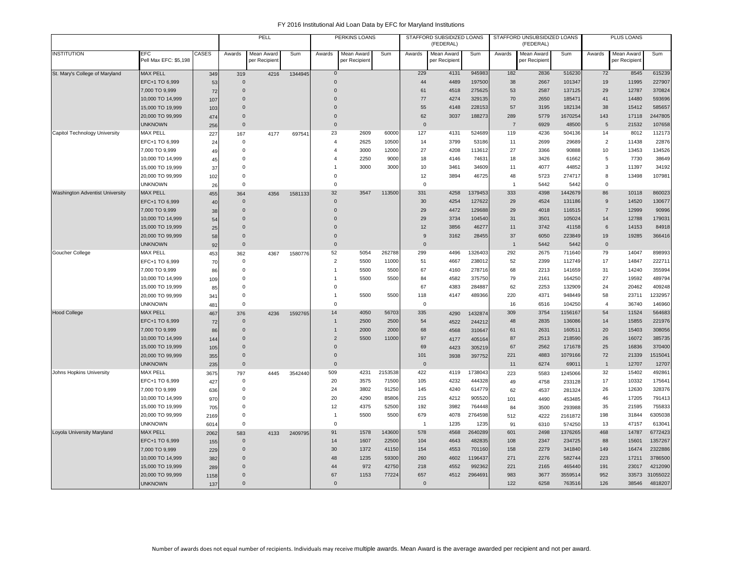|                                        |                                     |           |                         | PELL                        |         |                             | PERKINS LOANS               |         |                    | STAFFORD SUBSIDIZED LOANS<br>(FEDERAL) |                  |                | STAFFORD UNSUBSIDIZED LOANS<br>(FEDERAL) |                  |                | PLUS LOANS                  |                   |
|----------------------------------------|-------------------------------------|-----------|-------------------------|-----------------------------|---------|-----------------------------|-----------------------------|---------|--------------------|----------------------------------------|------------------|----------------|------------------------------------------|------------------|----------------|-----------------------------|-------------------|
| <b>INSTITUTION</b>                     | <b>EFC</b><br>Pell Max EFC: \$5,198 | CASES     | Awards                  | Mean Award<br>per Recipient | Sum     | Awards                      | Mean Award<br>per Recipient | Sum     | Awards             | Mean Award<br>per Recipient            | Sum              | Awards         | Mean Award<br>per Recipient              | Sum              | Awards         | Mean Award<br>per Recipient | Sum               |
| St. Mary's College of Maryland         | <b>MAX PELL</b>                     | 349       | 319                     | 4216                        | 1344945 | $\mathbf 0$                 |                             |         | 229                | 4131                                   | 945983           | 182            | 2836                                     | 516230           | 72             | 8545                        | 615239            |
|                                        | EFC+1 TO 6,999                      | 53        | $\Omega$                |                             |         | $\Omega$                    |                             |         | 44                 | 4489                                   | 197500           | 38             | 2667                                     | 101347           | 19             | 11995                       | 227907            |
|                                        | 7,000 TO 9,999                      | 72        | $\mathbf{0}$            |                             |         | $\Omega$                    |                             |         | 61                 | 4518                                   | 275625           | 53             | 2587                                     | 137125           | 29             | 12787                       | 370824            |
|                                        | 10,000 TO 14,999                    | 107       | $\mathbf 0$             |                             |         | $\Omega$                    |                             |         | 77                 | 4274                                   | 329135           | 70             | 2650                                     | 185471           | 41             | 14480                       | 593696            |
|                                        | 15,000 TO 19,999                    | 103       | $\mathbf 0$             |                             |         | $\Omega$                    |                             |         | 55                 | 4148                                   | 228153           | 57             | 3195                                     | 182134           | 38             | 15412                       | 585657            |
|                                        | 20,000 TO 99,999                    | 474       | $\mathbf{0}$            |                             |         | $\mathbf{0}$                |                             |         | 62                 | 3037                                   | 188273           | 289            | 5779                                     | 1670254          | 143            | 17118                       | 2447805           |
|                                        | <b>UNKNOWN</b>                      | 256       | $\mathbf{0}$            |                             |         | $\mathbf 0$                 |                             |         | $\mathbf 0$        |                                        |                  | $\overline{7}$ | 6929                                     | 48500            | 5              | 21532                       | 107658            |
| Capitol Technology University          | <b>MAX PELL</b>                     | 227       | 167                     | 4177                        | 697541  | 23                          | 2609                        | 60000   | 127                | 4131                                   | 524689           | 119            | 4236                                     | 504136           | 14             | 8012                        | 112173            |
|                                        | EFC+1 TO 6,999                      | 24        | 0                       |                             |         | $\overline{4}$              | 2625                        | 10500   | 14                 | 3799                                   | 53186            | 11             | 2699                                     | 29689            | $\overline{2}$ | 11438                       | 22876             |
|                                        | 7,000 TO 9,999                      | 49        | $\mathsf 0$             |                             |         | $\overline{4}$              | 3000                        | 12000   | 27                 | 4208                                   | 113612           | 27             | 3366                                     | 90888            | 10             | 13453                       | 134526            |
|                                        | 10,000 TO 14,999                    | 45        | 0                       |                             |         | 4                           | 2250                        | 9000    | 18                 | 4146                                   | 74631            | 18             | 3426                                     | 61662            | 5              | 7730                        | 38649             |
|                                        | 15,000 TO 19,999                    | 37        | $\mathbf 0$             |                             |         |                             | 3000                        | 3000    | 10                 | 3461                                   | 34609            | 11             | 4077                                     | 44852            | 3              | 11397                       | 34192             |
|                                        | 20,000 TO 99,999                    | 102       | $\mathbf 0$             |                             |         | $\mathbf 0$                 |                             |         | 12                 | 3894                                   | 46725            | 48             | 5723                                     | 274717           | 8              | 13498                       | 107981            |
|                                        | <b>UNKNOWN</b>                      | 26        | $\mathbf 0$             |                             |         | $\mathbf 0$                 |                             |         | $\mathbf 0$        |                                        |                  | $\overline{1}$ | 5442                                     | 5442             | $\mathbf 0$    |                             |                   |
| <b>Washington Adventist University</b> | <b>MAX PELL</b>                     | 455       | 364                     | 4356                        | 1581133 | 32                          | 3547                        | 113500  | 331                | 4258                                   | 1379453          | 333            | 4398                                     | 1442679          | 86             | 10118                       | 860023            |
|                                        | EFC+1 TO 6,999                      | 40        | $\mathbf 0$             |                             |         | $\mathbf 0$                 |                             |         | 30                 | 4254                                   | 127622           | 29             | 4524                                     | 131186           | 9              | 14520                       | 130677            |
|                                        | 7,000 TO 9,999                      | 38        | $\mathbf 0$             |                             |         | $\mathbf{0}$                |                             |         | 29                 | 4472                                   | 129688           | 29             | 4018                                     | 116515           | $\overline{7}$ | 12999                       | 90996             |
|                                        | 10,000 TO 14,999                    | 54        | $\Omega$                |                             |         | 0                           |                             |         | 29                 | 3734                                   | 104540           | 31             | 3501                                     | 105024           | 14             | 12788                       | 179031            |
|                                        | 15,000 TO 19,999                    | 25        | $\Omega$                |                             |         | $\Omega$                    |                             |         | 12                 | 3856                                   | 46277            | 11             | 3742                                     | 41158            | 6              | 14153                       | 84918             |
|                                        | 20,000 TO 99,999                    | 58        | 0                       |                             |         | 0                           |                             |         | 9                  | 3162                                   | 28455            | 37             | 6050                                     | 223849           | 19             | 19285                       | 366416            |
|                                        | <b>UNKNOWN</b>                      | 92        | $\mathbf 0$             |                             |         | $\mathbf 0$                 |                             |         | $\mathbf 0$        |                                        |                  | $\overline{1}$ | 5442                                     | 5442             | $\mathbf 0$    |                             |                   |
| Goucher College                        | <b>MAX PELL</b>                     | 453       | 362                     | 4367                        | 1580776 | 52                          | 5054                        | 262788  | 299                | 4496                                   | 1326403          | 292            | 2675                                     | 711640           | 79             | 14047                       | 898993            |
|                                        | EFC+1 TO 6,999                      | 70        | 0                       |                             |         | $\overline{c}$              | 5500                        | 11000   | 51                 | 4667                                   | 238012           | 52             | 2399                                     | 112749           | 17             | 14847                       | 222711            |
|                                        | 7,000 TO 9,999                      | 86        | 0                       |                             |         | $\overline{1}$              | 5500                        | 5500    | 67                 | 4160                                   | 278716           | 68             | 2213                                     | 141659           | 31             | 14240                       | 355994            |
|                                        | 10,000 TO 14,999                    | 109       | 0                       |                             |         |                             | 5500                        | 5500    | 84                 | 4582                                   | 375750           | 79             | 2161                                     | 164250           | 27             | 19592                       | 489794            |
|                                        | 15,000 TO 19,999                    | 85        | $\Omega$<br>$\mathbf 0$ |                             |         | $\mathbf 0$                 |                             |         | 67                 | 4383                                   | 284887           | 62             | 2253                                     | 132909           | 24<br>58       | 20462                       | 409248            |
|                                        | 20,000 TO 99,999                    | 341       | $\mathsf 0$             |                             |         | $\mathbf{1}$<br>$\mathbf 0$ | 5500                        | 5500    | 118<br>$\mathbf 0$ | 4147                                   | 489366           | 220<br>16      | 4371<br>6516                             | 948449<br>104250 | $\overline{4}$ | 23711<br>36740              | 1232957<br>146960 |
|                                        | <b>UNKNOWN</b><br><b>MAX PELL</b>   | 481       |                         |                             |         | 14                          | 4050                        | 56703   | 335                |                                        |                  | 309            | 3754                                     | 1156167          | 54             | 11524                       | 564683            |
| <b>Hood College</b>                    | EFC+1 TO 6,999                      | 467       | 376<br>$\mathbf 0$      | 4236                        | 1592765 | $\mathbf{1}$                | 2500                        | 2500    | 54                 | 4290                                   | 1432874          | 48             | 2835                                     | 136086           | 14             | 15855                       | 221976            |
|                                        | 7,000 TO 9,999                      | 72        | $\Omega$                |                             |         | $\overline{1}$              | 2000                        | 2000    | 68                 | 4522                                   | 244212           | 61             | 2631                                     | 160511           | 20             | 15403                       | 308056            |
|                                        | 10,000 TO 14,999                    | 86<br>144 | $\mathbf 0$             |                             |         | $\overline{2}$              | 5500                        | 11000   | 97                 | 4568<br>4177                           | 310647<br>405164 | 87             | 2513                                     | 218590           | 26             | 16072                       | 385735            |
|                                        | 15,000 TO 19,999                    | 105       | $\Omega$                |                             |         | $\mathbf 0$                 |                             |         | 69                 | 4423                                   | 305219           | 67             | 2562                                     | 171678           | 25             | 16836                       | 370400            |
|                                        | 20,000 TO 99,999                    | 355       | $\Omega$                |                             |         | $\Omega$                    |                             |         | 101                | 3938                                   | 397752           | 221            | 4883                                     | 1079166          | 72             | 21339                       | 1515041           |
|                                        | <b>UNKNOWN</b>                      | 235       | $\mathbf{0}$            |                             |         | $\mathbf{0}$                |                             |         | $\overline{0}$     |                                        |                  | 11             | 6274                                     | 69011            | $\mathbf{1}$   | 12707                       | 12707             |
| Johns Hopkins University               | <b>MAX PELL</b>                     | 3675      | 797                     | 4445                        | 3542440 | 509                         | 4231                        | 2153538 | 422                | 4119                                   | 1738043          | 223            | 5583                                     | 1245066          | 32             | 15402                       | 492861            |
|                                        | EFC+1 TO 6,999                      | 427       | 0                       |                             |         | 20                          | 3575                        | 71500   | 105                | 4232                                   | 444328           | 49             | 4758                                     | 233128           | 17             | 10332                       | 175641            |
|                                        | 7,000 TO 9,999                      | 636       | $\mathsf 0$             |                             |         | 24                          | 3802                        | 91250   | 145                | 4240                                   | 614779           | 62             | 4537                                     | 281324           | 26             | 12630                       | 328376            |
|                                        | 10,000 TO 14,999                    | 970       | $\Omega$                |                             |         | 20                          | 4290                        | 85806   | 215                | 4212                                   | 905520           | 101            | 4490                                     | 453485           | 46             | 17205                       | 791413            |
|                                        | 15,000 TO 19,999                    | 705       | 0                       |                             |         | 12                          | 4375                        | 52500   | 192                | 3982                                   | 764448           | 84             | 3500                                     | 293988           | 35             | 21595                       | 755833            |
|                                        | 20,000 TO 99,999                    | 2169      | $\Omega$                |                             |         | $\overline{1}$              | 5500                        | 5500    | 679                | 4078                                   | 2764598          | 512            | 4222                                     | 2161872          | 198            | 31844                       | 6305038           |
|                                        | <b>UNKNOWN</b>                      | 6014      | 0                       |                             |         | $\mathbf 0$                 |                             |         | $\overline{1}$     | 1235                                   | 1235             | 91             | 6310                                     | 574250           | 13             | 47157                       | 613041            |
| Loyola University Maryland             | <b>MAX PELL</b>                     | 2062      | 583                     | 4133                        | 2409795 | 91                          | 1578                        | 143600  | 578                | 4568                                   | 2640289          | 601            | 2498                                     | 1376265          | 468            | 14787                       | 6772423           |
|                                        | EFC+1 TO 6,999                      | 155       | $\Omega$                |                             |         | 14                          | 1607                        | 22500   | 104                | 4643                                   | 482835           | 108            | 2347                                     | 234725           | 88             | 15601                       | 1357267           |
|                                        | 7,000 TO 9,999                      | 229       | $\Omega$                |                             |         | 30                          | 1372                        | 41150   | 154                | 4553                                   | 701160           | 158            | 2279                                     | 341840           | 149            | 16474                       | 2322886           |
|                                        | 10,000 TO 14,999                    | 382       | $\Omega$                |                             |         | 48                          | 1235                        | 59300   | 260                | 4602                                   | 1196437          | 271            | 2276                                     | 582744           | 223            | 17211                       | 3786500           |
|                                        | 15,000 TO 19,999                    | 289       | $\Omega$                |                             |         | 44                          | 972                         | 42750   | 218                | 4552                                   | 992362           | 221            | 2165                                     | 465440           | 191            | 23017                       | 4212090           |
|                                        | 20,000 TO 99,999                    | 1158      | $\Omega$                |                             |         | 67                          | 1153                        | 77224   | 657                | 4512                                   | 2964691          | 983            | 3677                                     | 3559514          | 952            | 33573                       | 31055022          |
|                                        | <b>UNKNOWN</b>                      | 137       | $\Omega$                |                             |         | $\mathbf{0}$                |                             |         | $\mathbf{0}$       |                                        |                  | 122            | 6258                                     | 763516           | 126            | 38546                       | 4818207           |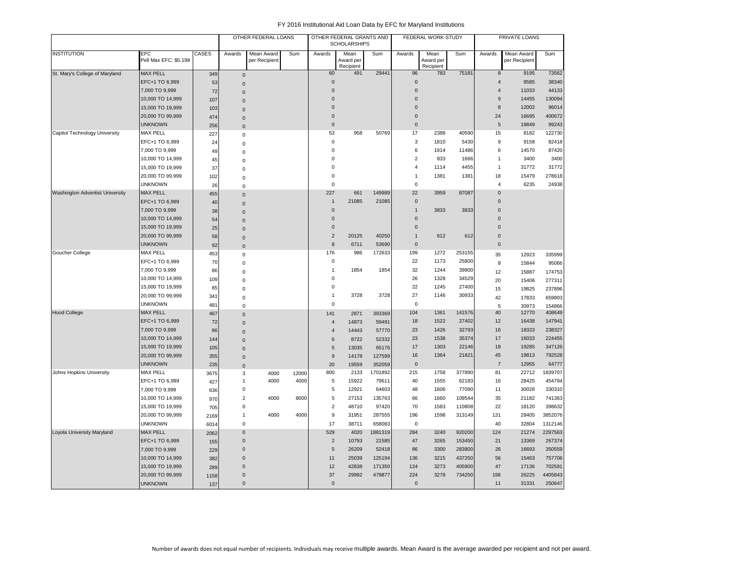|                                 |                              |       |                     | OTHER FEDERAL LOANS         |       |                  | OTHER FEDERAL GRANTS AND<br><b>SCHOLARSHIPS</b> |         |                | FEDERAL WORK-STUDY             |        |                | PRIVATE LOANS               |         |
|---------------------------------|------------------------------|-------|---------------------|-----------------------------|-------|------------------|-------------------------------------------------|---------|----------------|--------------------------------|--------|----------------|-----------------------------|---------|
| <b>INSTITUTION</b>              | EFC<br>Pell Max EFC: \$5,198 | CASES | Awards              | Mean Award<br>per Recipient | Sum   | Awards           | Mean<br>Award per<br>Recipient                  | Sum     | Awards         | Mean<br>Award per<br>Recipient | Sum    | Awards         | Mean Award<br>per Recipient | Sum     |
| St. Mary's College of Maryland  | <b>MAX PELL</b>              | 349   | $\mathsf{O}\xspace$ |                             |       | 60               | 491                                             | 29441   | 96             | 783                            | 75181  | 8              | 9195                        | 73562   |
|                                 | EFC+1 TO 6,999               | 53    | $\mathbf{0}$        |                             |       | $\overline{0}$   |                                                 |         | $\mathbf 0$    |                                |        | $\overline{4}$ | 9585                        | 38340   |
|                                 | 7,000 TO 9,999               | 72    | $\mathbf{0}$        |                             |       | $\mathbf 0$      |                                                 |         | $\mathbf 0$    |                                |        | $\overline{4}$ | 11033                       | 44133   |
|                                 | 10,000 TO 14,999             | 107   | $\mathsf{O}\xspace$ |                             |       | $\mathbf 0$      |                                                 |         | $\overline{0}$ |                                |        | 9              | 14455                       | 130094  |
|                                 | 15,000 TO 19,999             | 103   | $\mathbf 0$         |                             |       | $\overline{0}$   |                                                 |         | $\mathbf 0$    |                                |        | 8              | 12002                       | 96014   |
|                                 | 20,000 TO 99,999             | 474   | $\mathbf 0$         |                             |       | $\mathbf 0$      |                                                 |         | $\mathbf 0$    |                                |        | 24             | 16695                       | 400672  |
|                                 | <b>UNKNOWN</b>               | 256   | $\mathbf{0}$        |                             |       | $\mathbf 0$      |                                                 |         | $\mathbf 0$    |                                |        | 5              | 19849                       | 99243   |
| Capitol Technology University   | MAX PELL                     | 227   | $\mathbf 0$         |                             |       | 53               | 958                                             | 50769   | 17             | 2388                           | 40590  | 15             | 8182                        | 122730  |
|                                 | EFC+1 TO 6,999               | 24    | $\mathsf{O}\xspace$ |                             |       | $\mathbf 0$      |                                                 |         | 3              | 1810                           | 5430   | 9              | 9158                        | 82418   |
|                                 | 7,000 TO 9,999               | 49    | $\mathbf 0$         |                             |       | $\mathbf 0$      |                                                 |         | 6              | 1914                           | 11486  | 6              | 14570                       | 87420   |
|                                 | 10,000 TO 14,999             | 45    | 0                   |                             |       | $\mathbf 0$      |                                                 |         | $\overline{2}$ | 833                            | 1666   | $\mathbf{1}$   | 3400                        | 3400    |
|                                 | 15,000 TO 19,999             | 37    | $\mathbf 0$         |                             |       | $\mathbf 0$      |                                                 |         | $\overline{4}$ | 1114                           | 4455   | $\mathbf{1}$   | 31772                       | 31772   |
|                                 | 20,000 TO 99,999             | 102   | $\mathsf 0$         |                             |       | $\mathbf 0$      |                                                 |         | $\mathbf{1}$   | 1381                           | 1381   | 18             | 15479                       | 278618  |
|                                 | <b>UNKNOWN</b>               | 26    | $\mathbf 0$         |                             |       | $\mathbf 0$      |                                                 |         | $\mathsf 0$    |                                |        | $\overline{4}$ | 6235                        | 24938   |
| Washington Adventist University | <b>MAX PELL</b>              | 455   | $\mathbf{0}$        |                             |       | 227              | 661                                             | 149989  | 22             | 3959                           | 87087  | $\overline{0}$ |                             |         |
|                                 | EFC+1 TO 6,999               | 40    | $\mathsf{O}\xspace$ |                             |       | $\mathbf{1}$     | 21085                                           | 21085   | $\mathbf 0$    |                                |        | $\mathbf 0$    |                             |         |
|                                 | 7,000 TO 9,999               | 38    | $\mathbf{0}$        |                             |       | $\mathbf 0$      |                                                 |         | $\mathbf{1}$   | 3833                           | 3833   | $\overline{0}$ |                             |         |
|                                 | 10,000 TO 14,999             | 54    | $\mathsf{O}\xspace$ |                             |       | $\mathbf 0$      |                                                 |         | $\overline{0}$ |                                |        | $\Omega$       |                             |         |
|                                 | 15,000 TO 19,999             | 25    | $\mathbf 0$         |                             |       | $\mathbf 0$      |                                                 |         | $\mathbf 0$    |                                |        | $\overline{0}$ |                             |         |
|                                 | 20,000 TO 99,999             | 58    | $\mathsf{O}\xspace$ |                             |       | $\sqrt{2}$       | 20125                                           | 40250   | $\mathbf{1}$   | 612                            | 612    | $\mathbf{0}$   |                             |         |
|                                 | <b>UNKNOWN</b>               | 92    | $\mathbf{0}$        |                             |       | 8                | 6711                                            | 53690   | $\mathbf 0$    |                                |        | $\mathbf 0$    |                             |         |
| Goucher College                 | MAX PELL                     | 453   | $\mathbf 0$         |                             |       | 176              | 986                                             | 172633  | 199            | 1272                           | 253155 | 35             | 12923                       | 335999  |
|                                 | EFC+1 TO 6,999               | 70    | $\mathsf 0$         |                             |       | $\pmb{0}$        |                                                 |         | 22             | 1173                           | 25800  | 8              | 15844                       | 95066   |
|                                 | 7,000 TO 9,999               | 86    | $\mathbf 0$         |                             |       | $\overline{1}$   | 1854                                            | 1854    | 32             | 1244                           | 39800  | 12             | 15887                       | 174753  |
|                                 | 10,000 TO 14,999             | 109   | 0                   |                             |       | $\pmb{0}$        |                                                 |         | 26             | 1328                           | 34529  | 20             | 15406                       | 277311  |
|                                 | 15,000 TO 19,999             | 85    | $\mathbf 0$         |                             |       | $\mathbf 0$      |                                                 |         | 22             | 1245                           | 27400  | 15             | 19825                       | 237896  |
|                                 | 20,000 TO 99,999             | 341   | $\mathsf 0$         |                             |       | $\mathbf 1$      | 3728                                            | 3728    | 27             | 1146                           | 30933  | 42             | 17833                       | 659803  |
|                                 | <b>UNKNOWN</b>               | 481   | $\mathbf 0$         |                             |       | $\pmb{0}$        |                                                 |         | $\mathbf 0$    |                                |        | 5              | 30973                       | 154866  |
| <b>Hood College</b>             | <b>MAX PELL</b>              | 467   | $\Omega$            |                             |       | 141              | 2871                                            | 393369  | 104            | 1361                           | 141576 | 40             | 12770                       | 408649  |
|                                 | EFC+1 TO 6,999               | 72    | $\mathbf 0$         |                             |       | $\overline{4}$   | 14873                                           | 59491   | 18             | 1522                           | 27402  | 12             | 16438                       | 147941  |
|                                 | 7,000 TO 9,999               | 86    | $\mathbf{0}$        |                             |       | $\overline{4}$   | 14443                                           | 57770   | 23             | 1426                           | 32793  | 16             | 18333                       | 238327  |
|                                 | 10,000 TO 14,999             | 144   | $\mathsf{O}\xspace$ |                             |       | 6                | 8722                                            | 52332   | 23             | 1538                           | 35374  | 17             | 16033                       | 224455  |
|                                 | 15,000 TO 19,999             | 105   | $\mathbf{0}$        |                             |       | $\sqrt{5}$       | 13035                                           | 65176   | 17             | 1303                           | 22146  | 18             | 19285                       | 347126  |
|                                 | 20,000 TO 99,999             | 355   | $\mathbf 0$         |                             |       | $\boldsymbol{9}$ | 14178                                           | 127599  | 16             | 1364                           | 21821  | 45             | 19813                       | 792528  |
|                                 | <b>UNKNOWN</b>               | 235   | $\mathbf 0$         |                             |       | 20               | 19559                                           | 352059  | $\mathbf 0$    |                                |        | $\overline{7}$ | 12955                       | 64777   |
| Johns Hopkins University        | <b>MAX PELL</b>              | 3675  | 3                   | 4000                        | 12000 | 800              | 2133                                            | 1701892 | 215            | 1758                           | 377890 | 81             | 22712                       | 1839707 |
|                                 | EFC+1 TO 6,999               | 427   | $\mathbf{1}$        | 4000                        | 4000  | $\sqrt{5}$       | 15922                                           | 79611   | 40             | 1555                           | 62183  | 16             | 28425                       | 454794  |
|                                 | 7,000 TO 9,999               | 636   | $\mathbf 0$         |                             |       | 5                | 12921                                           | 64603   | 48             | 1606                           | 77090  | 11             | 30028                       | 330310  |
|                                 | 10,000 TO 14,999             | 970   | $\overline{c}$      | 4000                        | 8000  | $\sqrt{5}$       | 27153                                           | 135763  | 66             | 1660                           | 109544 | 35             | 21182                       | 741363  |
|                                 | 15,000 TO 19,999             | 705   | $\mathbf 0$         |                             |       | $\sqrt{2}$       | 48710                                           | 97420   | 70             | 1583                           | 110808 | 22             | 18120                       | 398632  |
|                                 | 20,000 TO 99,999             | 2169  | $\overline{1}$      | 4000                        | 4000  | $\boldsymbol{9}$ | 31951                                           | 287555  | 196            | 1598                           | 313149 | 131            | 29405                       | 3852076 |
|                                 | <b>UNKNOWN</b>               | 6014  | $\mathbf 0$         |                             |       | 17               | 38711                                           | 658083  | $\mathbf 0$    |                                |        | 40             | 32804                       | 1312146 |
| Loyola University Maryland      | <b>MAX PELL</b>              | 2062  | $\mathbf{0}$        |                             |       | 529              | 4020                                            | 1881319 | 284            | 3240                           | 920200 | 124            | 21274                       | 2297563 |
|                                 | EFC+1 TO 6,999               | 155   | $\mathbf 0$         |                             |       | $\sqrt{2}$       | 10793                                           | 21585   | 47             | 3265                           | 153450 | 21             | 13369                       | 267374  |
|                                 | 7,000 TO 9,999               | 229   | $\Omega$            |                             |       | $\sqrt{5}$       | 26209                                           | 52418   | 86             | 3300                           | 283800 | 26             | 16693                       | 350559  |
|                                 | 10,000 TO 14,999             | 382   | $\Omega$            |                             |       | 11               | 25039                                           | 125194  | 136            | 3215                           | 437250 | 56             | 15463                       | 757706  |
|                                 | 15,000 TO 19,999             | 289   | $\mathbf{0}$        |                             |       | 12               | 42838                                           | 171350  | 124            | 3273                           | 405900 | 47             | 17136                       | 702591  |
|                                 | 20,000 TO 99,999             | 1158  | $\mathbf 0$         |                             |       | 37               | 29992                                           | 479877  | 224            | 3278                           | 734250 | 196            | 26225                       | 4405843 |
|                                 | <b>UNKNOWN</b>               | 137   | $\mathbf{0}$        |                             |       | $\mathbf{0}$     |                                                 |         | $\mathbf{0}$   |                                |        | 11             | 31331                       | 250647  |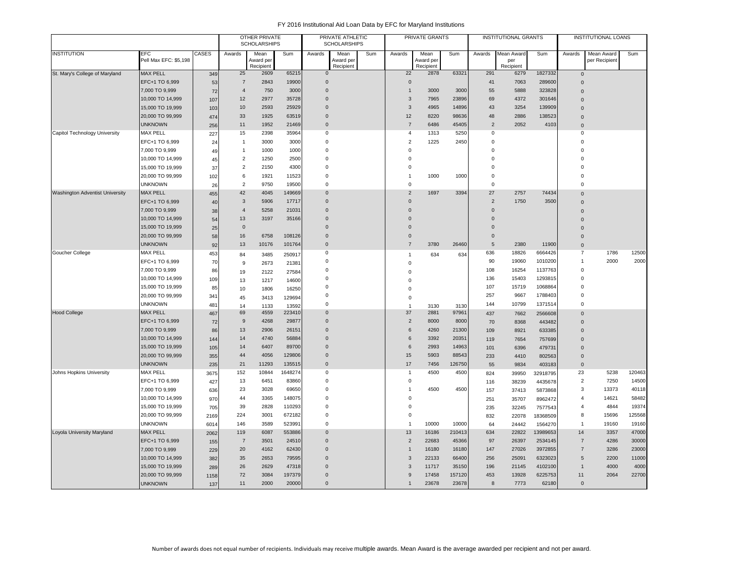|                                        |                       |              |                | <b>OTHER PRIVATE</b><br><b>SCHOLARSHIPS</b> |         |                | PRIVATE ATHLETIC<br><b>SCHOLARSHIPS</b> |     |                | PRIVATE GRANTS         |        |                | <b>INSTITUTIONAL GRANTS</b> |          |                | <b>INSTITUTIONAL LOANS</b> |        |
|----------------------------------------|-----------------------|--------------|----------------|---------------------------------------------|---------|----------------|-----------------------------------------|-----|----------------|------------------------|--------|----------------|-----------------------------|----------|----------------|----------------------------|--------|
| <b>INSTITUTION</b>                     | <b>EFC</b>            | <b>CASES</b> | Awards         | Mean                                        | Sum     | Awards         | Mean                                    | Sum | Awards         | Mean                   | Sum    | Awards         | Mean Award                  | Sum      | Awards         | Mean Award                 | Sum    |
|                                        | Pell Max EFC: \$5,198 |              |                | Award per<br>Recipient                      |         |                | Award per<br>Recipient                  |     |                | Award per<br>Recipient |        |                | per<br>Recipient            |          |                | per Recipient              |        |
| St. Mary's College of Maryland         | <b>MAX PELL</b>       | 349          | 25             | 2609                                        | 65215   | $\mathbf{0}$   |                                         |     | 22             | 2878                   | 63321  | 291            | 6279                        | 1827332  | $\mathbf 0$    |                            |        |
|                                        | EFC+1 TO 6,999        | 53           | $\overline{7}$ | 2843                                        | 19900   | $\overline{0}$ |                                         |     | $\mathsf 0$    |                        |        | 41             | 7063                        | 289600   | $\Omega$       |                            |        |
|                                        | 7,000 TO 9,999        | 72           | $\overline{4}$ | 750                                         | 3000    | $\overline{0}$ |                                         |     | $\mathbf{1}$   | 3000                   | 3000   | 55             | 5888                        | 323828   | $\Omega$       |                            |        |
|                                        | 10,000 TO 14,999      | 107          | 12             | 2977                                        | 35728   | $\overline{0}$ |                                         |     | $\sqrt{3}$     | 7965                   | 23896  | 69             | 4372                        | 301646   | $\Omega$       |                            |        |
|                                        | 15,000 TO 19,999      | 103          | 10             | 2593                                        | 25929   | $\overline{0}$ |                                         |     | 3              | 4965                   | 14896  | 43             | 3254                        | 139909   | $\Omega$       |                            |        |
|                                        | 20,000 TO 99,999      | 474          | 33             | 1925                                        | 63519   | $\overline{0}$ |                                         |     | 12             | 8220                   | 98636  | 48             | 2886                        | 138523   | $\mathbf{0}$   |                            |        |
|                                        | <b>UNKNOWN</b>        | 256          | 11             | 1952                                        | 21469   | $\overline{0}$ |                                         |     | $\overline{7}$ | 6486                   | 45405  | 2              | 2052                        | 4103     | $\overline{0}$ |                            |        |
| Capitol Technology University          | <b>MAX PELL</b>       | 227          | 15             | 2398                                        | 35964   | $\mathbf 0$    |                                         |     | $\overline{4}$ | 1313                   | 5250   | 0              |                             |          | $\mathbf 0$    |                            |        |
|                                        | EFC+1 TO 6,999        | 24           | $\mathbf{1}$   | 3000                                        | 3000    | $\Omega$       |                                         |     | $\overline{2}$ | 1225                   | 2450   | $\mathbf 0$    |                             |          | $\Omega$       |                            |        |
|                                        | 7,000 TO 9,999        | 49           | $\mathbf{1}$   | 1000                                        | 1000    | $\mathbf 0$    |                                         |     | $\mathbf 0$    |                        |        | $\mathbf 0$    |                             |          | $\Omega$       |                            |        |
|                                        | 10,000 TO 14,999      | 45           | $\overline{2}$ | 1250                                        | 2500    | $\mathbf 0$    |                                         |     | $\mathbf 0$    |                        |        | $\mathbf 0$    |                             |          | $\Omega$       |                            |        |
|                                        | 15,000 TO 19,999      | 37           | $\overline{2}$ | 2150                                        | 4300    | $\mathbf 0$    |                                         |     | $\mathbf 0$    |                        |        | $\mathbf 0$    |                             |          | $\Omega$       |                            |        |
|                                        | 20,000 TO 99,999      | 102          | 6              | 1921                                        | 11523   | $\mathbf 0$    |                                         |     | $\mathbf{1}$   | 1000                   | 1000   | $\mathbf 0$    |                             |          | $\Omega$       |                            |        |
|                                        | <b>UNKNOWN</b>        | 26           | $\overline{2}$ | 9750                                        | 19500   | $\mathbf 0$    |                                         |     | $\mathbf 0$    |                        |        | $\mathbf 0$    |                             |          | $\Omega$       |                            |        |
| <b>Washington Adventist University</b> | <b>MAX PELL</b>       | 455          | 42             | 4045                                        | 149669  | $\overline{0}$ |                                         |     | $\overline{2}$ | 1697                   | 3394   | 27             | 2757                        | 74434    | $\Omega$       |                            |        |
|                                        | EFC+1 TO 6,999        | 40           | $\mathbf{3}$   | 5906                                        | 17717   | $\overline{0}$ |                                         |     | $\mathbf 0$    |                        |        | $\overline{2}$ | 1750                        | 3500     | $\Omega$       |                            |        |
|                                        | 7,000 TO 9,999        | 38           | $\overline{4}$ | 5258                                        | 21031   | $\mathbf 0$    |                                         |     | $\mathbf{0}$   |                        |        | $\mathbf 0$    |                             |          | $\Omega$       |                            |        |
|                                        | 10,000 TO 14,999      | 54           | 13             | 3197                                        | 35166   | $\Omega$       |                                         |     | $\Omega$       |                        |        | $\mathbf 0$    |                             |          | $\Omega$       |                            |        |
|                                        | 15,000 TO 19,999      | 25           | $\mathbf{0}$   |                                             |         | $\Omega$       |                                         |     | $\Omega$       |                        |        | $\Omega$       |                             |          | $\Omega$       |                            |        |
|                                        | 20,000 TO 99,999      | 58           | 16             | 6758                                        | 108126  | $\overline{0}$ |                                         |     | $\mathbf{0}$   |                        |        | $\mathbf 0$    |                             |          | $\Omega$       |                            |        |
|                                        | <b>UNKNOWN</b>        | 92           | 13             | 10176                                       | 101764  | $\overline{0}$ |                                         |     | $\overline{7}$ | 3780                   | 26460  | 5              | 2380                        | 11900    | $\overline{0}$ |                            |        |
| Goucher College                        | <b>MAX PELL</b>       | 453          | 84             | 3485                                        | 250917  | $\mathbf 0$    |                                         |     | $\mathbf{1}$   | 634                    | 634    | 636            | 18826                       | 6664426  | $\overline{7}$ | 1786                       | 12500  |
|                                        | EFC+1 TO 6,999        | 70           | 9              | 2673                                        | 21381   | $\Omega$       |                                         |     | $\mathsf 0$    |                        |        | 90             | 19060                       | 1010200  | $\overline{1}$ | 2000                       | 2000   |
|                                        | 7,000 TO 9,999        | 86           | 19             | 2122                                        | 27584   | $\mathbf 0$    |                                         |     | $\mathsf 0$    |                        |        | 108            | 16254                       | 1137763  | $\overline{0}$ |                            |        |
|                                        | 10,000 TO 14,999      | 109          | 13             | 1217                                        | 14600   | $\mathbf 0$    |                                         |     | $\mathbf 0$    |                        |        | 136            | 15403                       | 1293815  | $\Omega$       |                            |        |
|                                        | 15,000 TO 19,999      | 85           | 10             | 1806                                        | 16250   | $\Omega$       |                                         |     | $\mathbf 0$    |                        |        | 107            | 15719                       | 1068864  | $\Omega$       |                            |        |
|                                        | 20,000 TO 99,999      | 341          | 45             | 3413                                        | 129694  | $\mathbf 0$    |                                         |     | $\mathbf 0$    |                        |        | 257            | 9667                        | 1788403  | $\overline{0}$ |                            |        |
|                                        | <b>UNKNOWN</b>        | 481          | 14             | 1133                                        | 13592   | $\overline{0}$ |                                         |     | $\mathbf{1}$   | 3130                   | 3130   | 144            | 10799                       | 1371514  | $\Omega$       |                            |        |
| <b>Hood College</b>                    | <b>MAX PELL</b>       | 467          | 69             | 4559                                        | 223410  | $\mathbf 0$    |                                         |     | 37             | 2881                   | 97961  | 437            | 7662                        | 2566608  | $\Omega$       |                            |        |
|                                        | EFC+1 TO 6,999        | 72           | $9\,$          | 4268                                        | 29877   | $\overline{0}$ |                                         |     | $\overline{2}$ | 8000                   | 8000   | 70             | 8368                        | 443482   | $\Omega$       |                            |        |
|                                        | 7,000 TO 9,999        | 86           | 13             | 2906                                        | 26151   | $\mathbf 0$    |                                         |     | 6              | 4260                   | 21300  | 109            | 8921                        | 633385   | $\Omega$       |                            |        |
|                                        | 10,000 TO 14,999      | 144          | 14             | 4740                                        | 56884   | $\Omega$       |                                         |     | 6              | 3392                   | 20351  | 119            | 7654                        | 757699   | $\Omega$       |                            |        |
|                                        | 15,000 TO 19,999      | 105          | 14             | 6407                                        | 89700   | $\Omega$       |                                         |     | 6              | 2993                   | 14963  | 101            | 6396                        | 479731   | $\Omega$       |                            |        |
|                                        | 20,000 TO 99,999      | 355          | 44             | 4056                                        | 129806  | $\overline{0}$ |                                         |     | 15             | 5903                   | 88543  | 233            | 4410                        | 802563   | $\mathbf{0}$   |                            |        |
|                                        | <b>UNKNOWN</b>        | 235          | 21             | 11293                                       | 135515  | $\overline{0}$ |                                         |     | 17             | 7456                   | 126750 | 55             | 9834                        | 403183   | $\Omega$       |                            |        |
| Johns Hopkins University               | <b>MAX PELL</b>       | 3675         | 152            | 10844                                       | 1648274 | $\mathbf 0$    |                                         |     | $\mathbf{1}$   | 4500                   | 4500   | 824            | 39950                       | 32918795 | 23             | 5238                       | 120463 |
|                                        | EFC+1 TO 6,999        | 427          | 13             | 6451                                        | 83860   | $\Omega$       |                                         |     | $\mathbf 0$    |                        |        | 116            | 38239                       | 4435678  | $\overline{2}$ | 7250                       | 14500  |
|                                        | 7,000 TO 9,999        | 636          | 23             | 3028                                        | 69650   | $\Omega$       |                                         |     | $\mathbf{1}$   | 4500                   | 4500   | 157            | 37413                       | 5873868  | 3              | 13373                      | 40118  |
|                                        | 10,000 TO 14,999      | 970          | 44             | 3365                                        | 148075  | $\mathbf 0$    |                                         |     | $\mathbf 0$    |                        |        | 251            | 35707                       | 8962472  | $\overline{4}$ | 14621                      | 58482  |
|                                        | 15,000 TO 19,999      | 705          | 39             | 2828                                        | 110293  | $\Omega$       |                                         |     | $\mathbf 0$    |                        |        | 235            | 32245                       | 7577543  | $\overline{4}$ | 4844                       | 19374  |
|                                        | 20,000 TO 99,999      | 2169         | 224            | 3001                                        | 672182  | $\Omega$       |                                         |     | $\mathsf 0$    |                        |        | 832            | 22078                       | 18368509 | 8              | 15696                      | 125568 |
|                                        | <b>UNKNOWN</b>        | 6014         | 146            | 3589                                        | 523991  | $\mathbf 0$    |                                         |     | $\mathbf{1}$   | 10000                  | 10000  | 64             | 24442                       | 1564270  | $\overline{1}$ | 19160                      | 19160  |
| Loyola University Maryland             | <b>MAX PELL</b>       | 2062         | 119            | 6087                                        | 553886  | $\Omega$       |                                         |     | 13             | 16186                  | 210413 | 634            | 22822                       | 13989653 | 14             | 3357                       | 47000  |
|                                        | EFC+1 TO 6,999        | 155          | $\overline{7}$ | 3501                                        | 24510   | $\overline{0}$ |                                         |     | $\overline{2}$ | 22683                  | 45366  | 97             | 26397                       | 2534145  | $\overline{7}$ | 4286                       | 30000  |
|                                        | 7,000 TO 9,999        | 229          | 20             | 4162                                        | 62430   | $\Omega$       |                                         |     | $\mathbf{1}$   | 16180                  | 16180  | 147            | 27026                       | 3972855  | $\overline{7}$ | 3286                       | 23000  |
|                                        | 10,000 TO 14,999      | 382          | 35             | 2653                                        | 79595   | $\Omega$       |                                         |     | 3              | 22133                  | 66400  | 256            | 25091                       | 6323023  | 5              | 2200                       | 11000  |
|                                        | 15,000 TO 19,999      | 289          | 26             | 2629                                        | 47318   | $\Omega$       |                                         |     | 3              | 11717                  | 35150  | 196            | 21145                       | 4102100  | $\overline{1}$ | 4000                       | 4000   |
|                                        | 20,000 TO 99,999      | 1158         | 72             | 3084                                        | 197379  | $\Omega$       |                                         |     | 9              | 17458                  | 157120 | 453            | 13928                       | 6225753  | 11             | 2064                       | 22700  |
|                                        | <b>UNKNOWN</b>        | 137          | 11             | 2000                                        | 20000   | $\Omega$       |                                         |     | $\overline{1}$ | 23678                  | 23678  | 8              | 7773                        | 62180    | $\mathbf{0}$   |                            |        |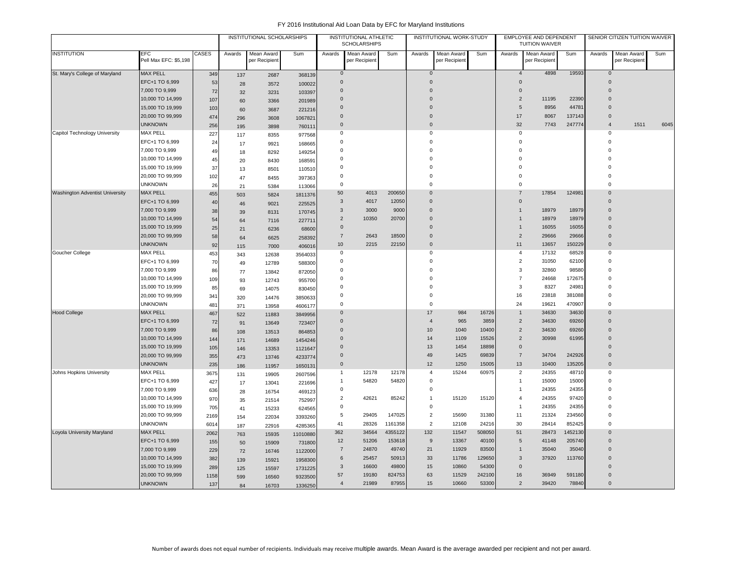|                                        |                                     |       |        | INSTITUTIONAL SCHOLARSHIPS  |          |                | <b>INSTITUTIONAL ATHLETIC</b><br><b>SCHOLARSHIPS</b> |         |                | INSTITUTIONAL WORK-STUDY    |        |                     | EMPLOYEE AND DEPENDENT<br><b>TUITION WAIVER</b> |         |                     | SENIOR CITIZEN TUITION WAIVER |      |
|----------------------------------------|-------------------------------------|-------|--------|-----------------------------|----------|----------------|------------------------------------------------------|---------|----------------|-----------------------------|--------|---------------------|-------------------------------------------------|---------|---------------------|-------------------------------|------|
| <b>INSTITUTION</b>                     | <b>EFC</b><br>Pell Max EFC: \$5,198 | CASES | Awards | Mean Award<br>per Recipient | Sum      | Awards         | Mean Award<br>per Recipien                           | Sum     | Awards         | Mean Award<br>per Recipient | Sum    | Awards              | Mean Award<br>per Recipient                     | Sum     | Awards              | Mean Award<br>per Recipient   | Sum  |
| St. Mary's College of Maryland         | <b>MAX PELL</b>                     | 349   | 137    | 2687                        | 368139   | $\mathbf{0}$   |                                                      |         | $\mathbf{0}$   |                             |        | $\overline{4}$      | 4898                                            | 19593   | $\mathbf 0$         |                               |      |
|                                        | EFC+1 TO 6,999                      | 53    | 28     | 3572                        | 100022   | $\Omega$       |                                                      |         | $\Omega$       |                             |        | $\Omega$            |                                                 |         | $\Omega$            |                               |      |
|                                        | 7,000 TO 9,999                      | 72    | 32     | 3231                        | 103397   | $\mathbf 0$    |                                                      |         | $\overline{0}$ |                             |        | $\mathbf 0$         |                                                 |         | $\Omega$            |                               |      |
|                                        | 10,000 TO 14,999                    | 107   | 60     | 3366                        | 201989   | $\mathbf 0$    |                                                      |         | $\overline{0}$ |                             |        | $\overline{2}$      | 11195                                           | 22390   | $\Omega$            |                               |      |
|                                        | 15,000 TO 19,999                    | 103   | 60     | 3687                        | 221216   | $\overline{0}$ |                                                      |         | $\overline{0}$ |                             |        | 5                   | 8956                                            | 44781   | $\overline{0}$      |                               |      |
|                                        | 20,000 TO 99,999                    | 474   | 296    | 3608                        | 1067821  | $\mathbf 0$    |                                                      |         | $\mathsf 0$    |                             |        | $17$                | 8067                                            | 137143  | $\mathbf{0}$        |                               |      |
|                                        | <b>UNKNOWN</b>                      | 256   | 195    | 3898                        | 760111   | $\mathbf{0}$   |                                                      |         | $\mathbf 0$    |                             |        | 32                  | 7743                                            | 247774  | $\overline{4}$      | 1511                          | 6045 |
| Capitol Technology University          | <b>MAX PELL</b>                     | 227   | 117    | 8355                        | 977568   | 0              |                                                      |         | 0              |                             |        | $\mathbf 0$         |                                                 |         | 0                   |                               |      |
|                                        | EFC+1 TO 6,999                      | 24    | 17     | 9921                        | 168665   | $\Omega$       |                                                      |         | $\mathbf 0$    |                             |        | $\Omega$            |                                                 |         | $\Omega$            |                               |      |
|                                        | 7,000 TO 9,999                      | 49    | 18     | 8292                        | 149254   | $\Omega$       |                                                      |         | $\mathbf 0$    |                             |        | $\Omega$            |                                                 |         | $\Omega$            |                               |      |
|                                        | 10,000 TO 14,999                    | 45    | 20     | 8430                        | 168591   | 0              |                                                      |         | $\mathsf 0$    |                             |        | $\Omega$            |                                                 |         | $\Omega$            |                               |      |
|                                        | 15,000 TO 19,999                    | 37    | 13     | 8501                        | 110510   | $\Omega$       |                                                      |         | $\mathsf 0$    |                             |        | $\Omega$            |                                                 |         | $\Omega$            |                               |      |
|                                        | 20,000 TO 99,999                    | 102   | 47     | 8455                        | 397363   | $\Omega$       |                                                      |         | $\overline{0}$ |                             |        | $\Omega$            |                                                 |         | $\Omega$            |                               |      |
|                                        | <b>UNKNOWN</b>                      | 26    | 21     | 5384                        | 113066   | 0              |                                                      |         | $\mathsf 0$    |                             |        | $\Omega$            |                                                 |         | $\Omega$            |                               |      |
| <b>Washington Adventist University</b> | <b>MAX PELL</b>                     | 455   | 503    | 5824                        | 1811376  | 50             | 4013                                                 | 200650  | $\overline{0}$ |                             |        | $\overline{7}$      | 17854                                           | 124981  | $\Omega$            |                               |      |
|                                        | EFC+1 TO 6,999                      | 40    | 46     | 9021                        | 225525   | 3              | 4017                                                 | 12050   | $\mathbf 0$    |                             |        | $\mathbf{0}$        |                                                 |         | $\mathbf{0}$        |                               |      |
|                                        | 7,000 TO 9,999                      | 38    | 39     | 8131                        | 170745   | $\mathbf{3}$   | 3000                                                 | 9000    | $\mathbf 0$    |                             |        | $\mathbf{1}$        | 18979                                           | 18979   | $\Omega$            |                               |      |
|                                        | 10,000 TO 14,999                    | 54    | 64     | 7116                        | 227711   | $\overline{2}$ | 10350                                                | 20700   | $\overline{0}$ |                             |        | $\mathbf{1}$        | 18979                                           | 18979   | $\mathbf{0}$        |                               |      |
|                                        | 15,000 TO 19,999                    | 25    | 21     | 6236                        | 68600    | $\mathbf{0}$   |                                                      |         | $\overline{0}$ |                             |        | $\mathbf{1}$        | 16055                                           | 16055   | $\mathbf{0}$        |                               |      |
|                                        | 20,000 TO 99,999                    | 58    | 64     | 6625                        | 258392   | $\overline{7}$ | 2643                                                 | 18500   | $\Omega$       |                             |        | $\overline{2}$      | 29666                                           | 29666   | $\Omega$            |                               |      |
|                                        | <b>UNKNOWN</b>                      | 92    | 115    | 7000                        | 406016   | $10$           | 2215                                                 | 22150   | $\mathbf 0$    |                             |        | 11                  | 13657                                           | 150229  | $\mathbf 0$         |                               |      |
| Goucher College                        | <b>MAX PELL</b>                     | 453   | 343    | 12638                       | 3564033  | 0              |                                                      |         | $\mathbf 0$    |                             |        | $\overline{4}$      | 17132                                           | 68528   | $\mathsf{O}\xspace$ |                               |      |
|                                        | EFC+1 TO 6,999                      | 70    | 49     | 12789                       | 588300   | 0              |                                                      |         | $\mathbf 0$    |                             |        | $\overline{2}$      | 31050                                           | 62100   | 0                   |                               |      |
|                                        | 7,000 TO 9,999                      | 86    | 77     | 13842                       | 872050   | 0              |                                                      |         | $\mathsf 0$    |                             |        | 3                   | 32860                                           | 98580   | $\Omega$            |                               |      |
|                                        | 10,000 TO 14,999                    | 109   | 93     | 12743                       | 955700   | $\mathbf 0$    |                                                      |         | $\mathbf 0$    |                             |        | $\overline{7}$      | 24668                                           | 172675  | 0                   |                               |      |
|                                        | 15,000 TO 19,999                    | 85    | 69     | 14075                       | 830450   | 0              |                                                      |         | $\mathbf 0$    |                             |        | 3                   | 8327                                            | 24981   | $\mathbf 0$         |                               |      |
|                                        | 20,000 TO 99,999                    | 341   | 320    | 14476                       | 3850633  | 0              |                                                      |         | $\mathbf 0$    |                             |        | 16                  | 23818                                           | 381088  | $\mathbf 0$         |                               |      |
|                                        | <b>UNKNOWN</b>                      | 481   | 371    | 13958                       | 4606177  | 0              |                                                      |         | $\overline{0}$ |                             |        | 24                  | 19621                                           | 470907  | 0                   |                               |      |
| <b>Hood College</b>                    | <b>MAX PELL</b>                     | 467   | 522    | 11883                       | 3849956  | $\mathbf 0$    |                                                      |         | 17             | 984                         | 16726  | $\mathbf{1}$        | 34630                                           | 34630   | $\Omega$            |                               |      |
|                                        | EFC+1 TO 6,999                      | 72    | 91     | 13649                       | 723407   | $\mathbf 0$    |                                                      |         | $\overline{4}$ | 965                         | 3859   | $\overline{2}$      | 34630                                           | 69260   | $\mathbf{0}$        |                               |      |
|                                        | 7,000 TO 9,999                      | 86    | 108    | 13513                       | 864853   | $\mathbf 0$    |                                                      |         | 10             | 1040                        | 10400  | $\overline{2}$      | 34630                                           | 69260   | $\mathbf{0}$        |                               |      |
|                                        | 10,000 TO 14,999                    | 144   | 171    | 14689                       | 1454246  | $\Omega$       |                                                      |         | 14             | 1109                        | 15526  | $\overline{2}$      | 30998                                           | 61995   | $\Omega$            |                               |      |
|                                        | 15,000 TO 19,999                    | 105   | 146    | 13353                       | 1121647  | $\Omega$       |                                                      |         | 13             | 1454                        | 18898  | $\mathsf{O}\xspace$ |                                                 |         | $\Omega$            |                               |      |
|                                        | 20,000 TO 99,999                    | 355   | 473    | 13746                       | 4233774  | $\mathbf{0}$   |                                                      |         | 49             | 1425                        | 69839  | $\overline{7}$      | 34704                                           | 242926  | $\mathbf{0}$        |                               |      |
|                                        | <b>UNKNOWN</b>                      | 235   | 186    | 11957                       | 1650131  | $\Omega$       |                                                      |         | 12             | 1250                        | 15005  | 13                  | 10400                                           | 135205  | $\Omega$            |                               |      |
| Johns Hopkins University               | <b>MAX PELL</b>                     | 3675  | 131    | 19905                       | 2607596  | $\mathbf{1}$   | 12178                                                | 12178   | $\overline{4}$ | 15244                       | 60975  | $\overline{2}$      | 24355                                           | 48710   | 0                   |                               |      |
|                                        | EFC+1 TO 6,999                      | 427   | 17     | 13041                       | 221696   | $\mathbf{1}$   | 54820                                                | 54820   | $\mathbf 0$    |                             |        | $\mathbf{1}$        | 15000                                           | 15000   | 0                   |                               |      |
|                                        | 7,000 TO 9,999                      | 636   | 28     | 16754                       | 469123   | 0              |                                                      |         | $\mathbf 0$    |                             |        | $\mathbf{1}$        | 24355                                           | 24355   | 0                   |                               |      |
|                                        | 10,000 TO 14,999                    | 970   | 35     | 21514                       | 752997   | $\overline{2}$ | 42621                                                | 85242   | $\overline{1}$ | 15120                       | 15120  | $\overline{4}$      | 24355                                           | 97420   | $\mathbf 0$         |                               |      |
|                                        | 15,000 TO 19,999                    | 705   | 41     | 15233                       | 624565   | 0              |                                                      |         | $\mathbf 0$    |                             |        | $\mathbf{1}$        | 24355                                           | 24355   | 0                   |                               |      |
|                                        | 20,000 TO 99,999                    | 2169  | 154    | 22034                       | 3393260  | 5              | 29405                                                | 147025  | $\overline{2}$ | 15690                       | 31380  | 11                  | 21324                                           | 234560  | 0                   |                               |      |
|                                        | <b>UNKNOWN</b>                      | 6014  | 187    | 22916                       | 4285365  | 41             | 28326                                                | 1161358 | $\overline{2}$ | 12108                       | 24216  | 30                  | 28414                                           | 852425  | $\mathbf 0$         |                               |      |
| Loyola University Maryland             | <b>MAX PELL</b>                     | 2062  | 763    | 15935                       | 11010880 | 362            | 34564                                                | 4355122 | 132            | 11547                       | 508050 | 51                  | 28473                                           | 1452130 | $\Omega$            |                               |      |
|                                        | EFC+1 TO 6,999                      | 155   | 50     | 15909                       | 731800   | 12             | 51206                                                | 153618  | 9              | 13367                       | 40100  | 5                   | 41148                                           | 205740  | $\mathbf{0}$        |                               |      |
|                                        | 7,000 TO 9,999                      | 229   | 72     | 16746                       | 1122000  | $\overline{7}$ | 24870                                                | 49740   | 21             | 11929                       | 83500  | $\overline{1}$      | 35040                                           | 35040   | $\Omega$            |                               |      |
|                                        | 10,000 TO 14,999                    | 382   | 139    | 15921                       | 1958300  | 6              | 25457                                                | 50913   | 33             | 11786                       | 129650 | $\mathbf{3}$        | 37920                                           | 113760  | $\mathbf{0}$        |                               |      |
|                                        | 15,000 TO 19,999                    | 289   | 125    | 15597                       | 1731225  | 3              | 16600                                                | 49800   | 15             | 10860                       | 54300  | $\mathsf{O}\xspace$ |                                                 |         | $\mathbf{0}$        |                               |      |
|                                        | 20,000 TO 99,999                    | 1158  | 599    | 16560                       | 9323500  | 57             | 19180                                                | 824753  | 63             | 11529                       | 242100 | 16                  | 36949                                           | 591180  | $\mathbf{0}$        |                               |      |
|                                        | <b>UNKNOWN</b>                      | 137   | 84     | 16703                       | 1336250  | $\overline{4}$ | 21989                                                | 87955   | 15             | 10660                       | 53300  | $\overline{2}$      | 39420                                           | 78840   | $\Omega$            |                               |      |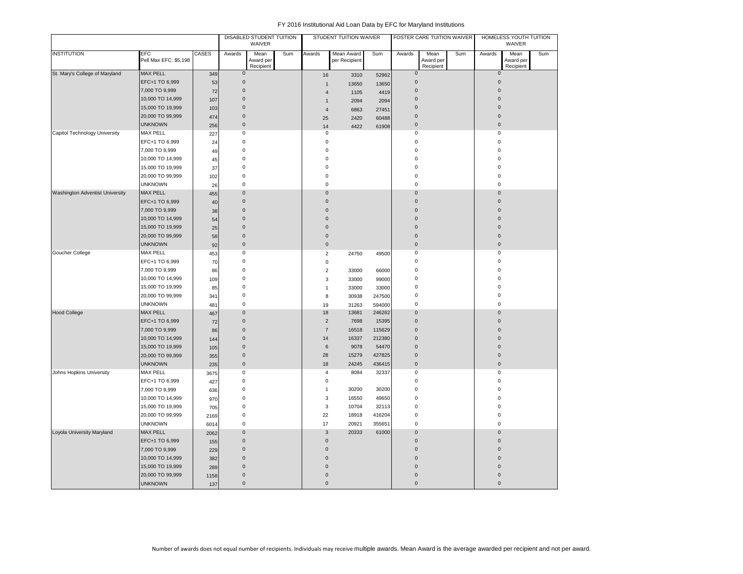|                                 |                                     |       |                     | DISABLED STUDENT TUITION<br>WAIVER |     |                           | STUDENT TUITION WAIVER      |        |              | FOSTER CARE TUITION WAIVER     |     |                     | HOMELESS YOUTH TUITION<br>WAIVER |     |
|---------------------------------|-------------------------------------|-------|---------------------|------------------------------------|-----|---------------------------|-----------------------------|--------|--------------|--------------------------------|-----|---------------------|----------------------------------|-----|
| <b>INSTITUTION</b>              | <b>EFC</b><br>Pell Max EFC: \$5,198 | CASES | Awards              | Mean<br>Award per<br>Recipient     | Sum | Awards                    | Mean Award<br>per Recipient | Sum    | Awards       | Mean<br>Award per<br>Recipient | Sum | Awards              | Mean<br>Award per<br>Recipient   | Sum |
| St. Mary's College of Maryland  | <b>MAX PELL</b>                     | 349   | $\mathsf{O}\xspace$ |                                    |     | 16                        | 3310                        | 52962  | $\pmb{0}$    |                                |     | $\mathbf{0}$        |                                  |     |
|                                 | EFC+1 TO 6,999                      | 53    | $\mathbf 0$         |                                    |     | $\mathbf{1}$              | 13650                       | 13650  | $\pmb{0}$    |                                |     | $\mathbf 0$         |                                  |     |
|                                 | 7,000 TO 9,999                      | 72    | $\mathbf 0$         |                                    |     | $\overline{4}$            | 1105                        | 4419   | $\pmb{0}$    |                                |     | $\mathbf 0$         |                                  |     |
|                                 | 10,000 TO 14,999                    | 107   | $\mathbf 0$         |                                    |     | $\mathbf{1}$              | 2094                        | 2094   | $\pmb{0}$    |                                |     | $\Omega$            |                                  |     |
|                                 | 15,000 TO 19,999                    | 103   | $\pmb{0}$           |                                    |     | $\overline{4}$            | 6863                        | 27451  | $\pmb{0}$    |                                |     | $\Omega$            |                                  |     |
|                                 | 20,000 TO 99,999                    | 474   | $\mathbf 0$         |                                    |     | 25                        | 2420                        | 60488  | $\pmb{0}$    |                                |     | $\mathbf{0}$        |                                  |     |
|                                 | <b>UNKNOWN</b>                      | 256   | $\pmb{0}$           |                                    |     | 14                        | 4422                        | 61908  | $\pmb{0}$    |                                |     | $\mathbf 0$         |                                  |     |
| Capitol Technology University   | MAX PELL                            | 227   | $\pmb{0}$           |                                    |     | 0                         |                             |        | 0            |                                |     | $\mathsf 0$         |                                  |     |
|                                 | EFC+1 TO 6,999                      | 24    | $\mathbf 0$         |                                    |     | $\mathbf 0$               |                             |        | 0            |                                |     | $\mathbf 0$         |                                  |     |
|                                 | 7,000 TO 9,999                      | 49    | $\mathbf 0$         |                                    |     | $\mathbf 0$               |                             |        | 0            |                                |     | $\Omega$            |                                  |     |
|                                 | 10,000 TO 14,999                    | 45    | $\mathbf 0$         |                                    |     | $\mathbf 0$               |                             |        | 0            |                                |     | $\Omega$            |                                  |     |
|                                 | 15,000 TO 19,999                    | 37    | $\mathbf 0$         |                                    |     | $\bf 0$                   |                             |        | 0            |                                |     | $\Omega$            |                                  |     |
|                                 | 20,000 TO 99,999                    | 102   | $\pmb{0}$           |                                    |     | $\mathbf 0$               |                             |        | 0            |                                |     | $\Omega$            |                                  |     |
|                                 | <b>UNKNOWN</b>                      | 26    | $\mathbf 0$         |                                    |     | $\bf 0$                   |                             |        | 0            |                                |     | $\mathbf 0$         |                                  |     |
| Washington Adventist University | <b>MAX PELL</b>                     | 455   | $\pmb{0}$           |                                    |     | $\mathbf 0$               |                             |        | $\pmb{0}$    |                                |     | $\mathbf 0$         |                                  |     |
|                                 | EFC+1 TO 6,999                      | 40    | $\mathbf 0$         |                                    |     | $\mathbf 0$               |                             |        | $\pmb{0}$    |                                |     | $\mathbf 0$         |                                  |     |
|                                 | 7,000 TO 9,999                      | 38    | $\mathbf 0$         |                                    |     | $\mathbf 0$               |                             |        | $\pmb{0}$    |                                |     | 0                   |                                  |     |
|                                 | 10,000 TO 14,999                    | 54    | $\mathbf 0$         |                                    |     | $\mathbf 0$               |                             |        | $\pmb{0}$    |                                |     | $\Omega$            |                                  |     |
|                                 | 15,000 TO 19,999                    | 25    | $\mathbf 0$         |                                    |     | $\mathbf 0$               |                             |        | $\pmb{0}$    |                                |     | $\Omega$            |                                  |     |
|                                 | 20,000 TO 99,999                    | 58    | $\mathbf 0$         |                                    |     | $\mathbf 0$               |                             |        | $\pmb{0}$    |                                |     | $\mathbf 0$         |                                  |     |
|                                 | <b>UNKNOWN</b>                      | 92    | $\mathbf 0$         |                                    |     | $\mathbf{0}$              |                             |        | $\mathbf{0}$ |                                |     | $\mathbf{0}$        |                                  |     |
| Goucher College                 | <b>MAX PELL</b>                     | 453   | $\mathbf 0$         |                                    |     | $\overline{2}$            | 24750                       | 49500  | 0            |                                |     | 0                   |                                  |     |
|                                 | EFC+1 TO 6,999                      | 70    | $\pmb{0}$           |                                    |     | $\mathsf 0$               |                             |        | 0            |                                |     | $\mathbf 0$         |                                  |     |
|                                 | 7,000 TO 9,999                      | 86    | $\mathbf 0$         |                                    |     | $\overline{2}$            | 33000                       | 66000  | 0            |                                |     | $\Omega$            |                                  |     |
|                                 | 10,000 TO 14,999                    | 109   | $\mathbf 0$         |                                    |     | 3                         | 33000                       | 99000  | 0            |                                |     | $\Omega$            |                                  |     |
|                                 | 15,000 TO 19,999                    | 85    | $\mathbf 0$         |                                    |     | $\mathbf{1}$              | 33000                       | 33000  | 0            |                                |     | $\Omega$            |                                  |     |
|                                 | 20,000 TO 99,999                    | 341   | $\pmb{0}$           |                                    |     | 8                         | 30938                       | 247500 | 0            |                                |     | 0                   |                                  |     |
|                                 | <b>UNKNOWN</b>                      | 481   | $\mathbf 0$         |                                    |     | 19                        | 31263                       | 594000 | 0            |                                |     | 0                   |                                  |     |
| <b>Hood College</b>             | <b>MAX PELL</b>                     | 467   | $\mathbf 0$         |                                    |     | 18                        | 13681                       | 246262 | $\pmb{0}$    |                                |     | $\Omega$            |                                  |     |
|                                 | EFC+1 TO 6,999                      | 72    | $\mathbf 0$         |                                    |     | $\sqrt{2}$                | 7698                        | 15395  | $\pmb{0}$    |                                |     | $\Omega$            |                                  |     |
|                                 | 7,000 TO 9,999                      | 86    | $\mathbf 0$         |                                    |     | $\overline{7}$            | 16518                       | 115629 | $\mathbf{0}$ |                                |     | $\Omega$            |                                  |     |
|                                 | 10,000 TO 14,999                    | 144   | $\mathbf 0$         |                                    |     | 14                        | 16337                       | 212380 | $\pmb{0}$    |                                |     | $\Omega$            |                                  |     |
|                                 | 15,000 TO 19,999                    | 105   | $\mathbf 0$         |                                    |     | 6                         | 9078                        | 54470  | $\pmb{0}$    |                                |     | $\Omega$            |                                  |     |
|                                 | 20,000 TO 99,999                    | 355   | $\mathbf 0$         |                                    |     | 28                        | 15279                       | 427825 | $\pmb{0}$    |                                |     | $\mathbf 0$         |                                  |     |
|                                 | <b>UNKNOWN</b>                      | 235   | $\pmb{0}$           |                                    |     | 18                        | 24245                       | 436415 | $\mathsf 0$  |                                |     | $\mathsf{O}\xspace$ |                                  |     |
| Johns Hopkins University        | MAX PELL                            | 3675  | $\mathbf 0$         |                                    |     | $\overline{4}$            | 8084                        | 32337  | 0            |                                |     | $\mathbf 0$         |                                  |     |
|                                 | EFC+1 TO 6,999                      | 427   | $\mathbf 0$         |                                    |     | 0                         |                             |        | 0            |                                |     | $\mathbf 0$         |                                  |     |
|                                 | 7,000 TO 9,999                      | 636   | $\mathbf 0$         |                                    |     | 1                         | 30200                       | 30200  | 0            |                                |     | n                   |                                  |     |
|                                 | 10,000 TO 14,999                    | 970   | $\mathbf 0$         |                                    |     | 3                         | 16550                       | 49650  | 0            |                                |     | O                   |                                  |     |
|                                 | 15,000 TO 19,999                    | 705   | $\mathbf 0$         |                                    |     | $\ensuremath{\mathsf{3}}$ | 10704                       | 32113  | 0            |                                |     | $\Omega$            |                                  |     |
|                                 | 20,000 TO 99,999                    | 2169  | $\pmb{0}$           |                                    |     | 22                        | 18918                       | 416204 | 0            |                                |     | $\mathbf 0$         |                                  |     |
|                                 | <b>UNKNOWN</b>                      | 6014  | $\mathbf 0$         |                                    |     | 17                        | 20921                       | 355651 | 0            |                                |     | $\Omega$            |                                  |     |
| Loyola University Maryland      | <b>MAX PELL</b>                     | 2062  | $\mathbf{0}$        |                                    |     | $\mathbf{3}$              | 20333                       | 61000  | $\pmb{0}$    |                                |     | $\mathbf{0}$        |                                  |     |
|                                 | EFC+1 TO 6,999                      | 155   | $\mathbf{0}$        |                                    |     | $\mathbf{0}$              |                             |        | $\mathbf{0}$ |                                |     | $\Omega$            |                                  |     |
|                                 | 7,000 TO 9,999                      | 229   | $\mathbf 0$         |                                    |     | $\mathbf 0$               |                             |        | $\pmb{0}$    |                                |     | $\Omega$            |                                  |     |
|                                 | 10,000 TO 14,999                    | 382   | $\mathbf 0$         |                                    |     | $\mathbf{0}$              |                             |        | $\mathbf{0}$ |                                |     | $\Omega$            |                                  |     |
|                                 | 15,000 TO 19,999                    | 289   | $\mathbf 0$         |                                    |     | $\mathbf 0$               |                             |        | $\pmb{0}$    |                                |     |                     |                                  |     |
|                                 | 20,000 TO 99,999                    | 1158  | $\mathbf 0$         |                                    |     | $\mathbf{0}$              |                             |        | $\pmb{0}$    |                                |     | $\Omega$            |                                  |     |
|                                 | <b>UNKNOWN</b>                      | 137   | $\pmb{0}$           |                                    |     | $\pmb{0}$                 |                             |        | $\pmb{0}$    |                                |     | $\pmb{0}$           |                                  |     |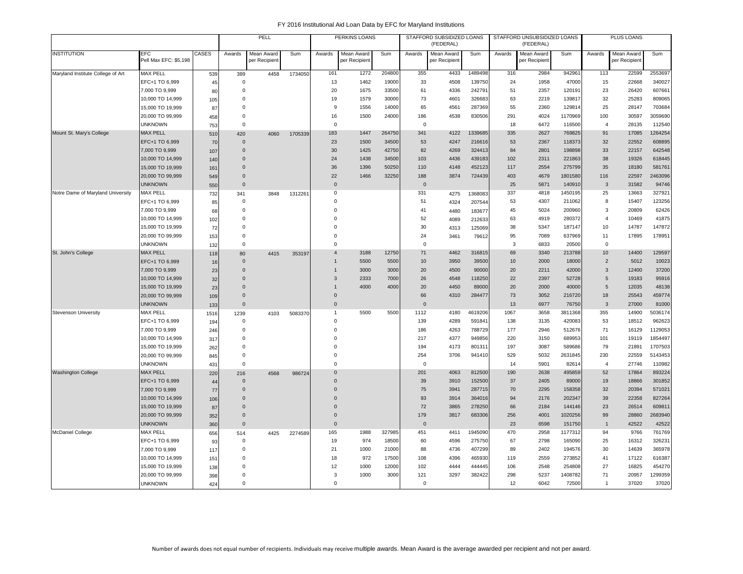|                                   |                              |       |              | PELL                        |         |                | PERKINS LOANS               |        |              | STAFFORD SUBSIDIZED LOANS<br>(FEDERAL) |         |        | STAFFORD UNSUBSIDIZED LOANS<br>(FEDERAL) |         |                  | PLUS LOANS                  |         |
|-----------------------------------|------------------------------|-------|--------------|-----------------------------|---------|----------------|-----------------------------|--------|--------------|----------------------------------------|---------|--------|------------------------------------------|---------|------------------|-----------------------------|---------|
| <b>INSTITUTION</b>                | EFC<br>Pell Max EFC: \$5,198 | CASES | Awards       | Mean Award<br>per Recipient | Sum     | Awards         | Mean Award<br>per Recipient | Sum    | Awards       | Mean Award<br>per Recipient            | Sum     | Awards | Mean Award<br>per Recipient              | Sum     | Awards           | Mean Award<br>per Recipient | Sum     |
| Maryland Institute College of Art | <b>MAX PELL</b>              | 539   | 389          | 4458                        | 1734050 | 161            | 1272                        | 204800 | 355          | 4433                                   | 1489498 | 316    | 2984                                     | 942961  | 113              | 22599                       | 2553697 |
|                                   | EFC+1 TO 6,999               | 45    | 0            |                             |         | 13             | 1462                        | 19000  | 33           | 4508                                   | 139750  | 24     | 1958                                     | 47000   | 15               | 22668                       | 340027  |
|                                   | 7,000 TO 9,999               | 80    | 0            |                             |         | 20             | 1675                        | 33500  | 61           | 4336                                   | 242791  | 51     | 2357                                     | 120191  | 23               | 26420                       | 607661  |
|                                   | 10,000 TO 14,999             | 105   | 0            |                             |         | 19             | 1579                        | 30000  | 73           | 4601                                   | 326683  | 63     | 2219                                     | 139817  | 32               | 25283                       | 809065  |
|                                   | 15,000 TO 19,999             | 87    | $\mathbf 0$  |                             |         | 9              | 1556                        | 14000  | 65           | 4561                                   | 287369  | 55     | 2360                                     | 129814  | 25               | 28147                       | 703684  |
|                                   | 20,000 TO 99,999             | 458   | $\mathsf 0$  |                             |         | 16             | 1500                        | 24000  | 186          | 4538                                   | 830506  | 291    | 4024                                     | 1170969 | 100              | 30597                       | 3059690 |
|                                   | <b>UNKNOWN</b>               | 753   | $\mathsf 0$  |                             |         | $\mathbf 0$    |                             |        | $\Omega$     |                                        |         | 18     | 6472                                     | 116500  | $\overline{4}$   | 28135                       | 112540  |
| Mount St. Mary's College          | <b>MAX PELL</b>              | 510   | 420          | 4060                        | 1705339 | 183            | 1447                        | 264750 | 341          | 4122                                   | 1339685 | 335    | 2627                                     | 769825  | 91               | 17085                       | 1264254 |
|                                   | EFC+1 TO 6,999               | 70    | $\mathbf{0}$ |                             |         | 23             | 1500                        | 34500  | 53           | 4247                                   | 216616  | 53     | 2367                                     | 118373  | 32               | 22552                       | 608895  |
|                                   | 7,000 TO 9,999               | 107   | $\Omega$     |                             |         | 30             | 1425                        | 42750  | 82           | 4269                                   | 324413  | 84     | 2801                                     | 198898  | 33               | 22157                       | 642548  |
|                                   | 10,000 TO 14,999             | 140   | $\Omega$     |                             |         | 24             | 1438                        | 34500  | 103          | 4436                                   | 439183  | 102    | 2311                                     | 221863  | 38               | 19326                       | 618445  |
|                                   | 15,000 TO 19,999             | 161   | $\Omega$     |                             |         | 36             | 1396                        | 50250  | 110          | 4148                                   | 452123  | 117    | 2554                                     | 275799  | 35               | 18180                       | 581761  |
|                                   | 20,000 TO 99,999             | 549   | $\Omega$     |                             |         | 22             | 1466                        | 32250  | 188          | 3874                                   | 724439  | 403    | 4679                                     | 1801580 | 116              | 22597                       | 2463096 |
|                                   | <b>UNKNOWN</b>               | 550   | $\mathbf{0}$ |                             |         | $\mathbf{0}$   |                             |        | $\mathbf{0}$ |                                        |         | 25     | 5871                                     | 140910  | 3                | 31582                       | 94746   |
| Notre Dame of Maryland University | <b>MAX PELL</b>              | 732   | 341          | 3848                        | 1312261 | $\mathbf 0$    |                             |        | 331          | 4275                                   | 1368083 | 337    | 4818                                     | 1450195 | 25               | 13663                       | 327921  |
|                                   | EFC+1 TO 6,999               | 85    | $\mathbf 0$  |                             |         | $\Omega$       |                             |        | 51           | 4324                                   | 207544  | 53     | 4307                                     | 211062  | 8                | 15407                       | 123256  |
|                                   | 7,000 TO 9,999               | 68    | $\mathbf 0$  |                             |         | $\Omega$       |                             |        | 41           | 4480                                   | 183677  | 45     | 5024                                     | 200960  | 3                | 20809                       | 62426   |
|                                   | 10,000 TO 14,999             | 102   | $\mathbf 0$  |                             |         | $\Omega$       |                             |        | 52           | 4089                                   | 212633  | 63     | 4919                                     | 280372  | $\overline{4}$   | 10469                       | 41875   |
|                                   | 15,000 TO 19,999             | 72    | $\mathbf 0$  |                             |         | $\Omega$       |                             |        | 30           | 4313                                   | 125069  | 38     | 5347                                     | 187147  | 10               | 14787                       | 147872  |
|                                   | 20,000 TO 99,999             | 153   | $\mathsf 0$  |                             |         | $\mathbf 0$    |                             |        | 24           | 3461                                   | 79612   | 95     | 7089                                     | 637969  | 11               | 17895                       | 178951  |
|                                   | <b>UNKNOWN</b>               | 132   | $\mathbf 0$  |                             |         | $\Omega$       |                             |        | $\mathbf 0$  |                                        |         | 3      | 6833                                     | 20500   | $\Omega$         |                             |         |
| St. John's College                | <b>MAX PELL</b>              | 118   | 80           | 4415                        | 353197  | $\overline{4}$ | 3188                        | 12750  | 71           | 4462                                   | 316815  | 69     | 3340                                     | 213788  | 10 <sup>10</sup> | 14400                       | 129597  |
|                                   | EFC+1 TO 6,999               | 16    | $\mathbf{0}$ |                             |         | $\overline{1}$ | 5500                        | 5500   | 10           | 3950                                   | 39500   | 10     | 2000                                     | 18000   | $\overline{2}$   | 5012                        | 10023   |
|                                   | 7,000 TO 9,999               | 23    | $\Omega$     |                             |         | $\mathbf{1}$   | 3000                        | 3000   | 20           | 4500                                   | 90000   | 20     | 2211                                     | 42000   | $\mathbf{3}$     | 12400                       | 37200   |
|                                   | 10,000 TO 14,999             | 32    | $\Omega$     |                             |         | 3              | 2333                        | 7000   | 26           | 4548                                   | 118250  | 22     | 2397                                     | 52728   | 5                | 19183                       | 95916   |
|                                   | 15,000 TO 19,999             | 23    | $\Omega$     |                             |         | $\overline{1}$ | 4000                        | 4000   | 20           | 4450                                   | 89000   | 20     | 2000                                     | 40000   | 5                | 12035                       | 48138   |
|                                   | 20,000 TO 99,999             | 109   | $\mathbf{0}$ |                             |         | $\mathbf{0}$   |                             |        | 66           | 4310                                   | 284477  | 73     | 3052                                     | 216720  | 18               | 25543                       | 459774  |
|                                   | <b>UNKNOWN</b>               | 133   | $\mathbf{0}$ |                             |         | $\mathbf 0$    |                             |        | $\mathbf{0}$ |                                        |         | 13     | 6977                                     | 76750   | $\mathbf{3}$     | 27000                       | 81000   |
| <b>Stevenson University</b>       | <b>MAX PELL</b>              | 1516  | 1239         | 4103                        | 5083370 | $\overline{1}$ | 5500                        | 5500   | 1112         | 4180                                   | 4619206 | 1067   | 3658                                     | 3811368 | 355              | 14900                       | 5036174 |
|                                   | EFC+1 TO 6,999               | 194   | $\mathsf 0$  |                             |         | $\mathbf 0$    |                             |        | 139          | 4289                                   | 591841  | 138    | 3135                                     | 420083  | 53               | 18512                       | 962623  |
|                                   | 7,000 TO 9,999               | 246   | $\mathsf 0$  |                             |         | $\mathbf 0$    |                             |        | 186          | 4263                                   | 788729  | 177    | 2946                                     | 512676  | 71               | 16129                       | 1129053 |
|                                   | 10,000 TO 14,999             | 317   | $\mathbf 0$  |                             |         | $\Omega$       |                             |        | 217          | 4377                                   | 949856  | 220    | 3150                                     | 689953  | 101              | 19119                       | 1854497 |
|                                   | 15,000 TO 19,999             | 262   | $\mathbf 0$  |                             |         | $\Omega$       |                             |        | 194          | 4173                                   | 801311  | 197    | 3087                                     | 589686  | 79               | 21891                       | 1707503 |
|                                   | 20,000 TO 99,999             | 845   | $\mathbf 0$  |                             |         | $\mathbf 0$    |                             |        | 254          | 3706                                   | 941410  | 529    | 5032                                     | 2631845 | 230              | 22559                       | 5143453 |
|                                   | <b>UNKNOWN</b>               | 431   | $\mathbf 0$  |                             |         | $\mathbf 0$    |                             |        | $\mathbf 0$  |                                        |         | 14     | 5901                                     | 82614   | $\overline{4}$   | 27746                       | 110982  |
| <b>Washington College</b>         | <b>MAX PELL</b>              | 220   | 216          | 4568                        | 986724  | $\mathbf{0}$   |                             |        | 201          | 4063                                   | 812500  | 190    | 2638                                     | 495859  | 52               | 17864                       | 893224  |
|                                   | EFC+1 TO 6,999               | 44    | $\mathbf 0$  |                             |         | $\mathbf 0$    |                             |        | 39           | 3910                                   | 152500  | 37     | 2405                                     | 89000   | 19               | 18866                       | 301852  |
|                                   | 7,000 TO 9,999               | 77    | $\mathbf{0}$ |                             |         | $\Omega$       |                             |        | 75           | 3941                                   | 287715  | 70     | 2295                                     | 158358  | 32               | 20394                       | 571021  |
|                                   | 10,000 TO 14,999             | 106   | $\mathbf 0$  |                             |         | 0              |                             |        | 93           | 3914                                   | 364016  | 94     | 2176                                     | 202347  | 39               | 22358                       | 827264  |
|                                   | 15,000 TO 19,999             | 87    | $\Omega$     |                             |         | $\mathbf 0$    |                             |        | 72           | 3865                                   | 278250  | 66     | 2184                                     | 144146  | 23               | 26514                       | 609811  |
|                                   | 20,000 TO 99,999             | 352   | $\mathbf 0$  |                             |         | $\mathbf{0}$   |                             |        | 179          | 3817                                   | 683306  | 256    | 4001                                     | 1020256 | 99               | 28860                       | 2683940 |
|                                   | <b>UNKNOWN</b>               | 360   | $\mathbf 0$  |                             |         | $\mathbf 0$    |                             |        | $\mathbf 0$  |                                        |         | 23     | 6598                                     | 151750  | $\mathbf{1}$     | 42522                       | 42522   |
| <b>McDaniel College</b>           | <b>MAX PELL</b>              | 656   | 514          | 4425                        | 2274589 | 165            | 1988                        | 327985 | 451          | 4411                                   | 1945090 | 470    | 2958                                     | 1177312 | 94               | 9766                        | 761769  |
|                                   | EFC+1 TO 6,999               | 93    | 0            |                             |         | 19             | 974                         | 18500  | 60           | 4596                                   | 275750  | 67     | 2798                                     | 165090  | 25               | 16312                       | 326231  |
|                                   | 7,000 TO 9,999               | 117   | $\mathsf 0$  |                             |         | 21             | 1000                        | 21000  | 88           | 4736                                   | 407299  | 89     | 2402                                     | 194576  | 30               | 14639                       | 365978  |
|                                   | 10,000 TO 14,999             | 151   | $\Omega$     |                             |         | 18             | 972                         | 17500  | 108          | 4396                                   | 465930  | 119    | 2559                                     | 273852  | 41               | 17122                       | 616387  |
|                                   | 15,000 TO 19,999             | 138   | 0            |                             |         | 12             | 1000                        | 12000  | 102          | 4444                                   | 444445  | 106    | 2548                                     | 254808  | 27               | 16825                       | 454270  |
|                                   | 20,000 TO 99,999             | 398   | $\Omega$     |                             |         | 3              | 1000                        | 3000   | 121          | 3297                                   | 382422  | 298    | 5237                                     | 1408782 | 71               | 20957                       | 1299359 |
|                                   | <b>UNKNOWN</b>               | 424   | $\Omega$     |                             |         | $\mathbf 0$    |                             |        | $\mathbf 0$  |                                        |         | 12     | 6042                                     | 72500   | $\overline{1}$   | 37020                       | 37020   |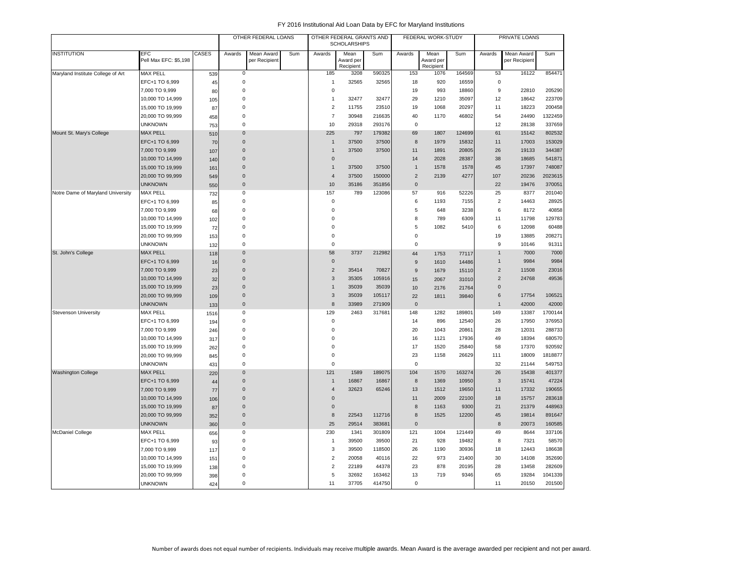|                                   |                              |       |                     | OTHER FEDERAL LOANS         |     |                     | OTHER FEDERAL GRANTS AND<br><b>SCHOLARSHIPS</b> |        |                | FEDERAL WORK-STUDY             |        |                 | PRIVATE LOANS               |         |
|-----------------------------------|------------------------------|-------|---------------------|-----------------------------|-----|---------------------|-------------------------------------------------|--------|----------------|--------------------------------|--------|-----------------|-----------------------------|---------|
| <b>INSTITUTION</b>                | EFC<br>Pell Max EFC: \$5,198 | CASES | Awards              | Mean Award<br>per Recipient | Sum | Awards              | Mean<br>Award per<br>Recipient                  | Sum    | Awards         | Mean<br>Award per<br>Recipient | Sum    | Awards          | Mean Award<br>per Recipient | Sum     |
| Maryland Institute College of Art | <b>MAX PELL</b>              | 539   | $\mathbf 0$         |                             |     | 185                 | 3208                                            | 590325 | 153            | 1076                           | 164569 | 53              | 16122                       | 854471  |
|                                   | EFC+1 TO 6,999               | 45    | 0                   |                             |     | $\overline{1}$      | 32565                                           | 32565  | 18             | 920                            | 16559  | $\mathbf 0$     |                             |         |
|                                   | 7,000 TO 9,999               | 80    | $\mathbf 0$         |                             |     | $\pmb{0}$           |                                                 |        | 19             | 993                            | 18860  | 9               | 22810                       | 205290  |
|                                   | 10,000 TO 14,999             | 105   | $\mathbf 0$         |                             |     | $\mathbf{1}$        | 32477                                           | 32477  | 29             | 1210                           | 35097  | 12              | 18642                       | 223709  |
|                                   | 15,000 TO 19,999             | 87    | 0                   |                             |     | $\overline{2}$      | 11755                                           | 23510  | 19             | 1068                           | 20297  | 11              | 18223                       | 200458  |
|                                   | 20,000 TO 99,999             | 458   | $\mathbf 0$         |                             |     | $\overline{7}$      | 30948                                           | 216635 | 40             | 1170                           | 46802  | 54              | 24490                       | 1322459 |
|                                   | <b>UNKNOWN</b>               | 753   | $\mathbf 0$         |                             |     | 10                  | 29318                                           | 293176 | $\mathbf 0$    |                                |        | 12              | 28138                       | 337659  |
| Mount St. Mary's College          | <b>MAX PELL</b>              | 510   | $\Omega$            |                             |     | 225                 | 797                                             | 179382 | 69             | 1807                           | 124699 | 61              | 15142                       | 802532  |
|                                   | EFC+1 TO 6,999               | 70    | $\overline{0}$      |                             |     | $\mathbf{1}$        | 37500                                           | 37500  | 8              | 1979                           | 15832  | 11              | 17003                       | 153029  |
|                                   | 7,000 TO 9,999               | 107   | $\mathbf 0$         |                             |     | $\overline{1}$      | 37500                                           | 37500  | 11             | 1891                           | 20805  | 26              | 19133                       | 344387  |
|                                   | 10,000 TO 14,999             | 140   | $\mathbf{0}$        |                             |     | $\mathbf 0$         |                                                 |        | 14             | 2028                           | 28387  | 38              | 18685                       | 541871  |
|                                   | 15,000 TO 19,999             | 161   | $\mathbf 0$         |                             |     | $\mathbf{1}$        | 37500                                           | 37500  | $\mathbf{1}$   | 1578                           | 1578   | 45              | 17397                       | 748087  |
|                                   | 20,000 TO 99,999             | 549   | $\mathbf 0$         |                             |     | $\overline{4}$      | 37500                                           | 150000 | $\overline{2}$ | 2139                           | 4277   | 107             | 20236                       | 2023615 |
|                                   | <b>UNKNOWN</b>               | 550   | $\mathbf 0$         |                             |     | 10                  | 35186                                           | 351856 | $\mathbf 0$    |                                |        | 22              | 19476                       | 370051  |
| Notre Dame of Maryland University | <b>MAX PELL</b>              | 732   | $\mathsf{O}\xspace$ |                             |     | 157                 | 789                                             | 123086 | 57             | 916                            | 52226  | 25              | 8377                        | 201040  |
|                                   | EFC+1 TO 6,999               | 85    | $\mathbf 0$         |                             |     | $\pmb{0}$           |                                                 |        | 6              | 1193                           | 7155   | $\overline{2}$  | 14463                       | 28925   |
|                                   | 7,000 TO 9,999               | 68    | 0                   |                             |     | $\mathbf 0$         |                                                 |        | 5              | 648                            | 3238   | 6               | 8172                        | 40858   |
|                                   | 10,000 TO 14,999             | 102   | $\Omega$            |                             |     | $\mathbf 0$         |                                                 |        | 8              | 789                            | 6309   | 11              | 11798                       | 129783  |
|                                   | 15,000 TO 19,999             | 72    | 0                   |                             |     | $\mathbf 0$         |                                                 |        | 5              | 1082                           | 5410   | 6               | 12098                       | 60488   |
|                                   | 20,000 TO 99,999             | 153   | 0                   |                             |     | $\pmb{0}$           |                                                 |        | $\pmb{0}$      |                                |        | 19              | 13885                       | 208271  |
|                                   | <b>UNKNOWN</b>               | 132   | 0                   |                             |     | $\mathbf 0$         |                                                 |        | $\mathbf 0$    |                                |        | 9               | 10146                       | 91311   |
| St. John's College                | <b>MAX PELL</b>              | 118   | $\mathbf 0$         |                             |     | 58                  | 3737                                            | 212982 | 44             | 1753                           | 77117  | $\mathbf{1}$    | 7000                        | 7000    |
|                                   | EFC+1 TO 6,999               | 16    | $\mathbf 0$         |                             |     | $\mathsf{O}\xspace$ |                                                 |        | 9              | 1610                           | 14486  | $\mathbf{1}$    | 9984                        | 9984    |
|                                   | 7,000 TO 9,999               | 23    | $\Omega$            |                             |     | $\overline{c}$      | 35414                                           | 70827  | 9              | 1679                           | 15110  | $\overline{c}$  | 11508                       | 23016   |
|                                   | 10,000 TO 14,999             | 32    | $\mathbf 0$         |                             |     | $\sqrt{3}$          | 35305                                           | 105916 | 15             | 2067                           | 31010  | $\sqrt{2}$      | 24768                       | 49536   |
|                                   | 15,000 TO 19,999             | 23    | $\mathbf 0$         |                             |     | $\mathbf{1}$        | 35039                                           | 35039  | 10             | 2176                           | 21764  | $\mathbf{0}$    |                             |         |
|                                   | 20,000 TO 99,999             | 109   | $\mathbf 0$         |                             |     | $\mathbf{3}$        | 35039                                           | 105117 | 22             | 1811                           | 39840  | $6\phantom{1}6$ | 17754                       | 106521  |
|                                   | <b>UNKNOWN</b>               | 133   | $\mathbf{0}$        |                             |     | $\boldsymbol{8}$    | 33989                                           | 271909 | $\mathbf{0}$   |                                |        | $\mathbf{1}$    | 42000                       | 42000   |
| <b>Stevenson University</b>       | <b>MAX PELL</b>              | 1516  | 0                   |                             |     | 129                 | 2463                                            | 31768  | 148            | 1282                           | 189801 | 149             | 13387                       | 1700144 |
|                                   | EFC+1 TO 6,999               | 194   | $\mathbf 0$         |                             |     | $\pmb{0}$           |                                                 |        | 14             | 896                            | 12540  | 26              | 17950                       | 376953  |
|                                   | 7,000 TO 9,999               | 246   | $\Omega$            |                             |     | $\mathbf 0$         |                                                 |        | 20             | 1043                           | 20861  | 28              | 12031                       | 288733  |
|                                   | 10,000 TO 14,999             | 317   | 0                   |                             |     | $\Omega$            |                                                 |        | 16             | 1121                           | 17936  | 49              | 18394                       | 680570  |
|                                   | 15,000 TO 19,999             | 262   | 0                   |                             |     | $\mathbf 0$         |                                                 |        | 17             | 1520                           | 25840  | 58              | 17370                       | 920592  |
|                                   | 20,000 TO 99,999             | 845   | 0                   |                             |     | $\pmb{0}$           |                                                 |        | 23             | 1158                           | 26629  | 111             | 18009                       | 1818877 |
|                                   | <b>UNKNOWN</b>               | 431   | $\mathbf 0$         |                             |     | $\mathbf 0$         |                                                 |        | $\mathbf 0$    |                                |        | 32              | 21144                       | 549753  |
| <b>Washington College</b>         | <b>MAX PELL</b>              | 220   | $\overline{0}$      |                             |     | 121                 | 1589                                            | 189075 | 104            | 1570                           | 163274 | 26              | 15438                       | 401377  |
|                                   | EFC+1 TO 6,999               | 44    | $\mathbf 0$         |                             |     | $\mathbf{1}$        | 16867                                           | 16867  | 8              | 1369                           | 10950  | 3               | 15741                       | 47224   |
|                                   | 7,000 TO 9,999               | 77    | $\mathbf{0}$        |                             |     | $\overline{4}$      | 32623                                           | 65246  | 13             | 1512                           | 19650  | 11              | 17332                       | 190655  |
|                                   | 10,000 TO 14,999             | 106   | $\overline{0}$      |                             |     | $\mathbf 0$         |                                                 |        | 11             | 2009                           | 22100  | 18              | 15757                       | 283618  |
|                                   | 15,000 TO 19,999             | 87    | $\mathbf{0}$        |                             |     | $\mathbf 0$         |                                                 |        | 8              | 1163                           | 9300   | 21              | 21379                       | 448963  |
|                                   | 20,000 TO 99,999             | 352   | $\mathbf 0$         |                             |     | 8                   | 22543                                           | 112716 | 8              | 1525                           | 12200  | 45              | 19814                       | 891647  |
|                                   | <b>UNKNOWN</b>               | 360   | $\mathsf{O}\xspace$ |                             |     | 25                  | 29514                                           | 383681 | $\mathbf 0$    |                                |        | 8               | 20073                       | 160585  |
| <b>McDaniel College</b>           | <b>MAX PELL</b>              | 656   | 0                   |                             |     | 230                 | 1341                                            | 301809 | 121            | 1004                           | 121449 | 49              | 8644                        | 337106  |
|                                   | EFC+1 TO 6,999               | 93    | 0                   |                             |     | $\mathbf{1}$        | 39500                                           | 39500  | 21             | 928                            | 19482  | 8               | 7321                        | 58570   |
|                                   | 7,000 TO 9,999               | 117   | 0                   |                             |     | 3                   | 39500                                           | 118500 | 26             | 1190                           | 30936  | 18              | 12443                       | 186638  |
|                                   | 10,000 TO 14,999             | 151   | 0                   |                             |     | $\overline{c}$      | 20058                                           | 40116  | 22             | 973                            | 21400  | 30              | 14108                       | 352690  |
|                                   | 15,000 TO 19,999             | 138   | 0                   |                             |     | $\overline{c}$      | 22189                                           | 44378  | 23             | 878                            | 20195  | 28              | 13458                       | 282609  |
|                                   | 20,000 TO 99,999             | 398   | $\Omega$            |                             |     | 5                   | 32692                                           | 163462 | 13             | 719                            | 9346   | 65              | 19284                       | 1041339 |
|                                   | <b>UNKNOWN</b>               | 424   | $\mathbf 0$         |                             |     | 11                  | 37705                                           | 414750 | $\mathbf 0$    |                                |        | 11              | 20150                       | 201500  |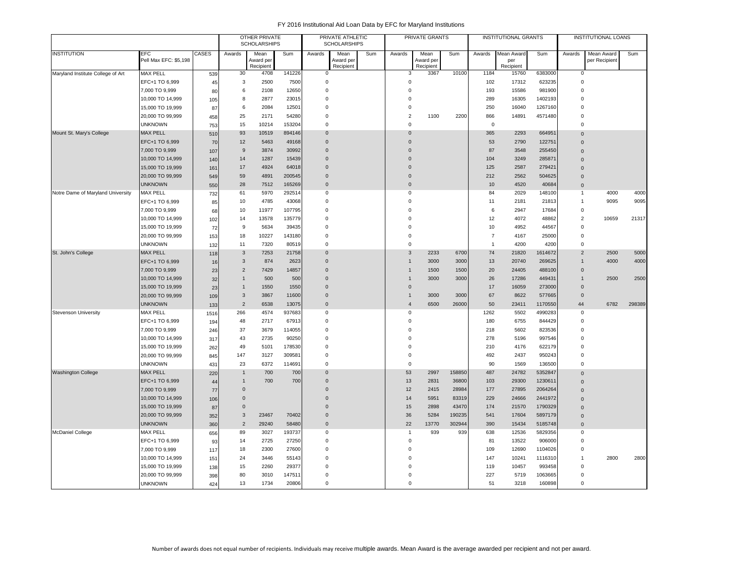|                                   |                                   |              |                     | <b>OTHER PRIVATE</b><br><b>SCHOLARSHIPS</b> |                |                               | PRIVATE ATHLETIC<br><b>SCHOLARSHIPS</b> |     |                                     | PRIVATE GRANTS         |               |                | <b>INSTITUTIONAL GRANTS</b> |                   |                          | <b>INSTITUTIONAL LOANS</b> |        |
|-----------------------------------|-----------------------------------|--------------|---------------------|---------------------------------------------|----------------|-------------------------------|-----------------------------------------|-----|-------------------------------------|------------------------|---------------|----------------|-----------------------------|-------------------|--------------------------|----------------------------|--------|
| <b>INSTITUTION</b>                | <b>EFC</b>                        | <b>CASES</b> | Awards              | Mean                                        | Sum            | Awards                        | Mean                                    | Sum | Awards                              | Mean                   | Sum           | Awards         | Mean Award                  | Sum               | Awards                   | Mean Award                 | Sum    |
|                                   | Pell Max EFC: \$5,198             |              |                     | Award per<br>Recipient                      |                |                               | Award per<br>Recipient                  |     |                                     | Award per<br>Recipient |               |                | per<br>Recipient            |                   |                          | per Recipient              |        |
| Maryland Institute College of Art | <b>MAX PELL</b>                   | 539          | 30                  | 4708                                        | 141226         | $\mathbf 0$                   |                                         |     | 3                                   | 3367                   | 10100         | 1184           | 15760                       | 6383000           | 0                        |                            |        |
|                                   | EFC+1 TO 6,999                    | 45           | 3                   | 2500                                        | 7500           | $\mathbf 0$                   |                                         |     | $\mathsf 0$                         |                        |               | 102            | 17312                       | 623235            | $\mathbf 0$              |                            |        |
|                                   | 7,000 TO 9,999                    | 80           | 6                   | 2108                                        | 12650          | $\mathbf 0$                   |                                         |     | $\mathsf 0$                         |                        |               | 193            | 15586                       | 981900            | $\mathbf 0$              |                            |        |
|                                   | 10,000 TO 14,999                  | 105          | 8                   | 2877                                        | 23015          | $\mathbf 0$                   |                                         |     | $\mathsf 0$                         |                        |               | 289            | 16305                       | 1402193           | $\Omega$                 |                            |        |
|                                   | 15,000 TO 19,999                  | 87           | 6                   | 2084                                        | 12501          | $\mathbf 0$                   |                                         |     | $\mathbf 0$                         |                        |               | 250            | 16040                       | 1267160           | $\Omega$                 |                            |        |
|                                   | 20,000 TO 99,999                  | 458          | 25                  | 2171                                        | 54280          | $\mathbf 0$                   |                                         |     | $\mathbf 2$                         | 1100                   | 2200          | 866            | 14891                       | 4571480           | $\mathbf 0$              |                            |        |
|                                   | <b>UNKNOWN</b>                    | 753          | 15                  | 10214                                       | 153204         | $\mathbf 0$                   |                                         |     | $\mathbf 0$                         |                        |               | $\mathbf 0$    |                             |                   | $\Omega$                 |                            |        |
| Mount St. Mary's College          | <b>MAX PELL</b>                   | 510          | 93                  | 10519                                       | 894146         | $\mathbf 0$                   |                                         |     | $\mathbf{0}$                        |                        |               | 365            | 2293                        | 664951            | $\Omega$                 |                            |        |
|                                   | EFC+1 TO 6,999                    | 70           | 12                  | 5463                                        | 49168          | $\Omega$                      |                                         |     | $\Omega$                            |                        |               | 53             | 2790                        | 122751            | $\Omega$                 |                            |        |
|                                   | 7,000 TO 9,999                    | 107          | $9$                 | 3874                                        | 30992          | $\overline{0}$                |                                         |     | $\mathbf{0}$                        |                        |               | 87             | 3548                        | 255450            | $\Omega$                 |                            |        |
|                                   | 10,000 TO 14,999                  | 140          | 14                  | 1287                                        | 15439          | $\overline{0}$                |                                         |     | $\mathbf{0}$                        |                        |               | 104            | 3249                        | 285871            | $\Omega$                 |                            |        |
|                                   | 15,000 TO 19,999                  | 161          | 17                  | 4924                                        | 64018          | $\overline{0}$                |                                         |     | $\mathbf{0}$                        |                        |               | 125            | 2587                        | 279421            | $\Omega$                 |                            |        |
|                                   | 20,000 TO 99,999                  | 549          | 59                  | 4891                                        | 200545         | $\mathbf 0$                   |                                         |     | $\mathbf 0$                         |                        |               | 212            | 2562                        | 504625            | $\Omega$                 |                            |        |
|                                   | <b>UNKNOWN</b>                    | 550          | 28                  | 7512                                        | 165269         | $\overline{0}$                |                                         |     | $\mathsf{O}\xspace$                 |                        |               | 10             | 4520                        | 40684             | $\Omega$                 |                            |        |
| Notre Dame of Maryland University | <b>MAX PELL</b>                   | 732          | 61                  | 5970                                        | 292514         | $\mathbf 0$                   |                                         |     | $\mathsf 0$                         |                        |               | 84             | 2029                        | 148100            | $\mathbf{1}$             | 4000                       | 4000   |
|                                   | EFC+1 TO 6,999                    | 85           | 10                  | 4785                                        | 43068          | $\mathbf 0$                   |                                         |     | $\mathsf 0$                         |                        |               | 11             | 2181                        | 21813             | $\mathbf{1}$             | 9095                       | 9095   |
|                                   | 7,000 TO 9,999                    | 68           | 10                  | 11977                                       | 107795         | $\mathbf 0$                   |                                         |     | $\mathbf 0$                         |                        |               | 6              | 2947                        | 17684             | $\mathbf 0$              |                            |        |
|                                   | 10,000 TO 14,999                  | 102          | 14                  | 13578                                       | 135779         | $\mathbf 0$                   |                                         |     | $\mathbf 0$                         |                        |               | 12             | 4072                        | 48862             | $\overline{2}$           | 10659                      | 21317  |
|                                   | 15,000 TO 19,999                  | 72           | 9                   | 5634                                        | 39435          | $\Omega$                      |                                         |     | $\Omega$                            |                        |               | 10             | 4952                        | 44567             | $\Omega$                 |                            |        |
|                                   | 20,000 TO 99,999                  | 153          | 18                  | 10227                                       | 143180         | $\mathbf 0$                   |                                         |     | $\mathsf 0$                         |                        |               | $\overline{7}$ | 4167                        | 25000             | $\mathbf 0$              |                            |        |
|                                   | <b>UNKNOWN</b>                    | 132          | 11                  | 7320                                        | 80519          | $\mathbf 0$                   |                                         |     | $\mathsf 0$                         |                        |               | $\overline{1}$ | 4200                        | 4200              | $\Omega$                 |                            |        |
| St. John's College                | <b>MAX PELL</b>                   | 118          | 3                   | 7253                                        | 21758          | $\mathbf 0$                   |                                         |     | 3                                   | 2233                   | 6700          | 74             | 21820                       | 1614672           | $\overline{2}$           | 2500                       | 5000   |
|                                   | EFC+1 TO 6,999                    | 16           | $\sqrt{3}$          | 874                                         | 2623           | $\overline{0}$                |                                         |     | $\mathbf{1}$                        | 3000                   | 3000          | 13             | 20740                       | 269625            | $\mathbf{1}$             | 4000                       | 4000   |
|                                   | 7,000 TO 9,999                    | 23           | $\overline{2}$      | 7429                                        | 14857          | $\mathbf 0$                   |                                         |     | $\mathbf{1}$                        | 1500                   | 1500          | 20             | 24405                       | 488100            | $\mathbf 0$              |                            |        |
|                                   | 10,000 TO 14,999                  | 32           | $\mathbf{1}$        | 500                                         | 500            | $\mathbf 0$                   |                                         |     | $\mathbf{1}$                        | 3000                   | 3000          | 26             | 17286                       | 449431            | $\mathbf{1}$<br>$\Omega$ | 2500                       | 2500   |
|                                   | 15,000 TO 19,999                  | 23           | $\mathbf{1}$        | 1550                                        | 1550           | $\overline{0}$<br>$\mathbf 0$ |                                         |     | $\mathsf{O}\xspace$<br>$\mathbf{1}$ |                        |               | 17             | 16059                       | 273000            | $\mathbf 0$              |                            |        |
|                                   | 20,000 TO 99,999                  | 109          | 3<br>$\sqrt{2}$     | 3867<br>6538                                | 11600<br>13075 | $\overline{0}$                |                                         |     | $\overline{4}$                      | 3000<br>6500           | 3000<br>26000 | 67<br>50       | 8622<br>23411               | 577665<br>1170550 | 44                       | 6782                       | 298389 |
|                                   | <b>UNKNOWN</b><br><b>MAX PELL</b> | 133          | 266                 | 4574                                        | 937683         | $^{\circ}$                    |                                         |     | $\mathbf 0$                         |                        |               | 1262           | 5502                        | 4990283           | $\mathbf 0$              |                            |        |
| <b>Stevenson University</b>       | EFC+1 TO 6,999                    | 1516         | 48                  | 2717                                        | 67913          | $\mathbf 0$                   |                                         |     | $\pmb{0}$                           |                        |               | 180            | 6755                        | 844429            | $\mathbf 0$              |                            |        |
|                                   | 7,000 TO 9,999                    | 194          | 37                  | 3679                                        | 114055         | $\Omega$                      |                                         |     | $\Omega$                            |                        |               | 218            | 5602                        | 823536            | $\Omega$                 |                            |        |
|                                   | 10,000 TO 14,999                  | 246<br>317   | 43                  | 2735                                        | 90250          | $^{\circ}$                    |                                         |     | $\mathbf 0$                         |                        |               | 278            | 5196                        | 997546            | $\mathbf 0$              |                            |        |
|                                   | 15,000 TO 19,999                  | 262          | 49                  | 5101                                        | 178530         | $\mathbf 0$                   |                                         |     | $\mathsf 0$                         |                        |               | 210            | 4176                        | 622179            | $\mathbf 0$              |                            |        |
|                                   | 20,000 TO 99,999                  | 845          | 147                 | 3127                                        | 309581         | $\mathbf 0$                   |                                         |     | $\pmb{0}$                           |                        |               | 492            | 2437                        | 950243            | $\Omega$                 |                            |        |
|                                   | <b>UNKNOWN</b>                    | 431          | 23                  | 6372                                        | 114691         | $\mathbf 0$                   |                                         |     | $\mathsf 0$                         |                        |               | 90             | 1569                        | 136500            | $\mathbf 0$              |                            |        |
| <b>Washington College</b>         | <b>MAX PELL</b>                   | 220          | $\mathbf{1}$        | 700                                         | 700            | $\Omega$                      |                                         |     | 53                                  | 2997                   | 158850        | 487            | 24782                       | 5352847           | $\mathbf 0$              |                            |        |
|                                   | EFC+1 TO 6,999                    | 44           | $\mathbf{1}$        | 700                                         | 700            | $\Omega$                      |                                         |     | 13                                  | 2831                   | 36800         | 103            | 29300                       | 1230611           | $\Omega$                 |                            |        |
|                                   | 7,000 TO 9,999                    | 77           | $\mathbf 0$         |                                             |                | $\Omega$                      |                                         |     | 12                                  | 2415                   | 28984         | 177            | 27895                       | 2064264           | $\mathbf 0$              |                            |        |
|                                   | 10,000 TO 14,999                  | 106          | $\Omega$            |                                             |                | $\Omega$                      |                                         |     | 14                                  | 5951                   | 83319         | 229            | 24666                       | 2441972           | $\Omega$                 |                            |        |
|                                   | 15,000 TO 19,999                  | 87           | $\mathsf{O}\xspace$ |                                             |                | $\mathbf 0$                   |                                         |     | 15                                  | 2898                   | 43470         | 174            | 21570                       | 1790329           | $\Omega$                 |                            |        |
|                                   | 20,000 TO 99,999                  | 352          | 3                   | 23467                                       | 70402          | $\Omega$                      |                                         |     | 36                                  | 5284                   | 190235        | 541            | 17604                       | 5897179           | $\mathbf 0$              |                            |        |
|                                   | <b>UNKNOWN</b>                    | 360          | $\overline{2}$      | 29240                                       | 58480          | $\mathbf 0$                   |                                         |     | 22                                  | 13770                  | 302944        | 390            | 15434                       | 5185748           | $\mathbf 0$              |                            |        |
| <b>McDaniel College</b>           | <b>MAX PELL</b>                   | 656          | 89                  | 3027                                        | 193737         | $\Omega$                      |                                         |     | -1                                  | 939                    | 939           | 638            | 12536                       | 5829356           | $\Omega$                 |                            |        |
|                                   | EFC+1 TO 6,999                    | 93           | 14                  | 2725                                        | 27250          | $\Omega$                      |                                         |     | $\Omega$                            |                        |               | 81             | 13522                       | 906000            | $\Omega$                 |                            |        |
|                                   | 7,000 TO 9,999                    | 117          | 18                  | 2300                                        | 27600          | $\mathbf 0$                   |                                         |     | $\mathbf 0$                         |                        |               | 109            | 12690                       | 1104026           | $\Omega$                 |                            |        |
|                                   | 10,000 TO 14,999                  | 151          | 24                  | 3446                                        | 55143          | $\Omega$                      |                                         |     | $\Omega$                            |                        |               | 147            | 10241                       | 1116310           | $\mathbf{1}$             | 2800                       | 2800   |
|                                   | 15,000 TO 19,999                  | 138          | 15                  | 2260                                        | 29377          | $\Omega$                      |                                         |     | $\Omega$                            |                        |               | 119            | 10457                       | 993458            | $\Omega$                 |                            |        |
|                                   | 20,000 TO 99,999                  | 398          | 80                  | 3010                                        | 147511         | $\Omega$                      |                                         |     | $\Omega$                            |                        |               | 227            | 5719                        | 1063665           | $\Omega$                 |                            |        |
|                                   | <b>UNKNOWN</b>                    | 424          | 13                  | 1734                                        | 20806          | $\Omega$                      |                                         |     | $\Omega$                            |                        |               | 51             | 3218                        | 160898            | $\Omega$                 |                            |        |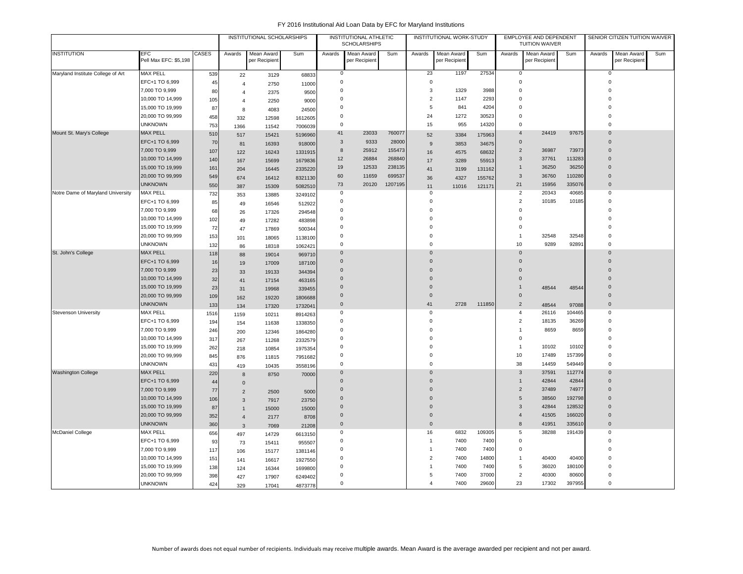|                                   |                                     |              |                | INSTITUTIONAL SCHOLARSHIPS  |                  |                     | INSTITUTIONAL ATHLETIC<br><b>SCHOLARSHIPS</b> |         |                       | INSTITUTIONAL WORK-STUDY    |        |                | EMPLOYEE AND DEPENDENT<br><b>TUITION WAIVER</b> |        |                     | SENIOR CITIZEN TUITION WAIVER |     |
|-----------------------------------|-------------------------------------|--------------|----------------|-----------------------------|------------------|---------------------|-----------------------------------------------|---------|-----------------------|-----------------------------|--------|----------------|-------------------------------------------------|--------|---------------------|-------------------------------|-----|
| <b>INSTITUTION</b>                | <b>EFC</b><br>Pell Max EFC: \$5,198 | <b>CASES</b> | Awards         | Mean Award<br>per Recipient | Sum              | Awards              | Mean Award<br>per Recipient                   | Sum     | Awards                | Mean Award<br>per Recipient | Sum    | Awards         | Mean Award<br>per Recipient                     | Sum    | Awards              | Mean Award<br>per Recipient   | Sum |
| Maryland Institute College of Art | <b>MAX PELL</b>                     | 539          | 22             | 3129                        | 68833            | 0                   |                                               |         | 23                    | 1197                        | 27534  | $\mathbf 0$    |                                                 |        | 0                   |                               |     |
|                                   | EFC+1 TO 6,999                      | 45           | $\overline{4}$ | 2750                        | 11000            | $\mathbf 0$         |                                               |         | $\mathbf 0$           |                             |        | $\mathbf 0$    |                                                 |        | $\mathbf 0$         |                               |     |
|                                   | 7,000 TO 9,999                      | 80           | $\overline{4}$ | 2375                        | 9500             | $\mathbf 0$         |                                               |         | 3                     | 1329                        | 3988   | $\Omega$       |                                                 |        | 0                   |                               |     |
|                                   | 10,000 TO 14,999                    | 105          | $\overline{4}$ | 2250                        | 9000             | 0                   |                                               |         | $\overline{2}$        | 1147                        | 2293   | $\Omega$       |                                                 |        | $\Omega$            |                               |     |
|                                   | 15,000 TO 19,999                    | 87           | 8              | 4083                        | 24500            | $\Omega$            |                                               |         | 5                     | 841                         | 4204   | $\Omega$       |                                                 |        | $\Omega$            |                               |     |
|                                   | 20,000 TO 99,999                    | 458          | 332            | 12598                       | 1612605          | 0                   |                                               |         | 24                    | 1272                        | 30523  | $\mathbf 0$    |                                                 |        | $\Omega$            |                               |     |
|                                   | <b>UNKNOWN</b>                      | 753          | 1366           | 11542                       | 7006039          | $\mathbf 0$         |                                               |         | 15                    | 955                         | 14320  | $\Omega$       |                                                 |        | $\Omega$            |                               |     |
| Mount St. Mary's College          | <b>MAX PELL</b>                     | 510          | 517            | 15421                       | 5196960          | 41                  | 23033                                         | 760077  | 52                    | 3384                        | 175963 | $\overline{4}$ | 24419                                           | 97675  | $\mathbf 0$         |                               |     |
|                                   | EFC+1 TO 6,999                      | 70           | 81             | 16393                       | 918000           | 3                   | 9333                                          | 28000   | 9                     | 3853                        | 34675  | $\mathbf{0}$   |                                                 |        | $\mathbf{0}$        |                               |     |
|                                   | 7,000 TO 9,999                      | 107          | 122            | 16243                       | 1331915          | 8                   | 25912                                         | 155473  | 16                    | 4575                        | 68632  | $\overline{2}$ | 36987                                           | 73973  | $\Omega$            |                               |     |
|                                   | 10,000 TO 14,999                    | 140          | 167            | 15699                       | 1679836          | 12                  | 26884                                         | 268840  | 17                    | 3289                        | 55913  | $\mathbf{3}$   | 37761                                           | 113283 | $\mathbf 0$         |                               |     |
|                                   | 15,000 TO 19,999                    | 161          | 204            | 16445                       | 2335220          | 19                  | 12533                                         | 238135  | 41                    | 3199                        | 131162 | $\overline{1}$ | 36250                                           | 36250  | $\Omega$            |                               |     |
|                                   | 20,000 TO 99,999                    | 549          | 674            | 16412                       | 8321130          | 60                  | 11659                                         | 699537  | 36                    | 4327                        | 155762 | $\mathbf{3}$   | 36760                                           | 110280 | $\mathbf{0}$        |                               |     |
|                                   | <b>UNKNOWN</b>                      | 550          | 387            | 15309                       | 5082510          | 73                  | 20120                                         | 1207195 | 11                    | 11016                       | 121171 | 21             | 15956                                           | 335076 | $\mathbf{0}$        |                               |     |
| Notre Dame of Maryland University | <b>MAX PELL</b>                     | 732          | 353            | 13885                       | 3249102          | $\mathbf 0$         |                                               |         | $\mathbf 0$           |                             |        | $\overline{c}$ | 20343                                           | 40685  | $\mathbf 0$         |                               |     |
|                                   | EFC+1 TO 6,999                      | 85           |                |                             |                  | $\mathbf 0$         |                                               |         | $\mathbf 0$           |                             |        | $\overline{2}$ | 10185                                           | 10185  | $\mathbf 0$         |                               |     |
|                                   | 7,000 TO 9,999                      | 68           | 49             | 16546                       | 512922<br>294548 | $\mathbf 0$         |                                               |         | $\mathbf 0$           |                             |        | $\mathbf 0$    |                                                 |        | $\Omega$            |                               |     |
|                                   | 10,000 TO 14,999                    | 102          | 26<br>49       | 17326<br>17282              | 483898           | 0                   |                                               |         | $\mathbf 0$           |                             |        | $\Omega$       |                                                 |        | $\Omega$            |                               |     |
|                                   | 15,000 TO 19,999                    | 72           | 47             | 17869                       | 500344           | $\Omega$            |                                               |         | $\mathbf 0$           |                             |        | $\Omega$       |                                                 |        | $\Omega$            |                               |     |
|                                   | 20,000 TO 99,999                    | 153          |                |                             |                  | $\mathsf 0$         |                                               |         | $\mathbf 0$           |                             |        | $\overline{1}$ | 32548                                           | 32548  | $\mathbf 0$         |                               |     |
|                                   | <b>UNKNOWN</b>                      | 132          | 101            | 18065                       | 1138100          | $\mathbf 0$         |                                               |         | $\mathbf 0$           |                             |        | 10             | 9289                                            | 92891  | $\mathbf 0$         |                               |     |
| St. John's College                | <b>MAX PELL</b>                     | 118          | 86             | 18318                       | 1062421          | $\Omega$            |                                               |         | $\overline{0}$        |                             |        | $\mathbf{0}$   |                                                 |        | $\Omega$            |                               |     |
|                                   | EFC+1 TO 6,999                      | 16           | 88             | 19014                       | 969710           | $\mathbf 0$         |                                               |         | $\overline{0}$        |                             |        | $\mathbf 0$    |                                                 |        | $\mathbf 0$         |                               |     |
|                                   | 7,000 TO 9,999                      | 23           | 19             | 17009                       | 187100           | $\Omega$            |                                               |         | $\Omega$              |                             |        | $\Omega$       |                                                 |        | $\Omega$            |                               |     |
|                                   | 10,000 TO 14,999                    | 32           | 33             | 19133                       | 344394           | $\overline{0}$      |                                               |         | $\overline{0}$        |                             |        | $\mathbf 0$    |                                                 |        | $\mathbf{0}$        |                               |     |
|                                   | 15,000 TO 19,999                    | 23           | 41             | 17154                       | 463165           | $\mathbf 0$         |                                               |         | $\mathbf 0$           |                             |        |                | 48544                                           | 48544  | $\pmb{0}$           |                               |     |
|                                   | 20,000 TO 99,999                    |              | 31             | 19968                       | 339455           | $\Omega$            |                                               |         | $\mathbf 0$           |                             |        | $\Omega$       |                                                 |        | $\mathbf 0$         |                               |     |
|                                   | <b>UNKNOWN</b>                      | 109<br>133   | 162            | 19220                       | 1806688          | $\mathbf 0$         |                                               |         | 41                    | 2728                        | 111850 | $\sqrt{2}$     | 48544                                           | 97088  | $\mathsf{O}\xspace$ |                               |     |
| <b>Stevenson University</b>       | <b>MAX PELL</b>                     |              | 134            | 17320                       | 1732041          | $\Omega$            |                                               |         | $\mathbf 0$           |                             |        | $\overline{4}$ | 26116                                           | 104465 | $\mathsf 0$         |                               |     |
|                                   | EFC+1 TO 6,999                      | 1516         | 1159           | 10211                       | 8914263          | $\Omega$            |                                               |         | $\mathsf 0$           |                             |        | $\overline{2}$ | 18135                                           | 36269  | $\mathbf 0$         |                               |     |
|                                   | 7,000 TO 9,999                      | 194<br>246   | 154            | 11638                       | 1338350          | $\Omega$            |                                               |         | $\Omega$              |                             |        | $\overline{1}$ | 8659                                            | 8659   | $\mathbf 0$         |                               |     |
|                                   | 10,000 TO 14,999                    | 317          | 200            | 12346                       | 1864280          | $\Omega$            |                                               |         | $\Omega$              |                             |        | $\mathbf 0$    |                                                 |        | $\Omega$            |                               |     |
|                                   | 15,000 TO 19,999                    |              | 267            | 11268                       | 2332579          | $\Omega$            |                                               |         | $\Omega$              |                             |        | $\overline{1}$ | 10102                                           | 10102  | $\Omega$            |                               |     |
|                                   | 20,000 TO 99,999                    | 262<br>845   | 218            | 10854                       | 1975354          | $\Omega$            |                                               |         | $\Omega$              |                             |        | 10             | 17489                                           | 157399 | $\Omega$            |                               |     |
|                                   | <b>UNKNOWN</b>                      | 431          | 876            | 11815                       | 7951682          | $\Omega$            |                                               |         | $\Omega$              |                             |        | 38             | 14459                                           | 549449 | $\Omega$            |                               |     |
| <b>Washington College</b>         | <b>MAX PELL</b>                     | 220          | 419            | 10435                       | 3558196          | $\mathbf{0}$        |                                               |         | $\overline{0}$        |                             |        | $\mathbf{3}$   | 37591                                           | 112774 | $\mathbf 0$         |                               |     |
|                                   | EFC+1 TO 6,999                      | 44           | 8              | 8750                        | 70000            | $\mathbf{0}$        |                                               |         | $\mathbf 0$           |                             |        | $\overline{1}$ | 42844                                           | 42844  | $\mathbf 0$         |                               |     |
|                                   | 7,000 TO 9,999                      | 77           | $\mathbf 0$    |                             |                  | $\mathbf 0$         |                                               |         | $\Omega$              |                             |        | $\overline{2}$ | 37489                                           | 74977  | $\mathbf 0$         |                               |     |
|                                   | 10,000 TO 14,999                    | 106          | $\overline{2}$ | 2500                        | 5000             | $\Omega$            |                                               |         | $\Omega$              |                             |        | 5              | 38560                                           | 192798 | $\Omega$            |                               |     |
|                                   | 15,000 TO 19,999                    | 87           | 3              | 7917                        | 23750            | $\mathbf 0$         |                                               |         | $\overline{0}$        |                             |        | 3              | 42844                                           | 128532 | $\mathbf 0$         |                               |     |
|                                   | 20,000 TO 99,999                    | 352          | $\mathbf{1}$   | 15000                       | 15000            | $\mathsf{O}\xspace$ |                                               |         | $\mathbf 0$           |                             |        | $\overline{4}$ | 41505                                           | 166020 | $\mathsf{O}\xspace$ |                               |     |
|                                   | <b>UNKNOWN</b>                      | 360          | $\overline{4}$ | 2177                        | 8708             | $\mathbf{0}$        |                                               |         | $\mathbf 0$           |                             |        | 8              | 41951                                           | 335610 | $\mathbf 0$         |                               |     |
| <b>McDaniel College</b>           | <b>MAX PELL</b>                     | 656          | 3              | 7069                        | 21208            | 0                   |                                               |         | 16                    | 6832                        | 109305 | 5              | 38288                                           | 191439 | $\mathbf 0$         |                               |     |
|                                   | EFC+1 TO 6,999                      | 93           | 497            | 14729                       | 6613150          | $\Omega$            |                                               |         | $\overline{1}$        | 7400                        | 7400   | $\mathsf 0$    |                                                 |        | $\Omega$            |                               |     |
|                                   | 7,000 TO 9,999                      | 117          | 73             | 15411                       | 955507           | 0                   |                                               |         | $\overline{1}$        | 7400                        | 7400   | 0              |                                                 |        | $\mathbf 0$         |                               |     |
|                                   | 10,000 TO 14,999                    | 151          | 106            | 15177                       | 1381146          | $\mathbf 0$         |                                               |         | $\overline{2}$        | 7400                        | 14800  | $\overline{1}$ | 40400                                           | 40400  | $\mathbf 0$         |                               |     |
|                                   | 15,000 TO 19,999                    | 138          | 141            | 16617                       | 1927550          | 0                   |                                               |         | 1                     | 7400                        | 7400   | 5              | 36020                                           | 180100 | $\mathbf 0$         |                               |     |
|                                   | 20,000 TO 99,999                    | 398          | 124            | 16344                       | 1699800          | $\Omega$            |                                               |         | 5                     | 7400                        | 37000  | $\overline{c}$ | 40300                                           | 80600  | $\mathsf 0$         |                               |     |
|                                   | <b>UNKNOWN</b>                      | 424          | 427            | 17907                       | 6249402          | $\mathbf 0$         |                                               |         | $\boldsymbol{\Delta}$ | 7400                        | 29600  | 23             | 17302                                           | 397955 | $\mathbf 0$         |                               |     |
|                                   |                                     |              | 329            | 17041                       | 4873778          |                     |                                               |         |                       |                             |        |                |                                                 |        |                     |                               |     |